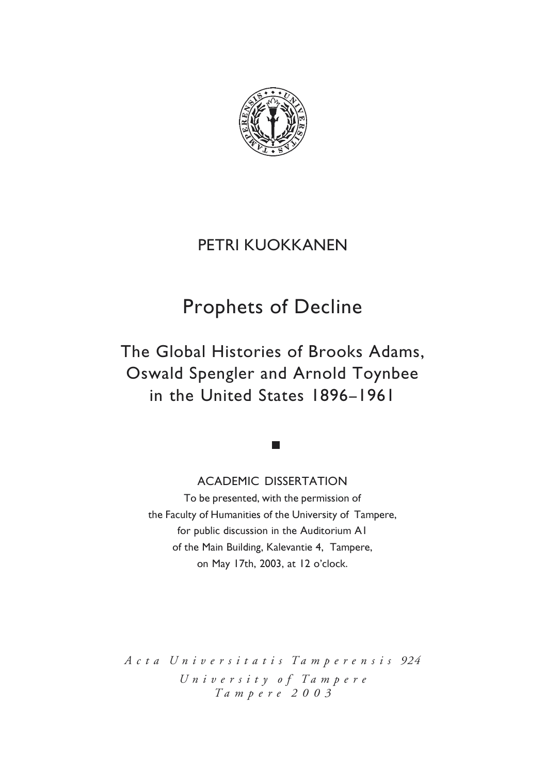

# PETRI KUOKKANEN

# **Prophets of Decline**

The Global Histories of Brooks Adams. Oswald Spengler and Arnold Toynbee in the United States 1896-1961

**ACADEMIC DISSERTATION** 

To be presented, with the permission of the Faculty of Humanities of the University of Tampere. for public discussion in the Auditorium AI of the Main Building, Kalevantie 4. Tampere. on May 17th,  $2003$ , at 12 o'clock.

*A c t a U n i v e r s i t a t i s T a m p e r e n s i s 924 U n i v e r s i t y o f T a m p e r e T a m p e r e 2 0 0 3*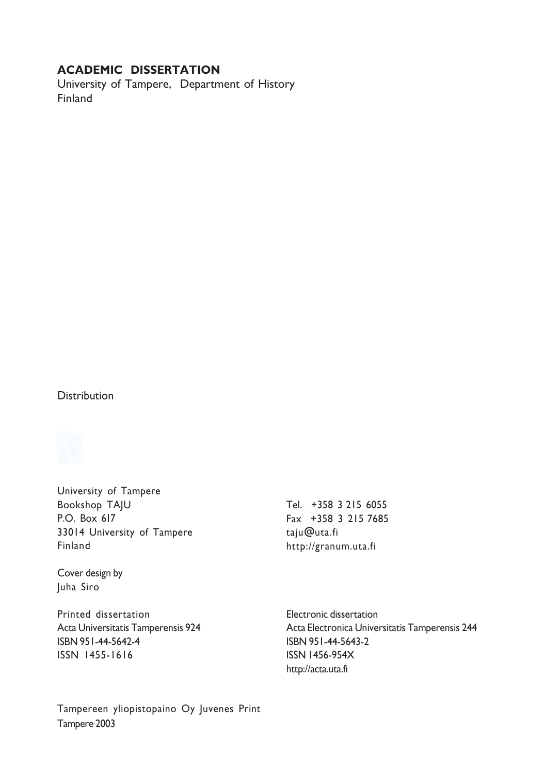# **ACADEMIC DISSERTATION**

University of Tampere, Department of History Finland

#### **Distribution**



University of Tampere **Bookshop TAIU** P.O. Box 617 33014 University of Tampere Finland

Cover design by Juha Siro

Printed dissertation Acta Universitatis Tamperensis 924 ISBN 951-44-5642-4 ISSN 1455-1616

Tel. +358 3 215 6055 Fax +358 3 215 7685 taju@uta.fi http://granum.uta.fi

Electronic dissertation Acta Electronica Universitatis Tamperensis 244 ISBN 951-44-5643-2 **ISSN 1456-954X** http://acta.uta.fi

Tampereen yliopistopaino Oy Juvenes Print Tampere 2003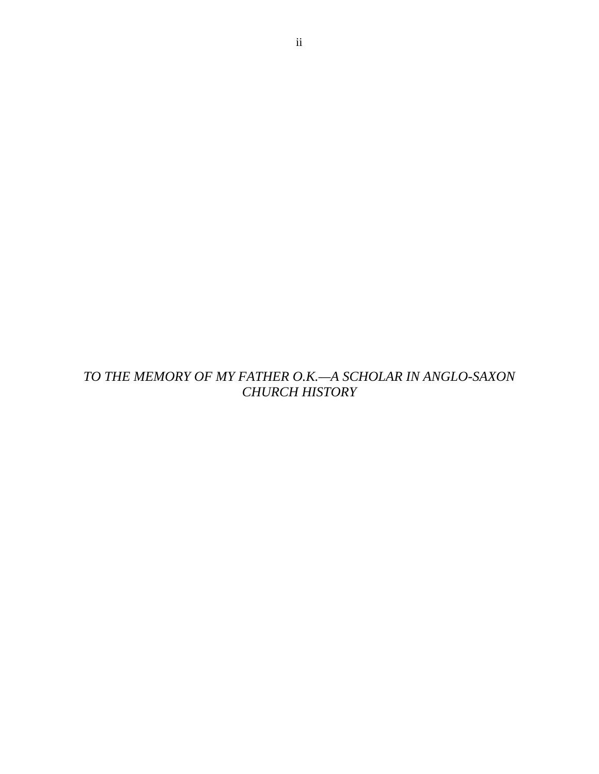*TO THE MEMORY OF MY FATHER O.K.—A SCHOLAR IN ANGLO-SAXON CHURCH HISTORY*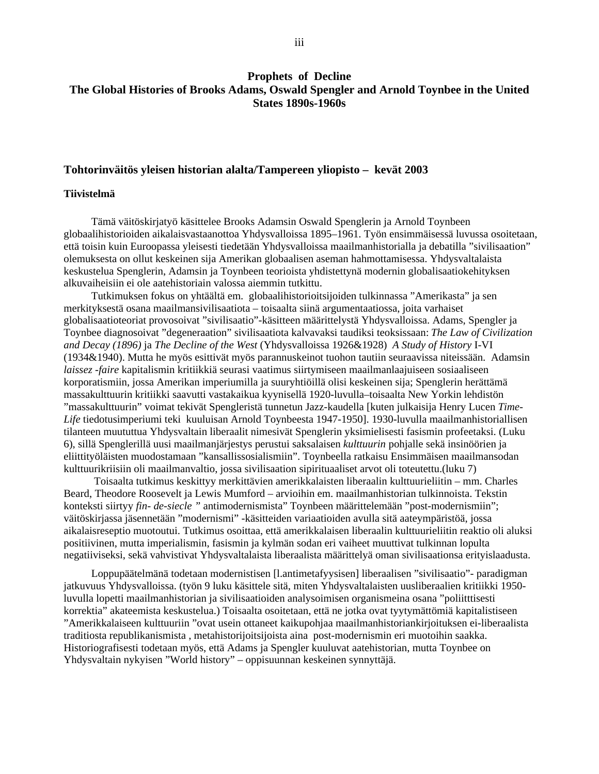# **Prophets of Decline The Global Histories of Brooks Adams, Oswald Spengler and Arnold Toynbee in the United States 1890s-1960s**

#### **Tohtorinväitös yleisen historian alalta/Tampereen yliopisto – kevät 2003**

#### **Tiivistelmä**

Tämä väitöskirjatyö käsittelee Brooks Adamsin Oswald Spenglerin ja Arnold Toynbeen globaalihistorioiden aikalaisvastaanottoa Yhdysvalloissa 1895–1961. Työn ensimmäisessä luvussa osoitetaan, että toisin kuin Euroopassa yleisesti tiedetään Yhdysvalloissa maailmanhistorialla ja debatilla "sivilisaation" olemuksesta on ollut keskeinen sija Amerikan globaalisen aseman hahmottamisessa. Yhdysvaltalaista keskustelua Spenglerin, Adamsin ja Toynbeen teorioista yhdistettynä modernin globalisaatiokehityksen alkuvaiheisiin ei ole aatehistoriain valossa aiemmin tutkittu.

Tutkimuksen fokus on yhtäältä em. globaalihistorioitsijoiden tulkinnassa "Amerikasta" ja sen merkityksestä osana maailmansivilisaatiota – toisaalta siinä argumentaatiossa, joita varhaiset globalisaatioteoriat provosoivat "sivilisaatio"-käsitteen määrittelystä Yhdysvalloissa. Adams, Spengler ja Toynbee diagnosoivat "degeneraation" sivilisaatiota kalvavaksi taudiksi teoksissaan: *The Law of Civilization and Decay (1896)* ja *The Decline of the West* (Yhdysvalloissa 1926&1928) *A Study of History* I-VI (1934&1940). Mutta he myös esittivät myös parannuskeinot tuohon tautiin seuraavissa niteissään. Adamsin *laissez -faire* kapitalismin kritiikkiä seurasi vaatimus siirtymiseen maailmanlaajuiseen sosiaaliseen korporatismiin, jossa Amerikan imperiumilla ja suuryhtiöillä olisi keskeinen sija; Spenglerin herättämä massakulttuurin kritiikki saavutti vastakaikua kyynisellä 1920-luvulla–toisaalta New Yorkin lehdistön "massakulttuurin" voimat tekivät Spengleristä tunnetun Jazz-kaudella [kuten julkaisija Henry Lucen *Time-Life* tiedotusimperiumi teki kuuluisan Arnold Toynbeesta 1947-1950]. 1930-luvulla maailmanhistoriallisen tilanteen muututtua Yhdysvaltain liberaalit nimesivät Spenglerin yksimielisesti fasismin profeetaksi. (Luku 6), sillä Spenglerillä uusi maailmanjärjestys perustui saksalaisen *kulttuurin* pohjalle sekä insinöörien ja eliittityöläisten muodostamaan "kansallissosialismiin". Toynbeella ratkaisu Ensimmäisen maailmansodan kulttuurikriisiin oli maailmanvaltio, jossa sivilisaation sipirituaaliset arvot oli toteutettu.(luku 7)

 Toisaalta tutkimus keskittyy merkittävien amerikkalaisten liberaalin kulttuurieliitin – mm. Charles Beard, Theodore Roosevelt ja Lewis Mumford – arvioihin em. maailmanhistorian tulkinnoista. Tekstin konteksti siirtyy *fin- de-siecle "* antimodernismista" Toynbeen määrittelemään "post-modernismiin"; väitöskirjassa jäsennetään "modernismi" -käsitteiden variaatioiden avulla sitä aateympäristöä, jossa aikalaisreseptio muotoutui. Tutkimus osoittaa, että amerikkalaisen liberaalin kulttuurieliitin reaktio oli aluksi positiivinen, mutta imperialismin, fasismin ja kylmän sodan eri vaiheet muuttivat tulkinnan lopulta negatiiviseksi, sekä vahvistivat Yhdysvaltalaista liberaalista määrittelyä oman sivilisaationsa erityislaadusta.

Loppupäätelmänä todetaan modernistisen [l.antimetafyysisen] liberaalisen "sivilisaatio"- paradigman jatkuvuus Yhdysvalloissa. (työn 9 luku käsittele sitä, miten Yhdysvaltalaisten uusliberaalien kritiikki 1950 luvulla lopetti maailmanhistorian ja sivilisaatioiden analysoimisen organismeina osana "poliitttisesti korrektia" akateemista keskustelua.) Toisaalta osoitetaan, että ne jotka ovat tyytymättömiä kapitalistiseen "Amerikkalaiseen kulttuuriin "ovat usein ottaneet kaikupohjaa maailmanhistoriankirjoituksen ei-liberaalista traditiosta republikanismista , metahistorijoitsijoista aina post-modernismin eri muotoihin saakka. Historiografisesti todetaan myös, että Adams ja Spengler kuuluvat aatehistorian, mutta Toynbee on Yhdysvaltain nykyisen "World history" – oppisuunnan keskeinen synnyttäjä.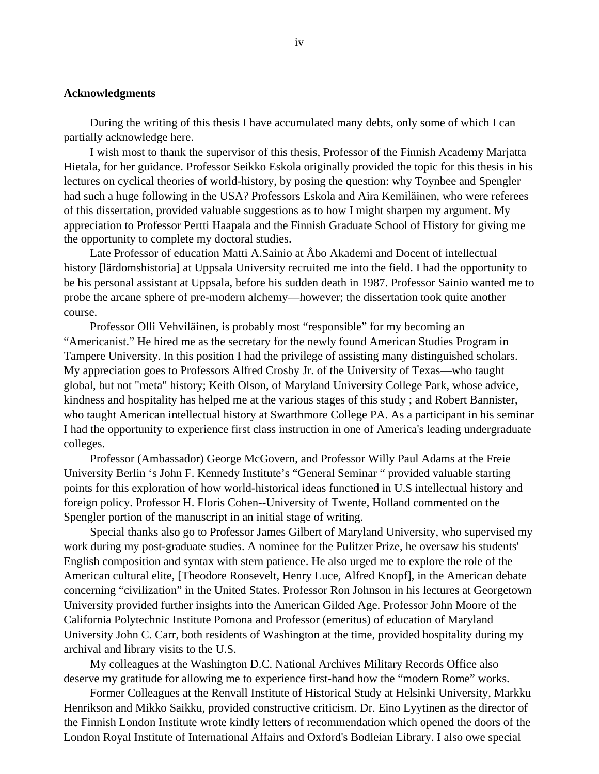# **Acknowledgments**

During the writing of this thesis I have accumulated many debts, only some of which I can partially acknowledge here.

I wish most to thank the supervisor of this thesis, Professor of the Finnish Academy Marjatta Hietala, for her guidance. Professor Seikko Eskola originally provided the topic for this thesis in his lectures on cyclical theories of world-history, by posing the question: why Toynbee and Spengler had such a huge following in the USA? Professors Eskola and Aira Kemiläinen, who were referees of this dissertation, provided valuable suggestions as to how I might sharpen my argument. My appreciation to Professor Pertti Haapala and the Finnish Graduate School of History for giving me the opportunity to complete my doctoral studies.

Late Professor of education Matti A.Sainio at Åbo Akademi and Docent of intellectual history [lärdomshistoria] at Uppsala University recruited me into the field. I had the opportunity to be his personal assistant at Uppsala, before his sudden death in 1987. Professor Sainio wanted me to probe the arcane sphere of pre-modern alchemy—however; the dissertation took quite another course.

Professor Olli Vehviläinen, is probably most "responsible" for my becoming an "Americanist." He hired me as the secretary for the newly found American Studies Program in Tampere University. In this position I had the privilege of assisting many distinguished scholars. My appreciation goes to Professors Alfred Crosby Jr. of the University of Texas—who taught global, but not "meta" history; Keith Olson, of Maryland University College Park, whose advice, kindness and hospitality has helped me at the various stages of this study ; and Robert Bannister, who taught American intellectual history at Swarthmore College PA. As a participant in his seminar I had the opportunity to experience first class instruction in one of America's leading undergraduate colleges.

Professor (Ambassador) George McGovern, and Professor Willy Paul Adams at the Freie University Berlin 's John F. Kennedy Institute's "General Seminar " provided valuable starting points for this exploration of how world-historical ideas functioned in U.S intellectual history and foreign policy. Professor H. Floris Cohen--University of Twente, Holland commented on the Spengler portion of the manuscript in an initial stage of writing.

Special thanks also go to Professor James Gilbert of Maryland University, who supervised my work during my post-graduate studies. A nominee for the Pulitzer Prize, he oversaw his students' English composition and syntax with stern patience. He also urged me to explore the role of the American cultural elite, [Theodore Roosevelt, Henry Luce, Alfred Knopf], in the American debate concerning "civilization" in the United States. Professor Ron Johnson in his lectures at Georgetown University provided further insights into the American Gilded Age. Professor John Moore of the California Polytechnic Institute Pomona and Professor (emeritus) of education of Maryland University John C. Carr, both residents of Washington at the time, provided hospitality during my archival and library visits to the U.S.

My colleagues at the Washington D.C. National Archives Military Records Office also deserve my gratitude for allowing me to experience first-hand how the "modern Rome" works.

Former Colleagues at the Renvall Institute of Historical Study at Helsinki University, Markku Henrikson and Mikko Saikku, provided constructive criticism. Dr. Eino Lyytinen as the director of the Finnish London Institute wrote kindly letters of recommendation which opened the doors of the London Royal Institute of International Affairs and Oxford's Bodleian Library. I also owe special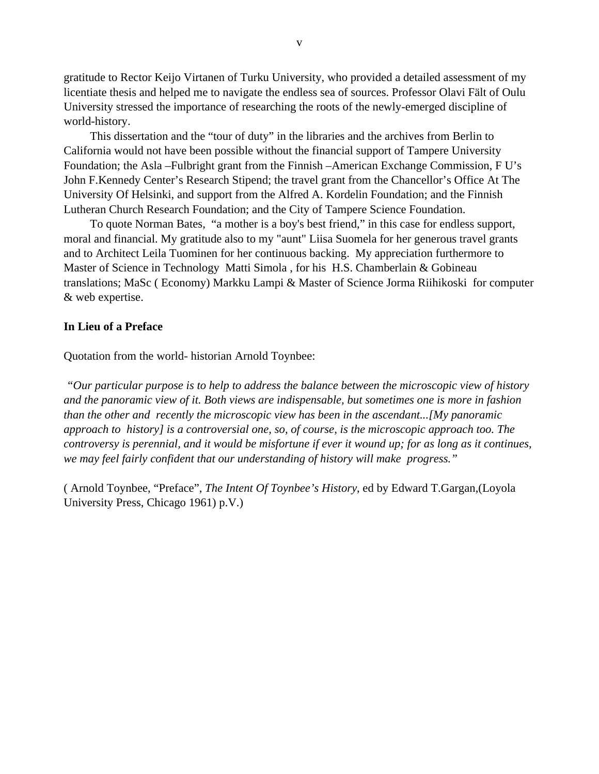gratitude to Rector Keijo Virtanen of Turku University, who provided a detailed assessment of my licentiate thesis and helped me to navigate the endless sea of sources. Professor Olavi Fält of Oulu University stressed the importance of researching the roots of the newly-emerged discipline of world-history.

This dissertation and the "tour of duty" in the libraries and the archives from Berlin to California would not have been possible without the financial support of Tampere University Foundation; the Asla –Fulbright grant from the Finnish –American Exchange Commission, F U's John F.Kennedy Center's Research Stipend; the travel grant from the Chancellor's Office At The University Of Helsinki, and support from the Alfred A. Kordelin Foundation; and the Finnish Lutheran Church Research Foundation; and the City of Tampere Science Foundation.

To quote Norman Bates, "a mother is a boy's best friend," in this case for endless support, moral and financial. My gratitude also to my "aunt" Liisa Suomela for her generous travel grants and to Architect Leila Tuominen for her continuous backing. My appreciation furthermore to Master of Science in Technology Matti Simola , for his H.S. Chamberlain & Gobineau translations; MaSc ( Economy) Markku Lampi & Master of Science Jorma Riihikoski for computer & web expertise.

#### **In Lieu of a Preface**

Quotation from the world- historian Arnold Toynbee:

 *"Our particular purpose is to help to address the balance between the microscopic view of history and the panoramic view of it. Both views are indispensable, but sometimes one is more in fashion than the other and recently the microscopic view has been in the ascendant...[My panoramic approach to history] is a controversial one, so, of course, is the microscopic approach too. The controversy is perennial, and it would be misfortune if ever it wound up; for as long as it continues, we may feel fairly confident that our understanding of history will make progress."*

( Arnold Toynbee, "Preface", *The Intent Of Toynbee's History*, ed by Edward T.Gargan,(Loyola University Press, Chicago 1961) p.V.)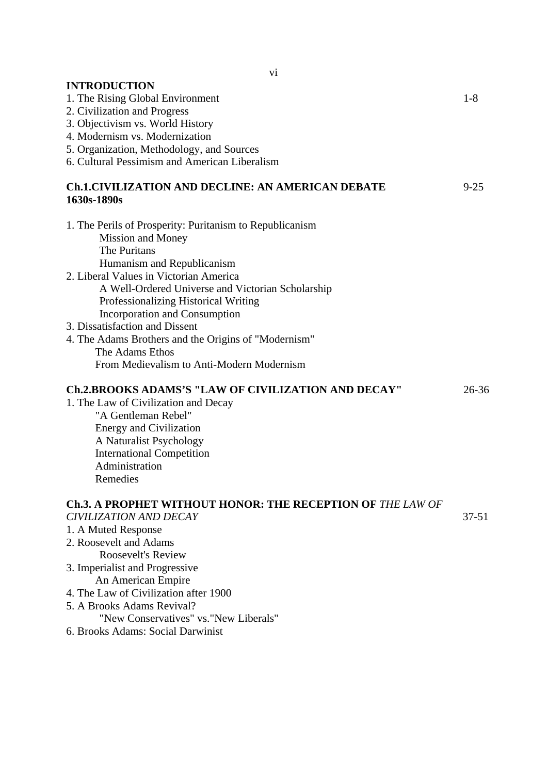| <b>INTRODUCTION</b>                                                     |           |
|-------------------------------------------------------------------------|-----------|
| 1. The Rising Global Environment                                        | $1-8$     |
| 2. Civilization and Progress                                            |           |
| 3. Objectivism vs. World History                                        |           |
| 4. Modernism vs. Modernization                                          |           |
| 5. Organization, Methodology, and Sources                               |           |
| 6. Cultural Pessimism and American Liberalism                           |           |
| <b>Ch.1.CIVILIZATION AND DECLINE: AN AMERICAN DEBATE</b><br>1630s-1890s | $9 - 25$  |
|                                                                         |           |
| 1. The Perils of Prosperity: Puritanism to Republicanism                |           |
| Mission and Money                                                       |           |
| The Puritans                                                            |           |
| Humanism and Republicanism                                              |           |
| 2. Liberal Values in Victorian America                                  |           |
| A Well-Ordered Universe and Victorian Scholarship                       |           |
| Professionalizing Historical Writing                                    |           |
| <b>Incorporation and Consumption</b>                                    |           |
| 3. Dissatisfaction and Dissent                                          |           |
| 4. The Adams Brothers and the Origins of "Modernism"                    |           |
| The Adams Ethos                                                         |           |
| From Medievalism to Anti-Modern Modernism                               |           |
|                                                                         |           |
| <b>Ch.2.BROOKS ADAMS'S "LAW OF CIVILIZATION AND DECAY"</b>              | $26 - 36$ |
| 1. The Law of Civilization and Decay                                    |           |
| "A Gentleman Rebel"                                                     |           |
| <b>Energy and Civilization</b>                                          |           |
| A Naturalist Psychology                                                 |           |
| <b>International Competition</b>                                        |           |
| Administration                                                          |           |
| Remedies                                                                |           |
|                                                                         |           |
| <b>Ch.3. A PROPHET WITHOUT HONOR: THE RECEPTION OF THE LAW OF</b>       |           |
| <b>CIVILIZATION AND DECAY</b>                                           | 37-51     |
| 1. A Muted Response                                                     |           |
| 2. Roosevelt and Adams                                                  |           |
| <b>Roosevelt's Review</b>                                               |           |
| 3. Imperialist and Progressive                                          |           |
| An American Empire                                                      |           |
| 4. The Law of Civilization after 1900                                   |           |
| 5. A Brooks Adams Revival?                                              |           |
| "New Conservatives" vs. "New Liberals"                                  |           |
| 6. Brooks Adams: Social Darwinist                                       |           |
|                                                                         |           |
|                                                                         |           |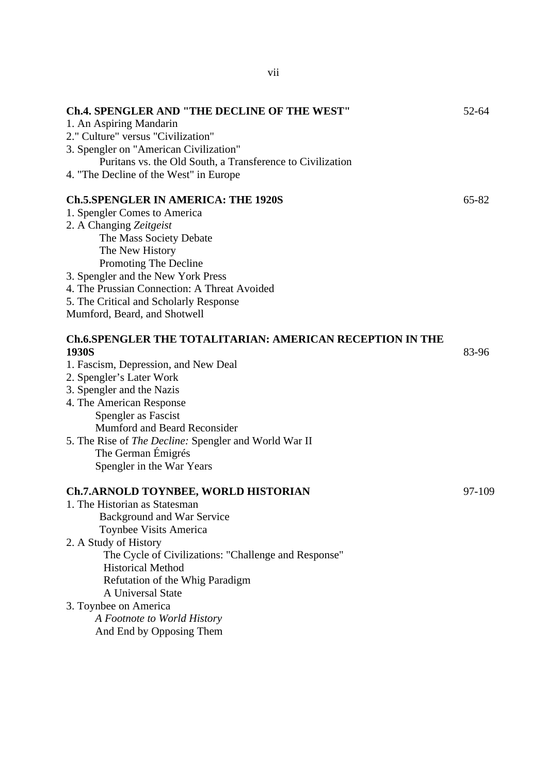| <b>Ch.4. SPENGLER AND "THE DECLINE OF THE WEST"</b><br>1. An Aspiring Mandarin<br>2." Culture" versus "Civilization"<br>3. Spengler on "American Civilization"<br>Puritans vs. the Old South, a Transference to Civilization<br>4. "The Decline of the West" in Europe                                                                                                    | 52-64     |
|---------------------------------------------------------------------------------------------------------------------------------------------------------------------------------------------------------------------------------------------------------------------------------------------------------------------------------------------------------------------------|-----------|
| <b>Ch.5.SPENGLER IN AMERICA: THE 1920S</b><br>1. Spengler Comes to America<br>2. A Changing Zeitgeist<br>The Mass Society Debate<br>The New History<br>Promoting The Decline<br>3. Spengler and the New York Press<br>4. The Prussian Connection: A Threat Avoided                                                                                                        | $65 - 82$ |
| 5. The Critical and Scholarly Response<br>Mumford, Beard, and Shotwell                                                                                                                                                                                                                                                                                                    |           |
| <b>Ch.6.SPENGLER THE TOTALITARIAN: AMERICAN RECEPTION IN THE</b><br>1930S<br>1. Fascism, Depression, and New Deal<br>2. Spengler's Later Work<br>3. Spengler and the Nazis<br>4. The American Response<br>Spengler as Fascist<br>Mumford and Beard Reconsider<br>5. The Rise of The Decline: Spengler and World War II<br>The German Émigrés<br>Spengler in the War Years | 83-96     |
| <b>Ch.7.ARNOLD TOYNBEE, WORLD HISTORIAN</b><br>1. The Historian as Statesman<br>Background and War Service<br>Toynbee Visits America<br>2. A Study of History<br>The Cycle of Civilizations: "Challenge and Response"<br><b>Historical Method</b><br>Refutation of the Whig Paradigm<br>A Universal State<br>3. Toynbee on America                                        | 97-109    |
| A Footnote to World History                                                                                                                                                                                                                                                                                                                                               |           |

And End by Opposing Them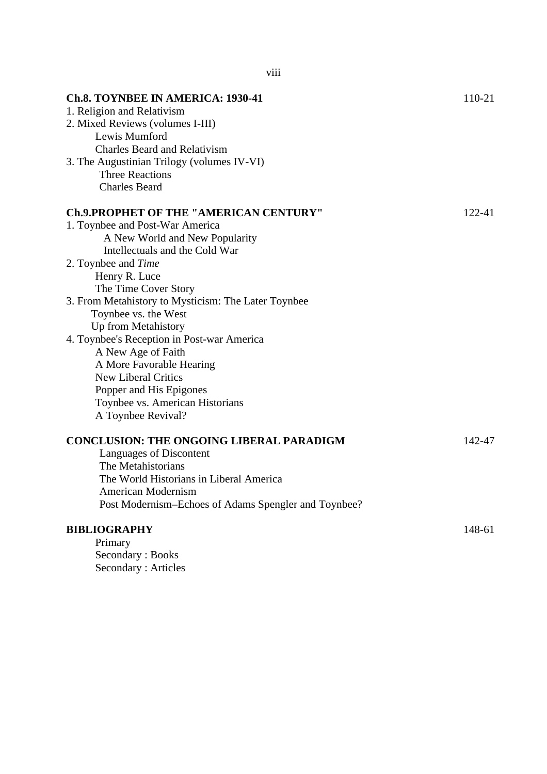| <b>Ch.8. TOYNBEE IN AMERICA: 1930-41</b><br>1. Religion and Relativism<br>2. Mixed Reviews (volumes I-III)<br>Lewis Mumford<br><b>Charles Beard and Relativism</b><br>3. The Augustinian Trilogy (volumes IV-VI)<br><b>Three Reactions</b><br><b>Charles Beard</b> | 110-21 |
|--------------------------------------------------------------------------------------------------------------------------------------------------------------------------------------------------------------------------------------------------------------------|--------|
| <b>Ch.9.PROPHET OF THE "AMERICAN CENTURY"</b>                                                                                                                                                                                                                      | 122-41 |
| 1. Toynbee and Post-War America                                                                                                                                                                                                                                    |        |
| A New World and New Popularity                                                                                                                                                                                                                                     |        |
| Intellectuals and the Cold War                                                                                                                                                                                                                                     |        |
| 2. Toynbee and <i>Time</i>                                                                                                                                                                                                                                         |        |
| Henry R. Luce                                                                                                                                                                                                                                                      |        |
| The Time Cover Story<br>3. From Metahistory to Mysticism: The Later Toynbee                                                                                                                                                                                        |        |
| Toynbee vs. the West                                                                                                                                                                                                                                               |        |
| Up from Metahistory                                                                                                                                                                                                                                                |        |
| 4. Toynbee's Reception in Post-war America                                                                                                                                                                                                                         |        |
| A New Age of Faith                                                                                                                                                                                                                                                 |        |
| A More Favorable Hearing                                                                                                                                                                                                                                           |        |
| <b>New Liberal Critics</b>                                                                                                                                                                                                                                         |        |
| Popper and His Epigones                                                                                                                                                                                                                                            |        |
| Toynbee vs. American Historians                                                                                                                                                                                                                                    |        |
| A Toynbee Revival?                                                                                                                                                                                                                                                 |        |
| <b>CONCLUSION: THE ONGOING LIBERAL PARADIGM</b>                                                                                                                                                                                                                    | 142-47 |
| Languages of Discontent                                                                                                                                                                                                                                            |        |
| The Metahistorians                                                                                                                                                                                                                                                 |        |
| The World Historians in Liberal America                                                                                                                                                                                                                            |        |
| American Modernism                                                                                                                                                                                                                                                 |        |
| Post Modernism-Echoes of Adams Spengler and Toynbee?                                                                                                                                                                                                               |        |
| <b>BIBLIOGRAPHY</b>                                                                                                                                                                                                                                                | 148-61 |
| Primary                                                                                                                                                                                                                                                            |        |
| Secondary: Books                                                                                                                                                                                                                                                   |        |
| Secondary: Articles                                                                                                                                                                                                                                                |        |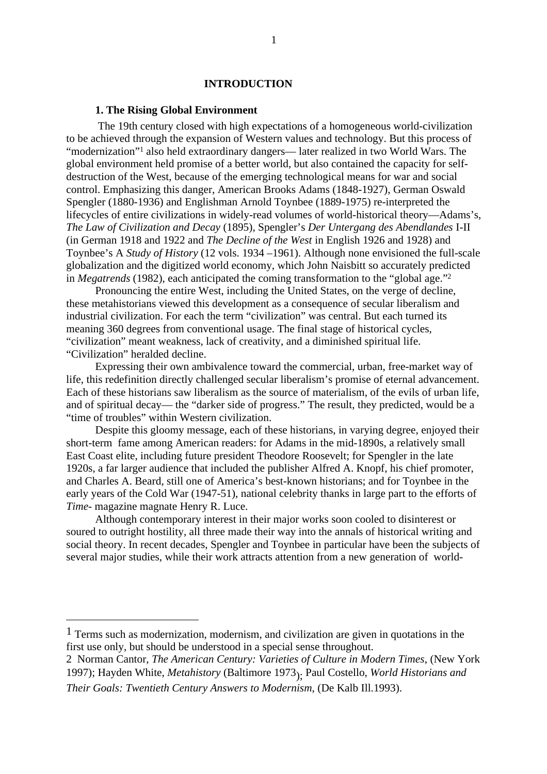### **INTRODUCTION**

#### **1. The Rising Global Environment**

<span id="page-9-0"></span> The 19th century closed with high expectations of a homogeneous world-civilization to be achieved through the expansion of Western values and technology. But this process of "modernization"1 also held extraordinary dangers— later realized in two World Wars. The global environment held promise of a better world, but also contained the capacity for selfdestruction of the West, because of the emerging technological means for war and social control. Emphasizing this danger, American Brooks Adams (1848-1927), German Oswald Spengler (1880-1936) and Englishman Arnold Toynbee (1889-1975) re-interpreted the lifecycles of entire civilizations in widely-read volumes of world-historical theory—Adams's, *The Law of Civilization and Decay* (1895), Spengler's *Der Untergang des Abendlandes* I-II (in German 1918 and 1922 and *The Decline of the West* in English 1926 and 1928) and Toynbee's A *Study of History* (12 vols. 1934 –1961). Although none envisioned the full-scale globalization and the digitized world economy, which John Naisbitt so accurately predicted in *Megatrends* (1982), each anticipated the coming transformation to the "global age."2

Pronouncing the entire West, including the United States, on the verge of decline, these metahistorians viewed this development as a consequence of secular liberalism and industrial civilization. For each the term "civilization" was central. But each turned its meaning 360 degrees from conventional usage. The final stage of historical cycles, "civilization" meant weakness, lack of creativity, and a diminished spiritual life. "Civilization" heralded decline.

Expressing their own ambivalence toward the commercial, urban, free-market way of life, this redefinition directly challenged secular liberalism's promise of eternal advancement. Each of these historians saw liberalism as the source of materialism, of the evils of urban life, and of spiritual decay— the "darker side of progress." The result, they predicted, would be a "time of troubles" within Western civilization.

Despite this gloomy message, each of these historians, in varying degree, enjoyed their short-term fame among American readers: for Adams in the mid-1890s, a relatively small East Coast elite, including future president Theodore Roosevelt; for Spengler in the late 1920s, a far larger audience that included the publisher Alfred A. Knopf, his chief promoter, and Charles A. Beard, still one of America's best-known historians; and for Toynbee in the early years of the Cold War (1947-51), national celebrity thanks in large part to the efforts of *Time-* magazine magnate Henry R. Luce.

Although contemporary interest in their major works soon cooled to disinterest or soured to outright hostility, all three made their way into the annals of historical writing and social theory. In recent decades, Spengler and Toynbee in particular have been the subjects of several major studies, while their work attracts attention from a new generation of world-

<sup>1</sup> Terms such as modernization, modernism, and civilization are given in quotations in the first use only, but should be understood in a special sense throughout.

<sup>2</sup> Norman Cantor, *The American Century: Varieties of Culture in Modern Times*, (New York 1997); Hayden White, *Metahistory* (Baltimore 1973); Paul Costello, *World Historians and Their Goals: Twentieth Century Answers to Modernism*, (De Kalb Ill.1993).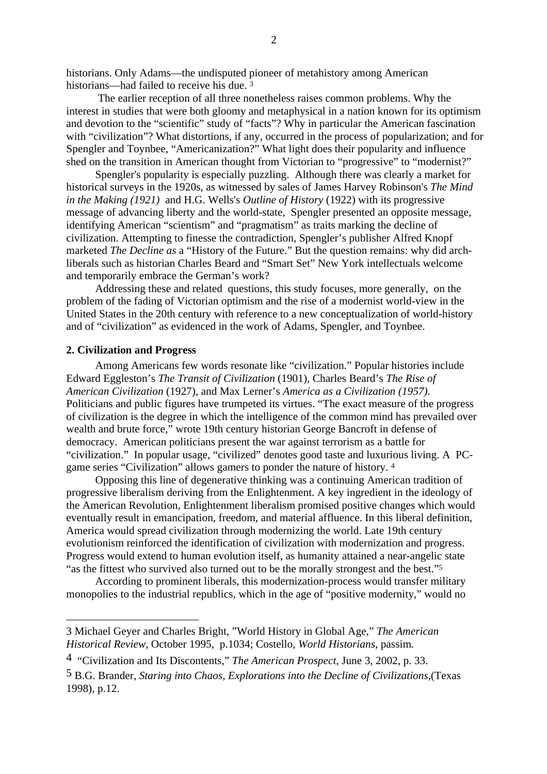historians. Only Adams—the undisputed pioneer of metahistory among American historians—had failed to receive his due. 3

 The earlier reception of all three nonetheless raises common problems. Why the interest in studies that were both gloomy and metaphysical in a nation known for its optimism and devotion to the "scientific" study of "facts"? Why in particular the American fascination with "civilization"? What distortions, if any, occurred in the process of popularization; and for Spengler and Toynbee, "Americanization?" What light does their popularity and influence shed on the transition in American thought from Victorian to "progressive" to "modernist?"

Spengler's popularity is especially puzzling. Although there was clearly a market for historical surveys in the 1920s, as witnessed by sales of James Harvey Robinson's *The Mind in the Making (1921)* and H.G. Wells's *Outline of History* (1922) with its progressive message of advancing liberty and the world-state, Spengler presented an opposite message, identifying American "scientism" and "pragmatism" as traits marking the decline of civilization. Attempting to finesse the contradiction, Spengler's publisher Alfred Knopf marketed *The Decline as* a "History of the Future." But the question remains: why did archliberals such as historian Charles Beard and "Smart Set" New York intellectuals welcome and temporarily embrace the German's work?

Addressing these and related questions, this study focuses, more generally, on the problem of the fading of Victorian optimism and the rise of a modernist world-view in the United States in the 20th century with reference to a new conceptualization of world-history and of "civilization" as evidenced in the work of Adams, Spengler, and Toynbee.

#### **2. Civilization and Progress**

Among Americans few words resonate like "civilization." Popular histories include Edward Eggleston's *The Transit of Civilization* (1901), Charles Beard's *The Rise of American Civilization* (1927), and Max Lerner's *America as a Civilization (1957).* Politicians and public figures have trumpeted its virtues. "The exact measure of the progress of civilization is the degree in which the intelligence of the common mind has prevailed over wealth and brute force," wrote 19th century historian George Bancroft in defense of democracy. American politicians present the war against terrorism as a battle for "civilization." In popular usage, "civilized" denotes good taste and luxurious living. A PCgame series "Civilization" allows gamers to ponder the nature of history. 4

Opposing this line of degenerative thinking was a continuing American tradition of progressive liberalism deriving from the Enlightenment. A key ingredient in the ideology of the American Revolution, Enlightenment liberalism promised positive changes which would eventually result in emancipation, freedom, and material affluence. In this liberal definition, America would spread civilization through modernizing the world. Late 19th century evolutionism reinforced the identification of civilization with modernization and progress. Progress would extend to human evolution itself, as humanity attained a near-angelic state "as the fittest who survived also turned out to be the morally strongest and the best."5

According to prominent liberals, this modernization-process would transfer military monopolies to the industrial republics, which in the age of "positive modernity," would no

<sup>3</sup> Michael Geyer and Charles Bright, "World History in Global Age," *The American Historical Review*, October 1995, p.1034; Costello, *World Historians,* passim*.*

<sup>4 &</sup>quot;Civilization and Its Discontents," *The American Prospect*, June 3, 2002, p. 33.

<sup>5</sup> B.G. Brander, *Staring into Chaos*, *Explorations into the Decline of Civilizations,*(Texas 1998), p.12.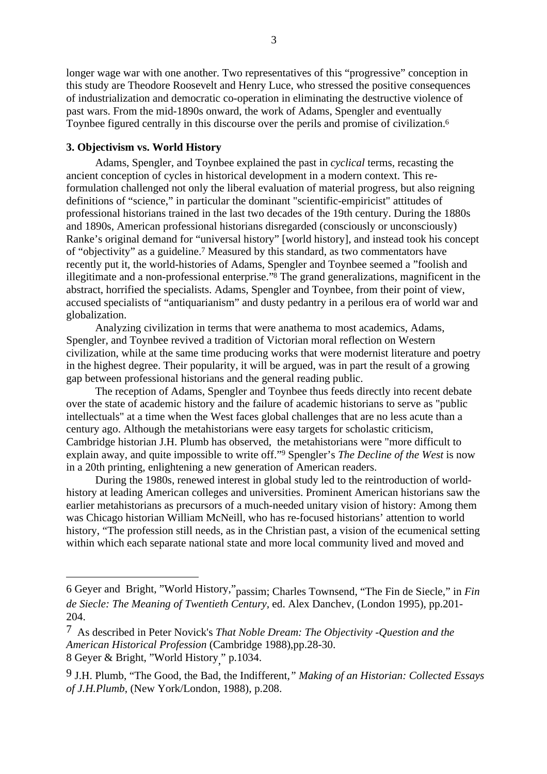longer wage war with one another. Two representatives of this "progressive" conception in this study are Theodore Roosevelt and Henry Luce, who stressed the positive consequences of industrialization and democratic co-operation in eliminating the destructive violence of past wars. From the mid-1890s onward, the work of Adams, Spengler and eventually Toynbee figured centrally in this discourse over the perils and promise of civilization.6

# **3. Objectivism vs. World History**

Adams, Spengler, and Toynbee explained the past in *cyclical* terms*,* recasting the ancient conception of cycles in historical development in a modern context. This reformulation challenged not only the liberal evaluation of material progress, but also reigning definitions of "science," in particular the dominant "scientific-empiricist" attitudes of professional historians trained in the last two decades of the 19th century. During the 1880s and 1890s, American professional historians disregarded (consciously or unconsciously) Ranke's original demand for "universal history" [world history], and instead took his concept of "objectivity" as a guideline.7 Measured by this standard, as two commentators have recently put it, the world-histories of Adams, Spengler and Toynbee seemed a "foolish and illegitimate and a non-professional enterprise."8 The grand generalizations, magnificent in the abstract, horrified the specialists. Adams, Spengler and Toynbee, from their point of view, accused specialists of "antiquarianism" and dusty pedantry in a perilous era of world war and globalization.

Analyzing civilization in terms that were anathema to most academics, Adams, Spengler, and Toynbee revived a tradition of Victorian moral reflection on Western civilization, while at the same time producing works that were modernist literature and poetry in the highest degree. Their popularity, it will be argued, was in part the result of a growing gap between professional historians and the general reading public.

The reception of Adams, Spengler and Toynbee thus feeds directly into recent debate over the state of academic history and the failure of academic historians to serve as "public intellectuals" at a time when the West faces global challenges that are no less acute than a century ago. Although the metahistorians were easy targets for scholastic criticism, Cambridge historian J.H. Plumb has observed, the metahistorians were "more difficult to explain away, and quite impossible to write off."9 Spengler's *The Decline of the West* is now in a 20th printing, enlightening a new generation of American readers.

During the 1980s, renewed interest in global study led to the reintroduction of worldhistory at leading American colleges and universities. Prominent American historians saw the earlier metahistorians as precursors of a much-needed unitary vision of history: Among them was Chicago historian William McNeill, who has re-focused historians' attention to world history, "The profession still needs, as in the Christian past, a vision of the ecumenical setting within which each separate national state and more local community lived and moved and

<sup>6</sup> Geyer and Bright, "World History,"passim; Charles Townsend, "The Fin de Siecle," in *Fin de Siecle: The Meaning of Twentieth Century,* ed. Alex Danchev, (London 1995), pp.201- 204.

<sup>7</sup> As described in Peter Novick's *That Noble Dream: The Objectivity -Question and the American Historical Profession* (Cambridge 1988),pp.28-30. 8 Geyer & Bright, "World History" p.1034.

<sup>9</sup> J.H. Plumb, "The Good, the Bad, the Indifferent*," Making of an Historian: Collected Essays of J.H.Plumb*, (New York/London, 1988), p.208.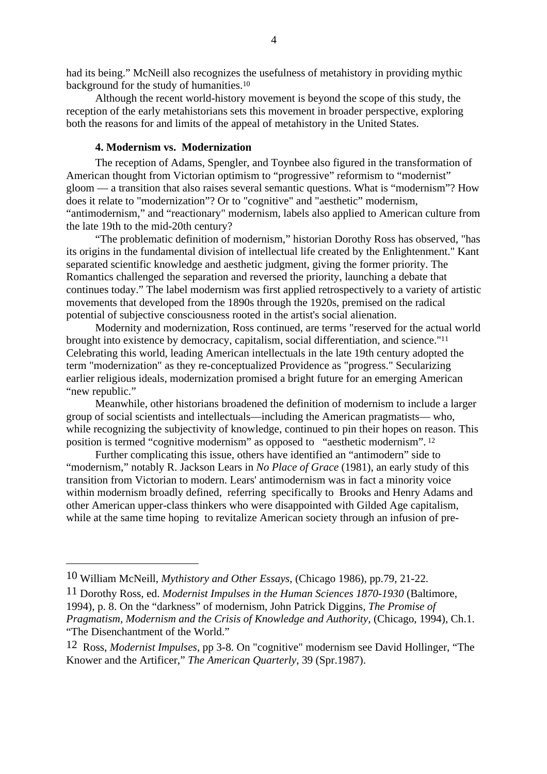had its being." McNeill also recognizes the usefulness of metahistory in providing mythic background for the study of humanities.10

Although the recent world-history movement is beyond the scope of this study, the reception of the early metahistorians sets this movement in broader perspective, exploring both the reasons for and limits of the appeal of metahistory in the United States.

# **4. Modernism vs. Modernization**

The reception of Adams, Spengler, and Toynbee also figured in the transformation of American thought from Victorian optimism to "progressive" reformism to "modernist" gloom — a transition that also raises several semantic questions. What is "modernism"? How does it relate to "modernization"? Or to "cognitive" and "aesthetic" modernism, "antimodernism," and "reactionary" modernism, labels also applied to American culture from the late 19th to the mid-20th century?

"The problematic definition of modernism," historian Dorothy Ross has observed, "has its origins in the fundamental division of intellectual life created by the Enlightenment." Kant separated scientific knowledge and aesthetic judgment, giving the former priority. The Romantics challenged the separation and reversed the priority, launching a debate that continues today." The label modernism was first applied retrospectively to a variety of artistic movements that developed from the 1890s through the 1920s, premised on the radical potential of subjective consciousness rooted in the artist's social alienation.

Modernity and modernization, Ross continued, are terms "reserved for the actual world brought into existence by democracy, capitalism, social differentiation, and science."11 Celebrating this world, leading American intellectuals in the late 19th century adopted the term "modernization" as they re-conceptualized Providence as "progress." Secularizing earlier religious ideals, modernization promised a bright future for an emerging American "new republic."

Meanwhile, other historians broadened the definition of modernism to include a larger group of social scientists and intellectuals—including the American pragmatists— who, while recognizing the subjectivity of knowledge, continued to pin their hopes on reason. This position is termed "cognitive modernism" as opposed to "aesthetic modernism". 12

Further complicating this issue, others have identified an "antimodern" side to "modernism," notably R. Jackson Lears in *No Place of Grace* (1981), an early study of this transition from Victorian to modern. Lears' antimodernism was in fact a minority voice within modernism broadly defined, referring specifically to Brooks and Henry Adams and other American upper-class thinkers who were disappointed with Gilded Age capitalism, while at the same time hoping to revitalize American society through an infusion of pre-

<sup>10</sup> William McNeill, *Mythistory and Other Essays*, (Chicago 1986), pp.79, 21-22.

<sup>11</sup> Dorothy Ross, ed. *Modernist Impulses in the Human Sciences 1870-1930* (Baltimore, 1994), p. 8. On the "darkness" of modernism, John Patrick Diggins, *The Promise of Pragmatism, Modernism and the Crisis of Knowledge and Authority*, (Chicago, 1994), Ch.1. "The Disenchantment of the World."

<sup>12</sup> Ross, *Modernist Impulses*, pp 3-8. On "cognitive" modernism see David Hollinger, "The Knower and the Artificer," *The American Quarterly*, 39 (Spr.1987).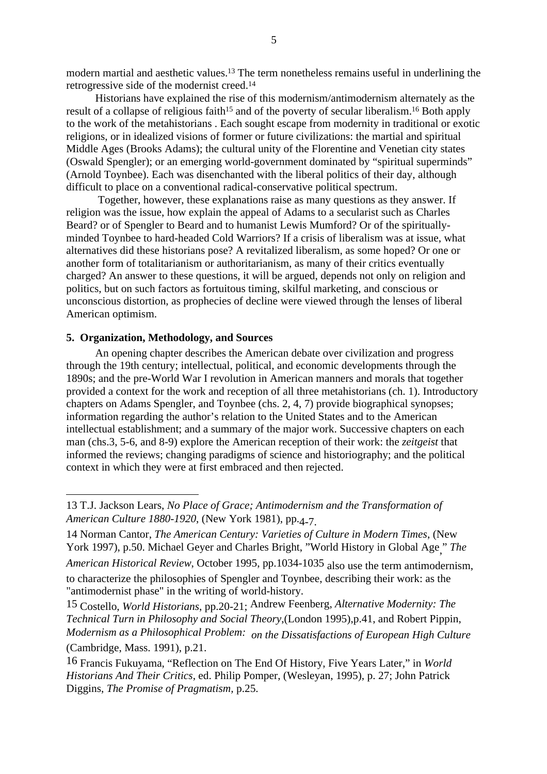modern martial and aesthetic values.13 The term nonetheless remains useful in underlining the retrogressive side of the modernist creed.14

Historians have explained the rise of this modernism/antimodernism alternately as the result of a collapse of religious faith<sup>15</sup> and of the poverty of secular liberalism.<sup>16</sup> Both apply to the work of the metahistorians . Each sought escape from modernity in traditional or exotic religions, or in idealized visions of former or future civilizations: the martial and spiritual Middle Ages (Brooks Adams); the cultural unity of the Florentine and Venetian city states (Oswald Spengler); or an emerging world-government dominated by "spiritual superminds" (Arnold Toynbee). Each was disenchanted with the liberal politics of their day, although difficult to place on a conventional radical-conservative political spectrum.

 Together, however, these explanations raise as many questions as they answer. If religion was the issue, how explain the appeal of Adams to a secularist such as Charles Beard? or of Spengler to Beard and to humanist Lewis Mumford? Or of the spirituallyminded Toynbee to hard-headed Cold Warriors? If a crisis of liberalism was at issue, what alternatives did these historians pose? A revitalized liberalism, as some hoped? Or one or another form of totalitarianism or authoritarianism, as many of their critics eventually charged? An answer to these questions, it will be argued, depends not only on religion and politics, but on such factors as fortuitous timing, skilful marketing, and conscious or unconscious distortion, as prophecies of decline were viewed through the lenses of liberal American optimism.

# **5. Organization, Methodology, and Sources**

An opening chapter describes the American debate over civilization and progress through the 19th century; intellectual, political, and economic developments through the 1890s; and the pre-World War I revolution in American manners and morals that together provided a context for the work and reception of all three metahistorians (ch. 1). Introductory chapters on Adams Spengler, and Toynbee (chs. 2, 4, 7) provide biographical synopses; information regarding the author's relation to the United States and to the American intellectual establishment; and a summary of the major work. Successive chapters on each man (chs.3, 5-6, and 8-9) explore the American reception of their work: the *zeitgeist* that informed the reviews; changing paradigms of science and historiography; and the political context in which they were at first embraced and then rejected.

<sup>13</sup> T.J. Jackson Lears, *No Place of Grace; Antimodernism and the Transformation of American Culture 1880-1920*, (New York 1981), pp.4<sub>-7</sub>.

<sup>14</sup> Norman Cantor, *The American Century: Varieties of Culture in Modern Times*, (New York 1997), p.50. Michael Geyer and Charles Bright, "World History in Global Age, " *The American Historical Review*, October 1995, pp.1034-1035 also use the term antimodernism, to characterize the philosophies of Spengler and Toynbee, describing their work: as the "antimodernist phase" in the writing of world-history.

<sup>15</sup> Costello, *World Historians*, pp.20-21; Andrew Feenberg, *Alternative Modernity: The Technical Turn in Philosophy and Social Theory*,(London 1995),p.41, and Robert Pippin, *Modernism as a Philosophical Problem: on the Dissatisfactions of European High Culture* (Cambridge, Mass. 1991), p.21.

<sup>16</sup> Francis Fukuyama, "Reflection on The End Of History, Five Years Later," in *World Historians And Their Critics*, ed. Philip Pomper, (Wesleyan, 1995), p. 27; John Patrick Diggins, *The Promise of Pragmatism,* p.25.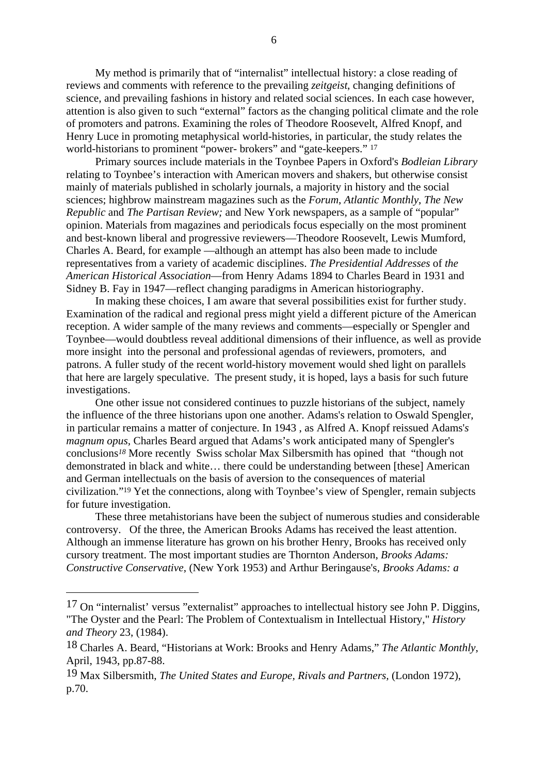My method is primarily that of "internalist" intellectual history: a close reading of reviews and comments with reference to the prevailing *zeitgeist*, changing definitions of science, and prevailing fashions in history and related social sciences. In each case however, attention is also given to such "external" factors as the changing political climate and the role of promoters and patrons. Examining the roles of Theodore Roosevelt, Alfred Knopf, and Henry Luce in promoting metaphysical world-histories, in particular, the study relates the world-historians to prominent "power- brokers" and "gate-keepers." 17

Primary sources include materials in the Toynbee Papers in Oxford's *Bodleian Library* relating to Toynbee's interaction with American movers and shakers, but otherwise consist mainly of materials published in scholarly journals, a majority in history and the social sciences; highbrow mainstream magazines such as the *Forum*, *Atlantic Monthly*, *The New Republic* and *The Partisan Review;* and New York newspapers, as a sample of "popular" opinion. Materials from magazines and periodicals focus especially on the most prominent and best-known liberal and progressive reviewers—Theodore Roosevelt, Lewis Mumford, Charles A. Beard, for example —although an attempt has also been made to include representatives from a variety of academic disciplines. *The Presidential Addresses* of *the American Historical Association*—from Henry Adams 1894 to Charles Beard in 1931 and Sidney B. Fay in 1947—reflect changing paradigms in American historiography.

In making these choices, I am aware that several possibilities exist for further study. Examination of the radical and regional press might yield a different picture of the American reception. A wider sample of the many reviews and comments—especially or Spengler and Toynbee—would doubtless reveal additional dimensions of their influence, as well as provide more insight into the personal and professional agendas of reviewers, promoters, and patrons. A fuller study of the recent world-history movement would shed light on parallels that here are largely speculative. The present study, it is hoped, lays a basis for such future investigations.

One other issue not considered continues to puzzle historians of the subject, namely the influence of the three historians upon one another. Adams's relation to Oswald Spengler, in particular remains a matter of conjecture. In 1943 , as Alfred A. Knopf reissued Adams'*s magnum opus,* Charles Beard argued that Adams's work anticipated many of Spengler's conclusions*18* More recently Swiss scholar Max Silbersmith has opined that "though not demonstrated in black and white… there could be understanding between [these] American and German intellectuals on the basis of aversion to the consequences of material civilization."19 Yet the connections, along with Toynbee's view of Spengler, remain subjects for future investigation.

These three metahistorians have been the subject of numerous studies and considerable controversy. Of the three, the American Brooks Adams has received the least attention. Although an immense literature has grown on his brother Henry, Brooks has received only cursory treatment. The most important studies are Thornton Anderson, *Brooks Adams: Constructive Conservative*, (New York 1953) and Arthur Beringause's, *Brooks Adams: a*

<sup>17</sup> On "internalist' versus "externalist" approaches to intellectual history see John P. Diggins, "The Oyster and the Pearl: The Problem of Contextualism in Intellectual History," *History and Theory* 23, (1984).

<sup>18</sup> Charles A. Beard, "Historians at Work: Brooks and Henry Adams," *The Atlantic Monthly*, April, 1943, pp.87-88.

<sup>19</sup> Max Silbersmith, *The United States and Europe, Rivals and Partners,* (London 1972), p.70.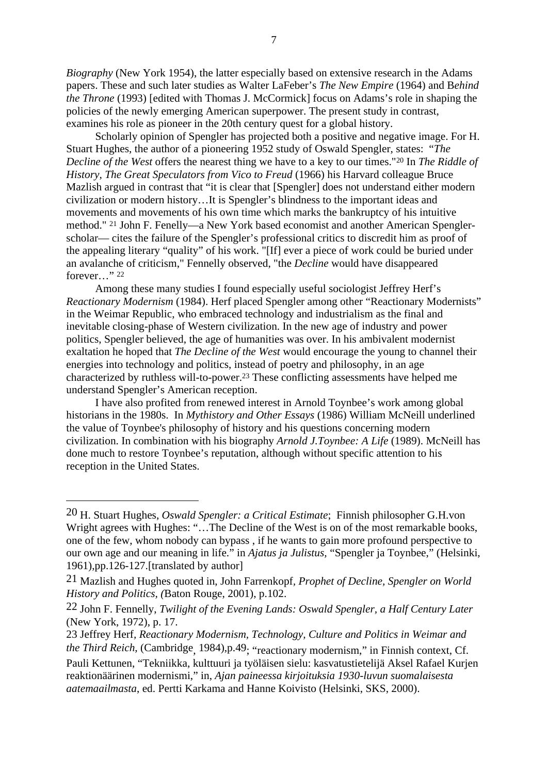*Biography* (New York 1954), the latter especially based on extensive research in the Adams papers. These and such later studies as Walter LaFeber's *The New Empire* (1964) and B*ehind the Throne* (1993) [edited with Thomas J. McCormick] focus on Adams's role in shaping the policies of the newly emerging American superpower. The present study in contrast, examines his role as pioneer in the 20th century quest for a global history.

Scholarly opinion of Spengler has projected both a positive and negative image. For H. Stuart Hughes, the author of a pioneering 1952 study of Oswald Spengler, states: "*The Decline of the West* offers the nearest thing we have to a key to our times."20 In *The Riddle of History, The Great Speculators from Vico to Freud* (1966) his Harvard colleague Bruce Mazlish argued in contrast that "it is clear that [Spengler] does not understand either modern civilization or modern history…It is Spengler's blindness to the important ideas and movements and movements of his own time which marks the bankruptcy of his intuitive method." 21 John F. Fenelly—a New York based economist and another American Spenglerscholar— cites the failure of the Spengler's professional critics to discredit him as proof of the appealing literary "quality" of his work. "[If] ever a piece of work could be buried under an avalanche of criticism," Fennelly observed, "the *Decline* would have disappeared forever…" 22

Among these many studies I found especially useful sociologist Jeffrey Herf's *Reactionary Modernism* (1984). Herf placed Spengler among other "Reactionary Modernists" in the Weimar Republic, who embraced technology and industrialism as the final and inevitable closing-phase of Western civilization. In the new age of industry and power politics, Spengler believed, the age of humanities was over. In his ambivalent modernist exaltation he hoped that *The Decline of the West* would encourage the young to channel their energies into technology and politics, instead of poetry and philosophy, in an age characterized by ruthless will-to-power.23 These conflicting assessments have helped me understand Spengler's American reception.

I have also profited from renewed interest in Arnold Toynbee's work among global historians in the 1980s. In *Mythistory and Other Essays* (1986) William McNeill underlined the value of Toynbee's philosophy of history and his questions concerning modern civilization. In combination with his biography *Arnold J.Toynbee: A Life* (1989). McNeill has done much to restore Toynbee's reputation, although without specific attention to his reception in the United States.

<sup>20</sup> H. Stuart Hughes, *Oswald Spengler: a Critical Estimate*; Finnish philosopher G.H.von Wright agrees with Hughes: "...The Decline of the West is on of the most remarkable books, one of the few, whom nobody can bypass , if he wants to gain more profound perspective to our own age and our meaning in life." in *Ajatus ja Julistus,* "Spengler ja Toynbee," (Helsinki, 1961),pp.126-127.[translated by author]

<sup>21</sup> Mazlish and Hughes quoted in, John Farrenkopf*, Prophet of Decline, Spengler on World History and Politics, (*Baton Rouge, 2001), p.102.

<sup>22</sup> John F. Fennelly, *Twilight of the Evening Lands: Oswald Spengler, a Half Century Later* (New York, 1972), p. 17.

<sup>23</sup> Jeffrey Herf*, Reactionary Modernism, Technology, Culture and Politics in Weimar and the Third Reich*, (Cambridge, 1984),p.49; "reactionary modernism," in Finnish context, Cf.

Pauli Kettunen, "Tekniikka, kulttuuri ja työläisen sielu: kasvatustietelijä Aksel Rafael Kurjen reaktionäärinen modernismi," in, *Ajan paineessa kirjoituksia 1930-luvun suomalaisesta aatemaailmasta*, ed. Pertti Karkama and Hanne Koivisto (Helsinki, SKS, 2000).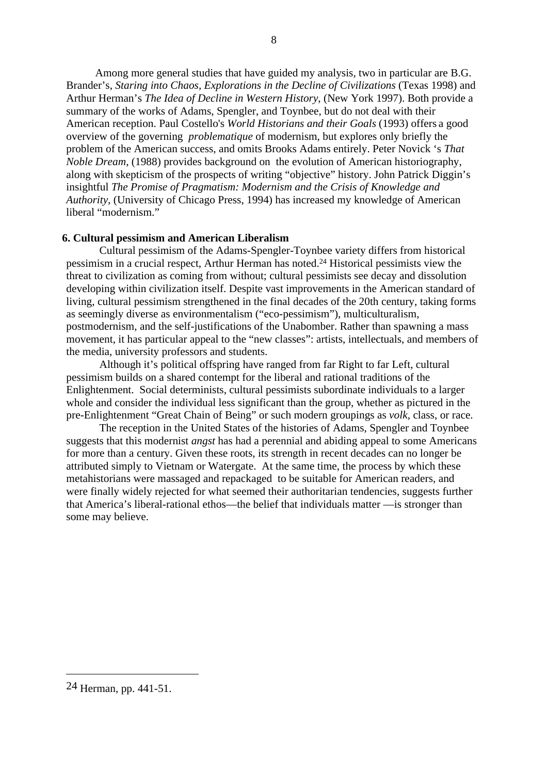Among more general studies that have guided my analysis, two in particular are B.G. Brander's, *Staring into Chaos, Explorations in the Decline of Civilizations* (Texas 1998) and Arthur Herman's *The Idea of Decline in Western History*, (New York 1997). Both provide a summary of the works of Adams, Spengler, and Toynbee, but do not deal with their American reception. Paul Costello's *World Historians and their Goals* (1993) offers a good overview of the governing *problematique* of modernism, but explores only briefly the problem of the American success, and omits Brooks Adams entirely. Peter Novick 's *That Noble Dream*, (1988) provides background on the evolution of American historiography, along with skepticism of the prospects of writing "objective" history. John Patrick Diggin's insightful *The Promise of Pragmatism: Modernism and the Crisis of Knowledge and Authority*, (University of Chicago Press, 1994) has increased my knowledge of American liberal "modernism."

# **6. Cultural pessimism and American Liberalism**

Cultural pessimism of the Adams-Spengler-Toynbee variety differs from historical pessimism in a crucial respect, Arthur Herman has noted.24 Historical pessimists view the threat to civilization as coming from without; cultural pessimists see decay and dissolution developing within civilization itself. Despite vast improvements in the American standard of living, cultural pessimism strengthened in the final decades of the 20th century, taking forms as seemingly diverse as environmentalism ("eco-pessimism"), multiculturalism, postmodernism, and the self-justifications of the Unabomber. Rather than spawning a mass movement, it has particular appeal to the "new classes": artists, intellectuals, and members of the media, university professors and students.

Although it's political offspring have ranged from far Right to far Left, cultural pessimism builds on a shared contempt for the liberal and rational traditions of the Enlightenment. Social determinists, cultural pessimists subordinate individuals to a larger whole and consider the individual less significant than the group, whether as pictured in the pre-Enlightenment "Great Chain of Being" or such modern groupings as *volk,* class, or race.

The reception in the United States of the histories of Adams, Spengler and Toynbee suggests that this modernist *angst* has had a perennial and abiding appeal to some Americans for more than a century. Given these roots, its strength in recent decades can no longer be attributed simply to Vietnam or Watergate. At the same time, the process by which these metahistorians were massaged and repackaged to be suitable for American readers, and were finally widely rejected for what seemed their authoritarian tendencies, suggests further that America's liberal-rational ethos—the belief that individuals matter —is stronger than some may believe.

<sup>24</sup> Herman, pp. 441-51.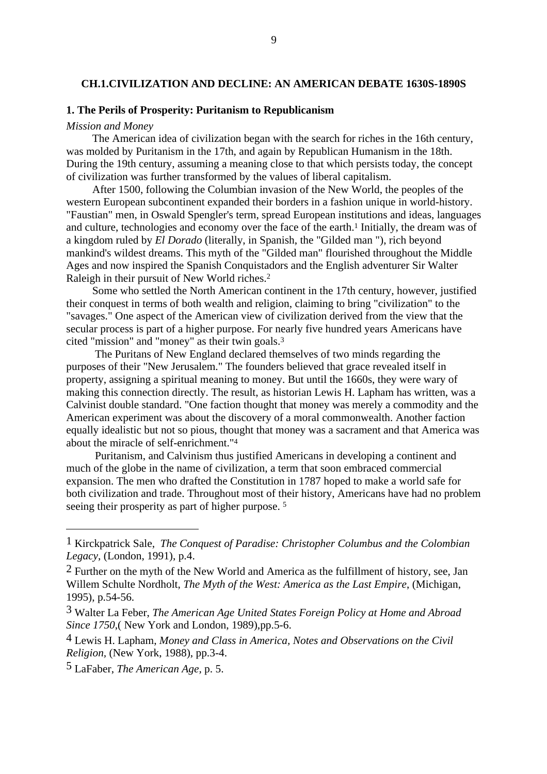# <span id="page-17-0"></span>**CH.1.CIVILIZATION AND DECLINE: AN AMERICAN DEBATE 1630S-1890S**

# **1. The Perils of Prosperity: Puritanism to Republicanism**

#### *Mission and Money*

The American idea of civilization began with the search for riches in the 16th century, was molded by Puritanism in the 17th, and again by Republican Humanism in the 18th. During the 19th century, assuming a meaning close to that which persists today, the concept of civilization was further transformed by the values of liberal capitalism.

After 1500, following the Columbian invasion of the New World, the peoples of the western European subcontinent expanded their borders in a fashion unique in world-history. "Faustian" men, in Oswald Spengler's term, spread European institutions and ideas, languages and culture, technologies and economy over the face of the earth.1 Initially, the dream was of a kingdom ruled by *El Dorado* (literally, in Spanish, the "Gilded man "), rich beyond mankind's wildest dreams. This myth of the "Gilded man" flourished throughout the Middle Ages and now inspired the Spanish Conquistadors and the English adventurer Sir Walter Raleigh in their pursuit of New World riches.2

Some who settled the North American continent in the 17th century, however, justified their conquest in terms of both wealth and religion, claiming to bring "civilization" to the "savages." One aspect of the American view of civilization derived from the view that the secular process is part of a higher purpose. For nearly five hundred years Americans have cited "mission" and "money" as their twin goals.3

 The Puritans of New England declared themselves of two minds regarding the purposes of their "New Jerusalem." The founders believed that grace revealed itself in property, assigning a spiritual meaning to money. But until the 1660s, they were wary of making this connection directly. The result, as historian Lewis H. Lapham has written, was a Calvinist double standard. "One faction thought that money was merely a commodity and the American experiment was about the discovery of a moral commonwealth. Another faction equally idealistic but not so pious, thought that money was a sacrament and that America was about the miracle of self-enrichment."4

 Puritanism, and Calvinism thus justified Americans in developing a continent and much of the globe in the name of civilization, a term that soon embraced commercial expansion. The men who drafted the Constitution in 1787 hoped to make a world safe for both civilization and trade. Throughout most of their history, Americans have had no problem seeing their prosperity as part of higher purpose.<sup>5</sup>

<sup>1</sup> Kirckpatrick Sale, *The Conquest of Paradise: Christopher Columbus and the Colombian Legacy*, (London, 1991), p.4.

 $2$  Further on the myth of the New World and America as the fulfillment of history, see, Jan Willem Schulte Nordholt, *The Myth of the West: America as the Last Empire*, (Michigan, 1995), p.54-56.

<sup>3</sup> Walter La Feber, *The American Age United States Foreign Policy at Home and Abroad Since 1750*,( New York and London, 1989),pp.5-6.

<sup>4</sup> Lewis H. Lapham, *Money and Class in America, Notes and Observations on the Civil Religion,* (New York, 1988), pp.3-4.

<sup>5</sup> LaFaber, *The American Age,* p. 5.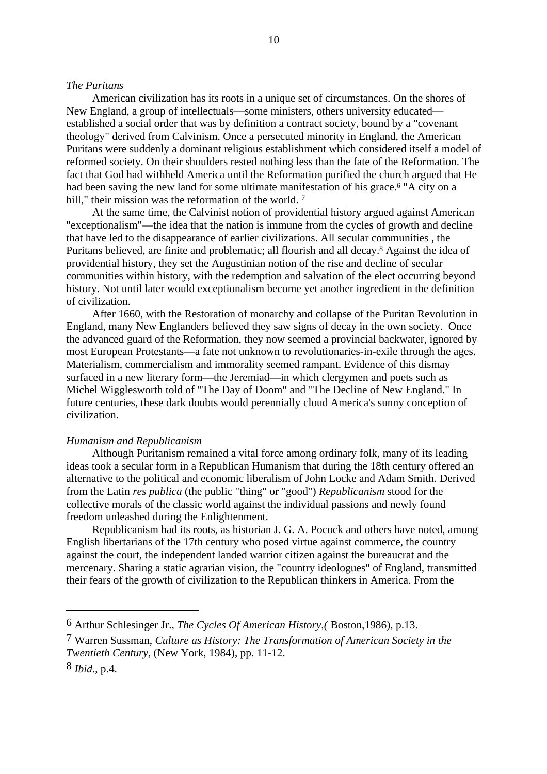#### *The Puritans*

American civilization has its roots in a unique set of circumstances. On the shores of New England, a group of intellectuals—some ministers, others university educated established a social order that was by definition a contract society, bound by a "covenant theology" derived from Calvinism. Once a persecuted minority in England, the American Puritans were suddenly a dominant religious establishment which considered itself a model of reformed society. On their shoulders rested nothing less than the fate of the Reformation. The fact that God had withheld America until the Reformation purified the church argued that He had been saving the new land for some ultimate manifestation of his grace.<sup>6</sup> "A city on a hill," their mission was the reformation of the world.<sup>7</sup>

10

At the same time, the Calvinist notion of providential history argued against American "exceptionalism"—the idea that the nation is immune from the cycles of growth and decline that have led to the disappearance of earlier civilizations. All secular communities , the Puritans believed, are finite and problematic; all flourish and all decay.8 Against the idea of providential history, they set the Augustinian notion of the rise and decline of secular communities within history, with the redemption and salvation of the elect occurring beyond history. Not until later would exceptionalism become yet another ingredient in the definition of civilization.

After 1660, with the Restoration of monarchy and collapse of the Puritan Revolution in England, many New Englanders believed they saw signs of decay in the own society. Once the advanced guard of the Reformation, they now seemed a provincial backwater, ignored by most European Protestants—a fate not unknown to revolutionaries-in-exile through the ages. Materialism, commercialism and immorality seemed rampant. Evidence of this dismay surfaced in a new literary form—the Jeremiad—in which clergymen and poets such as Michel Wigglesworth told of "The Day of Doom" and "The Decline of New England." In future centuries, these dark doubts would perennially cloud America's sunny conception of civilization.

#### *Humanism and Republicanism*

Although Puritanism remained a vital force among ordinary folk, many of its leading ideas took a secular form in a Republican Humanism that during the 18th century offered an alternative to the political and economic liberalism of John Locke and Adam Smith. Derived from the Latin *res publica* (the public "thing" or "good") *Republicanism* stood for the collective morals of the classic world against the individual passions and newly found freedom unleashed during the Enlightenment.

Republicanism had its roots, as historian J. G. A. Pocock and others have noted, among English libertarians of the 17th century who posed virtue against commerce, the country against the court, the independent landed warrior citizen against the bureaucrat and the mercenary. Sharing a static agrarian vision, the "country ideologues" of England, transmitted their fears of the growth of civilization to the Republican thinkers in America. From the

<sup>6</sup> Arthur Schlesinger Jr., *The Cycles Of American History,(* Boston,1986), p.13.

<sup>7</sup> Warren Sussman, *Culture as History: The Transformation of American Society in the Twentieth Century*, (New York, 1984), pp. 11-12.

<sup>8</sup> *Ibid*., p.4.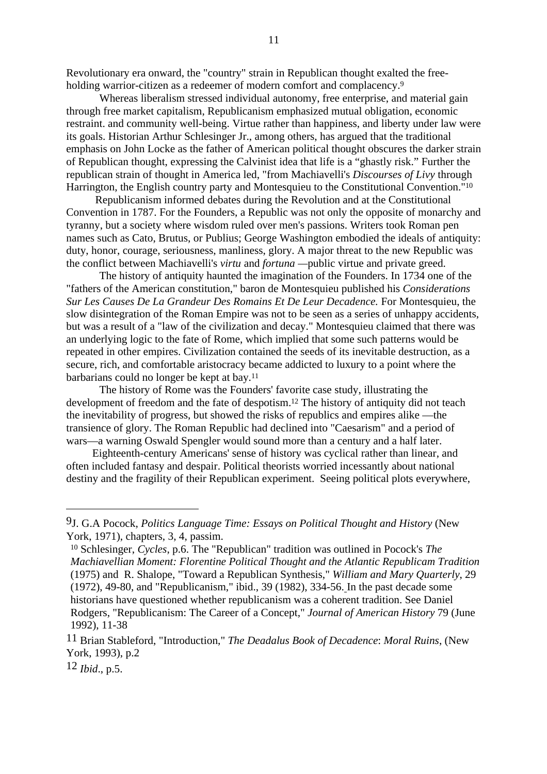Revolutionary era onward, the "country" strain in Republican thought exalted the freeholding warrior-citizen as a redeemer of modern comfort and complacency.<sup>9</sup>

Whereas liberalism stressed individual autonomy, free enterprise, and material gain through free market capitalism, Republicanism emphasized mutual obligation, economic restraint. and community well-being. Virtue rather than happiness, and liberty under law were its goals. Historian Arthur Schlesinger Jr., among others, has argued that the traditional emphasis on John Locke as the father of American political thought obscures the darker strain of Republican thought, expressing the Calvinist idea that life is a "ghastly risk." Further the republican strain of thought in America led, "from Machiavelli's *Discourses of Livy* through Harrington, the English country party and Montesquieu to the Constitutional Convention."10

Republicanism informed debates during the Revolution and at the Constitutional Convention in 1787. For the Founders, a Republic was not only the opposite of monarchy and tyranny, but a society where wisdom ruled over men's passions. Writers took Roman pen names such as Cato, Brutus, or Publius; George Washington embodied the ideals of antiquity: duty, honor, courage, seriousness, manliness, glory. A major threat to the new Republic was the conflict between Machiavelli's *virtu* and *fortuna —*public virtue and private greed.

The history of antiquity haunted the imagination of the Founders. In 1734 one of the "fathers of the American constitution," baron de Montesquieu published his *Considerations Sur Les Causes De La Grandeur Des Romains Et De Leur Decadence.* For Montesquieu, the slow disintegration of the Roman Empire was not to be seen as a series of unhappy accidents, but was a result of a "law of the civilization and decay." Montesquieu claimed that there was an underlying logic to the fate of Rome, which implied that some such patterns would be repeated in other empires. Civilization contained the seeds of its inevitable destruction, as a secure, rich, and comfortable aristocracy became addicted to luxury to a point where the barbarians could no longer be kept at bay.11

The history of Rome was the Founders' favorite case study, illustrating the development of freedom and the fate of despotism.12 The history of antiquity did not teach the inevitability of progress, but showed the risks of republics and empires alike —the transience of glory. The Roman Republic had declined into "Caesarism" and a period of wars—a warning Oswald Spengler would sound more than a century and a half later.

Eighteenth-century Americans' sense of history was cyclical rather than linear, and often included fantasy and despair. Political theorists worried incessantly about national destiny and the fragility of their Republican experiment. Seeing political plots everywhere,

12 *Ibid*., p.5.

<sup>9</sup>J. G.A Pocock, *Politics Language Time: Essays on Political Thought and History* (New York, 1971), chapters, 3, 4, passim.

<sup>10</sup> Schlesinger, *Cycles*, p.6. The "Republican" tradition was outlined in Pocock's *The Machiavellian Moment: Florentine Political Thought and the Atlantic Republicam Tradition* (1975) and R. Shalope, "Toward a Republican Synthesis," *William and Mary Quarterly*, 29 (1972), 49-80, and "Republicanism," ibid., 39 (1982), 334-56. In the past decade some historians have questioned whether republicanism was a coherent tradition. See Daniel Rodgers, "Republicanism: The Career of a Concept," *Journal of American History* 79 (June 1992), 11-38

<sup>11</sup> Brian Stableford, "Introduction," *The Deadalus Book of Decadence*: *Moral Ruins*, (New York, 1993), p.2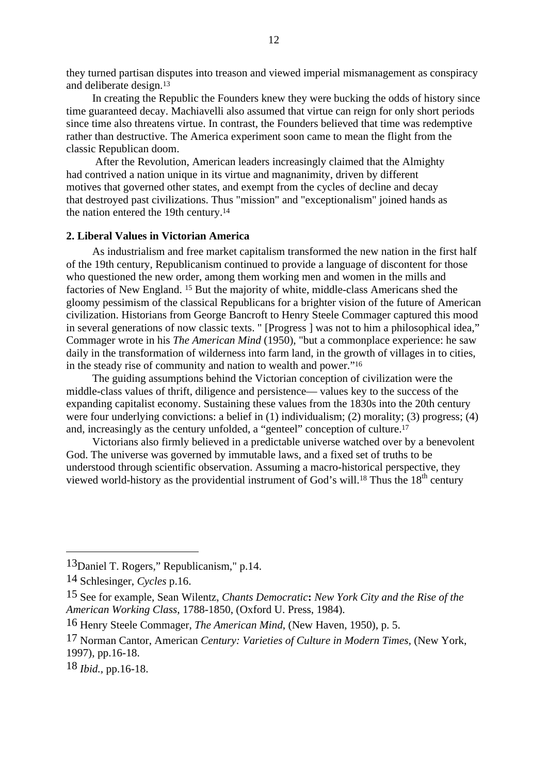they turned partisan disputes into treason and viewed imperial mismanagement as conspiracy and deliberate design.13

In creating the Republic the Founders knew they were bucking the odds of history since time guaranteed decay. Machiavelli also assumed that virtue can reign for only short periods since time also threatens virtue. In contrast, the Founders believed that time was redemptive rather than destructive. The America experiment soon came to mean the flight from the classic Republican doom.

After the Revolution, American leaders increasingly claimed that the Almighty had contrived a nation unique in its virtue and magnanimity, driven by different motives that governed other states, and exempt from the cycles of decline and decay that destroyed past civilizations. Thus "mission" and "exceptionalism" joined hands as the nation entered the 19th century.14

# **2. Liberal Values in Victorian America**

As industrialism and free market capitalism transformed the new nation in the first half of the 19th century, Republicanism continued to provide a language of discontent for those who questioned the new order, among them working men and women in the mills and factories of New England. 15 But the majority of white, middle-class Americans shed the gloomy pessimism of the classical Republicans for a brighter vision of the future of American civilization. Historians from George Bancroft to Henry Steele Commager captured this mood in several generations of now classic texts. " [Progress ] was not to him a philosophical idea," Commager wrote in his *The American Mind* (1950), "but a commonplace experience: he saw daily in the transformation of wilderness into farm land, in the growth of villages in to cities, in the steady rise of community and nation to wealth and power."16

The guiding assumptions behind the Victorian conception of civilization were the middle-class values of thrift, diligence and persistence— values key to the success of the expanding capitalist economy. Sustaining these values from the 1830s into the 20th century were four underlying convictions: a belief in (1) individualism; (2) morality; (3) progress; (4) and, increasingly as the century unfolded, a "genteel" conception of culture.17

Victorians also firmly believed in a predictable universe watched over by a benevolent God. The universe was governed by immutable laws, and a fixed set of truths to be understood through scientific observation. Assuming a macro-historical perspective, they viewed world-history as the providential instrument of God's will.<sup>18</sup> Thus the  $18<sup>th</sup>$  century

18 *Ibid.,* pp.16-18.

<sup>13</sup>Daniel T. Rogers," Republicanism," p.14.

<sup>14</sup> Schlesinger, *Cycles* p.16.

<sup>15</sup> See for example, Sean Wilentz, *Chants Democratic***:** *New York City and the Rise of the American Working Class*, 1788-1850, (Oxford U. Press, 1984).

<sup>16</sup> Henry Steele Commager, *The American Mind*, (New Haven, 1950), p. 5.

<sup>17</sup> Norman Cantor, American *Century: Varieties of Culture in Modern Times,* (New York, 1997), pp.16-18.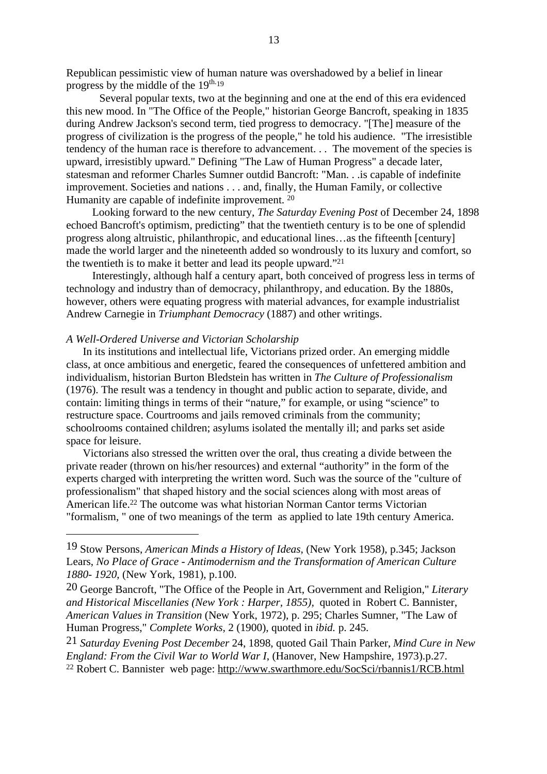Republican pessimistic view of human nature was overshadowed by a belief in linear progress by the middle of the  $19^{th.19}$ 

Several popular texts, two at the beginning and one at the end of this era evidenced this new mood. In "The Office of the People," historian George Bancroft, speaking in 1835 during Andrew Jackson's second term, tied progress to democracy. "[The] measure of the progress of civilization is the progress of the people," he told his audience. "The irresistible tendency of the human race is therefore to advancement. . . The movement of the species is upward, irresistibly upward." Defining "The Law of Human Progress" a decade later, statesman and reformer Charles Sumner outdid Bancroft: "Man. . .is capable of indefinite improvement. Societies and nations . . . and, finally, the Human Family, or collective Humanity are capable of indefinite improvement. 20

Looking forward to the new century, *The Saturday Evening Post* of December 24, 1898 echoed Bancroft's optimism, predicting" that the twentieth century is to be one of splendid progress along altruistic, philanthropic, and educational lines…as the fifteenth [century] made the world larger and the nineteenth added so wondrously to its luxury and comfort, so the twentieth is to make it better and lead its people upward."21

Interestingly, although half a century apart, both conceived of progress less in terms of technology and industry than of democracy, philanthropy, and education. By the 1880s, however, others were equating progress with material advances, for example industrialist Andrew Carnegie in *Triumphant Democracy* (1887) and other writings.

# *A Well-Ordered Universe and Victorian Scholarship*

In its institutions and intellectual life, Victorians prized order. An emerging middle class, at once ambitious and energetic, feared the consequences of unfettered ambition and individualism, historian Burton Bledstein has written in *The Culture of Professionalism* (1976). The result was a tendency in thought and public action to separate, divide, and contain: limiting things in terms of their "nature," for example, or using "science" to restructure space. Courtrooms and jails removed criminals from the community; schoolrooms contained children; asylums isolated the mentally ill; and parks set aside space for leisure.

Victorians also stressed the written over the oral, thus creating a divide between the private reader (thrown on his/her resources) and external "authority" in the form of the experts charged with interpreting the written word. Such was the source of the "culture of professionalism" that shaped history and the social sciences along with most areas of American life.22 The outcome was what historian Norman Cantor terms Victorian "formalism, " one of two meanings of the term as applied to late 19th century America.

<sup>19</sup> Stow Persons, *American Minds a History of Ideas*, (New York 1958), p.345; Jackson Lears, *No Place of Grace - Antimodernism and the Transformation of American Culture 1880- 1920*, (New York, 1981), p.100.

<sup>20</sup> George Bancroft, "The Office of the People in Art, Government and Religion," *Literary and Historical Miscellanies (New York : Harper, 1855),* quoted in Robert C. Bannister, *American Values in Transition* (New York, 1972), p. 295; Charles Sumner, "The Law of Human Progress," *Complete Works,* 2 (1900), quoted in *ibid.* p. 245.

<sup>21</sup> *Saturday Evening Post December* 24, 1898, quoted Gail Thain Parker, *Mind Cure in New England: From the Civil War to World War I*, (Hanover, New Hampshire, 1973).p.27. 22 Robert C. Bannister web page: http://www.swarthmore.edu/SocSci/rbannis1/RCB.html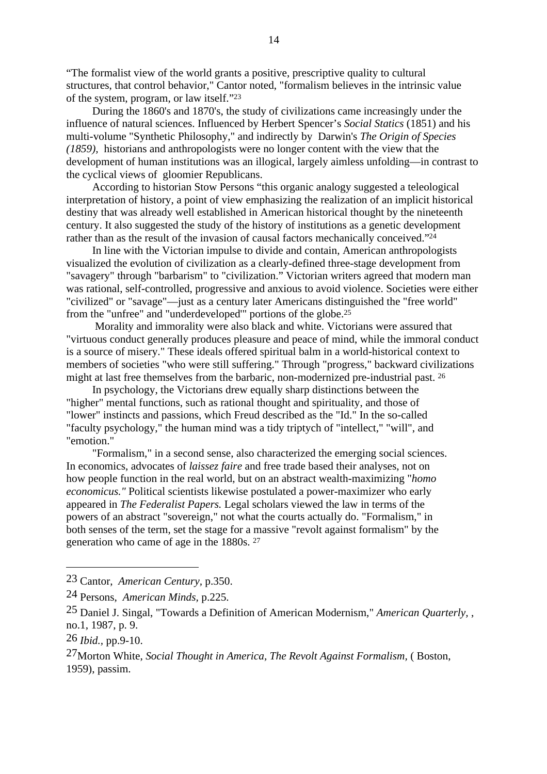"The formalist view of the world grants a positive, prescriptive quality to cultural structures, that control behavior," Cantor noted, "formalism believes in the intrinsic value of the system, program, or law itself."23

During the 1860's and 1870's, the study of civilizations came increasingly under the influence of natural sciences. Influenced by Herbert Spencer's *Social Statics* (1851) and his multi-volume "Synthetic Philosophy," and indirectly by Darwin's *The Origin of Species (1859),* historians and anthropologists were no longer content with the view that the development of human institutions was an illogical, largely aimless unfolding—in contrast to the cyclical views of gloomier Republicans.

According to historian Stow Persons "this organic analogy suggested a teleological interpretation of history, a point of view emphasizing the realization of an implicit historical destiny that was already well established in American historical thought by the nineteenth century. It also suggested the study of the history of institutions as a genetic development rather than as the result of the invasion of causal factors mechanically conceived."24

In line with the Victorian impulse to divide and contain, American anthropologists visualized the evolution of civilization as a clearly-defined three-stage development from "savagery" through "barbarism" to "civilization." Victorian writers agreed that modern man was rational, self-controlled, progressive and anxious to avoid violence. Societies were either "civilized" or "savage"—just as a century later Americans distinguished the "free world" from the "unfree" and "underdeveloped'" portions of the globe.25

 Morality and immorality were also black and white. Victorians were assured that "virtuous conduct generally produces pleasure and peace of mind, while the immoral conduct is a source of misery." These ideals offered spiritual balm in a world-historical context to members of societies "who were still suffering." Through "progress," backward civilizations might at last free themselves from the barbaric, non-modernized pre-industrial past. 26

In psychology, the Victorians drew equally sharp distinctions between the "higher" mental functions, such as rational thought and spirituality, and those of "lower" instincts and passions, which Freud described as the "Id." In the so-called "faculty psychology," the human mind was a tidy triptych of "intellect," "will", and "emotion."

"Formalism," in a second sense, also characterized the emerging social sciences. In economics, advocates of *laissez faire* and free trade based their analyses, not on how people function in the real world, but on an abstract wealth-maximizing "*homo economicus."* Political scientists likewise postulated a power-maximizer who early appeared in *The Federalist Papers.* Legal scholars viewed the law in terms of the powers of an abstract "sovereign," not what the courts actually do. "Formalism," in both senses of the term, set the stage for a massive "revolt against formalism" by the generation who came of age in the 1880s. 27

<sup>23</sup> Cantor, *American Century,* p.350.

<sup>24</sup> Persons, *American Minds,* p.225.

<sup>25</sup> Daniel J. Singal, "Towards a Definition of American Modernism," *American Quarterly,* , no.1, 1987, p. 9.

<sup>26</sup> *Ibid.,* pp.9-10.

<sup>27</sup>Morton White, *Social Thought in America, The Revolt Against Formalism,* ( Boston, 1959), passim.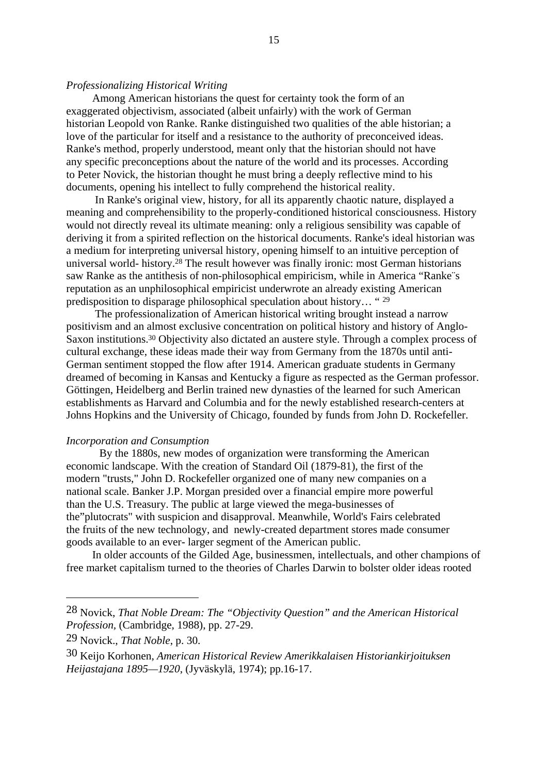# *Professionalizing Historical Writing*

Among American historians the quest for certainty took the form of an exaggerated objectivism, associated (albeit unfairly) with the work of German historian Leopold von Ranke. Ranke distinguished two qualities of the able historian; a love of the particular for itself and a resistance to the authority of preconceived ideas. Ranke's method, properly understood, meant only that the historian should not have any specific preconceptions about the nature of the world and its processes. According to Peter Novick*,* the historian thought he must bring a deeply reflective mind to his documents, opening his intellect to fully comprehend the historical reality.

 In Ranke's original view, history, for all its apparently chaotic nature, displayed a meaning and comprehensibility to the properly-conditioned historical consciousness. History would not directly reveal its ultimate meaning: only a religious sensibility was capable of deriving it from a spirited reflection on the historical documents. Ranke's ideal historian was a medium for interpreting universal history, opening himself to an intuitive perception of universal world- history.28 The result however was finally ironic: most German historians saw Ranke as the antithesis of non-philosophical empiricism, while in America "Ranke¨s reputation as an unphilosophical empiricist underwrote an already existing American predisposition to disparage philosophical speculation about history… " 29

 The professionalization of American historical writing brought instead a narrow positivism and an almost exclusive concentration on political history and history of Anglo-Saxon institutions.30 Objectivity also dictated an austere style. Through a complex process of cultural exchange, these ideas made their way from Germany from the 1870s until anti-German sentiment stopped the flow after 1914. American graduate students in Germany dreamed of becoming in Kansas and Kentucky a figure as respected as the German professor. Göttingen, Heidelberg and Berlin trained new dynasties of the learned for such American establishments as Harvard and Columbia and for the newly established research-centers at Johns Hopkins and the University of Chicago, founded by funds from John D. Rockefeller.

#### *Incorporation and Consumption*

By the 1880s, new modes of organization were transforming the American economic landscape. With the creation of Standard Oil (1879-81), the first of the modern "trusts," John D. Rockefeller organized one of many new companies on a national scale. Banker J.P. Morgan presided over a financial empire more powerful than the U.S. Treasury. The public at large viewed the mega-businesses of the"plutocrats" with suspicion and disapproval. Meanwhile, World's Fairs celebrated the fruits of the new technology, and newly-created department stores made consumer goods available to an ever- larger segment of the American public.

In older accounts of the Gilded Age, businessmen, intellectuals, and other champions of free market capitalism turned to the theories of Charles Darwin to bolster older ideas rooted

<sup>28</sup> Novick, *That Noble Dream: The "Objectivity Question" and the American Historical Profession,* (Cambridge, 1988), pp. 27-29.

<sup>29</sup> Novick., *That Noble*, p. 30.

<sup>30</sup> Keijo Korhonen, *American Historical Review Amerikkalaisen Historiankirjoituksen Heijastajana 1895—1920*, (Jyväskylä, 1974); pp.16-17.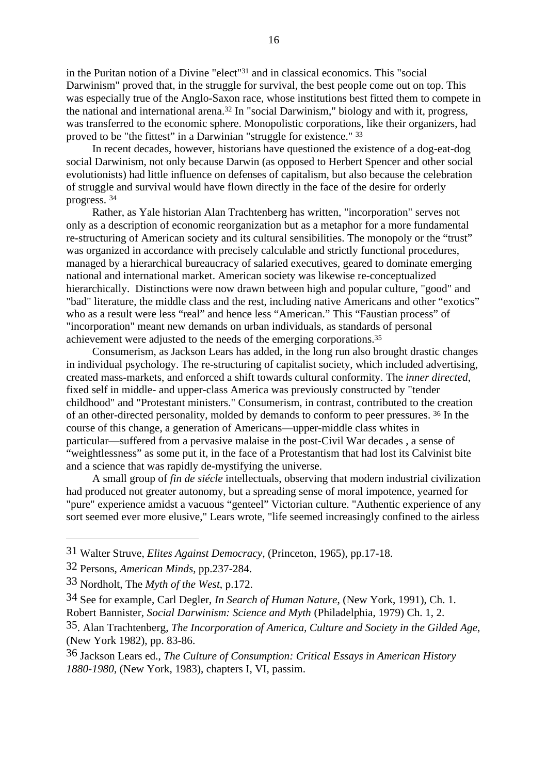in the Puritan notion of a Divine "elect"31 and in classical economics. This "social Darwinism" proved that, in the struggle for survival, the best people come out on top. This was especially true of the Anglo-Saxon race, whose institutions best fitted them to compete in the national and international arena.32 In "social Darwinism," biology and with it, progress, was transferred to the economic sphere. Monopolistic corporations, like their organizers, had proved to be "the fittest" in a Darwinian "struggle for existence." 33

In recent decades, however, historians have questioned the existence of a dog-eat-dog social Darwinism, not only because Darwin (as opposed to Herbert Spencer and other social evolutionists) had little influence on defenses of capitalism, but also because the celebration of struggle and survival would have flown directly in the face of the desire for orderly progress. <sup>34</sup>

Rather, as Yale historian Alan Trachtenberg has written, "incorporation" serves not only as a description of economic reorganization but as a metaphor for a more fundamental re-structuring of American society and its cultural sensibilities. The monopoly or the "trust" was organized in accordance with precisely calculable and strictly functional procedures, managed by a hierarchical bureaucracy of salaried executives, geared to dominate emerging national and international market. American society was likewise re-conceptualized hierarchically. Distinctions were now drawn between high and popular culture, "good" and "bad" literature, the middle class and the rest, including native Americans and other "exotics" who as a result were less "real" and hence less "American." This "Faustian process" of "incorporation" meant new demands on urban individuals, as standards of personal achievement were adjusted to the needs of the emerging corporations.35

Consumerism, as Jackson Lears has added, in the long run also brought drastic changes in individual psychology. The re-structuring of capitalist society, which included advertising, created mass-markets, and enforced a shift towards cultural conformity. The *inner directed*, fixed self in middle- and upper-class America was previously constructed by "tender childhood" and "Protestant ministers." Consumerism, in contrast, contributed to the creation of an other-directed personality, molded by demands to conform to peer pressures. 36 In the course of this change, a generation of Americans—upper-middle class whites in particular—suffered from a pervasive malaise in the post-Civil War decades , a sense of "weightlessness" as some put it, in the face of a Protestantism that had lost its Calvinist bite and a science that was rapidly de-mystifying the universe.

A small group of *fin de siécle* intellectuals, observing that modern industrial civilization had produced not greater autonomy, but a spreading sense of moral impotence, yearned for "pure" experience amidst a vacuous "genteel" Victorian culture. "Authentic experience of any sort seemed ever more elusive," Lears wrote, "life seemed increasingly confined to the airless

<sup>31</sup> Walter Struve, *Elites Against Democracy*, (Princeton, 1965), pp.17-18.

<sup>32</sup> Persons, *American Minds,* pp.237-284.

<sup>33</sup> Nordholt, The *Myth of the West*, p.172.

<sup>34</sup> See for example, Carl Degler, *In Search of Human Nature*, (New York, 1991), Ch. 1. Robert Bannister*, Social Darwinism: Science and Myth* (Philadelphia, 1979) Ch. 1, 2.

<sup>35.</sup> Alan Trachtenberg, *The Incorporation of America, Culture and Society in the Gilded Age*, (New York 1982), pp. 83-86.

<sup>36</sup> Jackson Lears ed., *The Culture of Consumption: Critical Essays in American History 1880-1980*, (New York, 1983), chapters I, VI, passim.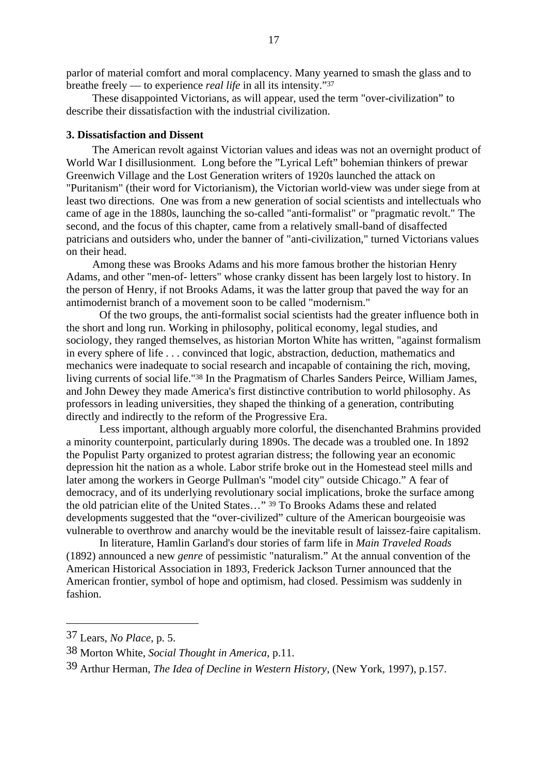parlor of material comfort and moral complacency. Many yearned to smash the glass and to breathe freely — to experience *real life* in all its intensity."37

These disappointed Victorians, as will appear, used the term "over-civilization" to describe their dissatisfaction with the industrial civilization.

#### **3. Dissatisfaction and Dissent**

The American revolt against Victorian values and ideas was not an overnight product of World War I disillusionment. Long before the "Lyrical Left" bohemian thinkers of prewar Greenwich Village and the Lost Generation writers of 1920s launched the attack on "Puritanism" (their word for Victorianism), the Victorian world-view was under siege from at least two directions. One was from a new generation of social scientists and intellectuals who came of age in the 1880s, launching the so-called "anti-formalist" or "pragmatic revolt." The second, and the focus of this chapter, came from a relatively small-band of disaffected patricians and outsiders who, under the banner of "anti-civilization," turned Victorians values on their head.

Among these was Brooks Adams and his more famous brother the historian Henry Adams, and other "men-of- letters" whose cranky dissent has been largely lost to history. In the person of Henry, if not Brooks Adams, it was the latter group that paved the way for an antimodernist branch of a movement soon to be called "modernism."

Of the two groups, the anti-formalist social scientists had the greater influence both in the short and long run. Working in philosophy, political economy, legal studies, and sociology, they ranged themselves, as historian Morton White has written, "against formalism in every sphere of life . . . convinced that logic, abstraction, deduction, mathematics and mechanics were inadequate to social research and incapable of containing the rich, moving, living currents of social life."38 In the Pragmatism of Charles Sanders Peirce, William James, and John Dewey they made America's first distinctive contribution to world philosophy. As professors in leading universities, they shaped the thinking of a generation, contributing directly and indirectly to the reform of the Progressive Era.

Less important, although arguably more colorful, the disenchanted Brahmins provided a minority counterpoint, particularly during 1890s. The decade was a troubled one. In 1892 the Populist Party organized to protest agrarian distress; the following year an economic depression hit the nation as a whole. Labor strife broke out in the Homestead steel mills and later among the workers in George Pullman's "model city" outside Chicago." A fear of democracy, and of its underlying revolutionary social implications, broke the surface among the old patrician elite of the United States..." <sup>39</sup> To Brooks Adams these and related developments suggested that the "over-civilized" culture of the American bourgeoisie was vulnerable to overthrow and anarchy would be the inevitable result of laissez-faire capitalism.

In literature, Hamlin Garland's dour stories of farm life in *Main Traveled Roads* (1892) announced a new *genre* of pessimistic "naturalism." At the annual convention of the American Historical Association in 1893, Frederick Jackson Turner announced that the American frontier, symbol of hope and optimism, had closed. Pessimism was suddenly in fashion.

<sup>37</sup> Lears, *No Place*, p. 5.

<sup>38</sup> Morton White, *Social Thought in America*, p.11.

<sup>39</sup> Arthur Herman, *The Idea of Decline in Western History*, (New York, 1997), p.157.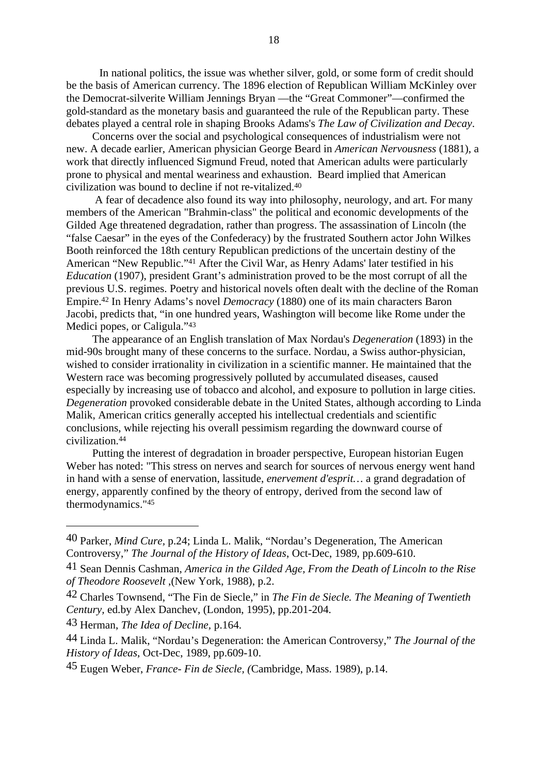In national politics, the issue was whether silver, gold, or some form of credit should be the basis of American currency. The 1896 election of Republican William McKinley over the Democrat-silverite William Jennings Bryan —the "Great Commoner"—confirmed the gold-standard as the monetary basis and guaranteed the rule of the Republican party. These debates played a central role in shaping Brooks Adams's *The Law of Civilization and Decay*.

Concerns over the social and psychological consequences of industrialism were not new. A decade earlier, American physician George Beard in *American Nervousness* (1881), a work that directly influenced Sigmund Freud, noted that American adults were particularly prone to physical and mental weariness and exhaustion. Beard implied that American civilization was bound to decline if not re-vitalized.40

 A fear of decadence also found its way into philosophy, neurology, and art. For many members of the American "Brahmin-class" the political and economic developments of the Gilded Age threatened degradation, rather than progress. The assassination of Lincoln (the "false Caesar" in the eyes of the Confederacy) by the frustrated Southern actor John Wilkes Booth reinforced the 18th century Republican predictions of the uncertain destiny of the American "New Republic."41 After the Civil War, as Henry Adams' later testified in his *Education* (1907), president Grant's administration proved to be the most corrupt of all the previous U.S. regimes. Poetry and historical novels often dealt with the decline of the Roman Empire.42 In Henry Adams's novel *Democracy* (1880) one of its main characters Baron Jacobi, predicts that, "in one hundred years, Washington will become like Rome under the Medici popes, or Caligula."43

The appearance of an English translation of Max Nordau's *Degeneration* (1893) in the mid-90s brought many of these concerns to the surface. Nordau, a Swiss author-physician, wished to consider irrationality in civilization in a scientific manner. He maintained that the Western race was becoming progressively polluted by accumulated diseases, caused especially by increasing use of tobacco and alcohol, and exposure to pollution in large cities. *Degeneration* provoked considerable debate in the United States, although according to Linda Malik, American critics generally accepted his intellectual credentials and scientific conclusions, while rejecting his overall pessimism regarding the downward course of civilization.44

Putting the interest of degradation in broader perspective, European historian Eugen Weber has noted: "This stress on nerves and search for sources of nervous energy went hand in hand with a sense of enervation, lassitude, *enervement d'esprit…* a grand degradation of energy, apparently confined by the theory of entropy, derived from the second law of thermodynamics."45

43 Herman, *The Idea of Decline,* p.164.

<sup>40</sup> Parker, *Mind Cure,* p.24; Linda L. Malik, "Nordau's Degeneration, The American Controversy," *The Journal of the History of Ideas*, Oct-Dec, 1989, pp.609-610.

<sup>41</sup> Sean Dennis Cashman, *America in the Gilded Age, From the Death of Lincoln to the Rise of Theodore Roosevelt* ,(New York, 1988), p.2.

<sup>42</sup> Charles Townsend, "The Fin de Siecle," in *The Fin de Siecle. The Meaning of Twentieth Century,* ed.by Alex Danchev, (London, 1995), pp.201-204.

<sup>44</sup> Linda L. Malik, "Nordau's Degeneration: the American Controversy," *The Journal of the History of Ideas*, Oct-Dec, 1989, pp.609-10.

<sup>45</sup> Eugen Weber, *France- Fin de Siecle, (*Cambridge, Mass. 1989), p.14.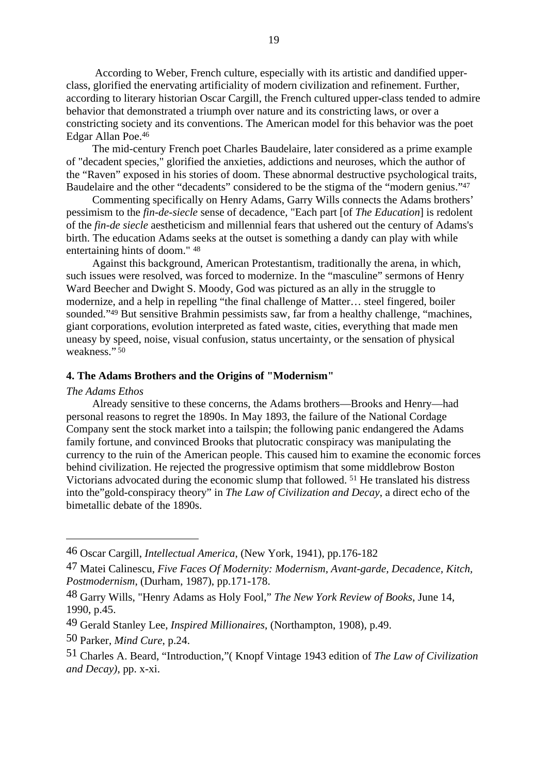According to Weber, French culture, especially with its artistic and dandified upperclass, glorified the enervating artificiality of modern civilization and refinement. Further, according to literary historian Oscar Cargill, the French cultured upper-class tended to admire behavior that demonstrated a triumph over nature and its constricting laws, or over a constricting society and its conventions. The American model for this behavior was the poet Edgar Allan Poe.46

The mid-century French poet Charles Baudelaire, later considered as a prime example of "decadent species," glorified the anxieties, addictions and neuroses, which the author of the "Raven" exposed in his stories of doom. These abnormal destructive psychological traits, Baudelaire and the other "decadents" considered to be the stigma of the "modern genius."47

Commenting specifically on Henry Adams, Garry Wills connects the Adams brothers' pessimism to the *fin-de-siecle* sense of decadence, "Each part [of *The Education*] is redolent of the *fin-de siecle* aestheticism and millennial fears that ushered out the century of Adams's birth. The education Adams seeks at the outset is something a dandy can play with while entertaining hints of doom." 48

Against this background, American Protestantism, traditionally the arena, in which, such issues were resolved, was forced to modernize. In the "masculine" sermons of Henry Ward Beecher and Dwight S. Moody, God was pictured as an ally in the struggle to modernize, and a help in repelling "the final challenge of Matter… steel fingered, boiler sounded."49 But sensitive Brahmin pessimists saw, far from a healthy challenge, "machines, giant corporations, evolution interpreted as fated waste, cities, everything that made men uneasy by speed, noise, visual confusion, status uncertainty, or the sensation of physical weakness." 50

#### **4. The Adams Brothers and the Origins of "Modernism"**

#### *The Adams Ethos*

Already sensitive to these concerns, the Adams brothers—Brooks and Henry—had personal reasons to regret the 1890s. In May 1893, the failure of the National Cordage Company sent the stock market into a tailspin; the following panic endangered the Adams family fortune, and convinced Brooks that plutocratic conspiracy was manipulating the currency to the ruin of the American people. This caused him to examine the economic forces behind civilization. He rejected the progressive optimism that some middlebrow Boston Victorians advocated during the economic slump that followed. 51 He translated his distress into the"gold-conspiracy theory" in *The Law of Civilization and Decay*, a direct echo of the bimetallic debate of the 1890s.

<sup>46</sup> Oscar Cargill, *Intellectual America*, (New York, 1941), pp.176-182

<sup>47</sup> Matei Calinescu, *Five Faces Of Modernity: Modernism, Avant-garde, Decadence, Kitch, Postmodernism*, (Durham, 1987), pp.171-178.

<sup>48</sup> Garry Wills, "Henry Adams as Holy Fool," *The New York Review of Books*, June 14, 1990, p.45.

<sup>49</sup> Gerald Stanley Lee, *Inspired Millionaires*, (Northampton, 1908), p.49.

<sup>50</sup> Parker, *Mind Cure*, p.24.

<sup>51</sup> Charles A. Beard, "Introduction,"( Knopf Vintage 1943 edition of *The Law of Civilization and Decay)*, pp. x-xi.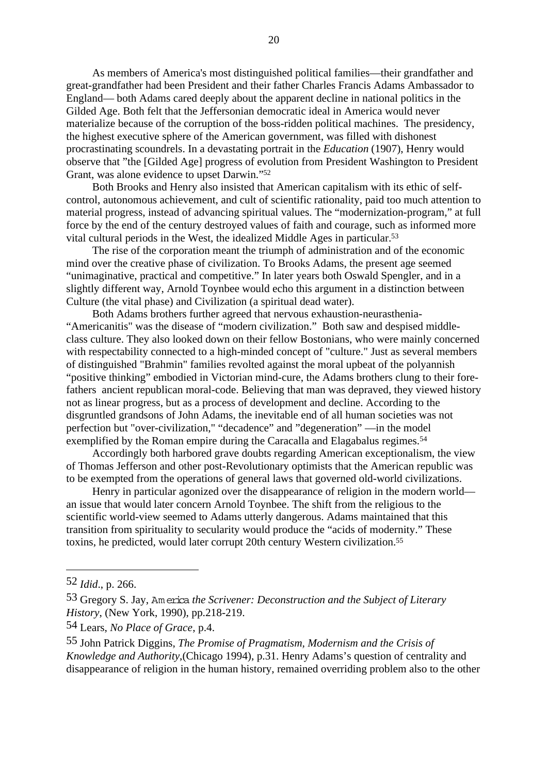As members of America's most distinguished political families—their grandfather and great-grandfather had been President and their father Charles Francis Adams Ambassador to England— both Adams cared deeply about the apparent decline in national politics in the Gilded Age. Both felt that the Jeffersonian democratic ideal in America would never materialize because of the corruption of the boss-ridden political machines. The presidency, the highest executive sphere of the American government, was filled with dishonest procrastinating scoundrels. In a devastating portrait in the *Education* (1907), Henry would observe that "the [Gilded Age] progress of evolution from President Washington to President Grant, was alone evidence to upset Darwin."52

Both Brooks and Henry also insisted that American capitalism with its ethic of selfcontrol, autonomous achievement, and cult of scientific rationality, paid too much attention to material progress, instead of advancing spiritual values. The "modernization-program," at full force by the end of the century destroyed values of faith and courage, such as informed more vital cultural periods in the West, the idealized Middle Ages in particular.53

The rise of the corporation meant the triumph of administration and of the economic mind over the creative phase of civilization. To Brooks Adams, the present age seemed "unimaginative, practical and competitive." In later years both Oswald Spengler, and in a slightly different way, Arnold Toynbee would echo this argument in a distinction between Culture (the vital phase) and Civilization (a spiritual dead water).

Both Adams brothers further agreed that nervous exhaustion-neurasthenia- "Americanitis" was the disease of "modern civilization." Both saw and despised middleclass culture. They also looked down on their fellow Bostonians, who were mainly concerned with respectability connected to a high-minded concept of "culture." Just as several members of distinguished "Brahmin" families revolted against the moral upbeat of the polyannish "positive thinking" embodied in Victorian mind-cure, the Adams brothers clung to their forefathers ancient republican moral-code. Believing that man was depraved, they viewed history not as linear progress, but as a process of development and decline. According to the disgruntled grandsons of John Adams, the inevitable end of all human societies was not perfection but "over-civilization," "decadence" and "degeneration" —in the model exemplified by the Roman empire during the Caracalla and Elagabalus regimes.<sup>54</sup>

Accordingly both harbored grave doubts regarding American exceptionalism, the view of Thomas Jefferson and other post-Revolutionary optimists that the American republic was to be exempted from the operations of general laws that governed old-world civilizations.

Henry in particular agonized over the disappearance of religion in the modern world an issue that would later concern Arnold Toynbee. The shift from the religious to the scientific world-view seemed to Adams utterly dangerous. Adams maintained that this transition from spirituality to secularity would produce the "acids of modernity." These toxins, he predicted, would later corrupt 20th century Western civilization.55

<sup>52</sup> *Idid*., p. 266.

<sup>53</sup> Gregory S. Jay, Am erica *the Scrivener: Deconstruction and the Subject of Literary History*, (New York, 1990), pp.218-219.

<sup>54</sup> Lears, *No Place of Grace*, p.4.

<sup>55</sup> John Patrick Diggins, *The Promise of Pragmatism, Modernism and the Crisis of Knowledge and Authority*,(Chicago 1994), p.31. Henry Adams's question of centrality and disappearance of religion in the human history, remained overriding problem also to the other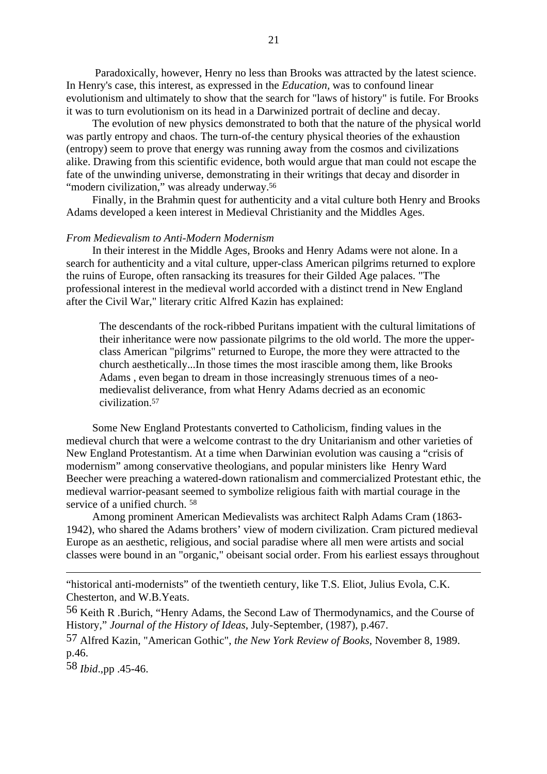Paradoxically, however, Henry no less than Brooks was attracted by the latest science. In Henry's case, this interest, as expressed in the *Education,* was to confound linear evolutionism and ultimately to show that the search for "laws of history" is futile. For Brooks it was to turn evolutionism on its head in a Darwinized portrait of decline and decay.

The evolution of new physics demonstrated to both that the nature of the physical world was partly entropy and chaos. The turn-of-the century physical theories of the exhaustion (entropy) seem to prove that energy was running away from the cosmos and civilizations alike. Drawing from this scientific evidence, both would argue that man could not escape the fate of the unwinding universe, demonstrating in their writings that decay and disorder in "modern civilization," was already underway.<sup>56</sup>

Finally, in the Brahmin quest for authenticity and a vital culture both Henry and Brooks Adams developed a keen interest in Medieval Christianity and the Middles Ages.

#### *From Medievalism to Anti-Modern Modernism*

In their interest in the Middle Ages, Brooks and Henry Adams were not alone. In a search for authenticity and a vital culture, upper-class American pilgrims returned to explore the ruins of Europe, often ransacking its treasures for their Gilded Age palaces. "The professional interest in the medieval world accorded with a distinct trend in New England after the Civil War," literary critic Alfred Kazin has explained:

The descendants of the rock-ribbed Puritans impatient with the cultural limitations of their inheritance were now passionate pilgrims to the old world. The more the upperclass American "pilgrims" returned to Europe, the more they were attracted to the church aesthetically...In those times the most irascible among them, like Brooks Adams , even began to dream in those increasingly strenuous times of a neomedievalist deliverance, from what Henry Adams decried as an economic civilization.57

Some New England Protestants converted to Catholicism, finding values in the medieval church that were a welcome contrast to the dry Unitarianism and other varieties of New England Protestantism. At a time when Darwinian evolution was causing a "crisis of modernism" among conservative theologians, and popular ministers like Henry Ward Beecher were preaching a watered-down rationalism and commercialized Protestant ethic, the medieval warrior-peasant seemed to symbolize religious faith with martial courage in the service of a unified church. 58

Among prominent American Medievalists was architect Ralph Adams Cram (1863- 1942), who shared the Adams brothers' view of modern civilization. Cram pictured medieval Europe as an aesthetic, religious, and social paradise where all men were artists and social classes were bound in an "organic," obeisant social order. From his earliest essays throughout

56 Keith R .Burich, "Henry Adams, the Second Law of Thermodynamics, and the Course of History," *Journal of the History of Ideas*, July-September, (1987), p.467.

58 *Ibid*.,pp .45-46.

<sup>&</sup>quot;historical anti-modernists" of the twentieth century, like T.S. Eliot, Julius Evola, C.K. Chesterton, and W.B.Yeats.

<sup>57</sup> Alfred Kazin, "American Gothic", *the New York Review of Books,* November 8, 1989. p.46.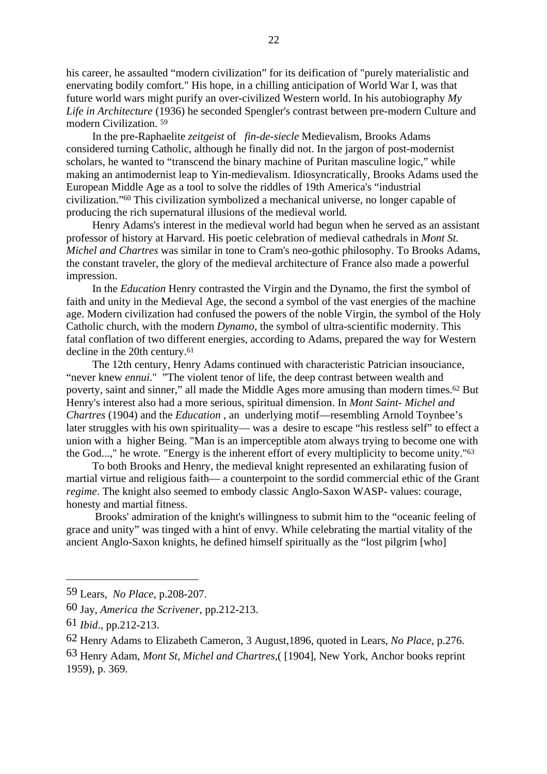his career, he assaulted "modern civilization" for its deification of "purely materialistic and enervating bodily comfort." His hope, in a chilling anticipation of World War I, was that future world wars might purify an over-civilized Western world. In his autobiography *My Life in Architecture* (1936) he seconded Spengler's contrast between pre-modern Culture and modern Civilization. 59

In the pre-Raphaelite *zeitgeist* of *fin-de-siecle* Medievalism, Brooks Adams considered turning Catholic, although he finally did not. In the jargon of post-modernist scholars, he wanted to "transcend the binary machine of Puritan masculine logic," while making an antimodernist leap to Yin-medievalism. Idiosyncratically, Brooks Adams used the European Middle Age as a tool to solve the riddles of 19th America's "industrial civilization."60 This civilization symbolized a mechanical universe, no longer capable of producing the rich supernatural illusions of the medieval world*.*

Henry Adams's interest in the medieval world had begun when he served as an assistant professor of history at Harvard. His poetic celebration of medieval cathedrals in *Mont St. Michel and Chartres* was similar in tone to Cram's neo-gothic philosophy. To Brooks Adams, the constant traveler, the glory of the medieval architecture of France also made a powerful impression.

In the *Education* Henry contrasted the Virgin and the Dynamo, the first the symbol of faith and unity in the Medieval Age, the second a symbol of the vast energies of the machine age. Modern civilization had confused the powers of the noble Virgin*,* the symbol of the Holy Catholic church, with the modern *Dynamo*, the symbol of ultra-scientific modernity. This fatal conflation of two different energies, according to Adams, prepared the way for Western decline in the 20th century.<sup>61</sup>

The 12th century, Henry Adams continued with characteristic Patrician insouciance, "never knew *ennui*." "The violent tenor of life, the deep contrast between wealth and poverty, saint and sinner," all made the Middle Ages more amusing than modern times.62 But Henry's interest also had a more serious, spiritual dimension. In *Mont Saint- Michel and Chartres* (1904) and the *Education* , an underlying motif—resembling Arnold Toynbee's later struggles with his own spirituality— was a desire to escape "his restless self" to effect a union with a higher Being. "Man is an imperceptible atom always trying to become one with the God...," he wrote. "Energy is the inherent effort of every multiplicity to become unity."63

To both Brooks and Henry, the medieval knight represented an exhilarating fusion of martial virtue and religious faith— a counterpoint to the sordid commercial ethic of the Grant *regime*. The knight also seemed to embody classic Anglo-Saxon WASP- values: courage, honesty and martial fitness.

 Brooks' admiration of the knight's willingness to submit him to the "oceanic feeling of grace and unity" was tinged with a hint of envy. While celebrating the martial vitality of the ancient Anglo-Saxon knights, he defined himself spiritually as the "lost pilgrim [who]

<sup>59</sup> Lears, *No Place*, p.208-207.

<sup>60</sup> Jay, *America the Scrivener*, pp.212-213.

<sup>61</sup> *Ibid*., pp.212-213.

<sup>62</sup> Henry Adams to Elizabeth Cameron, 3 August,1896, quoted in Lears, *No Place*, p.276.

<sup>63</sup> Henry Adam, *Mont St, Michel and Chartres*,( [1904], New York, Anchor books reprint 1959), p. 369.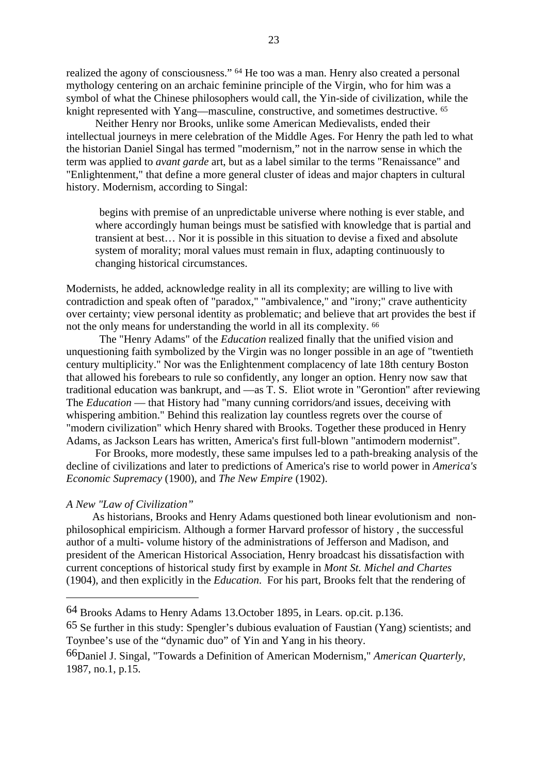realized the agony of consciousness." 64 He too was a man. Henry also created a personal mythology centering on an archaic feminine principle of the Virgin, who for him was a symbol of what the Chinese philosophers would call, the Yin-side of civilization, while the knight represented with Yang—masculine, constructive, and sometimes destructive. 65

Neither Henry nor Brooks, unlike some American Medievalists, ended their intellectual journeys in mere celebration of the Middle Ages. For Henry the path led to what the historian Daniel Singal has termed "modernism," not in the narrow sense in which the term was applied to *avant garde* art, but as a label similar to the terms "Renaissance" and "Enlightenment," that define a more general cluster of ideas and major chapters in cultural history. Modernism, according to Singal:

begins with premise of an unpredictable universe where nothing is ever stable, and where accordingly human beings must be satisfied with knowledge that is partial and transient at best… Nor it is possible in this situation to devise a fixed and absolute system of morality; moral values must remain in flux, adapting continuously to changing historical circumstances.

Modernists, he added, acknowledge reality in all its complexity; are willing to live with contradiction and speak often of "paradox," "ambivalence," and "irony;" crave authenticity over certainty; view personal identity as problematic; and believe that art provides the best if not the only means for understanding the world in all its complexity. 66

The "Henry Adams" of the *Education* realized finally that the unified vision and unquestioning faith symbolized by the Virgin was no longer possible in an age of "twentieth century multiplicity." Nor was the Enlightenment complacency of late 18th century Boston that allowed his forebears to rule so confidently, any longer an option. Henry now saw that traditional education was bankrupt, and —as T. S. Eliot wrote in "Gerontion" after reviewing The *Education* — that History had "many cunning corridors/and issues, deceiving with whispering ambition." Behind this realization lay countless regrets over the course of "modern civilization" which Henry shared with Brooks. Together these produced in Henry Adams, as Jackson Lears has written, America's first full-blown "antimodern modernist".

For Brooks, more modestly, these same impulses led to a path-breaking analysis of the decline of civilizations and later to predictions of America's rise to world power in *America's Economic Supremacy* (1900), and *The New Empire* (1902).

#### *A New "Law of Civilization"*

As historians, Brooks and Henry Adams questioned both linear evolutionism and nonphilosophical empiricism. Although a former Harvard professor of history , the successful author of a multi- volume history of the administrations of Jefferson and Madison, and president of the American Historical Association, Henry broadcast his dissatisfaction with current conceptions of historical study first by example in *Mont St. Michel and Chartes* (1904), and then explicitly in the *Education*. For his part, Brooks felt that the rendering of

<sup>64</sup> Brooks Adams to Henry Adams 13.October 1895, in Lears. op.cit. p.136.

<sup>65</sup> Se further in this study: Spengler's dubious evaluation of Faustian (Yang) scientists; and Toynbee's use of the "dynamic duo" of Yin and Yang in his theory.

<sup>66</sup>Daniel J. Singal, "Towards a Definition of American Modernism," *American Quarterly,* 1987, no.1, p.15.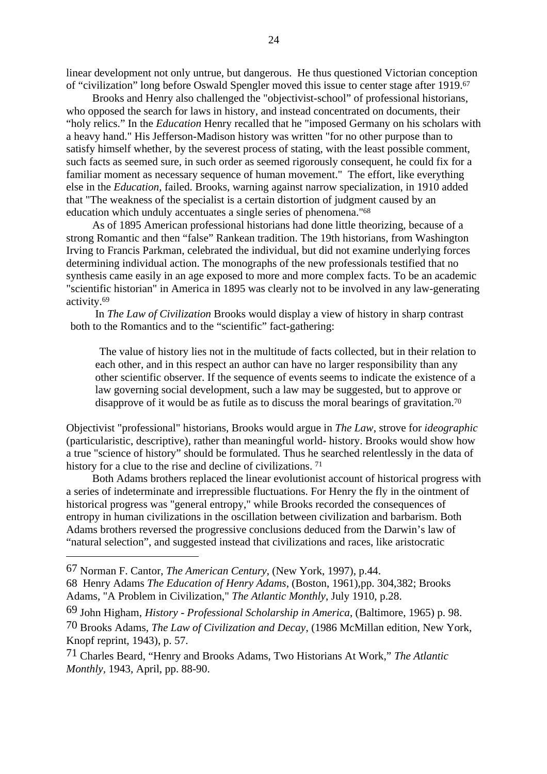linear development not only untrue, but dangerous. He thus questioned Victorian conception of "civilization" long before Oswald Spengler moved this issue to center stage after 1919.67

Brooks and Henry also challenged the "objectivist-school" of professional historians, who opposed the search for laws in history, and instead concentrated on documents, their "holy relics." In the *Education* Henry recalled that he "imposed Germany on his scholars with a heavy hand." His Jefferson-Madison history was written "for no other purpose than to satisfy himself whether, by the severest process of stating, with the least possible comment, such facts as seemed sure, in such order as seemed rigorously consequent, he could fix for a familiar moment as necessary sequence of human movement." The effort, like everything else in the *Education*, failed. Brooks, warning against narrow specialization, in 1910 added that "The weakness of the specialist is a certain distortion of judgment caused by an education which unduly accentuates a single series of phenomena."68

As of 1895 American professional historians had done little theorizing, because of a strong Romantic and then "false" Rankean tradition. The 19th historians, from Washington Irving to Francis Parkman, celebrated the individual, but did not examine underlying forces determining individual action. The monographs of the new professionals testified that no synthesis came easily in an age exposed to more and more complex facts. To be an academic "scientific historian" in America in 1895 was clearly not to be involved in any law-generating activity.69

In *The Law of Civilization* Brooks would display a view of history in sharp contrast both to the Romantics and to the "scientific" fact-gathering:

The value of history lies not in the multitude of facts collected, but in their relation to each other, and in this respect an author can have no larger responsibility than any other scientific observer. If the sequence of events seems to indicate the existence of a law governing social development, such a law may be suggested, but to approve or disapprove of it would be as futile as to discuss the moral bearings of gravitation.70

Objectivist "professional" historians, Brooks would argue in *The Law*, strove for *ideographic* (particularistic, descriptive), rather than meaningful world- history. Brooks would show how a true "science of history" should be formulated. Thus he searched relentlessly in the data of history for a clue to the rise and decline of civilizations.<sup>71</sup>

Both Adams brothers replaced the linear evolutionist account of historical progress with a series of indeterminate and irrepressible fluctuations. For Henry the fly in the ointment of historical progress was "general entropy," while Brooks recorded the consequences of entropy in human civilizations in the oscillation between civilization and barbarism. Both Adams brothers reversed the progressive conclusions deduced from the Darwin's law of "natural selection", and suggested instead that civilizations and races, like aristocratic

<sup>67</sup> Norman F. Cantor, *The American Century*, (New York, 1997), p.44. 68 Henry Adams *The Education of Henry Adams*, (Boston, 1961),pp. 304,382; Brooks Adams, "A Problem in Civilization," *The Atlantic Monthly*, July 1910, p.28.

<sup>69</sup> John Higham, *History - Professional Scholarship in America*, (Baltimore, 1965) p. 98.

<sup>70</sup> Brooks Adams, *The Law of Civilization and Decay*, (1986 McMillan edition, New York, Knopf reprint, 1943), p. 57.

<sup>71</sup> Charles Beard, "Henry and Brooks Adams, Two Historians At Work," *The Atlantic Monthly,* 1943, April, pp. 88-90.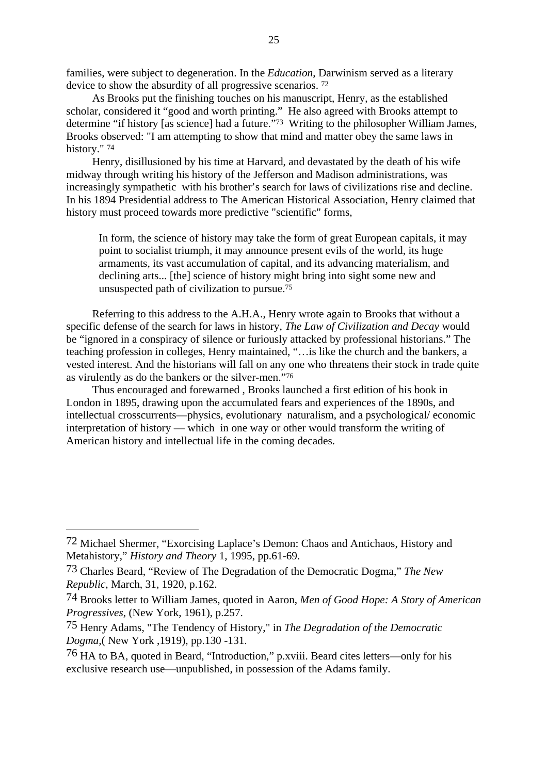families, were subject to degeneration. In the *Education*, Darwinism served as a literary device to show the absurdity of all progressive scenarios. 72

As Brooks put the finishing touches on his manuscript, Henry, as the established scholar, considered it "good and worth printing." He also agreed with Brooks attempt to determine "if history [as science] had a future."73 Writing to the philosopher William James, Brooks observed: "I am attempting to show that mind and matter obey the same laws in history." <sup>74</sup>

Henry, disillusioned by his time at Harvard, and devastated by the death of his wife midway through writing his history of the Jefferson and Madison administrations, was increasingly sympathetic with his brother's search for laws of civilizations rise and decline. In his 1894 Presidential address to The American Historical Association*,* Henry claimed that history must proceed towards more predictive "scientific" forms,

In form, the science of history may take the form of great European capitals, it may point to socialist triumph, it may announce present evils of the world, its huge armaments, its vast accumulation of capital, and its advancing materialism, and declining arts... [the] science of history might bring into sight some new and unsuspected path of civilization to pursue.75

Referring to this address to the A.H.A., Henry wrote again to Brooks that without a specific defense of the search for laws in history, *The Law of Civilization and Decay* would be "ignored in a conspiracy of silence or furiously attacked by professional historians." The teaching profession in colleges, Henry maintained, "…is like the church and the bankers, a vested interest. And the historians will fall on any one who threatens their stock in trade quite as virulently as do the bankers or the silver-men."76

Thus encouraged and forewarned , Brooks launched a first edition of his book in London in 1895, drawing upon the accumulated fears and experiences of the 1890s, and intellectual crosscurrents—physics, evolutionary naturalism, and a psychological/ economic interpretation of history — which in one way or other would transform the writing of American history and intellectual life in the coming decades.

<sup>72</sup> Michael Shermer, "Exorcising Laplace's Demon: Chaos and Antichaos, History and Metahistory," *History and Theory* 1, 1995, pp.61-69.

<sup>73</sup> Charles Beard, "Review of The Degradation of the Democratic Dogma," *The New Republic*, March, 31, 1920, p.162.

<sup>74</sup> Brooks letter to William James, quoted in Aaron, *Men of Good Hope: A Story of American Progressives*, (New York, 1961), p.257.

<sup>75</sup> Henry Adams, "The Tendency of History," in *The Degradation of the Democratic Dogma,*( New York ,1919), pp.130 -131.

<sup>76</sup> HA to BA, quoted in Beard, "Introduction," p.xviii. Beard cites letters—only for his exclusive research use—unpublished, in possession of the Adams family.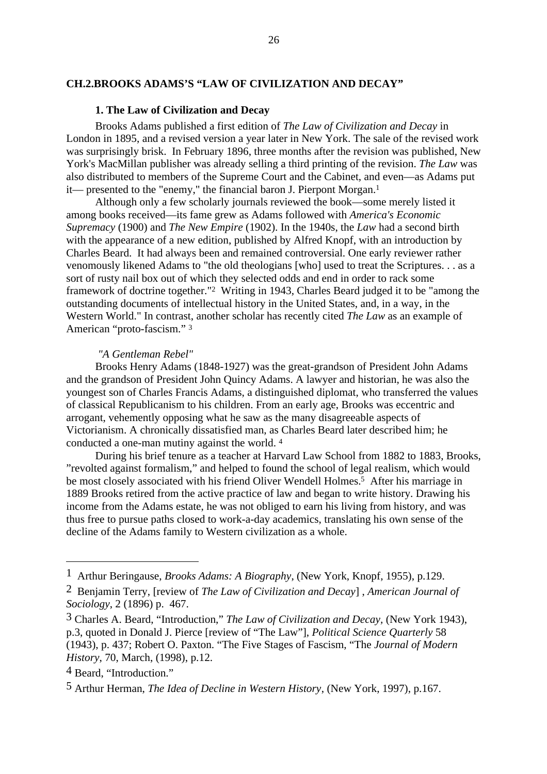## <span id="page-34-0"></span>**CH.2.BROOKS ADAMS'S "LAW OF CIVILIZATION AND DECAY"**

# **1. The Law of Civilization and Decay**

Brooks Adams published a first edition of *The Law of Civilization and Decay* in London in 1895, and a revised version a year later in New York. The sale of the revised work was surprisingly brisk. In February 1896, three months after the revision was published, New York's MacMillan publisher was already selling a third printing of the revision. *The Law* was also distributed to members of the Supreme Court and the Cabinet, and even—as Adams put it— presented to the "enemy," the financial baron J. Pierpont Morgan.1

Although only a few scholarly journals reviewed the book—some merely listed it among books received—its fame grew as Adams followed with *America's Economic Supremacy* (1900) and *The New Empire* (1902). In the 1940s, the *Law* had a second birth with the appearance of a new edition, published by Alfred Knopf, with an introduction by Charles Beard. It had always been and remained controversial. One early reviewer rather venomously likened Adams to "the old theologians [who] used to treat the Scriptures. . . as a sort of rusty nail box out of which they selected odds and end in order to rack some framework of doctrine together."2 Writing in 1943, Charles Beard judged it to be "among the outstanding documents of intellectual history in the United States, and, in a way, in the Western World." In contrast, another scholar has recently cited *The Law* as an example of American "proto-fascism." 3

#### *"A Gentleman Rebel"*

Brooks Henry Adams (1848-1927) was the great-grandson of President John Adams and the grandson of President John Quincy Adams. A lawyer and historian, he was also the youngest son of Charles Francis Adams, a distinguished diplomat, who transferred the values of classical Republicanism to his children. From an early age, Brooks was eccentric and arrogant, vehemently opposing what he saw as the many disagreeable aspects of Victorianism. A chronically dissatisfied man, as Charles Beard later described him; he conducted a one-man mutiny against the world. 4

During his brief tenure as a teacher at Harvard Law School from 1882 to 1883, Brooks, "revolted against formalism," and helped to found the school of legal realism, which would be most closely associated with his friend Oliver Wendell Holmes.<sup>5</sup> After his marriage in 1889 Brooks retired from the active practice of law and began to write history. Drawing his income from the Adams estate, he was not obliged to earn his living from history, and was thus free to pursue paths closed to work-a-day academics, translating his own sense of the decline of the Adams family to Western civilization as a whole.

<sup>1</sup> Arthur Beringause, *Brooks Adams: A Biography*, (New York, Knopf, 1955), p.129.

<sup>2</sup> Benjamin Terry, [review of *The Law of Civilization and Decay*] , *American Journal of Sociology*, 2 (1896) p. 467.

<sup>3</sup> Charles A. Beard, "Introduction," *The Law of Civilization and Decay,* (New York 1943), p.3, quoted in Donald J. Pierce [review of "The Law"], *Political Science Quarterly* 58 (1943), p. 437; Robert O. Paxton. "The Five Stages of Fascism, "The *Journal of Modern History*, 70, March, (1998), p.12.

<sup>4</sup> Beard, "Introduction."

<sup>5</sup> Arthur Herman, *The Idea of Decline in Western History*, (New York, 1997), p.167.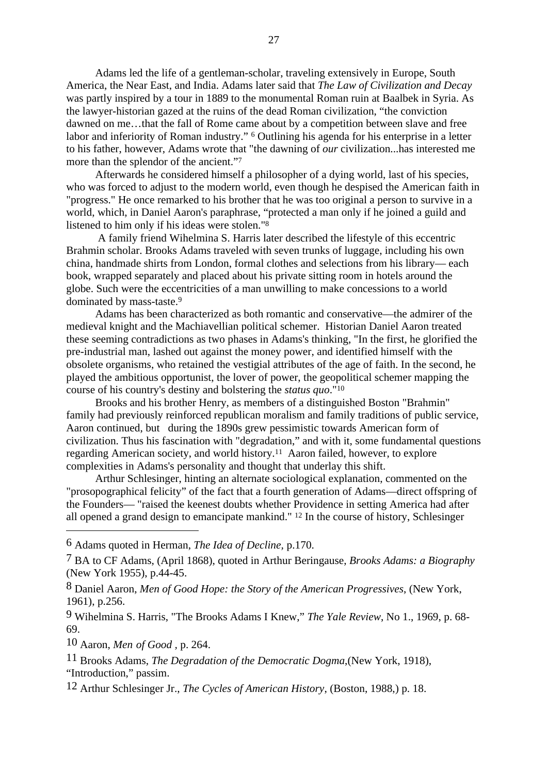Adams led the life of a gentleman-scholar, traveling extensively in Europe, South America, the Near East, and India. Adams later said that *The Law of Civilization and Decay* was partly inspired by a tour in 1889 to the monumental Roman ruin at Baalbek in Syria. As the lawyer-historian gazed at the ruins of the dead Roman civilization, "the conviction dawned on me…that the fall of Rome came about by a competition between slave and free labor and inferiority of Roman industry." 6 Outlining his agenda for his enterprise in a letter to his father, however, Adams wrote that "the dawning of *our* civilization...has interested me more than the splendor of the ancient."7

Afterwards he considered himself a philosopher of a dying world, last of his species, who was forced to adjust to the modern world, even though he despised the American faith in "progress." He once remarked to his brother that he was too original a person to survive in a world, which, in Daniel Aaron's paraphrase, "protected a man only if he joined a guild and listened to him only if his ideas were stolen."8

 A family friend Wihelmina S. Harris later described the lifestyle of this eccentric Brahmin scholar. Brooks Adams traveled with seven trunks of luggage, including his own china, handmade shirts from London, formal clothes and selections from his library— each book, wrapped separately and placed about his private sitting room in hotels around the globe. Such were the eccentricities of a man unwilling to make concessions to a world dominated by mass-taste.9

Adams has been characterized as both romantic and conservative—the admirer of the medieval knight and the Machiavellian political schemer. Historian Daniel Aaron treated these seeming contradictions as two phases in Adams's thinking, "In the first, he glorified the pre-industrial man, lashed out against the money power, and identified himself with the obsolete organisms, who retained the vestigial attributes of the age of faith. In the second, he played the ambitious opportunist, the lover of power, the geopolitical schemer mapping the course of his country's destiny and bolstering the *status quo*."10

Brooks and his brother Henry, as members of a distinguished Boston "Brahmin" family had previously reinforced republican moralism and family traditions of public service, Aaron continued, but during the 1890s grew pessimistic towards American form of civilization. Thus his fascination with "degradation," and with it, some fundamental questions regarding American society, and world history.11 Aaron failed, however, to explore complexities in Adams's personality and thought that underlay this shift.

Arthur Schlesinger, hinting an alternate sociological explanation, commented on the "prosopographical felicity" of the fact that a fourth generation of Adams—direct offspring of the Founders— "raised the keenest doubts whether Providence in setting America had after all opened a grand design to emancipate mankind." 12 In the course of history, Schlesinger

9 Wihelmina S. Harris, "The Brooks Adams I Knew," *The Yale Review*, No 1., 1969, p. 68- 69.

10 Aaron, *Men of Good ,* p. 264.

12 Arthur Schlesinger Jr., *The Cycles of American History*, (Boston, 1988,) p. 18.

<sup>6</sup> Adams quoted in Herman, *The Idea of Decline,* p.170.

<sup>7</sup> BA to CF Adams, (April 1868), quoted in Arthur Beringause, *Brooks Adams: a Biography* (New York 1955), p.44-45.

<sup>8</sup> Daniel Aaron, *Men of Good Hope: the Story of the American Progressives*, (New York, 1961), p.256.

<sup>11</sup> Brooks Adams, *The Degradation of the Democratic Dogma*,(New York, 1918), "Introduction," passim.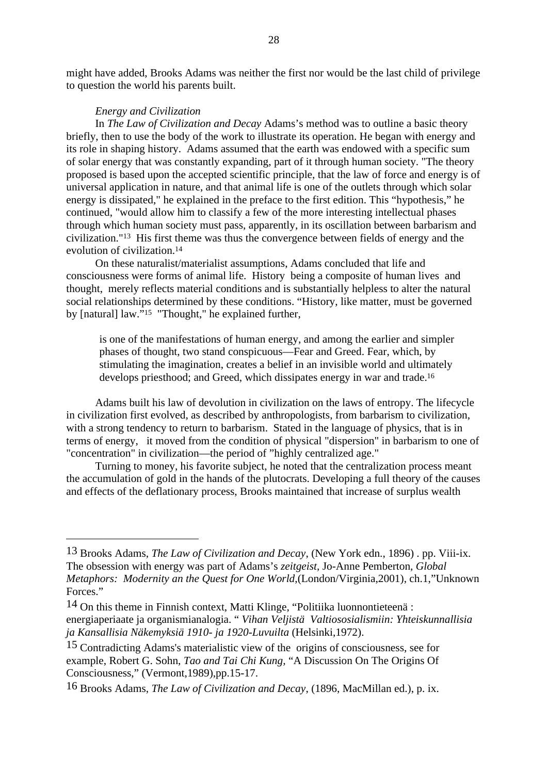might have added, Brooks Adams was neither the first nor would be the last child of privilege to question the world his parents built.

## *Energy and Civilization*

In *The Law of Civilization and Decay* Adams's method was to outline a basic theory briefly, then to use the body of the work to illustrate its operation. He began with energy and its role in shaping history. Adams assumed that the earth was endowed with a specific sum of solar energy that was constantly expanding, part of it through human society. "The theory proposed is based upon the accepted scientific principle, that the law of force and energy is of universal application in nature, and that animal life is one of the outlets through which solar energy is dissipated," he explained in the preface to the first edition. This "hypothesis," he continued, "would allow him to classify a few of the more interesting intellectual phases through which human society must pass, apparently, in its oscillation between barbarism and civilization."13 His first theme was thus the convergence between fields of energy and the evolution of civilization.14

On these naturalist/materialist assumptions, Adams concluded that life and consciousness were forms of animal life. History being a composite of human lives and thought, merely reflects material conditions and is substantially helpless to alter the natural social relationships determined by these conditions. "History, like matter, must be governed by [natural] law."15 "Thought," he explained further,

is one of the manifestations of human energy, and among the earlier and simpler phases of thought, two stand conspicuous—Fear and Greed. Fear, which, by stimulating the imagination, creates a belief in an invisible world and ultimately develops priesthood; and Greed, which dissipates energy in war and trade.16

Adams built his law of devolution in civilization on the laws of entropy. The lifecycle in civilization first evolved, as described by anthropologists, from barbarism to civilization, with a strong tendency to return to barbarism. Stated in the language of physics, that is in terms of energy, it moved from the condition of physical "dispersion" in barbarism to one of "concentration" in civilization—the period of "highly centralized age."

Turning to money, his favorite subject, he noted that the centralization process meant the accumulation of gold in the hands of the plutocrats. Developing a full theory of the causes and effects of the deflationary process, Brooks maintained that increase of surplus wealth

<sup>13</sup> Brooks Adams, *The Law of Civilization and Decay*, (New York edn., 1896) . pp. Viii-ix. The obsession with energy was part of Adams's *zeitgeist*, Jo-Anne Pemberton*, Global Metaphors: Modernity an the Quest for One World*,(London/Virginia,2001), ch.1,"Unknown Forces."

<sup>14</sup> On this theme in Finnish context, Matti Klinge, "Politiika luonnontieteenä : energiaperiaate ja organismianalogia. " *Vihan Veljistä Valtiososialismiin: Yhteiskunnallisia ja Kansallisia Näkemyksiä 1910- ja 1920-Luvuilta* (Helsinki,1972).

<sup>15</sup> Contradicting Adams's materialistic view of the origins of consciousness, see for example, Robert G. Sohn, *Tao and Tai Chi Kung,* "A Discussion On The Origins Of Consciousness," (Vermont,1989),pp.15-17.

<sup>16</sup> Brooks Adams, *The Law of Civilization and Decay*, (1896, MacMillan ed.), p. ix.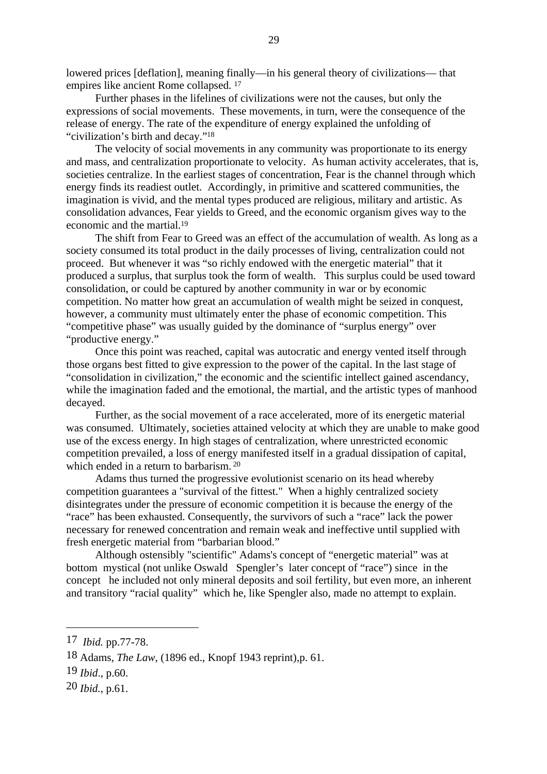lowered prices [deflation], meaning finally—in his general theory of civilizations— that empires like ancient Rome collapsed. 17

Further phases in the lifelines of civilizations were not the causes, but only the expressions of social movements. These movements, in turn, were the consequence of the release of energy. The rate of the expenditure of energy explained the unfolding of "civilization's birth and decay."18

The velocity of social movements in any community was proportionate to its energy and mass, and centralization proportionate to velocity. As human activity accelerates, that is, societies centralize. In the earliest stages of concentration, Fear is the channel through which energy finds its readiest outlet. Accordingly, in primitive and scattered communities, the imagination is vivid, and the mental types produced are religious, military and artistic. As consolidation advances, Fear yields to Greed, and the economic organism gives way to the economic and the martial.19

The shift from Fear to Greed was an effect of the accumulation of wealth. As long as a society consumed its total product in the daily processes of living, centralization could not proceed. But whenever it was "so richly endowed with the energetic material" that it produced a surplus, that surplus took the form of wealth. This surplus could be used toward consolidation, or could be captured by another community in war or by economic competition. No matter how great an accumulation of wealth might be seized in conquest, however, a community must ultimately enter the phase of economic competition. This "competitive phase" was usually guided by the dominance of "surplus energy" over "productive energy."

Once this point was reached, capital was autocratic and energy vented itself through those organs best fitted to give expression to the power of the capital. In the last stage of "consolidation in civilization," the economic and the scientific intellect gained ascendancy, while the imagination faded and the emotional, the martial, and the artistic types of manhood decayed.

Further, as the social movement of a race accelerated, more of its energetic material was consumed. Ultimately, societies attained velocity at which they are unable to make good use of the excess energy. In high stages of centralization, where unrestricted economic competition prevailed, a loss of energy manifested itself in a gradual dissipation of capital, which ended in a return to barbarism.<sup>20</sup>

Adams thus turned the progressive evolutionist scenario on its head whereby competition guarantees a "survival of the fittest." When a highly centralized society disintegrates under the pressure of economic competition it is because the energy of the "race" has been exhausted. Consequently, the survivors of such a "race" lack the power necessary for renewed concentration and remain weak and ineffective until supplied with fresh energetic material from "barbarian blood."

Although ostensibly "scientific" Adams's concept of "energetic material" was at bottom mystical (not unlike Oswald Spengler's later concept of "race") since in the concept he included not only mineral deposits and soil fertility, but even more, an inherent and transitory "racial quality" which he, like Spengler also, made no attempt to explain.

<sup>17</sup> *Ibid.* pp.77-78.

<sup>18</sup> Adams, *The Law*, (1896 ed., Knopf 1943 reprint),p. 61.

<sup>19</sup> *Ibid*., p.60.

<sup>20</sup> *Ibid.*, p.61.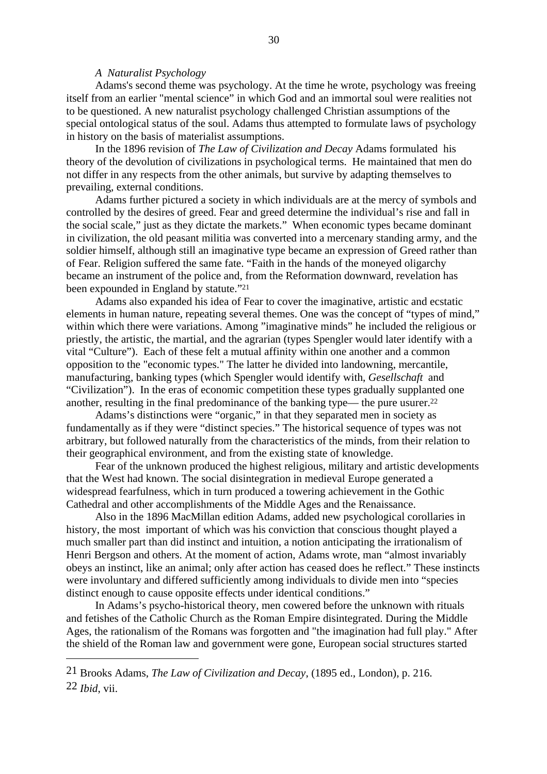### *A Naturalist Psychology*

Adams's second theme was psychology. At the time he wrote, psychology was freeing itself from an earlier "mental science" in which God and an immortal soul were realities not to be questioned. A new naturalist psychology challenged Christian assumptions of the special ontological status of the soul. Adams thus attempted to formulate laws of psychology in history on the basis of materialist assumptions.

In the 1896 revision of *The Law of Civilization and Decay* Adams formulated his theory of the devolution of civilizations in psychological terms. He maintained that men do not differ in any respects from the other animals, but survive by adapting themselves to prevailing, external conditions.

Adams further pictured a society in which individuals are at the mercy of symbols and controlled by the desires of greed. Fear and greed determine the individual's rise and fall in the social scale," just as they dictate the markets." When economic types became dominant in civilization, the old peasant militia was converted into a mercenary standing army, and the soldier himself, although still an imaginative type became an expression of Greed rather than of Fear. Religion suffered the same fate. "Faith in the hands of the moneyed oligarchy became an instrument of the police and, from the Reformation downward, revelation has been expounded in England by statute."21

Adams also expanded his idea of Fear to cover the imaginative, artistic and ecstatic elements in human nature, repeating several themes. One was the concept of "types of mind," within which there were variations. Among "imaginative minds" he included the religious or priestly, the artistic, the martial, and the agrarian (types Spengler would later identify with a vital "Culture"). Each of these felt a mutual affinity within one another and a common opposition to the "economic types." The latter he divided into landowning, mercantile, manufacturing, banking types (which Spengler would identify with, *Gesellschaft* and "Civilization"). In the eras of economic competition these types gradually supplanted one another, resulting in the final predominance of the banking type— the pure usurer.22

Adams's distinctions were "organic," in that they separated men in society as fundamentally as if they were "distinct species." The historical sequence of types was not arbitrary, but followed naturally from the characteristics of the minds, from their relation to their geographical environment, and from the existing state of knowledge.

Fear of the unknown produced the highest religious, military and artistic developments that the West had known. The social disintegration in medieval Europe generated a widespread fearfulness, which in turn produced a towering achievement in the Gothic Cathedral and other accomplishments of the Middle Ages and the Renaissance.

Also in the 1896 MacMillan edition Adams, added new psychological corollaries in history, the most important of which was his conviction that conscious thought played a much smaller part than did instinct and intuition*,* a notion anticipating the irrationalism of Henri Bergson and others. At the moment of action, Adams wrote, man "almost invariably obeys an instinct, like an animal; only after action has ceased does he reflect." These instincts were involuntary and differed sufficiently among individuals to divide men into "species distinct enough to cause opposite effects under identical conditions."

In Adams's psycho-historical theory, men cowered before the unknown with rituals and fetishes of the Catholic Church as the Roman Empire disintegrated. During the Middle Ages, the rationalism of the Romans was forgotten and "the imagination had full play." After the shield of the Roman law and government were gone, European social structures started

<sup>21</sup> Brooks Adams, *The Law of Civilization and Decay*, (1895 ed., London), p. 216. 22 *Ibid*, vii.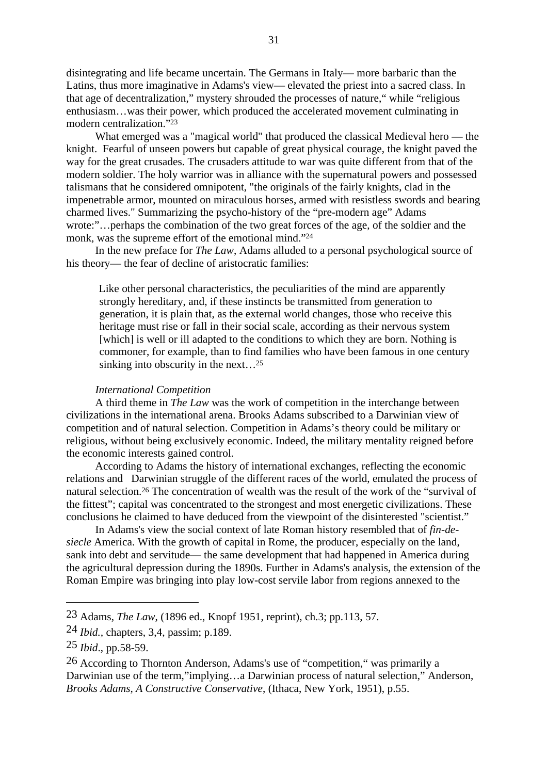disintegrating and life became uncertain. The Germans in Italy— more barbaric than the Latins, thus more imaginative in Adams's view— elevated the priest into a sacred class. In that age of decentralization," mystery shrouded the processes of nature," while "religious enthusiasm…was their power, which produced the accelerated movement culminating in modern centralization."23

What emerged was a "magical world" that produced the classical Medieval hero — the knight. Fearful of unseen powers but capable of great physical courage, the knight paved the way for the great crusades. The crusaders attitude to war was quite different from that of the modern soldier. The holy warrior was in alliance with the supernatural powers and possessed talismans that he considered omnipotent, "the originals of the fairly knights, clad in the impenetrable armor, mounted on miraculous horses, armed with resistless swords and bearing charmed lives." Summarizing the psycho-history of the "pre-modern age" Adams wrote:"…perhaps the combination of the two great forces of the age, of the soldier and the monk, was the supreme effort of the emotional mind."24

In the new preface for *The Law*, Adams alluded to a personal psychological source of his theory— the fear of decline of aristocratic families:

Like other personal characteristics, the peculiarities of the mind are apparently strongly hereditary, and, if these instincts be transmitted from generation to generation, it is plain that, as the external world changes, those who receive this heritage must rise or fall in their social scale, according as their nervous system [which] is well or ill adapted to the conditions to which they are born. Nothing is commoner, for example, than to find families who have been famous in one century sinking into obscurity in the next…25

### *International Competition*

A third theme in *The Law* was the work of competition in the interchange between civilizations in the international arena. Brooks Adams subscribed to a Darwinian view of competition and of natural selection. Competition in Adams's theory could be military or religious, without being exclusively economic. Indeed, the military mentality reigned before the economic interests gained control.

According to Adams the history of international exchanges, reflecting the economic relations and Darwinian struggle of the different races of the world, emulated the process of natural selection.26 The concentration of wealth was the result of the work of the "survival of the fittest"; capital was concentrated to the strongest and most energetic civilizations. These conclusions he claimed to have deduced from the viewpoint of the disinterested "scientist."

In Adams's view the social context of late Roman history resembled that of *fin-desiecle* America. With the growth of capital in Rome, the producer, especially on the land, sank into debt and servitude— the same development that had happened in America during the agricultural depression during the 1890s. Further in Adams's analysis, the extension of the Roman Empire was bringing into play low-cost servile labor from regions annexed to the

<sup>23</sup> Adams, *The Law*, (1896 ed., Knopf 1951, reprint), ch.3; pp.113, 57.

<sup>24</sup> *Ibid.,* chapters, 3,4, passim; p.189.

<sup>25</sup> *Ibid*., pp.58-59.

<sup>26</sup> According to Thornton Anderson, Adams's use of "competition," was primarily a Darwinian use of the term,"implying…a Darwinian process of natural selection," Anderson, *Brooks Adams, A Constructive Conservative*, (Ithaca, New York, 1951), p.55.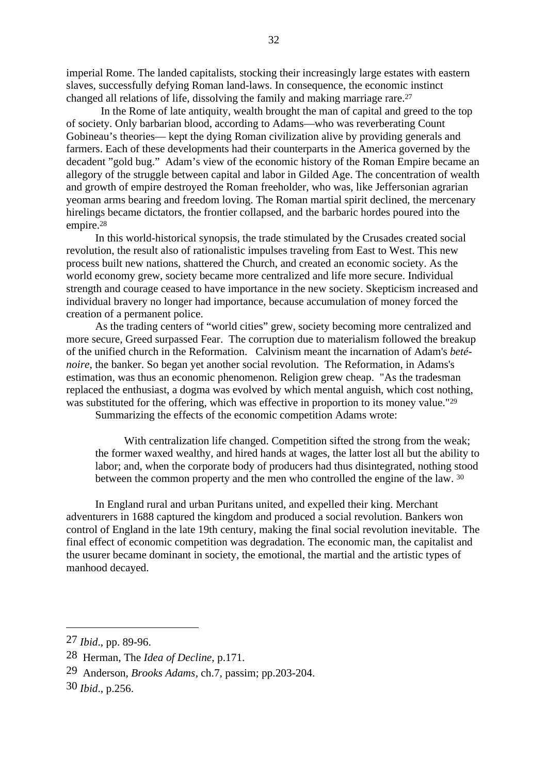imperial Rome. The landed capitalists, stocking their increasingly large estates with eastern slaves, successfully defying Roman land-laws. In consequence, the economic instinct changed all relations of life, dissolving the family and making marriage rare.27

 In the Rome of late antiquity, wealth brought the man of capital and greed to the top of society. Only barbarian blood, according to Adams—who was reverberating Count Gobineau's theories— kept the dying Roman civilization alive by providing generals and farmers. Each of these developments had their counterparts in the America governed by the decadent "gold bug." Adam's view of the economic history of the Roman Empire became an allegory of the struggle between capital and labor in Gilded Age. The concentration of wealth and growth of empire destroyed the Roman freeholder, who was, like Jeffersonian agrarian yeoman arms bearing and freedom loving. The Roman martial spirit declined, the mercenary hirelings became dictators, the frontier collapsed, and the barbaric hordes poured into the empire.28

In this world-historical synopsis, the trade stimulated by the Crusades created social revolution, the result also of rationalistic impulses traveling from East to West. This new process built new nations, shattered the Church, and created an economic society. As the world economy grew, society became more centralized and life more secure. Individual strength and courage ceased to have importance in the new society. Skepticism increased and individual bravery no longer had importance, because accumulation of money forced the creation of a permanent police.

As the trading centers of "world cities" grew, society becoming more centralized and more secure, Greed surpassed Fear. The corruption due to materialism followed the breakup of the unified church in the Reformation. Calvinism meant the incarnation of Adam's *beténoire,* the banker. So began yet another social revolution. The Reformation, in Adams's estimation, was thus an economic phenomenon. Religion grew cheap. "As the tradesman replaced the enthusiast, a dogma was evolved by which mental anguish, which cost nothing, was substituted for the offering, which was effective in proportion to its money value."<sup>29</sup>

Summarizing the effects of the economic competition Adams wrote:

With centralization life changed. Competition sifted the strong from the weak; the former waxed wealthy, and hired hands at wages, the latter lost all but the ability to labor; and, when the corporate body of producers had thus disintegrated, nothing stood between the common property and the men who controlled the engine of the law. 30

In England rural and urban Puritans united, and expelled their king. Merchant adventurers in 1688 captured the kingdom and produced a social revolution. Bankers won control of England in the late 19th century, making the final social revolution inevitable. The final effect of economic competition was degradation. The economic man, the capitalist and the usurer became dominant in society, the emotional, the martial and the artistic types of manhood decayed.

<sup>27</sup> *Ibid*., pp. 89-96.

<sup>28</sup> Herman, The *Idea of Decline*, p.171.

<sup>29</sup> Anderson, *Brooks Adams*, ch.7, passim; pp.203-204.

<sup>30</sup> *Ibid*., p.256.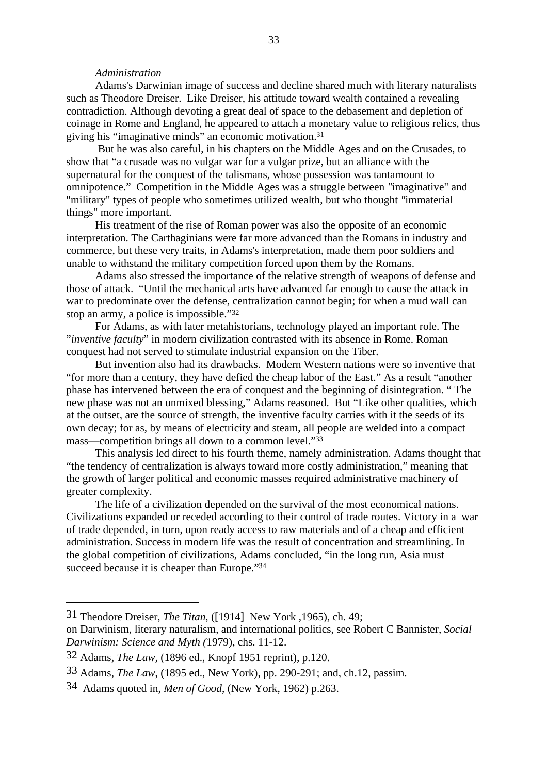## *Administration*

Adams's Darwinian image of success and decline shared much with literary naturalists such as Theodore Dreiser. Like Dreiser, his attitude toward wealth contained a revealing contradiction. Although devoting a great deal of space to the debasement and depletion of coinage in Rome and England, he appeared to attach a monetary value to religious relics, thus giving his "imaginative minds" an economic motivation.31

 But he was also careful, in his chapters on the Middle Ages and on the Crusades, to show that "a crusade was no vulgar war for a vulgar prize, but an alliance with the supernatural for the conquest of the talismans, whose possession was tantamount to omnipotence." Competition in the Middle Ages was a struggle between *"*imaginative" and "military" types of people who sometimes utilized wealth, but who thought *"*immaterial things" more important.

His treatment of the rise of Roman power was also the opposite of an economic interpretation. The Carthaginians were far more advanced than the Romans in industry and commerce, but these very traits, in Adams's interpretation, made them poor soldiers and unable to withstand the military competition forced upon them by the Romans.

Adams also stressed the importance of the relative strength of weapons of defense and those of attack. "Until the mechanical arts have advanced far enough to cause the attack in war to predominate over the defense, centralization cannot begin; for when a mud wall can stop an army, a police is impossible."32

For Adams, as with later metahistorians, technology played an important role. The "*inventive faculty*" in modern civilization contrasted with its absence in Rome. Roman conquest had not served to stimulate industrial expansion on the Tiber.

But invention also had its drawbacks. Modern Western nations were so inventive that "for more than a century, they have defied the cheap labor of the East." As a result "another phase has intervened between the era of conquest and the beginning of disintegration. " The new phase was not an unmixed blessing," Adams reasoned. But "Like other qualities, which at the outset, are the source of strength, the inventive faculty carries with it the seeds of its own decay; for as, by means of electricity and steam, all people are welded into a compact mass—competition brings all down to a common level."33

This analysis led direct to his fourth theme, namely administration. Adams thought that "the tendency of centralization is always toward more costly administration," meaning that the growth of larger political and economic masses required administrative machinery of greater complexity.

The life of a civilization depended on the survival of the most economical nations. Civilizations expanded or receded according to their control of trade routes. Victory in a war of trade depended, in turn, upon ready access to raw materials and of a cheap and efficient administration. Success in modern life was the result of concentration and streamlining. In the global competition of civilizations, Adams concluded, "in the long run, Asia must succeed because it is cheaper than Europe."34

<sup>31</sup> Theodore Dreiser, *The Titan*, ([1914] New York ,1965), ch. 49;

on Darwinism, literary naturalism, and international politics, see Robert C Bannister, *Social Darwinism: Science and Myth (*1979), chs. 11-12.

<sup>32</sup> Adams, *The Law,* (1896 ed., Knopf 1951 reprint), p.120.

<sup>33</sup> Adams, *The Law*, (1895 ed., New York), pp. 290-291; and, ch.12, passim.

<sup>34</sup> Adams quoted in, *Men of Good*, (New York, 1962) p.263.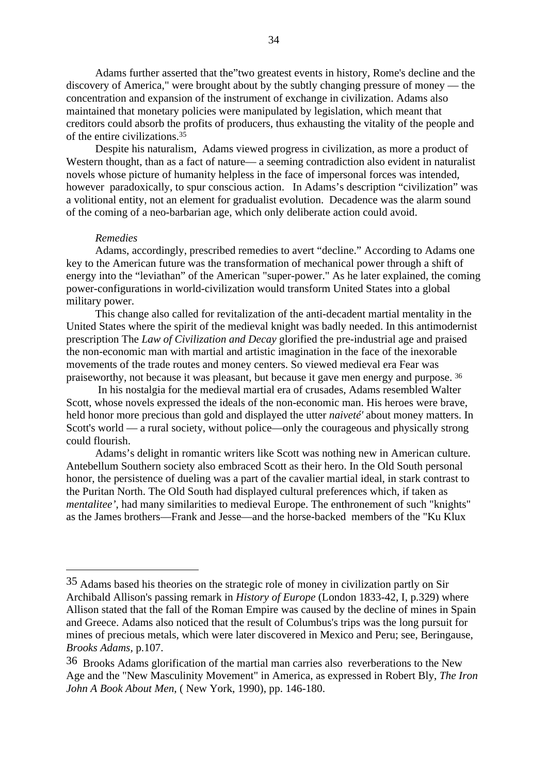Adams further asserted that the"two greatest events in history, Rome's decline and the discovery of America," were brought about by the subtly changing pressure of money — the concentration and expansion of the instrument of exchange in civilization. Adams also maintained that monetary policies were manipulated by legislation, which meant that creditors could absorb the profits of producers, thus exhausting the vitality of the people and of the entire civilizations.35

Despite his naturalism, Adams viewed progress in civilization, as more a product of Western thought, than as a fact of nature— a seeming contradiction also evident in naturalist novels whose picture of humanity helpless in the face of impersonal forces was intended, however paradoxically, to spur conscious action. In Adams's description "civilization" was a volitional entity, not an element for gradualist evolution. Decadence was the alarm sound of the coming of a neo-barbarian age, which only deliberate action could avoid.

#### *Remedies*

Adams, accordingly, prescribed remedies to avert "decline." According to Adams one key to the American future was the transformation of mechanical power through a shift of energy into the "leviathan" of the American "super-power." As he later explained, the coming power-configurations in world-civilization would transform United States into a global military power.

This change also called for revitalization of the anti-decadent martial mentality in the United States where the spirit of the medieval knight was badly needed. In this antimodernist prescription The *Law of Civilization and Decay* glorified the pre-industrial age and praised the non-economic man with martial and artistic imagination in the face of the inexorable movements of the trade routes and money centers. So viewed medieval era Fear was praiseworthy, not because it was pleasant, but because it gave men energy and purpose. 36

 In his nostalgia for the medieval martial era of crusades, Adams resembled Walter Scott, whose novels expressed the ideals of the non-economic man. His heroes were brave, held honor more precious than gold and displayed the utter *naiveté'* about money matters. In Scott's world — a rural society, without police—only the courageous and physically strong could flourish.

Adams's delight in romantic writers like Scott was nothing new in American culture. Antebellum Southern society also embraced Scott as their hero. In the Old South personal honor, the persistence of dueling was a part of the cavalier martial ideal, in stark contrast to the Puritan North. The Old South had displayed cultural preferences which, if taken as *mentalitee'*, had many similarities to medieval Europe. The enthronement of such "knights" as the James brothers—Frank and Jesse—and the horse-backed members of the "Ku Klux

<sup>35</sup> Adams based his theories on the strategic role of money in civilization partly on Sir Archibald Allison's passing remark in *History of Europe* (London 1833-42, I, p.329) where Allison stated that the fall of the Roman Empire was caused by the decline of mines in Spain and Greece. Adams also noticed that the result of Columbus's trips was the long pursuit for mines of precious metals, which were later discovered in Mexico and Peru; see, Beringause, *Brooks Adams,* p.107.

<sup>36</sup> Brooks Adams glorification of the martial man carries also reverberations to the New Age and the "New Masculinity Movement" in America, as expressed in Robert Bly, *The Iron John A Book About Men*, ( New York, 1990), pp. 146-180.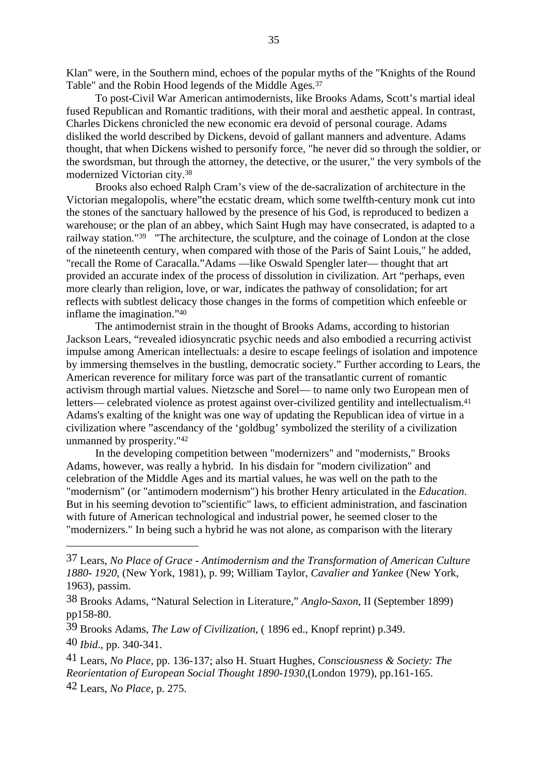Klan" were, in the Southern mind, echoes of the popular myths of the "Knights of the Round Table" and the Robin Hood legends of the Middle Ages*.* 37

To post-Civil War American antimodernists, like Brooks Adams, Scott's martial ideal fused Republican and Romantic traditions, with their moral and aesthetic appeal. In contrast, Charles Dickens chronicled the new economic era devoid of personal courage. Adams disliked the world described by Dickens, devoid of gallant manners and adventure. Adams thought, that when Dickens wished to personify force, "he never did so through the soldier, or the swordsman, but through the attorney, the detective, or the usurer," the very symbols of the modernized Victorian city.38

Brooks also echoed Ralph Cram's view of the de-sacralization of architecture in the Victorian megalopolis, where"the ecstatic dream, which some twelfth-century monk cut into the stones of the sanctuary hallowed by the presence of his God, is reproduced to bedizen a warehouse; or the plan of an abbey, which Saint Hugh may have consecrated, is adapted to a railway station."39 "The architecture, the sculpture, and the coinage of London at the close of the nineteenth century, when compared with those of the Paris of Saint Louis," he added, "recall the Rome of Caracalla."Adams —like Oswald Spengler later— thought that art provided an accurate index of the process of dissolution in civilization. Art "perhaps, even more clearly than religion, love, or war, indicates the pathway of consolidation; for art reflects with subtlest delicacy those changes in the forms of competition which enfeeble or inflame the imagination."40

The antimodernist strain in the thought of Brooks Adams, according to historian Jackson Lears, "revealed idiosyncratic psychic needs and also embodied a recurring activist impulse among American intellectuals: a desire to escape feelings of isolation and impotence by immersing themselves in the bustling, democratic society." Further according to Lears, the American reverence for military force was part of the transatlantic current of romantic activism through martial values. Nietzsche and Sorel— to name only two European men of letters— celebrated violence as protest against over-civilized gentility and intellectualism.41 Adams's exalting of the knight was one way of updating the Republican idea of virtue in a civilization where "ascendancy of the 'goldbug' symbolized the sterility of a civilization unmanned by prosperity."42

In the developing competition between "modernizers" and "modernists," Brooks Adams, however, was really a hybrid. In his disdain for "modern civilization" and celebration of the Middle Ages and its martial values, he was well on the path to the "modernism" (or "antimodern modernism") his brother Henry articulated in the *Education*. But in his seeming devotion to"scientific" laws, to efficient administration, and fascination with future of American technological and industrial power, he seemed closer to the "modernizers." In being such a hybrid he was not alone, as comparison with the literary

40 *Ibid*., pp. 340-341.

41 Lears, *No Place*, pp. 136-137; also H. Stuart Hughes, *Consciousness & Society: The Reorientation of European Social Thought 1890-1930*,(London 1979), pp.161-165. 42 Lears, *No Place*, p. 275.

<sup>37</sup> Lears, *No Place of Grace - Antimodernism and the Transformation of American Culture 1880- 1920*, (New York, 1981), p. 99; William Taylor, *Cavalier and Yankee* (New York, 1963), passim.

<sup>38</sup> Brooks Adams, "Natural Selection in Literature," *Anglo-Saxon*, II (September 1899) pp158-80.

<sup>39</sup> Brooks Adams, *The Law of Civilization*, ( 1896 ed., Knopf reprint) p.349.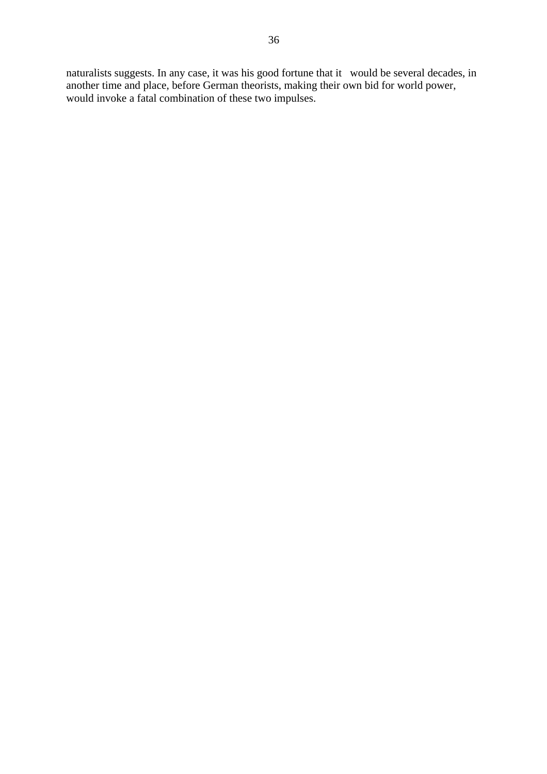naturalists suggests. In any case, it was his good fortune that it would be several decades, in another time and place, before German theorists, making their own bid for world power, would invoke a fatal combination of these two impulses.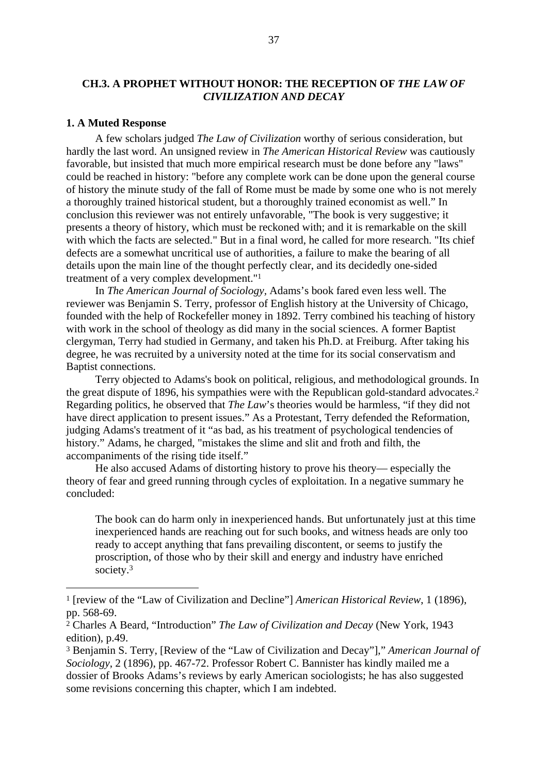## **CH.3. A PROPHET WITHOUT HONOR: THE RECEPTION OF** *THE LAW OF CIVILIZATION AND DECAY*

#### **1. A Muted Response**

A few scholars judged *The Law of Civilization* worthy of serious consideration, but hardly the last word. An unsigned review in *The American Historical Review* was cautiously favorable, but insisted that much more empirical research must be done before any "laws" could be reached in history: "before any complete work can be done upon the general course of history the minute study of the fall of Rome must be made by some one who is not merely a thoroughly trained historical student, but a thoroughly trained economist as well." In conclusion this reviewer was not entirely unfavorable, "The book is very suggestive; it presents a theory of history, which must be reckoned with; and it is remarkable on the skill with which the facts are selected." But in a final word, he called for more research. "Its chief defects are a somewhat uncritical use of authorities, a failure to make the bearing of all details upon the main line of the thought perfectly clear, and its decidedly one-sided treatment of a very complex development."1

In *The American Journal of Sociology,* Adams's book fared even less well. The reviewer was Benjamin S. Terry, professor of English history at the University of Chicago, founded with the help of Rockefeller money in 1892. Terry combined his teaching of history with work in the school of theology as did many in the social sciences. A former Baptist clergyman, Terry had studied in Germany, and taken his Ph.D. at Freiburg. After taking his degree, he was recruited by a university noted at the time for its social conservatism and Baptist connections.

Terry objected to Adams's book on political, religious, and methodological grounds. In the great dispute of 1896, his sympathies were with the Republican gold-standard advocates.2 Regarding politics, he observed that *The Law*'s theories would be harmless, "if they did not have direct application to present issues." As a Protestant, Terry defended the Reformation, judging Adams's treatment of it "as bad, as his treatment of psychological tendencies of history." Adams, he charged, "mistakes the slime and slit and froth and filth, the accompaniments of the rising tide itself."

He also accused Adams of distorting history to prove his theory— especially the theory of fear and greed running through cycles of exploitation. In a negative summary he concluded:

The book can do harm only in inexperienced hands. But unfortunately just at this time inexperienced hands are reaching out for such books, and witness heads are only too ready to accept anything that fans prevailing discontent, or seems to justify the proscription, of those who by their skill and energy and industry have enriched society.3

<sup>1 [</sup>review of the "Law of Civilization and Decline"] *American Historical Review*, 1 (1896), pp. 568-69.

<sup>2</sup> Charles A Beard, "Introduction" *The Law of Civilization and Decay* (New York, 1943 edition), p.49.

<sup>3</sup> Benjamin S. Terry, [Review of the "Law of Civilization and Decay"]," *American Journal of Sociology*, 2 (1896), pp. 467-72. Professor Robert C. Bannister has kindly mailed me a dossier of Brooks Adams's reviews by early American sociologists; he has also suggested some revisions concerning this chapter, which I am indebted.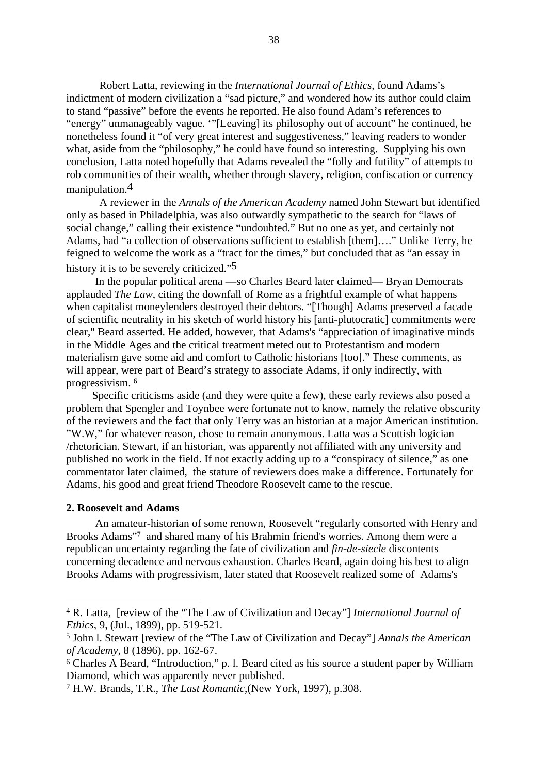Robert Latta, reviewing in the *International Journal of Ethics,* found Adams's indictment of modern civilization a "sad picture," and wondered how its author could claim to stand "passive" before the events he reported. He also found Adam's references to "energy" unmanageably vague. '"[Leaving] its philosophy out of account" he continued, he nonetheless found it "of very great interest and suggestiveness," leaving readers to wonder what, aside from the "philosophy," he could have found so interesting. Supplying his own conclusion, Latta noted hopefully that Adams revealed the "folly and futility" of attempts to rob communities of their wealth, whether through slavery, religion, confiscation or currency manipulation.4

A reviewer in the *Annals of the American Academy* named John Stewart but identified only as based in Philadelphia, was also outwardly sympathetic to the search for "laws of social change," calling their existence "undoubted." But no one as yet, and certainly not Adams, had "a collection of observations sufficient to establish [them]…." Unlike Terry, he feigned to welcome the work as a "tract for the times," but concluded that as "an essay in history it is to be severely criticized."<sup>5</sup>

In the popular political arena —so Charles Beard later claimed— Bryan Democrats applauded *The Law*, citing the downfall of Rome as a frightful example of what happens when capitalist moneylenders destroyed their debtors. "[Though] Adams preserved a facade of scientific neutrality in his sketch of world history his [anti-plutocratic] commitments were clear," Beard asserted. He added, however, that Adams's "appreciation of imaginative minds in the Middle Ages and the critical treatment meted out to Protestantism and modern materialism gave some aid and comfort to Catholic historians [too]." These comments, as will appear, were part of Beard's strategy to associate Adams, if only indirectly, with progressivism. <sup>6</sup>

Specific criticisms aside (and they were quite a few), these early reviews also posed a problem that Spengler and Toynbee were fortunate not to know, namely the relative obscurity of the reviewers and the fact that only Terry was an historian at a major American institution. "W.W," for whatever reason, chose to remain anonymous. Latta was a Scottish logician /rhetorician. Stewart, if an historian, was apparently not affiliated with any university and published no work in the field. If not exactly adding up to a "conspiracy of silence," as one commentator later claimed, the stature of reviewers does make a difference. Fortunately for Adams, his good and great friend Theodore Roosevelt came to the rescue.

#### **2. Roosevelt and Adams**

An amateur-historian of some renown, Roosevelt "regularly consorted with Henry and Brooks Adams"7 and shared many of his Brahmin friend's worries. Among them were a republican uncertainty regarding the fate of civilization and *fin-de-siecle* discontents concerning decadence and nervous exhaustion. Charles Beard, again doing his best to align Brooks Adams with progressivism, later stated that Roosevelt realized some of Adams's

<sup>4</sup> R. Latta, [review of the "The Law of Civilization and Decay"] *International Journal of Ethics*, 9, (Jul., 1899), pp. 519-521.

<sup>5</sup> John l. Stewart [review of the "The Law of Civilization and Decay"] *Annals the American of Academy*, 8 (1896), pp. 162-67.

<sup>6</sup> Charles A Beard, "Introduction," p. l. Beard cited as his source a student paper by William Diamond, which was apparently never published.

<sup>7</sup> H.W. Brands, T.R., *The Last Romantic*,(New York, 1997), p.308.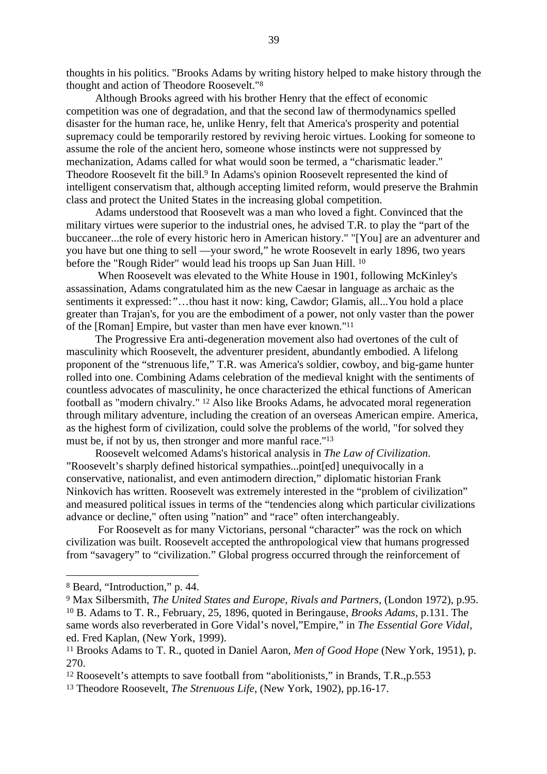thoughts in his politics. "Brooks Adams by writing history helped to make history through the thought and action of Theodore Roosevelt."8

Although Brooks agreed with his brother Henry that the effect of economic competition was one of degradation, and that the second law of thermodynamics spelled disaster for the human race, he, unlike Henry, felt that America's prosperity and potential supremacy could be temporarily restored by reviving heroic virtues. Looking for someone to assume the role of the ancient hero, someone whose instincts were not suppressed by mechanization, Adams called for what would soon be termed, a "charismatic leader." Theodore Roosevelt fit the bill.<sup>9</sup> In Adams's opinion Roosevelt represented the kind of intelligent conservatism that, although accepting limited reform, would preserve the Brahmin class and protect the United States in the increasing global competition.

Adams understood that Roosevelt was a man who loved a fight. Convinced that the military virtues were superior to the industrial ones, he advised T.R. to play the "part of the buccaneer...the role of every historic hero in American history." "[You] are an adventurer and you have but one thing to sell —your sword," he wrote Roosevelt in early 1896, two years before the "Rough Rider" would lead his troops up San Juan Hill. 10

 When Roosevelt was elevated to the White House in 1901, following McKinley's assassination, Adams congratulated him as the new Caesar in language as archaic as the sentiments it expressed:*"*…thou hast it now: king, Cawdor; Glamis, all...You hold a place greater than Trajan's, for you are the embodiment of a power, not only vaster than the power of the [Roman] Empire, but vaster than men have ever known."11

The Progressive Era anti-degeneration movement also had overtones of the cult of masculinity which Roosevelt, the adventurer president, abundantly embodied. A lifelong proponent of the "strenuous life," T.R. was America's soldier, cowboy, and big-game hunter rolled into one. Combining Adams celebration of the medieval knight with the sentiments of countless advocates of masculinity, he once characterized the ethical functions of American football as "modern chivalry." 12 Also like Brooks Adams, he advocated moral regeneration through military adventure, including the creation of an overseas American empire. America, as the highest form of civilization, could solve the problems of the world, "for solved they must be, if not by us, then stronger and more manful race."13

Roosevelt welcomed Adams's historical analysis in *The Law of Civilization*. "Roosevelt's sharply defined historical sympathies...point[ed] unequivocally in a conservative, nationalist, and even antimodern direction," diplomatic historian Frank Ninkovich has written. Roosevelt was extremely interested in the "problem of civilization" and measured political issues in terms of the "tendencies along which particular civilizations advance or decline," often using "nation" and "race" often interchangeably.

 For Roosevelt as for many Victorians, personal "character" was the rock on which civilization was built. Roosevelt accepted the anthropological view that humans progressed from "savagery" to "civilization." Global progress occurred through the reinforcement of

<sup>8</sup> Beard, "Introduction," p. 44.

<sup>9</sup> Max Silbersmith, *The United States and Europe, Rivals and Partners*, (London 1972), p.95. 10 B. Adams to T. R., February, 25, 1896, quoted in Beringause, *Brooks Adams,* p.131. The same words also reverberated in Gore Vidal's novel,"Empire," in *The Essential Gore Vidal*, ed. Fred Kaplan, (New York, 1999).

<sup>11</sup> Brooks Adams to T. R., quoted in Daniel Aaron, *Men of Good Hope* (New York, 1951), p. 270.

<sup>12</sup> Roosevelt's attempts to save football from "abolitionists," in Brands, T.R.,p.553

<sup>13</sup> Theodore Roosevelt, *The Strenuous Life*, (New York, 1902), pp.16-17.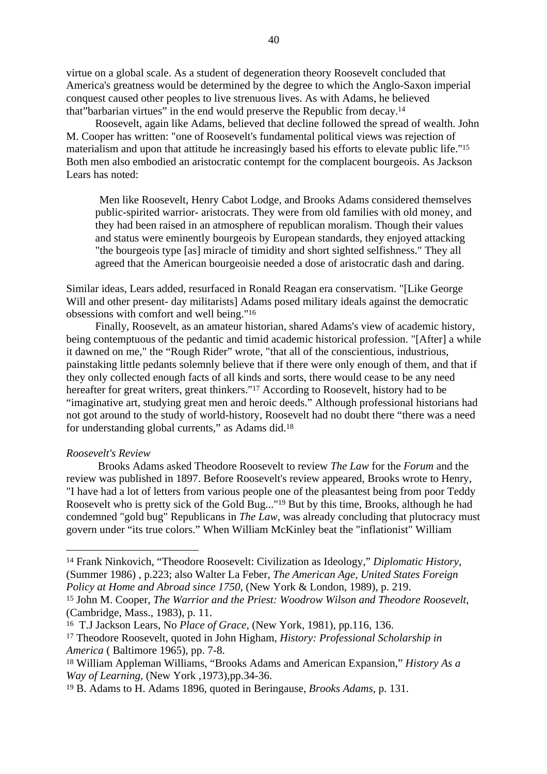virtue on a global scale. As a student of degeneration theory Roosevelt concluded that America's greatness would be determined by the degree to which the Anglo-Saxon imperial conquest caused other peoples to live strenuous lives. As with Adams, he believed that"barbarian virtues" in the end would preserve the Republic from decay.14

Roosevelt, again like Adams, believed that decline followed the spread of wealth. John M. Cooper has written: "one of Roosevelt's fundamental political views was rejection of materialism and upon that attitude he increasingly based his efforts to elevate public life."15 Both men also embodied an aristocratic contempt for the complacent bourgeois. As Jackson Lears has noted:

Men like Roosevelt, Henry Cabot Lodge, and Brooks Adams considered themselves public-spirited warrior- aristocrats. They were from old families with old money, and they had been raised in an atmosphere of republican moralism. Though their values and status were eminently bourgeois by European standards, they enjoyed attacking "the bourgeois type [as] miracle of timidity and short sighted selfishness." They all agreed that the American bourgeoisie needed a dose of aristocratic dash and daring.

Similar ideas, Lears added, resurfaced in Ronald Reagan era conservatism. "[Like George Will and other present- day militarists] Adams posed military ideals against the democratic obsessions with comfort and well being."16

Finally, Roosevelt, as an amateur historian, shared Adams's view of academic history, being contemptuous of the pedantic and timid academic historical profession. "[After] a while it dawned on me," the "Rough Rider" wrote, "that all of the conscientious, industrious, painstaking little pedants solemnly believe that if there were only enough of them, and that if they only collected enough facts of all kinds and sorts, there would cease to be any need hereafter for great writers, great thinkers."17 According to Roosevelt, history had to be "imaginative art, studying great men and heroic deeds." Although professional historians had not got around to the study of world-history, Roosevelt had no doubt there "there was a need for understanding global currents," as Adams did.18

#### *Roosevelt's Review*

 Brooks Adams asked Theodore Roosevelt to review *The Law* for the *Forum* and the review was published in 1897. Before Roosevelt's review appeared, Brooks wrote to Henry, "I have had a lot of letters from various people one of the pleasantest being from poor Teddy Roosevelt who is pretty sick of the Gold Bug..."19 But by this time, Brooks, although he had condemned "gold bug" Republicans in *The Law*, was already concluding that plutocracy must govern under "its true colors." When William McKinley beat the "inflationist" William

<sup>14</sup> Frank Ninkovich, "Theodore Roosevelt: Civilization as Ideology," *Diplomatic History*, (Summer 1986) , p.223; also Walter La Feber, *The American Age, United States Foreign Policy at Home and Abroad since 1750*, (New York & London, 1989), p. 219.

<sup>15</sup> John M. Cooper, *The Warrior and the Priest: Woodrow Wilson and Theodore Roosevelt*, (Cambridge, Mass., 1983), p. 11.

<sup>16</sup> T.J Jackson Lears, No *Place of Grace,* (New York, 1981), pp.116, 136.

<sup>17</sup> Theodore Roosevelt, quoted in John Higham, *History: Professional Scholarship in America* ( Baltimore 1965), pp. 7-8.

<sup>18</sup> William Appleman Williams, "Brooks Adams and American Expansion," *History As a Way of Learning,* (New York ,1973),pp.34-36.

<sup>19</sup> B. Adams to H. Adams 1896, quoted in Beringause, *Brooks Adams,* p. 131.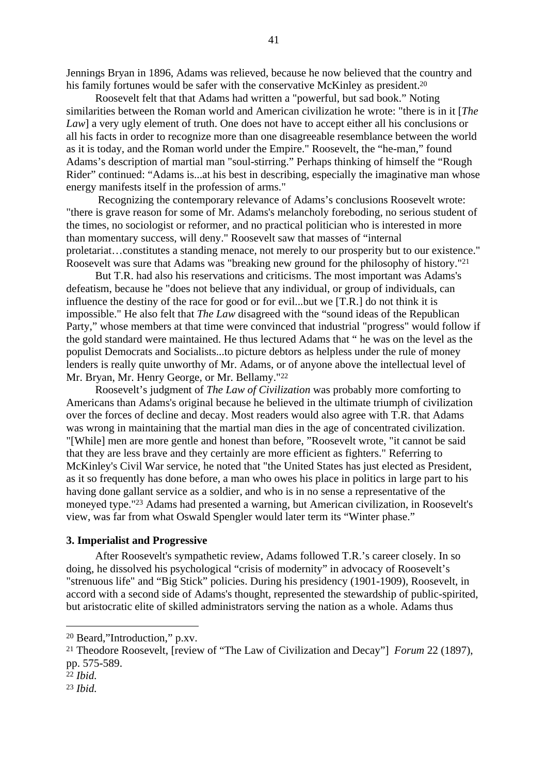Jennings Bryan in 1896, Adams was relieved, because he now believed that the country and his family fortunes would be safer with the conservative McKinley as president.<sup>20</sup>

Roosevelt felt that that Adams had written a "powerful, but sad book." Noting similarities between the Roman world and American civilization he wrote: "there is in it [*The Law*] a very ugly element of truth. One does not have to accept either all his conclusions or all his facts in order to recognize more than one disagreeable resemblance between the world as it is today, and the Roman world under the Empire." Roosevelt, the "he-man," found Adams's description of martial man "soul-stirring." Perhaps thinking of himself the "Rough Rider" continued: "Adams is...at his best in describing, especially the imaginative man whose energy manifests itself in the profession of arms."

 Recognizing the contemporary relevance of Adams's conclusions Roosevelt wrote: "there is grave reason for some of Mr. Adams's melancholy foreboding, no serious student of the times, no sociologist or reformer, and no practical politician who is interested in more than momentary success, will deny." Roosevelt saw that masses of "internal proletariat…constitutes a standing menace, not merely to our prosperity but to our existence." Roosevelt was sure that Adams was "breaking new ground for the philosophy of history."21

But T.R. had also his reservations and criticisms. The most important was Adams's defeatism, because he "does not believe that any individual, or group of individuals, can influence the destiny of the race for good or for evil...but we [T.R.] do not think it is impossible." He also felt that *The Law* disagreed with the "sound ideas of the Republican Party," whose members at that time were convinced that industrial "progress" would follow if the gold standard were maintained. He thus lectured Adams that " he was on the level as the populist Democrats and Socialists...to picture debtors as helpless under the rule of money lenders is really quite unworthy of Mr. Adams, or of anyone above the intellectual level of Mr. Bryan, Mr. Henry George, or Mr. Bellamy."22

Roosevelt's judgment of *The Law of Civilization* was probably more comforting to Americans than Adams's original because he believed in the ultimate triumph of civilization over the forces of decline and decay. Most readers would also agree with T.R. that Adams was wrong in maintaining that the martial man dies in the age of concentrated civilization. "[While] men are more gentle and honest than before, "Roosevelt wrote, "it cannot be said that they are less brave and they certainly are more efficient as fighters." Referring to McKinley's Civil War service, he noted that "the United States has just elected as President, as it so frequently has done before, a man who owes his place in politics in large part to his having done gallant service as a soldier, and who is in no sense a representative of the moneyed type."23 Adams had presented a warning, but American civilization, in Roosevelt's view, was far from what Oswald Spengler would later term its "Winter phase."

### **3. Imperialist and Progressive**

After Roosevelt's sympathetic review, Adams followed T.R.'s career closely. In so doing, he dissolved his psychological "crisis of modernity" in advocacy of Roosevelt's "strenuous life" and "Big Stick" policies. During his presidency (1901-1909), Roosevelt, in accord with a second side of Adams's thought, represented the stewardship of public-spirited, but aristocratic elite of skilled administrators serving the nation as a whole. Adams thus

<sup>20</sup> Beard,"Introduction," p.xv.

<sup>21</sup> Theodore Roosevelt, [review of "The Law of Civilization and Decay"] *Forum* 22 (1897), pp. 575-589.

<sup>22</sup> *Ibid.*

<sup>23</sup> *Ibid.*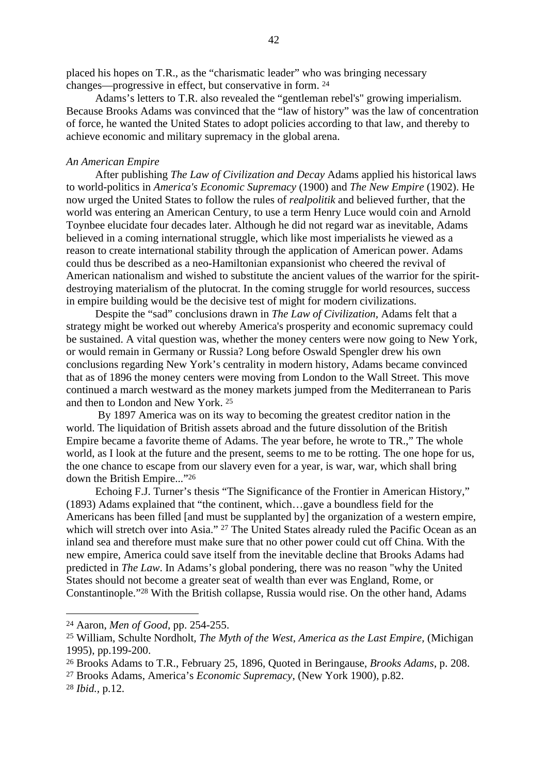placed his hopes on T.R., as the "charismatic leader" who was bringing necessary changes—progressive in effect, but conservative in form. 24

Adams's letters to T.R. also revealed the "gentleman rebel's" growing imperialism. Because Brooks Adams was convinced that the "law of history" was the law of concentration of force, he wanted the United States to adopt policies according to that law, and thereby to achieve economic and military supremacy in the global arena.

#### *An American Empire*

After publishing *The Law of Civilization and Decay* Adams applied his historical laws to world-politics in *America's Economic Supremacy* (1900) and *The New Empire* (1902). He now urged the United States to follow the rules of *realpolitik* and believed further, that the world was entering an American Century, to use a term Henry Luce would coin and Arnold Toynbee elucidate four decades later. Although he did not regard war as inevitable, Adams believed in a coming international struggle, which like most imperialists he viewed as a reason to create international stability through the application of American power. Adams could thus be described as a neo-Hamiltonian expansionist who cheered the revival of American nationalism and wished to substitute the ancient values of the warrior for the spiritdestroying materialism of the plutocrat. In the coming struggle for world resources, success in empire building would be the decisive test of might for modern civilizations.

Despite the "sad" conclusions drawn in *The Law of Civilization,* Adams felt that a strategy might be worked out whereby America's prosperity and economic supremacy could be sustained. A vital question was, whether the money centers were now going to New York, or would remain in Germany or Russia? Long before Oswald Spengler drew his own conclusions regarding New York's centrality in modern history, Adams became convinced that as of 1896 the money centers were moving from London to the Wall Street. This move continued a march westward as the money markets jumped from the Mediterranean to Paris and then to London and New York. 25

 By 1897 America was on its way to becoming the greatest creditor nation in the world. The liquidation of British assets abroad and the future dissolution of the British Empire became a favorite theme of Adams. The year before, he wrote to TR.," The whole world, as I look at the future and the present, seems to me to be rotting. The one hope for us, the one chance to escape from our slavery even for a year, is war, war, which shall bring down the British Empire..."26

Echoing F.J. Turner's thesis "The Significance of the Frontier in American History," (1893) Adams explained that "the continent, which…gave a boundless field for the Americans has been filled [and must be supplanted by] the organization of a western empire, which will stretch over into Asia." <sup>27</sup> The United States already ruled the Pacific Ocean as an inland sea and therefore must make sure that no other power could cut off China. With the new empire, America could save itself from the inevitable decline that Brooks Adams had predicted in *The Law*. In Adams's global pondering, there was no reason "why the United States should not become a greater seat of wealth than ever was England, Rome, or Constantinople."28 With the British collapse, Russia would rise. On the other hand, Adams

27 Brooks Adams, America's *Economic Supremacy*, (New York 1900), p.82.

<sup>28</sup> *Ibid.,* p.12.

<sup>24</sup> Aaron, *Men of Good,* pp. 254-255.

<sup>25</sup> William, Schulte Nordholt*, The Myth of the West, America as the Last Empire,* (Michigan 1995), pp.199-200.

<sup>26</sup> Brooks Adams to T.R., February 25, 1896, Quoted in Beringause, *Brooks Adams*, p. 208.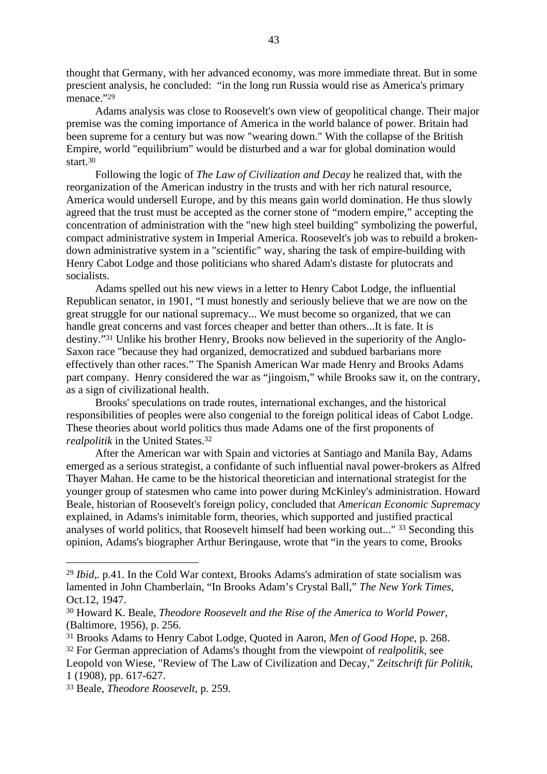thought that Germany, with her advanced economy, was more immediate threat. But in some prescient analysis, he concluded: "in the long run Russia would rise as America's primary menace."29

Adams analysis was close to Roosevelt's own view of geopolitical change. Their major premise was the coming importance of America in the world balance of power. Britain had been supreme for a century but was now "wearing down." With the collapse of the British Empire, world "equilibrium" would be disturbed and a war for global domination would start.30

Following the logic of *The Law of Civilization and Decay* he realized that, with the reorganization of the American industry in the trusts and with her rich natural resource, America would undersell Europe, and by this means gain world domination. He thus slowly agreed that the trust must be accepted as the corner stone of "modern empire," accepting the concentration of administration with the "new high steel building" symbolizing the powerful, compact administrative system in Imperial America. Roosevelt's job was to rebuild a brokendown administrative system in a "*s*cientific" way, sharing the task of empire-building with Henry Cabot Lodge and those politicians who shared Adam's distaste for plutocrats and socialists.

Adams spelled out his new views in a letter to Henry Cabot Lodge, the influential Republican senator, in 1901, "I must honestly and seriously believe that we are now on the great struggle for our national supremacy... We must become so organized, that we can handle great concerns and vast forces cheaper and better than others...It is fate. It is destiny."31 Unlike his brother Henry, Brooks now believed in the superiority of the Anglo-Saxon race "because they had organized, democratized and subdued barbarians more effectively than other races." The Spanish American War made Henry and Brooks Adams part company. Henry considered the war as "jingoism," while Brooks saw it, on the contrary, as a sign of civilizational health.

Brooks' speculations on trade routes, international exchanges, and the historical responsibilities of peoples were also congenial to the foreign political ideas of Cabot Lodge. These theories about world politics thus made Adams one of the first proponents of *realpolitik* in the United States.32

After the American war with Spain and victories at Santiago and Manila Bay, Adams emerged as a serious strategist, a confidante of such influential naval power-brokers as Alfred Thayer Mahan. He came to be the historical theoretician and international strategist for the younger group of statesmen who came into power during McKinley's administration. Howard Beale, historian of Roosevelt's foreign policy, concluded that *American Economic Supremacy* explained, in Adams's inimitable form, theories, which supported and justified practical analyses of world politics, that Roosevelt himself had been working out..." 33 Seconding this opinion, Adams's biographer Arthur Beringause, wrote that "in the years to come, Brooks

<sup>29</sup> *Ibid,.* p.41. In the Cold War context, Brooks Adams's admiration of state socialism was lamented in John Chamberlain, "In Brooks Adam's Crystal Ball," *The New York Times,* Oct.12, 1947.

<sup>30</sup> Howard K. Beale, *Theodore Roosevelt and the Rise of the America to World Power,* (Baltimore, 1956), p. 256.

<sup>31</sup> Brooks Adams to Henry Cabot Lodge, Quoted in Aaron, *Men of Good Hope*, p. 268.

<sup>32</sup> For German appreciation of Adams's thought from the viewpoint of *realpolitik*, see Leopold von Wiese, "Review of The Law of Civilization and Decay," *Zeitschrift für Politik*, 1 (1908), pp. 617-627.

<sup>33</sup> Beale, *Theodore Roosevelt*, p. 259.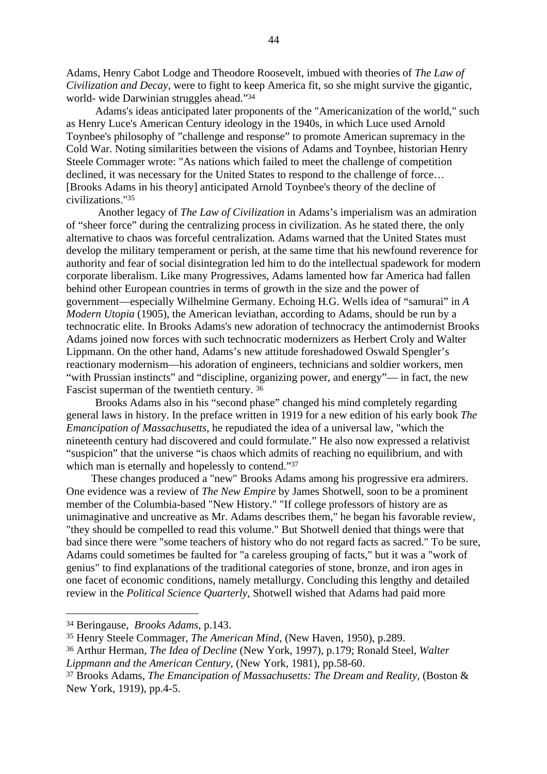Adams, Henry Cabot Lodge and Theodore Roosevelt, imbued with theories of *The Law of Civilization and Decay*, were to fight to keep America fit, so she might survive the gigantic, world- wide Darwinian struggles ahead."34

Adams's ideas anticipated later proponents of the "Americanization of the world," such as Henry Luce's American Century ideology in the 1940s, in which Luce used Arnold Toynbee's philosophy of "challenge and response" to promote American supremacy in the Cold War. Noting similarities between the visions of Adams and Toynbee, historian Henry Steele Commager wrote: "As nations which failed to meet the challenge of competition declined, it was necessary for the United States to respond to the challenge of force… [Brooks Adams in his theory] anticipated Arnold Toynbee's theory of the decline of civilizations."35

 Another legacy of *The Law of Civilization* in Adams's imperialism was an admiration of "sheer force" during the centralizing process in civilization. As he stated there, the only alternative to chaos was forceful centralization*.* Adams warned that the United States must develop the military temperament or perish, at the same time that his newfound reverence for authority and fear of social disintegration led him to do the intellectual spadework for modern corporate liberalism. Like many Progressives, Adams lamented how far America had fallen behind other European countries in terms of growth in the size and the power of government—especially Wilhelmine Germany. Echoing H.G. Wells idea of "samurai" in *A Modern Utopia* (1905), the American leviathan, according to Adams, should be run by a technocratic elite. In Brooks Adams's new adoration of technocracy the antimodernist Brooks Adams joined now forces with such technocratic modernizers as Herbert Croly and Walter Lippmann. On the other hand, Adams's new attitude foreshadowed Oswald Spengler's reactionary modernism—his adoration of engineers, technicians and soldier workers, men "with Prussian instincts" and "discipline, organizing power, and energy"— in fact, the new Fascist superman of the twentieth century. 36

Brooks Adams also in his "second phase" changed his mind completely regarding general laws in history. In the preface written in 1919 for a new edition of his early book *The Emancipation of Massachusetts*, he repudiated the idea of a universal law, "which the nineteenth century had discovered and could formulate." He also now expressed a relativist "suspicion" that the universe "is chaos which admits of reaching no equilibrium, and with which man is eternally and hopelessly to contend."<sup>37</sup>

These changes produced a "new" Brooks Adams among his progressive era admirers. One evidence was a review of *The New Empire* by James Shotwell, soon to be a prominent member of the Columbia-based "New History." "If college professors of history are as unimaginative and uncreative as Mr. Adams describes them," he began his favorable review, "they should be compelled to read this volume." But Shotwell denied that things were that bad since there were "some teachers of history who do not regard facts as sacred." To be sure, Adams could sometimes be faulted for "a careless grouping of facts," but it was a "work of genius" to find explanations of the traditional categories of stone, bronze, and iron ages in one facet of economic conditions, namely metallurgy. Concluding this lengthy and detailed review in the *Political Science Quarterly*, Shotwell wished that Adams had paid more

36 Arthur Herman, *The Idea of Decline* (New York, 1997), p.179; Ronald Steel, *Walter Lippmann and the American Century*, (New York, 1981), pp.58-60.

<sup>34</sup> Beringause, *Brooks Adams*, p.143.

<sup>35</sup> Henry Steele Commager, *The American Mind*, (New Haven, 1950), p.289.

<sup>37</sup> Brooks Adams, *The Emancipation of Massachusetts: The Dream and Reality,* (Boston & New York, 1919), pp.4-5.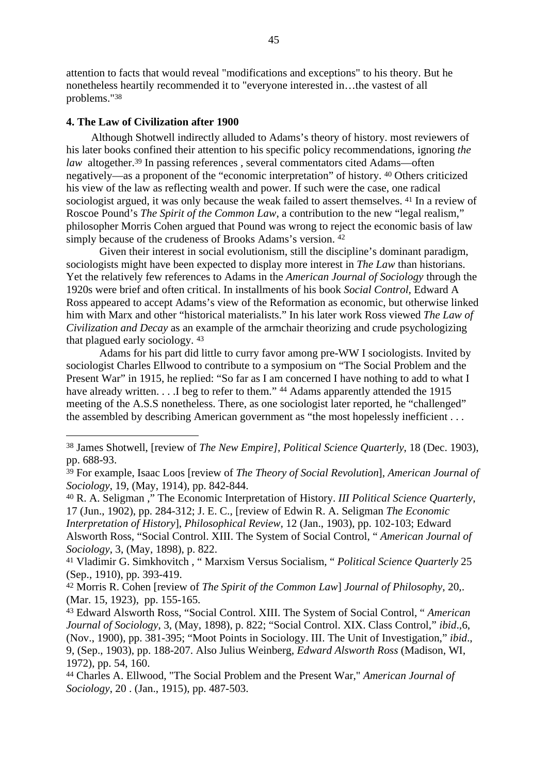attention to facts that would reveal "modifications and exceptions" to his theory. But he nonetheless heartily recommended it to "everyone interested in…the vastest of all problems."38

### **4. The Law of Civilization after 1900**

Although Shotwell indirectly alluded to Adams's theory of history. most reviewers of his later books confined their attention to his specific policy recommendations, ignoring *the law* altogether.<sup>39</sup> In passing references, several commentators cited Adams—often negatively—as a proponent of the "economic interpretation" of history. 40 Others criticized his view of the law as reflecting wealth and power. If such were the case, one radical sociologist argued, it was only because the weak failed to assert themselves. 41 In a review of Roscoe Pound's *The Spirit of the Common Law*, a contribution to the new "legal realism," philosopher Morris Cohen argued that Pound was wrong to reject the economic basis of law simply because of the crudeness of Brooks Adams's version. <sup>42</sup>

Given their interest in social evolutionism, still the discipline's dominant paradigm, sociologists might have been expected to display more interest in *The Law* than historians. Yet the relatively few references to Adams in the *American Journal of Sociology* through the 1920s were brief and often critical. In installments of his book *Social Control*, Edward A Ross appeared to accept Adams's view of the Reformation as economic, but otherwise linked him with Marx and other "historical materialists." In his later work Ross viewed *The Law of Civilization and Decay* as an example of the armchair theorizing and crude psychologizing that plagued early sociology. 43

Adams for his part did little to curry favor among pre-WW I sociologists. Invited by sociologist Charles Ellwood to contribute to a symposium on "The Social Problem and the Present War" in 1915, he replied: "So far as I am concerned I have nothing to add to what I have already written. . . .I beg to refer to them." <sup>44</sup> Adams apparently attended the 1915 meeting of the A.S.S nonetheless. There, as one sociologist later reported, he "challenged" the assembled by describing American government as "the most hopelessly inefficient . . .

<sup>38</sup> James Shotwell, [review of *The New Empire], Political Science Quarterly*, 18 (Dec. 1903), pp. 688-93.

<sup>39</sup> For example, Isaac Loos [review of *The Theory of Social Revolution*], *American Journal of Sociology*, 19, (May, 1914), pp. 842-844.

<sup>40</sup> R. A. Seligman ," The Economic Interpretation of History. *III Political Science Quarterly*, 17 (Jun., 1902), pp. 284-312; J. E. C., [review of Edwin R. A. Seligman *The Economic Interpretation of History*], *Philosophical Review,* 12 (Jan., 1903), pp. 102-103; Edward Alsworth Ross, "Social Control. XIII. The System of Social Control, " *American Journal of Sociology*, 3, (May, 1898), p. 822.

<sup>41</sup> Vladimir G. Simkhovitch , " Marxism Versus Socialism, " *Political Science Quarterly* 25 (Sep., 1910), pp. 393-419.

<sup>42</sup> Morris R. Cohen [review of *The Spirit of the Common Law*] *Journal of Philosophy*, 20,. (Mar. 15, 1923), pp. 155-165.

<sup>43</sup> Edward Alsworth Ross, "Social Control. XIII. The System of Social Control, " *American Journal of Sociology*, 3, (May, 1898), p. 822; "Social Control. XIX. Class Control," *ibid*.,6, (Nov., 1900), pp. 381-395; "Moot Points in Sociology. III. The Unit of Investigation," *ibid*., 9, (Sep., 1903), pp. 188-207. Also Julius Weinberg, *Edward Alsworth Ross* (Madison, WI, 1972), pp. 54, 160.

<sup>44</sup> Charles A. Ellwood, "The Social Problem and the Present War," *American Journal of Sociology*, 20 . (Jan., 1915), pp. 487-503.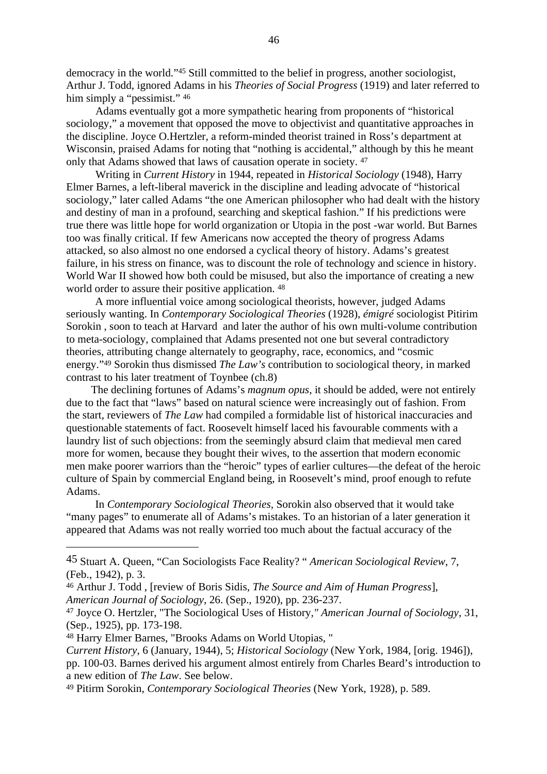democracy in the world."45 Still committed to the belief in progress, another sociologist, Arthur J. Todd, ignored Adams in his *Theories of Social Progress* (1919) and later referred to him simply a "pessimist."  $46$ 

Adams eventually got a more sympathetic hearing from proponents of "historical sociology," a movement that opposed the move to objectivist and quantitative approaches in the discipline. Joyce O.Hertzler, a reform-minded theorist trained in Ross's department at Wisconsin, praised Adams for noting that "nothing is accidental," although by this he meant only that Adams showed that laws of causation operate in society. 47

Writing in *Current History* in 1944, repeated in *Historical Sociology* (1948), Harry Elmer Barnes, a left-liberal maverick in the discipline and leading advocate of "historical sociology," later called Adams "the one American philosopher who had dealt with the history and destiny of man in a profound, searching and skeptical fashion." If his predictions were true there was little hope for world organization or Utopia in the post -war world. But Barnes too was finally critical. If few Americans now accepted the theory of progress Adams attacked, so also almost no one endorsed a cyclical theory of history. Adams's greatest failure, in his stress on finance, was to discount the role of technology and science in history. World War II showed how both could be misused, but also the importance of creating a new world order to assure their positive application.  $48$ 

A more influential voice among sociological theorists, however, judged Adams seriously wanting. In *Contemporary Sociological Theories* (1928), *émigré* sociologist Pitirim Sorokin , soon to teach at Harvard and later the author of his own multi-volume contribution to meta-sociology, complained that Adams presented not one but several contradictory theories, attributing change alternately to geography, race, economics, and "cosmic energy."49 Sorokin thus dismissed *The Law's* contribution to sociological theory, in marked contrast to his later treatment of Toynbee (ch.8)

The declining fortunes of Adams's *magnum opus*, it should be added, were not entirely due to the fact that "laws" based on natural science were increasingly out of fashion. From the start, reviewers of *The Law* had compiled a formidable list of historical inaccuracies and questionable statements of fact. Roosevelt himself laced his favourable comments with a laundry list of such objections: from the seemingly absurd claim that medieval men cared more for women, because they bought their wives, to the assertion that modern economic men make poorer warriors than the "heroic" types of earlier cultures—the defeat of the heroic culture of Spain by commercial England being, in Roosevelt's mind, proof enough to refute Adams.

In *Contemporary Sociological Theories,* Sorokin also observed that it would take "many pages" to enumerate all of Adams's mistakes. To an historian of a later generation it appeared that Adams was not really worried too much about the factual accuracy of the

48 Harry Elmer Barnes, "Brooks Adams on World Utopias, "

<sup>45</sup> Stuart A. Queen, "Can Sociologists Face Reality? " *American Sociological Review*, 7, (Feb., 1942), p. 3.

<sup>46</sup> Arthur J. Todd , [review of Boris Sidis, *The Source and Aim of Human Progress*], *American Journal of Sociology*, 26. (Sep., 1920), pp. 236-237.

<sup>47</sup> Joyce O. Hertzler, "The Sociological Uses of History*," American Journal of Sociology*, 31, (Sep., 1925), pp. 173-198.

*Current History,* 6 (January, 1944), 5; *Historical Sociology* (New York, 1984, [orig. 1946]), pp. 100-03. Barnes derived his argument almost entirely from Charles Beard's introduction to a new edition of *The Law*. See below.

<sup>49</sup> Pitirm Sorokin, *Contemporary Sociological Theories* (New York, 1928), p. 589.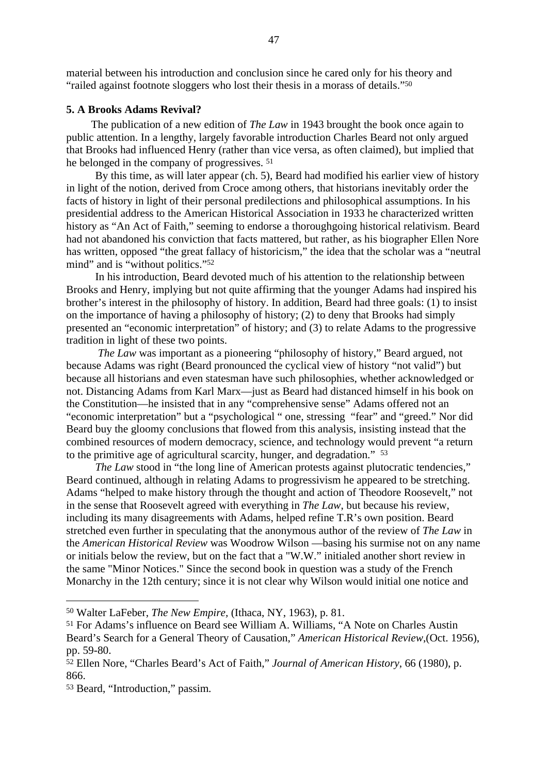material between his introduction and conclusion since he cared only for his theory and "railed against footnote sloggers who lost their thesis in a morass of details."50

### **5. A Brooks Adams Revival?**

The publication of a new edition of *The Law* in 1943 brought the book once again to public attention. In a lengthy, largely favorable introduction Charles Beard not only argued that Brooks had influenced Henry (rather than vice versa, as often claimed), but implied that he belonged in the company of progressives. 51

By this time, as will later appear (ch. 5), Beard had modified his earlier view of history in light of the notion, derived from Croce among others, that historians inevitably order the facts of history in light of their personal predilections and philosophical assumptions. In his presidential address to the American Historical Association in 1933 he characterized written history as "An Act of Faith," seeming to endorse a thoroughgoing historical relativism. Beard had not abandoned his conviction that facts mattered, but rather, as his biographer Ellen Nore has written, opposed "the great fallacy of historicism," the idea that the scholar was a "neutral mind" and is "without politics."52

In his introduction, Beard devoted much of his attention to the relationship between Brooks and Henry, implying but not quite affirming that the younger Adams had inspired his brother's interest in the philosophy of history. In addition, Beard had three goals: (1) to insist on the importance of having a philosophy of history; (2) to deny that Brooks had simply presented an "economic interpretation" of history; and (3) to relate Adams to the progressive tradition in light of these two points.

*The Law* was important as a pioneering "philosophy of history," Beard argued, not because Adams was right (Beard pronounced the cyclical view of history "not valid") but because all historians and even statesman have such philosophies, whether acknowledged or not. Distancing Adams from Karl Marx—just as Beard had distanced himself in his book on the Constitution—he insisted that in any "comprehensive sense" Adams offered not an "economic interpretation" but a "psychological " one, stressing "fear" and "greed." Nor did Beard buy the gloomy conclusions that flowed from this analysis, insisting instead that the combined resources of modern democracy, science, and technology would prevent "a return to the primitive age of agricultural scarcity, hunger, and degradation." <sup>53</sup>

*The Law* stood in "the long line of American protests against plutocratic tendencies," Beard continued, although in relating Adams to progressivism he appeared to be stretching. Adams "helped to make history through the thought and action of Theodore Roosevelt," not in the sense that Roosevelt agreed with everything in *The Law*, but because his review, including its many disagreements with Adams, helped refine T.R's own position. Beard stretched even further in speculating that the anonymous author of the review of *The Law* in the *American Historical Review* was Woodrow Wilson —basing his surmise not on any name or initials below the review, but on the fact that a "W.W." initialed another short review in the same "Minor Notices." Since the second book in question was a study of the French Monarchy in the 12th century; since it is not clear why Wilson would initial one notice and

<sup>50</sup> Walter LaFeber, *The New Empire,* (Ithaca, NY, 1963), p. 81.

<sup>51</sup> For Adams's influence on Beard see William A. Williams, "A Note on Charles Austin Beard's Search for a General Theory of Causation," *American Historical Review*,(Oct. 1956), pp. 59-80.

<sup>52</sup> Ellen Nore, "Charles Beard's Act of Faith," *Journal of American History*, 66 (1980), p. 866.

<sup>53</sup> Beard, "Introduction," passim*.*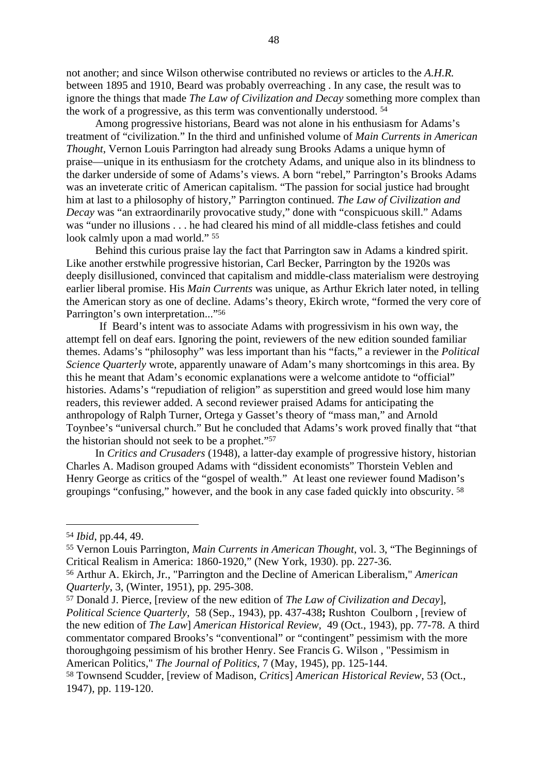not another; and since Wilson otherwise contributed no reviews or articles to the *A.H.R.* between 1895 and 1910, Beard was probably overreaching . In any case, the result was to ignore the things that made *The Law of Civilization and Decay* something more complex than the work of a progressive, as this term was conventionally understood. 54

Among progressive historians, Beard was not alone in his enthusiasm for Adams's treatment of "civilization." In the third and unfinished volume of *Main Currents in American Thought*, Vernon Louis Parrington had already sung Brooks Adams a unique hymn of praise—unique in its enthusiasm for the crotchety Adams, and unique also in its blindness to the darker underside of some of Adams's views. A born "rebel," Parrington's Brooks Adams was an inveterate critic of American capitalism. "The passion for social justice had brought him at last to a philosophy of history," Parrington continued. *The Law of Civilization and Decay* was "an extraordinarily provocative study," done with "conspicuous skill." Adams was "under no illusions . . . he had cleared his mind of all middle-class fetishes and could look calmly upon a mad world." 55

Behind this curious praise lay the fact that Parrington saw in Adams a kindred spirit. Like another erstwhile progressive historian, Carl Becker, Parrington by the 1920s was deeply disillusioned, convinced that capitalism and middle-class materialism were destroying earlier liberal promise. His *Main Currents* was unique, as Arthur Ekrich later noted, in telling the American story as one of decline. Adams's theory, Ekirch wrote, "formed the very core of Parrington's own interpretation..."56

If Beard's intent was to associate Adams with progressivism in his own way, the attempt fell on deaf ears. Ignoring the point, reviewers of the new edition sounded familiar themes. Adams's "philosophy" was less important than his "facts," a reviewer in the *Political Science Quarterly* wrote, apparently unaware of Adam's many shortcomings in this area. By this he meant that Adam's economic explanations were a welcome antidote to "official" histories. Adams's "repudiation of religion" as superstition and greed would lose him many readers, this reviewer added. A second reviewer praised Adams for anticipating the anthropology of Ralph Turner, Ortega y Gasset's theory of "mass man," and Arnold Toynbee's "universal church." But he concluded that Adams's work proved finally that "that the historian should not seek to be a prophet."57

In *Critics and Crusaders* (1948), a latter-day example of progressive history, historian Charles A. Madison grouped Adams with "dissident economists" Thorstein Veblen and Henry George as critics of the "gospel of wealth." At least one reviewer found Madison's groupings "confusing," however, and the book in any case faded quickly into obscurity. 58

57 Donald J. Pierce, [review of the new edition of *The Law of Civilization and Decay*], *Political Science Quarterly*, 58 (Sep., 1943), pp. 437-438**;** Rushton Coulborn , [review of the new edition of *The Law*] *American Historical Review,* 49 (Oct., 1943), pp. 77-78. A third commentator compared Brooks's "conventional" or "contingent" pessimism with the more thoroughgoing pessimism of his brother Henry. See Francis G. Wilson , "Pessimism in American Politics," *The Journal of Politics*, 7 (May, 1945), pp. 125-144.

<sup>54</sup> *Ibid*, pp.44, 49.

<sup>55</sup> Vernon Louis Parrington, *Main Currents in American Thought*, vol. 3, "The Beginnings of Critical Realism in America: 1860-1920," (New York, 1930). pp. 227-36.

<sup>56</sup> Arthur A. Ekirch, Jr., "Parrington and the Decline of American Liberalism," *American Quarterly*, 3, (Winter, 1951), pp. 295-308.

<sup>58</sup> Townsend Scudder, [review of Madison, *Critic*s] *American Historical Review*, 53 (Oct., 1947), pp. 119-120.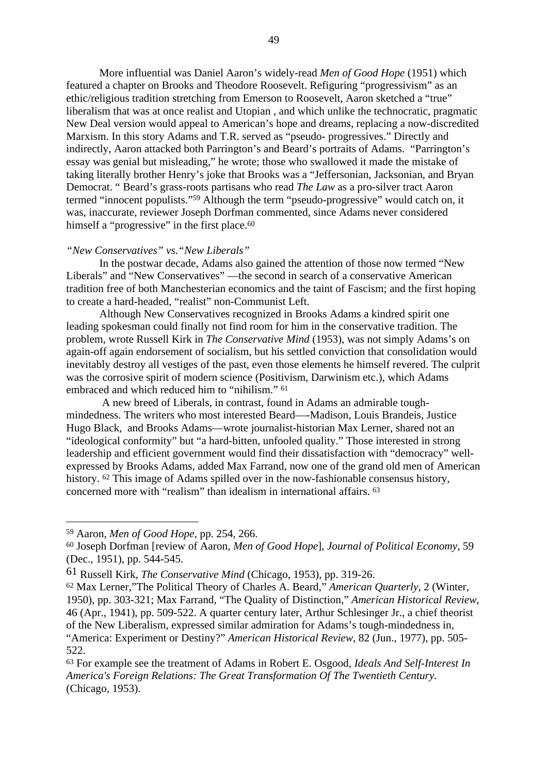More influential was Daniel Aaron's widely-read *Men of Good Hope* (1951) which featured a chapter on Brooks and Theodore Roosevelt. Refiguring "progressivism" as an ethic/religious tradition stretching from Emerson to Roosevelt, Aaron sketched a "true" liberalism that was at once realist and Utopian , and which unlike the technocratic, pragmatic New Deal version would appeal to American's hope and dreams, replacing a now-discredited Marxism. In this story Adams and T.R. served as "pseudo- progressives." Directly and indirectly, Aaron attacked both Parrington's and Beard's portraits of Adams. "Parrington's essay was genial but misleading," he wrote; those who swallowed it made the mistake of taking literally brother Henry's joke that Brooks was a "Jeffersonian, Jacksonian, and Bryan Democrat. " Beard's grass-roots partisans who read *The Law* as a pro-silver tract Aaron termed "innocent populists."59 Although the term "pseudo-progressive" would catch on, it was, inaccurate, reviewer Joseph Dorfman commented, since Adams never considered himself a "progressive" in the first place.<sup>60</sup>

# *"New Conservatives" vs."New Liberals"*

In the postwar decade, Adams also gained the attention of those now termed "New Liberals" and "New Conservatives" —the second in search of a conservative American tradition free of both Manchesterian economics and the taint of Fascism; and the first hoping to create a hard-headed, "realist" non-Communist Left.

Although New Conservatives recognized in Brooks Adams a kindred spirit one leading spokesman could finally not find room for him in the conservative tradition. The problem, wrote Russell Kirk in *The Conservative Mind* (1953), was not simply Adams's on again-off again endorsement of socialism, but his settled conviction that consolidation would inevitably destroy all vestiges of the past, even those elements he himself revered. The culprit was the corrosive spirit of modern science (Positivism, Darwinism etc.), which Adams embraced and which reduced him to "nihilism." 61

 A new breed of Liberals, in contrast, found in Adams an admirable toughmindedness. The writers who most interested Beard—-Madison, Louis Brandeis, Justice Hugo Black, and Brooks Adams—wrote journalist-historian Max Lerner, shared not an "ideological conformity" but "a hard-bitten, unfooled quality." Those interested in strong leadership and efficient government would find their dissatisfaction with "democracy" wellexpressed by Brooks Adams, added Max Farrand, now one of the grand old men of American history. <sup>62</sup> This image of Adams spilled over in the now-fashionable consensus history, concerned more with "realism" than idealism in international affairs. 63

<sup>59</sup> Aaron, *Men of Good Hope*, pp. 254, 266.

<sup>60</sup> Joseph Dorfman [review of Aaron, *Men of Good Hope*], *Journal of Political Economy*, 59 (Dec., 1951), pp. 544-545.

<sup>61</sup> Russell Kirk, *The Conservative Mind* (Chicago, 1953), pp. 319-26.

<sup>62</sup> Max Lerner,"The Political Theory of Charles A. Beard," *American Quarterly,* 2 (Winter, 1950), pp. 303-321; Max Farrand, "The Quality of Distinction," *American Historical Review*, 46 (Apr., 1941), pp. 509-522. A quarter century later, Arthur Schlesinger Jr., a chief theorist of the New Liberalism, expressed similar admiration for Adams's tough-mindedness in, "America: Experiment or Destiny?" *American Historical Review*, 82 (Jun., 1977), pp. 505- 522.

<sup>63</sup> For example see the treatment of Adams in Robert E. Osgood, *Ideals And Self-Interest In America's Foreign Relations: The Great Transformation Of The Twentieth Century.* (Chicago, 1953).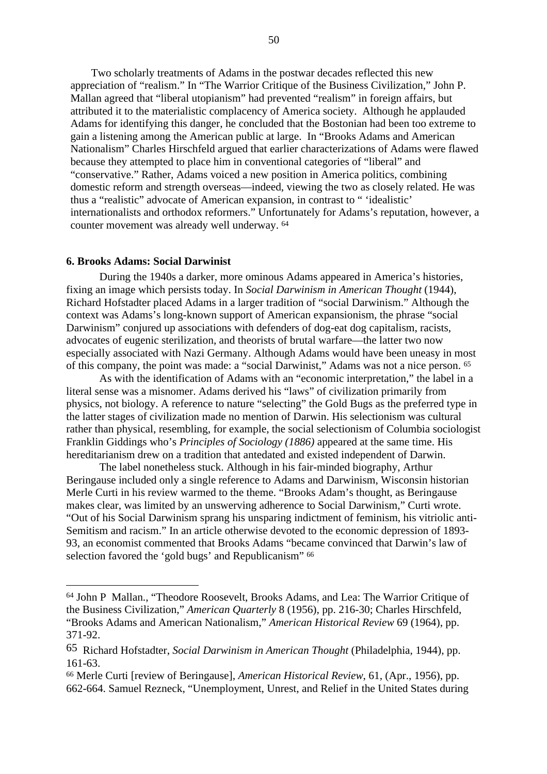Two scholarly treatments of Adams in the postwar decades reflected this new appreciation of "realism." In "The Warrior Critique of the Business Civilization," John P. Mallan agreed that "liberal utopianism" had prevented "realism" in foreign affairs, but attributed it to the materialistic complacency of America society. Although he applauded Adams for identifying this danger, he concluded that the Bostonian had been too extreme to gain a listening among the American public at large. In "Brooks Adams and American Nationalism" Charles Hirschfeld argued that earlier characterizations of Adams were flawed because they attempted to place him in conventional categories of "liberal" and "conservative." Rather, Adams voiced a new position in America politics, combining domestic reform and strength overseas—indeed, viewing the two as closely related. He was thus a "realistic" advocate of American expansion, in contrast to " 'idealistic' internationalists and orthodox reformers." Unfortunately for Adams's reputation, however, a counter movement was already well underway. 64

### **6. Brooks Adams: Social Darwinist**

During the 1940s a darker, more ominous Adams appeared in America's histories, fixing an image which persists today. In *Social Darwinism in American Thought* (1944), Richard Hofstadter placed Adams in a larger tradition of "social Darwinism." Although the context was Adams's long-known support of American expansionism, the phrase "social Darwinism" conjured up associations with defenders of dog-eat dog capitalism, racists, advocates of eugenic sterilization, and theorists of brutal warfare—the latter two now especially associated with Nazi Germany. Although Adams would have been uneasy in most of this company, the point was made: a "social Darwinist," Adams was not a nice person. 65

As with the identification of Adams with an "economic interpretation," the label in a literal sense was a misnomer. Adams derived his "laws" of civilization primarily from physics, not biology. A reference to nature "selecting" the Gold Bugs as the preferred type in the latter stages of civilization made no mention of Darwin. His selectionism was cultural rather than physical, resembling, for example, the social selectionism of Columbia sociologist Franklin Giddings who's *Principles of Sociology (1886)* appeared at the same time. His hereditarianism drew on a tradition that antedated and existed independent of Darwin.

The label nonetheless stuck. Although in his fair-minded biography, Arthur Beringause included only a single reference to Adams and Darwinism, Wisconsin historian Merle Curti in his review warmed to the theme. "Brooks Adam's thought, as Beringause makes clear, was limited by an unswerving adherence to Social Darwinism," Curti wrote. "Out of his Social Darwinism sprang his unsparing indictment of feminism, his vitriolic anti-Semitism and racism." In an article otherwise devoted to the economic depression of 1893- 93, an economist commented that Brooks Adams "became convinced that Darwin's law of selection favored the 'gold bugs' and Republicanism" 66

<sup>64</sup> John P Mallan., "Theodore Roosevelt, Brooks Adams, and Lea: The Warrior Critique of the Business Civilization," *American Quarterly* 8 (1956), pp. 216-30; Charles Hirschfeld, "Brooks Adams and American Nationalism," *American Historical Review* 69 (1964), pp. 371-92.

<sup>65</sup> Richard Hofstadter, *Social Darwinism in American Thought* (Philadelphia, 1944), pp. 161-63.

<sup>66</sup> Merle Curti [review of Beringause], *American Historical Review*, 61, (Apr., 1956), pp. 662-664. Samuel Rezneck, "Unemployment, Unrest, and Relief in the United States during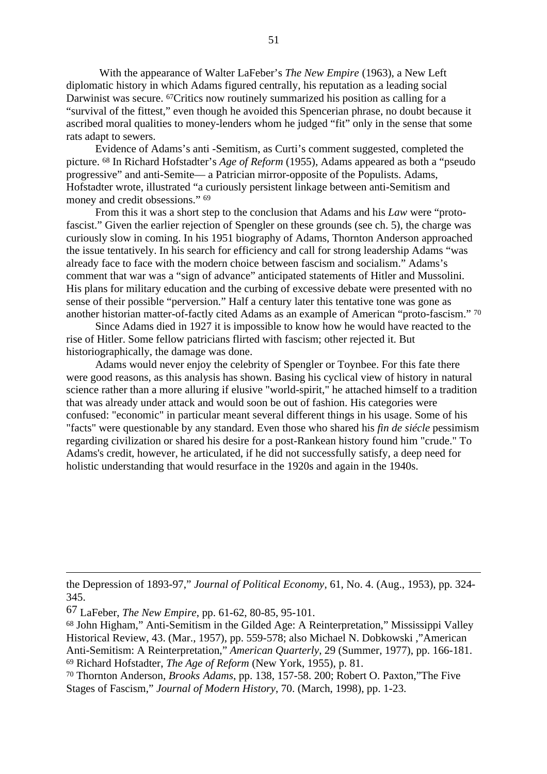With the appearance of Walter LaFeber's *The New Empire* (1963), a New Left diplomatic history in which Adams figured centrally, his reputation as a leading social Darwinist was secure. <sup>67</sup>Critics now routinely summarized his position as calling for a "survival of the fittest," even though he avoided this Spencerian phrase, no doubt because it ascribed moral qualities to money-lenders whom he judged "fit" only in the sense that some rats adapt to sewers.

Evidence of Adams's anti -Semitism, as Curti's comment suggested, completed the picture. 68 In Richard Hofstadter's *Age of Reform* (1955), Adams appeared as both a "pseudo progressive" and anti-Semite— a Patrician mirror-opposite of the Populists. Adams, Hofstadter wrote, illustrated "a curiously persistent linkage between anti-Semitism and money and credit obsessions." 69

From this it was a short step to the conclusion that Adams and his *Law* were "protofascist." Given the earlier rejection of Spengler on these grounds (see ch. 5), the charge was curiously slow in coming. In his 1951 biography of Adams, Thornton Anderson approached the issue tentatively. In his search for efficiency and call for strong leadership Adams "was already face to face with the modern choice between fascism and socialism." Adams's comment that war was a "sign of advance" anticipated statements of Hitler and Mussolini. His plans for military education and the curbing of excessive debate were presented with no sense of their possible "perversion." Half a century later this tentative tone was gone as another historian matter-of-factly cited Adams as an example of American "proto-fascism." 70

Since Adams died in 1927 it is impossible to know how he would have reacted to the rise of Hitler. Some fellow patricians flirted with fascism; other rejected it. But historiographically, the damage was done.

Adams would never enjoy the celebrity of Spengler or Toynbee. For this fate there were good reasons, as this analysis has shown. Basing his cyclical view of history in natural science rather than a more alluring if elusive "world-spirit," he attached himself to a tradition that was already under attack and would soon be out of fashion. His categories were confused: "economic" in particular meant several different things in his usage. Some of his "facts" were questionable by any standard. Even those who shared his *fin de siécle* pessimism regarding civilization or shared his desire for a post-Rankean history found him "crude." To Adams's credit, however, he articulated, if he did not successfully satisfy, a deep need for holistic understanding that would resurface in the 1920s and again in the 1940s.

- 68 John Higham," Anti-Semitism in the Gilded Age: A Reinterpretation," Mississippi Valley Historical Review, 43. (Mar., 1957), pp. 559-578; also Michael N. Dobkowski ,"American Anti-Semitism: A Reinterpretation," *American Quarterly*, 29 (Summer, 1977), pp. 166-181. 69 Richard Hofstadter, *The Age of Reform* (New York, 1955), p. 81.
- 70 Thornton Anderson, *Brooks Adams*, pp. 138, 157-58. 200; Robert O. Paxton,"The Five Stages of Fascism," *Journal of Modern History*, 70. (March, 1998), pp. 1-23.

the Depression of 1893-97," *Journal of Political Economy*, 61, No. 4. (Aug., 1953), pp. 324- 345.

<sup>67</sup> LaFeber, *The New Empire*, pp. 61-62, 80-85, 95-101.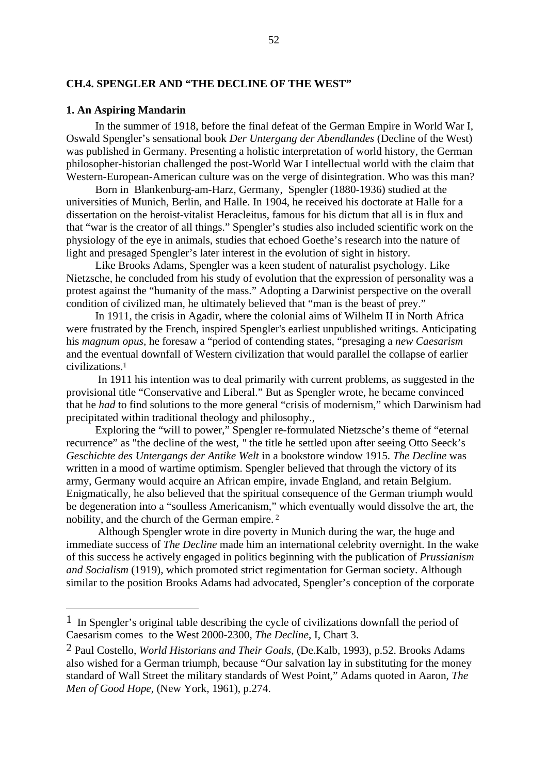## **CH.4. SPENGLER AND "THE DECLINE OF THE WEST"**

## **1. An Aspiring Mandarin**

In the summer of 1918, before the final defeat of the German Empire in World War I, Oswald Spengler's sensational book *Der Untergang der Abendlandes* (Decline of the West) was published in Germany. Presenting a holistic interpretation of world history, the German philosopher-historian challenged the post-World War I intellectual world with the claim that Western-European-American culture was on the verge of disintegration. Who was this man?

Born in Blankenburg-am-Harz, Germany, Spengler (1880-1936) studied at the universities of Munich, Berlin, and Halle. In 1904, he received his doctorate at Halle for a dissertation on the heroist-vitalist Heracleitus, famous for his dictum that all is in flux and that "war is the creator of all things." Spengler's studies also included scientific work on the physiology of the eye in animals, studies that echoed Goethe's research into the nature of light and presaged Spengler's later interest in the evolution of sight in history.

Like Brooks Adams, Spengler was a keen student of naturalist psychology. Like Nietzsche, he concluded from his study of evolution that the expression of personality was a protest against the "humanity of the mass." Adopting a Darwinist perspective on the overall condition of civilized man, he ultimately believed that "man is the beast of prey."

In 1911, the crisis in Agadir, where the colonial aims of Wilhelm II in North Africa were frustrated by the French, inspired Spengler's earliest unpublished writings. Anticipating his *magnum opus,* he foresaw a "period of contending states, "presaging a *new Caesarism* and the eventual downfall of Western civilization that would parallel the collapse of earlier civilizations.1

 In 1911 his intention was to deal primarily with current problems, as suggested in the provisional title "Conservative and Liberal." But as Spengler wrote, he became convinced that he *had* to find solutions to the more general "crisis of modernism," which Darwinism had precipitated within traditional theology and philosophy.,

Exploring the "will to power," Spengler re-formulated Nietzsche's theme of "eternal recurrence" as "the decline of the west*, "* the title he settled upon after seeing Otto Seeck's *Geschichte des Untergangs der Antike Welt* in a bookstore window 1915. *The Decline* was written in a mood of wartime optimism. Spengler believed that through the victory of its army, Germany would acquire an African empire, invade England, and retain Belgium. Enigmatically, he also believed that the spiritual consequence of the German triumph would be degeneration into a "soulless Americanism," which eventually would dissolve the art, the nobility, and the church of the German empire. 2

 Although Spengler wrote in dire poverty in Munich during the war, the huge and immediate success of *The Decline* made him an international celebrity overnight. In the wake of this success he actively engaged in politics beginning with the publication of *Prussianism and Socialism* (1919), which promoted strict regimentation for German society. Although similar to the position Brooks Adams had advocated, Spengler's conception of the corporate

<sup>1</sup> In Spengler's original table describing the cycle of civilizations downfall the period of Caesarism comes to the West 2000-2300, *The Decline*, I, Chart 3.

<sup>2</sup> Paul Costello, *World Historians and Their Goals*, (De.Kalb, 1993), p.52. Brooks Adams also wished for a German triumph, because "Our salvation lay in substituting for the money standard of Wall Street the military standards of West Point," Adams quoted in Aaron, *The Men of Good Hope,* (New York, 1961), p.274.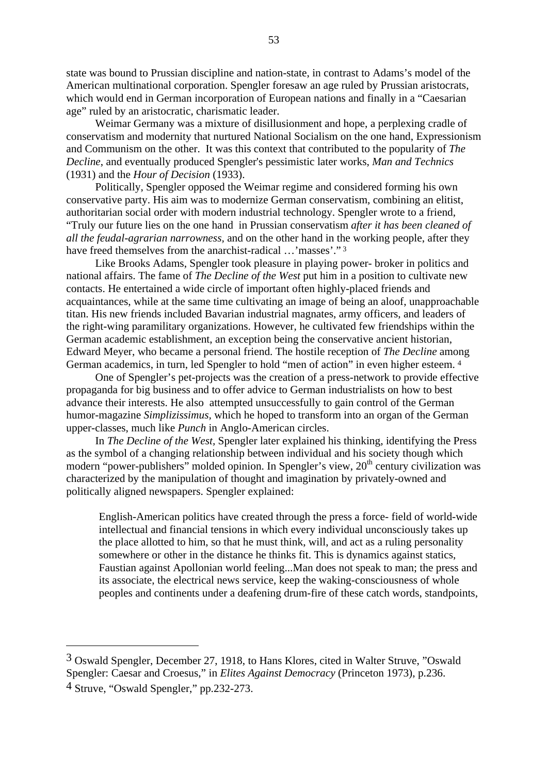state was bound to Prussian discipline and nation-state, in contrast to Adams's model of the American multinational corporation. Spengler foresaw an age ruled by Prussian aristocrats, which would end in German incorporation of European nations and finally in a "Caesarian" age" ruled by an aristocratic, charismatic leader.

Weimar Germany was a mixture of disillusionment and hope, a perplexing cradle of conservatism and modernity that nurtured National Socialism on the one hand, Expressionism and Communism on the other. It was this context that contributed to the popularity of *The Decline*, and eventually produced Spengler's pessimistic later works, *Man and Technics* (1931) and the *Hour of Decision* (1933).

Politically, Spengler opposed the Weimar regime and considered forming his own conservative party. His aim was to modernize German conservatism, combining an elitist, authoritarian social order with modern industrial technology. Spengler wrote to a friend, "Truly our future lies on the one hand in Prussian conservatism *after it has been cleaned of all the feudal-agrarian narrowness,* and on the other hand in the working people, after they have freed themselves from the anarchist-radical ...'masses'."<sup>3</sup>

Like Brooks Adams, Spengler took pleasure in playing power- broker in politics and national affairs. The fame of *The Decline of the West* put him in a position to cultivate new contacts. He entertained a wide circle of important often highly-placed friends and acquaintances, while at the same time cultivating an image of being an aloof, unapproachable titan. His new friends included Bavarian industrial magnates, army officers, and leaders of the right-wing paramilitary organizations. However, he cultivated few friendships within the German academic establishment, an exception being the conservative ancient historian, Edward Meyer, who became a personal friend. The hostile reception of *The Decline* among German academics, in turn, led Spengler to hold "men of action" in even higher esteem. 4

One of Spengler's pet-projects was the creation of a press-network to provide effective propaganda for big business and to offer advice to German industrialists on how to best advance their interests. He also attempted unsuccessfully to gain control of the German humor-magazine *Simplizissimus,* which he hoped to transform into an organ of the German upper-classes, much like *Punch* in Anglo-American circles.

In *The Decline of the West,* Spengler later explained his thinking, identifying the Press as the symbol of a changing relationship between individual and his society though which modern "power-publishers" molded opinion. In Spengler's view, 20<sup>th</sup> century civilization was characterized by the manipulation of thought and imagination by privately-owned and politically aligned newspapers. Spengler explained:

English-American politics have created through the press a force- field of world-wide intellectual and financial tensions in which every individual unconsciously takes up the place allotted to him, so that he must think, will, and act as a ruling personality somewhere or other in the distance he thinks fit. This is dynamics against statics, Faustian against Apollonian world feeling...Man does not speak to man; the press and its associate, the electrical news service, keep the waking-consciousness of whole peoples and continents under a deafening drum-fire of these catch words, standpoints,

<sup>3</sup> Oswald Spengler, December 27, 1918, to Hans Klores, cited in Walter Struve, "Oswald Spengler: Caesar and Croesus," in *Elites Against Democracy* (Princeton 1973), p.236.

<sup>4</sup> Struve, "Oswald Spengler," pp.232-273.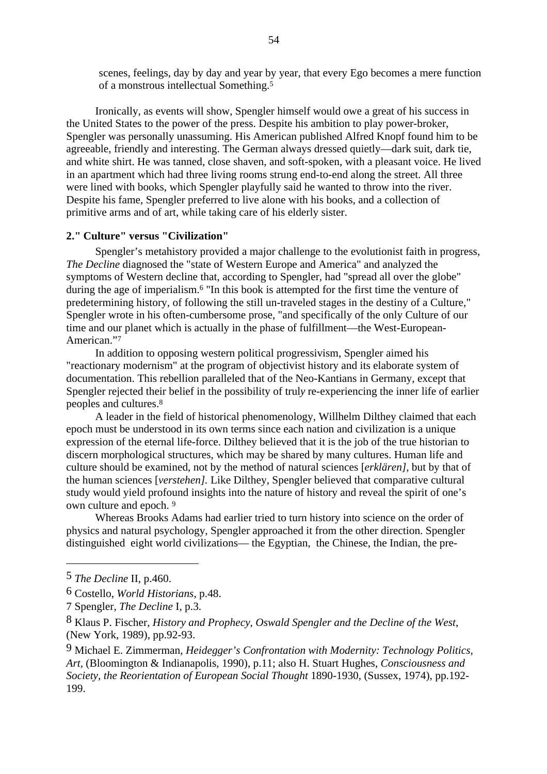scenes, feelings, day by day and year by year, that every Ego becomes a mere function of a monstrous intellectual Something.5

Ironically, as events will show, Spengler himself would owe a great of his success in the United States to the power of the press. Despite his ambition to play power-broker, Spengler was personally unassuming. His American published Alfred Knopf found him to be agreeable, friendly and interesting. The German always dressed quietly—dark suit, dark tie, and white shirt. He was tanned, close shaven, and soft-spoken, with a pleasant voice. He lived in an apartment which had three living rooms strung end-to-end along the street. All three were lined with books, which Spengler playfully said he wanted to throw into the river. Despite his fame, Spengler preferred to live alone with his books, and a collection of primitive arms and of art, while taking care of his elderly sister.

## **2." Culture" versus "Civilization"**

Spengler's metahistory provided a major challenge to the evolutionist faith in progress, *The Decline* diagnosed the "state of Western Europe and America" and analyzed the symptoms of Western decline that, according to Spengler, had "spread all over the globe" during the age of imperialism.6 "In this book is attempted for the first time the venture of predetermining history, of following the still un-traveled stages in the destiny of a Culture," Spengler wrote in his often-cumbersome prose, "and specifically of the only Culture of our time and our planet which is actually in the phase of fulfillment—the West-European-American."7

In addition to opposing western political progressivism, Spengler aimed his "reactionary modernism" at the program of objectivist history and its elaborate system of documentation. This rebellion paralleled that of the Neo-Kantians in Germany, except that Spengler rejected their belief in the possibility of trul*y* re-experiencing the inner life of earlier peoples and cultures.8

A leader in the field of historical phenomenology, Willhelm Dilthey claimed that each epoch must be understood in its own terms since each nation and civilization is a unique expression of the eternal life-force. Dilthey believed that it is the job of the true historian to discern morphological structures, which may be shared by many cultures. Human life and culture should be examined, not by the method of natural sciences [*erklären],* but by that of the human sciences [*verstehen].* Like Dilthey, Spengler believed that comparative cultural study would yield profound insights into the nature of history and reveal the spirit of one's own culture and epoch. 9

Whereas Brooks Adams had earlier tried to turn history into science on the order of physics and natural psychology, Spengler approached it from the other direction. Spengler distinguished eight world civilizations— the Egyptian, the Chinese, the Indian, the pre-

<sup>5</sup> *The Decline* II, p.460.

<sup>6</sup> Costello, *World Historians*, p.48.

<sup>7</sup> Spengler, *The Decline* I, p.3.

<sup>8</sup> Klaus P. Fischer, *History and Prophecy, Oswald Spengler and the Decline of the West*, (New York, 1989), pp.92-93.

<sup>9</sup> Michael E. Zimmerman, *Heidegger's Confrontation with Modernity: Technology Politics, Art,* (Bloomington & Indianapolis, 1990), p.11; also H. Stuart Hughes, *Consciousness and Society, the Reorientation of European Social Thought* 1890-1930, (Sussex, 1974), pp.192- 199.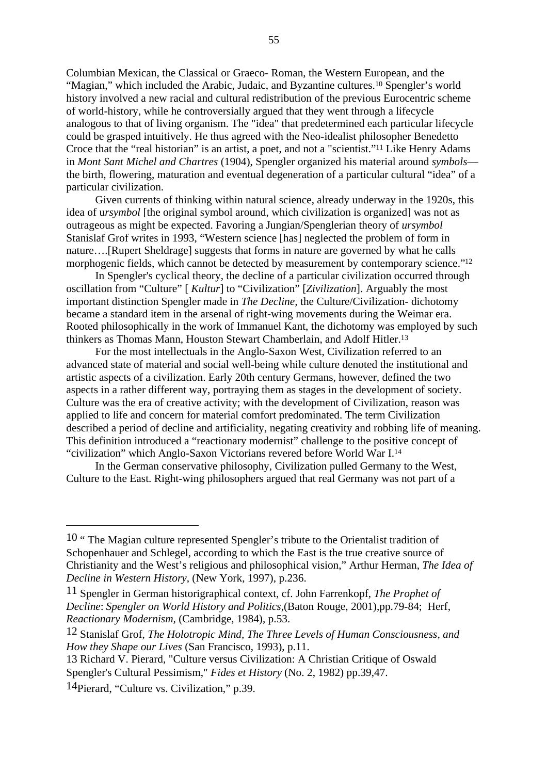Columbian Mexican, the Classical or Graeco- Roman, the Western European, and the "Magian," which included the Arabic, Judaic, and Byzantine cultures.10 Spengler's world history involved a new racial and cultural redistribution of the previous Eurocentric scheme of world-history, while he controversially argued that they went through a lifecycle analogous to that of living organism. The "idea" that predetermined each particular lifecycle could be grasped intuitively. He thus agreed with the Neo-idealist philosopher Benedetto Croce that the "real historian" is an artist, a poet, and not a "scientist."11 Like Henry Adams in *Mont Sant Michel and Chartres* (1904), Spengler organized his material around *symbols* the birth, flowering, maturation and eventual degeneration of a particular cultural "idea" of a particular civilization.

Given currents of thinking within natural science, already underway in the 1920s, this idea of u*rsymbol* [the original symbol around, which civilization is organized] was not as outrageous as might be expected. Favoring a Jungian/Spenglerian theory of *ursymbol* Stanislaf Grof writes in 1993, "Western science [has] neglected the problem of form in nature….[Rupert Sheldrage] suggests that forms in nature are governed by what he calls morphogenic fields, which cannot be detected by measurement by contemporary science."12

In Spengler's cyclical theory, the decline of a particular civilization occurred through oscillation from "Culture" [ *Kultur*] to "Civilization" [*Zivilization*]. Arguably the most important distinction Spengler made in *The Decline,* the Culture/Civilization*-* dichotomy became a standard item in the arsenal of right-wing movements during the Weimar era. Rooted philosophically in the work of Immanuel Kant, the dichotomy was employed by such thinkers as Thomas Mann, Houston Stewart Chamberlain, and Adolf Hitler.13

For the most intellectuals in the Anglo-Saxon West, Civilization referred to an advanced state of material and social well-being while culture denoted the institutional and artistic aspects of a civilization. Early 20th century Germans, however, defined the two aspects in a rather different way, portraying them as stages in the development of society. Culture was the era of creative activity; with the development of Civilization, reason was applied to life and concern for material comfort predominated. The term Civilization described a period of decline and artificiality, negating creativity and robbing life of meaning. This definition introduced a "reactionary modernist" challenge to the positive concept of "civilization" which Anglo-Saxon Victorians revered before World War I.14

In the German conservative philosophy, Civilization pulled Germany to the West, Culture to the East. Right-wing philosophers argued that real Germany was not part of a

<sup>10 &</sup>quot; The Magian culture represented Spengler's tribute to the Orientalist tradition of Schopenhauer and Schlegel, according to which the East is the true creative source of Christianity and the West's religious and philosophical vision," Arthur Herman, *The Idea of Decline in Western History*, (New York, 1997), p.236.

<sup>11</sup> Spengler in German historigraphical context, cf. John Farrenkopf, *The Prophet of Decline*: *Spengler on World History and Politics,*(Baton Rouge, 2001),pp.79-84; Herf, *Reactionary Modernism,* (Cambridge, 1984), p.53.

<sup>12</sup> Stanislaf Grof, *The Holotropic Mind, The Three Levels of Human Consciousness, and How they Shape our Lives* (San Francisco, 1993), p.11.

<sup>13</sup> Richard V. Pierard, "Culture versus Civilization: A Christian Critique of Oswald Spengler's Cultural Pessimism," *Fides et History* (No. 2, 1982) pp.39,47.

<sup>14</sup>Pierard, "Culture vs. Civilization," p.39.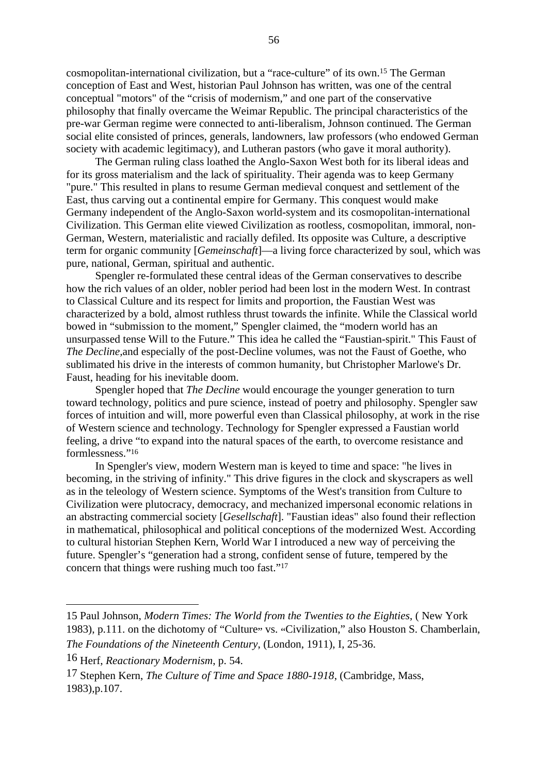cosmopolitan-international civilization, but a "race-culture" of its own.15 The German conception of East and West, historian Paul Johnson has written, was one of the central conceptual "motors" of the "crisis of modernism," and one part of the conservative philosophy that finally overcame the Weimar Republic. The principal characteristics of the pre-war German regime were connected to anti-liberalism, Johnson continued. The German social elite consisted of princes, generals, landowners, law professors (who endowed German society with academic legitimacy), and Lutheran pastors (who gave it moral authority).

The German ruling class loathed the Anglo-Saxon West both for its liberal ideas and for its gross materialism and the lack of spirituality. Their agenda was to keep Germany "pure." This resulted in plans to resume German medieval conquest and settlement of the East, thus carving out a continental empire for Germany. This conquest would make Germany independent of the Anglo-Saxon world-system and its cosmopolitan-international Civilization. This German elite viewed Civilization as rootless, cosmopolitan, immoral, non-German, Western, materialistic and racially defiled. Its opposite was Culture*,* a descriptive term for organic community [*Gemeinschaft*]—a living force characterized by soul, which was pure, national, German, spiritual and authentic.

Spengler re-formulated these central ideas of the German conservatives to describe how the rich values of an older, nobler period had been lost in the modern West. In contrast to Classical Culture and its respect for limits and proportion, the Faustian West was characterized by a bold, almost ruthless thrust towards the infinite. While the Classical world bowed in "submission to the moment," Spengler claimed, the "modern world has an unsurpassed tense Will to the Future." This idea he called the "Faustian-spirit." This Faust of *The Decline,*and especially of the post-Decline volumes, was not the Faust of Goethe, who sublimated his drive in the interests of common humanity, but Christopher Marlowe's Dr. Faust, heading for his inevitable doom.

Spengler hoped that *The Decline* would encourage the younger generation to turn toward technology, politics and pure science, instead of poetry and philosophy. Spengler saw forces of intuition and will, more powerful even than Classical philosophy, at work in the rise of Western science and technology. Technology for Spengler expressed a Faustian world feeling, a drive "to expand into the natural spaces of the earth, to overcome resistance and formlessness."16

In Spengler's view, modern Western man is keyed to time and space: "he lives in becoming, in the striving of infinity." This drive figures in the clock and skyscrapers as well as in the teleology of Western science. Symptoms of the West's transition from Culture to Civilization were plutocracy, democracy, and mechanized impersonal economic relations in an abstracting commercial society [*Gesellschaft*]. "Faustian ideas" also found their reflection in mathematical, philosophical and political conceptions of the modernized West. According to cultural historian Stephen Kern, World War I introduced a new way of perceiving the future. Spengler's "generation had a strong, confident sense of future, tempered by the concern that things were rushing much too fast."17

<sup>15</sup> Paul Johnson, *Modern Times: The World from the Twenties to the Eighties*, ( New York 1983), p.111. on the dichotomy of "Culture" vs. "Civilization," also Houston S. Chamberlain, *The Foundations of the Nineteenth Century*, (London, 1911), I, 25-36.

<sup>16</sup> Herf, *Reactionary Modernism*, p. 54.

<sup>17</sup> Stephen Kern, *The Culture of Time and Space 1880-1918*, (Cambridge, Mass, 1983),p.107.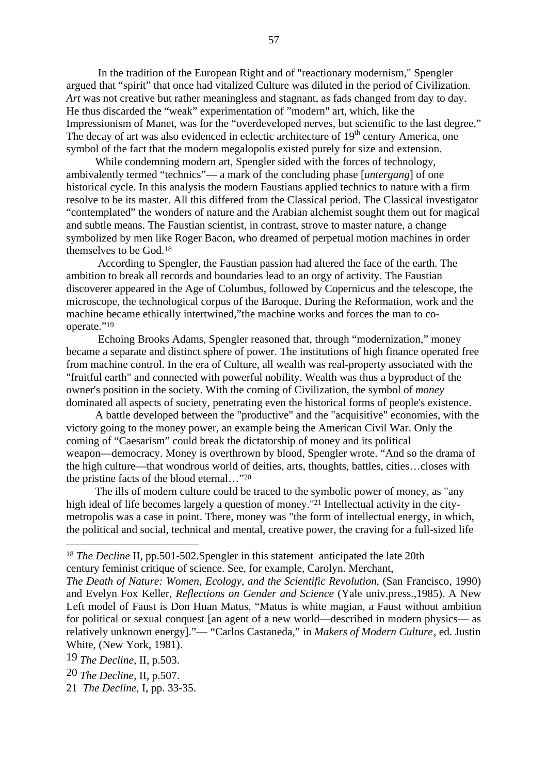In the tradition of the European Right and of "reactionary modernism," Spengler argued that "spirit" that once had vitalized Culture was diluted in the period of Civilization. *Art* was not creative but rather meaningless and stagnant, as fads changed from day to day. He thus discarded the "weak" experimentation of "modern" art, which, like the Impressionism of Manet, was for the "overdeveloped nerves, but scientific to the last degree." The decay of art was also evidenced in eclectic architecture of 19<sup>th</sup> century America, one symbol of the fact that the modern megalopolis existed purely for size and extension.

While condemning modern art, Spengler sided with the forces of technology, ambivalently termed "technics"— a mark of the concluding phase [*untergang*] of one historical cycle. In this analysis the modern Faustians applied technics to nature with a firm resolve to be its master. All this differed from the Classical period. The Classical investigator "contemplated" the wonders of nature and the Arabian alchemist sought them out for magical and subtle means. The Faustian scientist, in contrast, strove to master nature, a change symbolized by men like Roger Bacon, who dreamed of perpetual motion machines in order themselves to be God.18

 According to Spengler, the Faustian passion had altered the face of the earth. The ambition to break all records and boundaries lead to an orgy of activity. The Faustian discoverer appeared in the Age of Columbus, followed by Copernicus and the telescope, the microscope, the technological corpus of the Baroque. During the Reformation, work and the machine became ethically intertwined,"the machine works and forces the man to cooperate."<sup>19</sup>

 Echoing Brooks Adams, Spengler reasoned that, through "modernization," money became a separate and distinct sphere of power. The institutions of high finance operated free from machine control. In the era of Culture, all wealth was real-property associated with the "fruitful earth" and connected with powerful nobility. Wealth was thus a byproduct of the owner's position in the society. With the coming of Civilization, the symbol of *money* dominated all aspects of society, penetrating even the historical forms of people's existence.

A battle developed between the "productive" and the "acquisitive" economies, with the victory going to the money power, an example being the American Civil War. Only the coming of "Caesarism" could break the dictatorship of money and its political weapon—democracy. Money is overthrown by blood, Spengler wrote. "And so the drama of the high culture—that wondrous world of deities, arts, thoughts, battles, cities…closes with the pristine facts of the blood eternal…"20

The ills of modern culture could be traced to the symbolic power of money*,* as "any high ideal of life becomes largely a question of money."<sup>21</sup> Intellectual activity in the citymetropolis was a case in point. There, money was "the form of intellectual energy, in which, the political and social, technical and mental, creative power, the craving for a full-sized life

19 *The Decline,* II, p.503.

<sup>&</sup>lt;sup>18</sup> *The Decline* II, pp.501-502. Spengler in this statement anticipated the late 20th century feminist critique of science. See, for example, Carolyn. Merchant,

*The Death of Nature: Women, Ecology, and the Scientific Revolution*, (San Francisco, 1990) and Evelyn Fox Keller, *Reflections on Gender and Science* (Yale univ.press.,1985). A New Left model of Faust is Don Huan Matus, "Matus is white magian, a Faust without ambition for political or sexual conquest [an agent of a new world—described in modern physics— as relatively unknown energy]."— "Carlos Castaneda," in *Makers of Modern Culture*, ed. Justin White, (New York, 1981).

<sup>20</sup> *The Decline,* II, p.507.

<sup>21</sup> *The Decline,* I, pp. 33-35.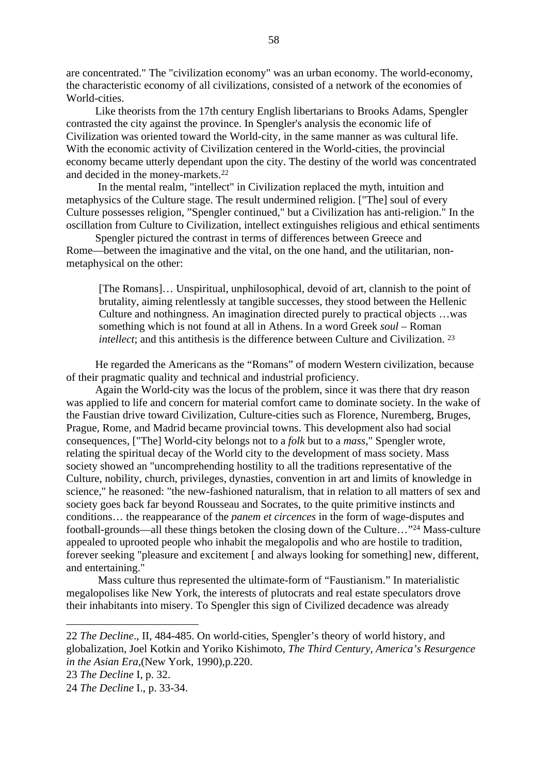are concentrated." The "civilization economy" was an urban economy. The world-economy, the characteristic economy of all civilization*s*, consisted of a network of the economies of World-cities.

Like theorists from the 17th century English libertarians to Brooks Adams, Spengler contrasted the city against the province. In Spengler's analysis the economic life of Civilization was oriented toward the World-city, in the same manner as was cultural life. With the economic activity of Civilization centered in the World-cities, the provincial economy became utterly dependant upon the city. The destiny of the world was concentrated and decided in the money-markets.22

 In the mental realm, "intellect" in Civilization replaced the myth, intuition and metaphysics of the Culture stage. The result undermined religion. ["The] soul of every Culture possesses religion, "Spengler continued," but a Civilization has anti-religion." In the oscillation from Culture to Civilization, intellect extinguishes religious and ethical sentiments

Spengler pictured the contrast in terms of differences between Greece and Rome—between the imaginative and the vital, on the one hand, and the utilitarian, nonmetaphysical on the other:

[The Romans]… Unspiritual, unphilosophical, devoid of art, clannish to the point of brutality, aiming relentlessly at tangible successes, they stood between the Hellenic Culture and nothingness. An imagination directed purely to practical objects …was something which is not found at all in Athens. In a word Greek *soul* – Roman *intellect*; and this antithesis is the difference between Culture and Civilization. <sup>23</sup>

He regarded the Americans as the "Romans" of modern Western civilization, because of their pragmatic quality and technical and industrial proficiency.

Again the World-city was the locus of the problem, since it was there that dry reason was applied to life and concern for material comfort came to dominate society. In the wake of the Faustian drive toward Civilization, Culture-cities such as Florence, Nuremberg, Bruges, Prague, Rome, and Madrid became provincial towns. This development also had social consequences, ["The] World-city belongs not to a *folk* but to a *mass*," Spengler wrote, relating the spiritual decay of the World city to the development of mass society. Mass society showed an "uncomprehending hostility to all the traditions representative of the Culture, nobility, church, privileges, dynasties, convention in art and limits of knowledge in science," he reasoned: "the new-fashioned naturalism, that in relation to all matters of sex and society goes back far beyond Rousseau and Socrates, to the quite primitive instincts and conditions… the reappearance of the *panem et circences* in the form of wage-disputes and football-grounds—all these things betoken the closing down of the Culture…"24 Mass-culture appealed to uprooted people who inhabit the megalopoli*s* and who are hostile to tradition, forever seeking "pleasure and excitement [ and always looking for something] new, different, and entertaining."

 Mass culture thus represented the ultimate-form of "Faustianism." In materialistic megalopolises like New York, the interests of plutocrats and real estate speculators drove their inhabitants into misery. To Spengler this sign of Civilized decadence was already

<sup>22</sup> *The Decline*., II, 484-485. On world-cities, Spengler's theory of world history, and globalization, Joel Kotkin and Yoriko Kishimoto, *The Third Century, America's Resurgence in the Asian Era*,(New York, 1990),p.220.

<sup>23</sup> *The Decline* I, p. 32.

<sup>24</sup> *The Decline* I., p. 33-34.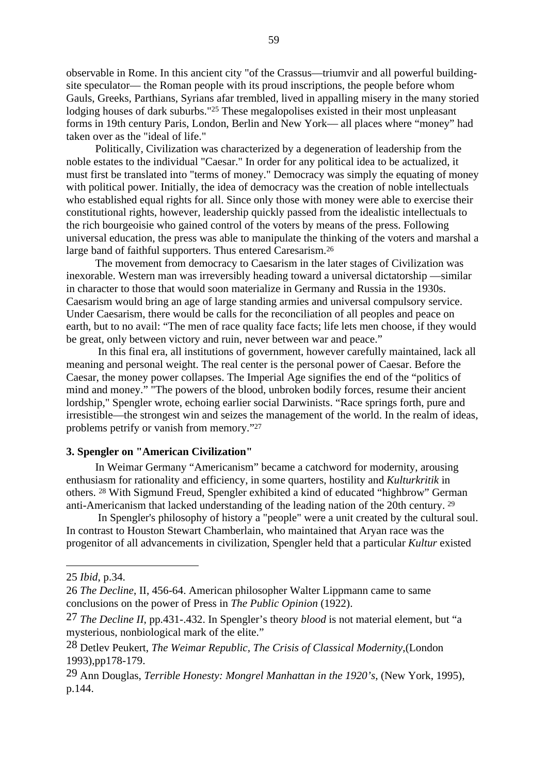observable in Rome. In this ancient city "of the Crassus—triumvir and all powerful buildingsite speculator— the Roman people with its proud inscriptions, the people before whom Gauls, Greeks, Parthians, Syrians afar trembled, lived in appalling misery in the many storied lodging houses of dark suburbs."<sup>25</sup> These megalopolises existed in their most unpleasant forms in 19th century Paris, London, Berlin and New York— all places where "money" had taken over as the "ideal of life."

Politically, Civilization was characterized by a degeneration of leadership from the noble estates to the individual "Caesar." In order for any political idea to be actualized, it must first be translated into "terms of money." Democracy was simply the equating of money with political power. Initially, the idea of democracy was the creation of noble intellectuals who established equal rights for all. Since only those with money were able to exercise their constitutional rights, however, leadership quickly passed from the idealistic intellectuals to the rich bourgeoisie who gained control of the voters by means of the press. Following universal education, the press was able to manipulate the thinking of the voters and marshal a large band of faithful supporters. Thus entered Caresarism.26

The movement from democracy to Caesarism in the later stages of Civilization was inexorable. Western man was irreversibly heading toward a universal dictatorship —similar in character to those that would soon materialize in Germany and Russia in the 1930s. Caesarism would bring an age of large standing armies and universal compulsory service. Under Caesarism, there would be calls for the reconciliation of all peoples and peace on earth, but to no avail: "The men of race quality face facts; life lets men choose, if they would be great, only between victory and ruin, never between war and peace."

 In this final era, all institutions of government, however carefully maintained, lack all meaning and personal weight. The real center is the personal power of Caesar. Before the Caesar, the money power collapses. The Imperial Age signifies the end of the "politics of mind and money." "The powers of the blood, unbroken bodily forces, resume their ancient lordship," Spengler wrote, echoing earlier social Darwinists. "Race springs forth, pure and irresistible—the strongest win and seizes the management of the world. In the realm of ideas, problems petrify or vanish from memory."27

## **3. Spengler on "American Civilization"**

In Weimar Germany "Americanism" became a catchword for modernity, arousing enthusiasm for rationality and efficiency, in some quarters, hostility and *Kulturkritik* in others. 28 With Sigmund Freud, Spengler exhibited a kind of educated "highbrow" German anti-Americanism that lacked understanding of the leading nation of the 20th century. 29

 In Spengler's philosophy of history a "people" were a unit created by the cultural soul. In contrast to Houston Stewart Chamberlain, who maintained that Aryan race was the progenitor of all advancements in civilization, Spengler held that a particular *Kultur* existed

<sup>25</sup> *Ibid*, p.34.

<sup>26</sup> *The Decline*, II, 456-64. American philosopher Walter Lippmann came to same conclusions on the power of Press in *The Public Opinion* (1922).

<sup>27</sup> *The Decline II*, pp.431-.432. In Spengler's theory *blood* is not material element, but "a mysterious, nonbiological mark of the elite."

<sup>28</sup> Detlev Peukert, *The Weimar Republic, The Crisis of Classical Modernity*,(London 1993),pp178-179.

<sup>29</sup> Ann Douglas, *Terrible Honesty: Mongrel Manhattan in the 1920's*, (New York, 1995), p.144.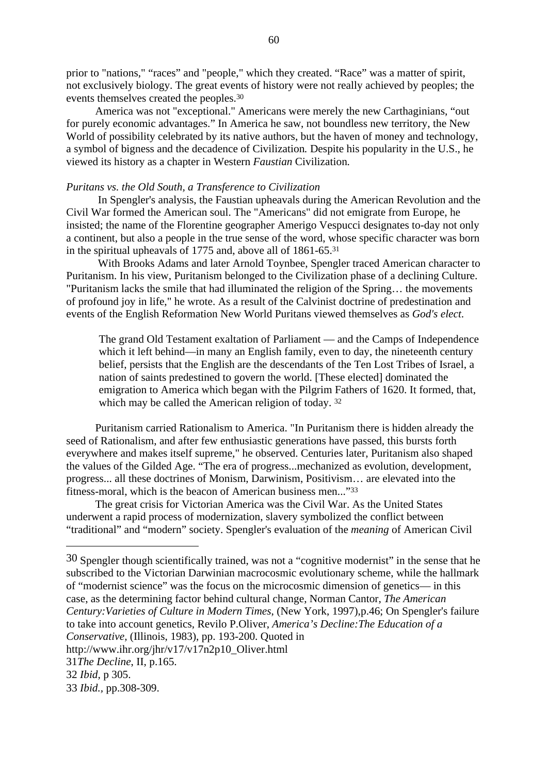prior to "nations," "races" and "people," which they created. "Race" was a matter of spirit, not exclusively biology. The great events of history were not really achieved by peoples; the events themselves created the peoples.30

America was not "exceptional." Americans were merely the new Carthaginians, "out for purely economic advantages." In America he saw, not boundless new territory, the New World of possibility celebrated by its native authors, but the haven of money and technology, a symbol of bigness and the decadence of Civilization*.* Despite his popularity in the U.S., he viewed its history as a chapter in Western *Faustian* Civilization*.*

## *Puritans vs. the Old South, a Transference to Civilization*

 In Spengler's analysis, the Faustian upheavals during the American Revolution and the Civil War formed the American soul. The "Americans" did not emigrate from Europe, he insisted; the name of the Florentine geographer Amerigo Vespucci designates to-day not only a continent, but also a people in the true sense of the word, whose specific character was born in the spiritual upheavals of 1775 and, above all of 1861-65.31

 With Brooks Adams and later Arnold Toynbee, Spengler traced American character to Puritanism. In his view, Puritanism belonged to the Civilization phase of a declining Culture. "Puritanism lacks the smile that had illuminated the religion of the Spring… the movements of profound joy in life," he wrote. As a result of the Calvinist doctrine of predestination and events of the English Reformation New World Puritans viewed themselves as *God's elect*.

The grand Old Testament exaltation of Parliament — and the Camps of Independence which it left behind—in many an English family, even to day, the nineteenth century belief, persists that the English are the descendants of the Ten Lost Tribes of Israel, a nation of saints predestined to govern the world. [These elected] dominated the emigration to America which began with the Pilgrim Fathers of 1620. It formed, that, which may be called the American religion of today.<sup>32</sup>

Puritanism carried Rationalism to America. "In Puritanism there is hidden already the seed of Rationalism, and after few enthusiastic generations have passed, this bursts forth everywhere and makes itself supreme," he observed. Centuries later, Puritanism also shaped the values of the Gilded Age. "The era of progress...mechanized as evolution, development, progress... all these doctrines of Monism, Darwinism, Positivism… are elevated into the fitness-moral, which is the beacon of American business men..."33

The great crisis for Victorian America was the Civil War. As the United States underwent a rapid process of modernization, slavery symbolized the conflict between "traditional" and "modern" society. Spengler's evaluation of the *meaning* of American Civil

<sup>30</sup> Spengler though scientifically trained, was not a "cognitive modernist" in the sense that he subscribed to the Victorian Darwinian macrocosmic evolutionary scheme, while the hallmark of "modernist science" was the focus on the microcosmic dimension of genetics— in this case, as the determining factor behind cultural change, Norman Cantor, *The American Century:Varieties of Culture in Modern Times*, (New York, 1997),p.46; On Spengler's failure to take into account genetics, Revilo P.Oliver, *America's Decline:The Education of a Conservative,* (Illinois, 1983), pp. 193-200. Quoted in http://www.ihr.org/jhr/v17/v17n2p10\_Oliver.html 31*The Decline*, II, p.165. 32 *Ibid,* p 305.

<sup>33</sup> *Ibid.,* pp.308-309.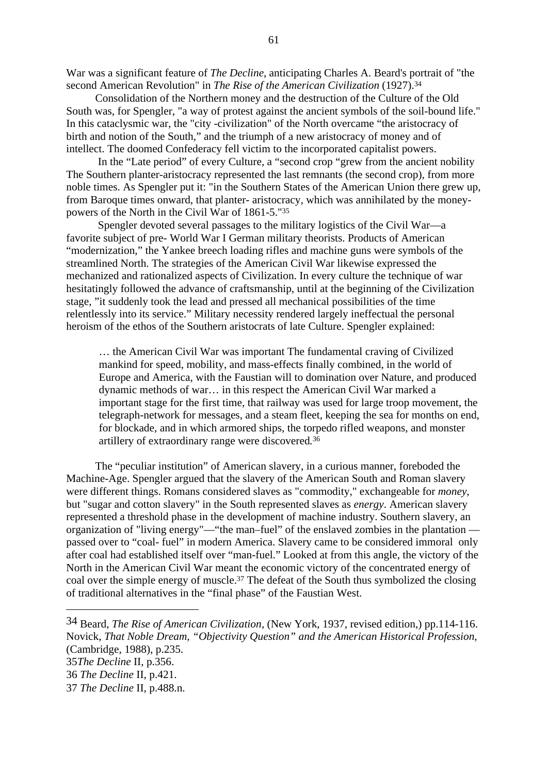War was a significant feature of *The Decline*, anticipating Charles A. Beard's portrait of "the second American Revolution" in *The Rise of the American Civilization* (1927).34

Consolidation of the Northern money and the destruction of the Culture of the Old South was, for Spengler, "a way of protest against the ancient symbols of the soil-bound life." In this cataclysmic war, the "city -civilization" of the North overcame "the aristocracy of birth and notion of the South," and the triumph of a new aristocracy of money and of intellect. The doomed Confederacy fell victim to the incorporated capitalist powers.

 In the "Late period" of every Culture, a "second crop "grew from the ancient nobility The Southern planter-aristocracy represented the last remnants (the second crop), from more noble times. As Spengler put it: "in the Southern States of the American Union there grew up, from Baroque times onward, that planter- aristocracy, which was annihilated by the moneypowers of the North in the Civil War of 1861-5."35

 Spengler devoted several passages to the military logistics of the Civil War—a favorite subject of pre- World War I German military theorists. Products of American "modernization," the Yankee breech loading rifles and machine guns were symbols of the streamlined North. The strategies of the American Civil War likewise expressed the mechanized and rationalized aspects of Civilization. In every culture the technique of war hesitatingly followed the advance of craftsmanship, until at the beginning of the Civilization stage, "it suddenly took the lead and pressed all mechanical possibilities of the time relentlessly into its service." Military necessity rendered largely ineffectual the personal heroism of the ethos of the Southern aristocrats of late Culture. Spengler explained:

… the American Civil War was important The fundamental craving of Civilized mankind for speed, mobility, and mass-effects finally combined, in the world of Europe and America, with the Faustian will to domination over Nature, and produced dynamic methods of war… in this respect the American Civil War marked a important stage for the first time, that railway was used for large troop movement, the telegraph-network for messages, and a steam fleet, keeping the sea for months on end, for blockade, and in which armored ships, the torpedo rifled weapons, and monster artillery of extraordinary range were discovered*.* 36

The "peculiar institution" of American slavery, in a curious manner, foreboded the Machine-Age. Spengler argued that the slavery of the American South and Roman slavery were different things. Romans considered slaves as "commodity," exchangeable for *money*, but "sugar and cotton slavery" in the South represented slaves as *energy*. American slavery represented a threshold phase in the development of machine industry. Southern slavery, an organization of "living energy"—"the man–fuel" of the enslaved zombies in the plantation passed over to "coal- fuel" in modern America. Slavery came to be considered immoral only after coal had established itself over "man-fuel." Looked at from this angle, the victory of the North in the American Civil War meant the economic victory of the concentrated energy of coal over the simple energy of muscle.37 The defeat of the South thus symbolized the closing of traditional alternatives in the "final phase" of the Faustian West.

<sup>34</sup> Beard, *The Rise of American Civilization*, (New York, 1937, revised edition,) pp.114-116. Novick, *That Noble Dream, "Objectivity Question" and the American Historical Profession*, (Cambridge, 1988), p.235.

<sup>35</sup>*The Decline* II, p.356.

<sup>36</sup> *The Decline* II, p.421.

<sup>37</sup> *The Decline* II, p.488.n.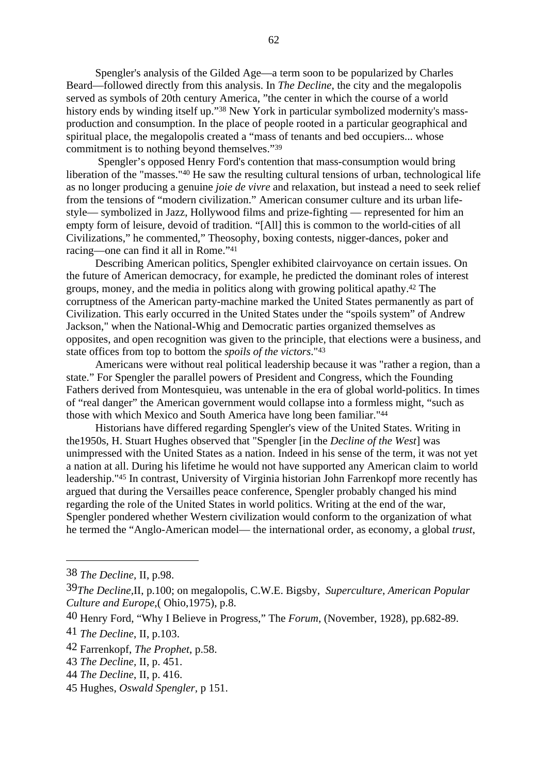Spengler's analysis of the Gilded Age—a term soon to be popularized by Charles Beard—followed directly from this analysis. In *The Decline*, the city and the megalopolis served as symbols of 20th century America, "the center in which the course of a world history ends by winding itself up."38 New York in particular symbolized modernity's massproduction and consumption. In the place of people rooted in a particular geographical and spiritual place, the megalopolis created a "mass of tenants and bed occupiers... whose commitment is to nothing beyond themselves."39

 Spengler's opposed Henry Ford's contention that mass-consumption would bring liberation of the "masses."40 He saw the resulting cultural tensions of urban, technological life as no longer producing a genuine *joie de vivre* and relaxation, but instead a need to seek relief from the tensions of "modern civilization." American consumer culture and its urban lifestyle— symbolized in Jazz, Hollywood films and prize-fighting — represented for him an empty form of leisure, devoid of tradition. "[All] this is common to the world-cities of all Civilizations," he commented," Theosophy, boxing contests, nigger-dances, poker and racing—one can find it all in Rome."41

Describing American politics, Spengler exhibited clairvoyance on certain issues. On the future of American democracy, for example, he predicted the dominant roles of interest groups, money, and the media in politics along with growing political apathy.42 The corruptness of the American party-machine marked the United States permanently as part of Civilization. This early occurred in the United States under the "spoils system" of Andrew Jackson," when the National-Whig and Democratic parties organized themselves as opposites, and open recognition was given to the principle, that elections were a business, and state offices from top to bottom the *spoils of the victors*."43

Americans were without real political leadership because it was "rather a region, than a state." For Spengler the parallel powers of President and Congress, which the Founding Fathers derived from Montesquieu, was untenable in the era of global world-politics. In times of "real danger" the American government would collapse into a formless might, "such as those with which Mexico and South America have long been familiar."44

Historians have differed regarding Spengler's view of the United States. Writing in the1950s, H. Stuart Hughes observed that "Spengler [in the *Decline of the West*] was unimpressed with the United States as a nation. Indeed in his sense of the term, it was not yet a nation at all. During his lifetime he would not have supported any American claim to world leadership."45 In contrast, University of Virginia historian John Farrenkopf more recently has argued that during the Versailles peace conference, Spengler probably changed his mind regarding the role of the United States in world politics. Writing at the end of the war, Spengler pondered whether Western civilization would conform to the organization of what he termed the "Anglo-American model— the international order, as economy, a global *trust*,

<sup>38</sup> *The Decline,* II, p.98.

<sup>39</sup>*The Decline,*II, p.100; on megalopolis, C.W.E. Bigsby, *Superculture*, *American Popular Culture and Europe*,( Ohio,1975), p.8.

<sup>40</sup> Henry Ford, "Why I Believe in Progress," The *Forum*, (November, 1928), pp.682-89.

<sup>41</sup> *The Decline*, II, p.103.

<sup>42</sup> Farrenkopf, *The Prophet*, p.58.

<sup>43</sup> *The Decline,* II, p. 451.

<sup>44</sup> *The Decline*, II, p. 416.

<sup>45</sup> Hughes, *Oswald Spengler,* p 151.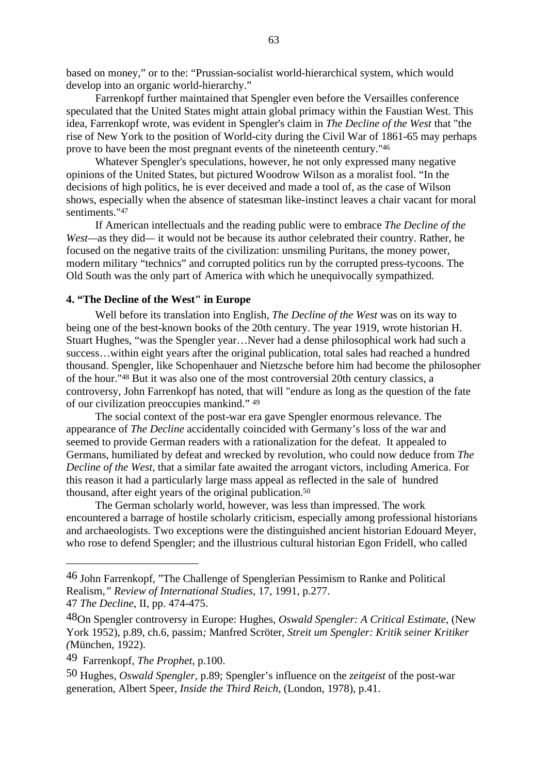based on money," or to the: "Prussian-socialist world-hierarchical system, which would develop into an organic world-hierarchy."

Farrenkopf further maintained that Spengler even before the Versailles conference speculated that the United States might attain global primacy within the Faustian West. This idea, Farrenkopf wrote, was evident in Spengler's claim in *The Decline of the West* that "the rise of New York to the position of World-city during the Civil War of 1861-65 may perhaps prove to have been the most pregnant events of the nineteenth century."46

Whatever Spengler's speculations, however, he not only expressed many negative opinions of the United States, but pictured Woodrow Wilson as a moralist fool. "In the decisions of high politics, he is ever deceived and made a tool of, as the case of Wilson shows, especially when the absence of statesman like-instinct leaves a chair vacant for moral sentiments."47

If American intellectuals and the reading public were to embrace *The Decline of the West—*as they did*—* it would not be because its author celebrated their country. Rather, he focused on the negative traits of the civilization: unsmiling Puritans, the money power, modern military "technics" and corrupted politics run by the corrupted press-tycoons. The Old South was the only part of America with which he unequivocally sympathized.

## **4. "The Decline of the West" in Europe**

Well before its translation into English, *The Decline of the West* was on its way to being one of the best-known books of the 20th century. The year 1919, wrote historian H. Stuart Hughes, "was the Spengler year…Never had a dense philosophical work had such a success…within eight years after the original publication, total sales had reached a hundred thousand. Spengler, like Schopenhauer and Nietzsche before him had become the philosopher of the hour."48 But it was also one of the most controversial 20th century classics, a controversy, John Farrenkopf has noted, that will "endure as long as the question of the fate of our civilization preoccupies mankind." 49

The social context of the post-war era gave Spengler enormous relevance. The appearance of *The Decline* accidentally coincided with Germany's loss of the war and seemed to provide German readers with a rationalization for the defeat. It appealed to Germans, humiliated by defeat and wrecked by revolution, who could now deduce from *The Decline of the West,* that a similar fate awaited the arrogant victors, including America. For this reason it had a particularly large mass appeal as reflected in the sale of hundred thousand, after eight years of the original publication.50

The German scholarly world, however, was less than impressed. The work encountered a barrage of hostile scholarly criticism, especially among professional historians and archaeologists. Two exceptions were the distinguished ancient historian Edouard Meyer, who rose to defend Spengler; and the illustrious cultural historian Egon Fridell, who called

<sup>46</sup> John Farrenkopf, "The Challenge of Spenglerian Pessimism to Ranke and Political Realism*," Review of International Studies,* 17, 1991, p.277. 47 *The Decline*, II, pp. 474-475.

<sup>48</sup>On Spengler controversy in Europe: Hughes*, Oswald Spengler: A Critical Estimate,* (New York 1952), p.89, ch.6, passim*;* Manfred Scröter*, Streit um Spengler: Kritik seiner Kritiker (*München, 1922).

<sup>49</sup> Farrenkopf, *The Prophet*, p.100.

<sup>50</sup> Hughes, *Oswald Spengler,* p.89; Spengler's influence on the *zeitgeist* of the post-war generation, Albert Speer*, Inside the Third Reich*, (London, 1978), p.41.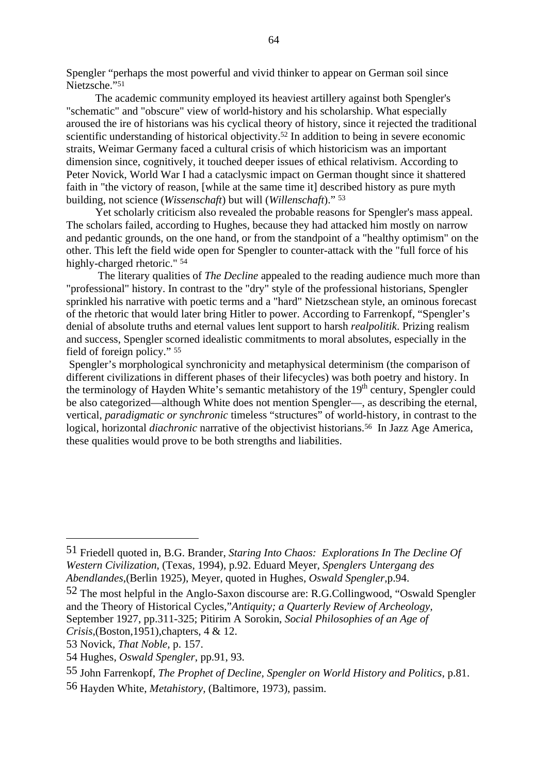Spengler "perhaps the most powerful and vivid thinker to appear on German soil since Nietzsche."51

The academic community employed its heaviest artillery against both Spengler's "schematic" and "obscure" view of world-history and his scholarship. What especially aroused the ire of historians was his cyclical theory of history, since it rejected the traditional scientific understanding of historical objectivity.<sup>52</sup> In addition to being in severe economic straits, Weimar Germany faced a cultural crisis of which historicism was an important dimension since, cognitively, it touched deeper issues of ethical relativism. According to Peter Novick, World War I had a cataclysmic impact on German thought since it shattered faith in "the victory of reason, [while at the same time it] described history as pure myth building, not science (*Wissenschaft*) but will (*Willenschaft*)." <sup>53</sup>

Yet scholarly criticism also revealed the probable reasons for Spengler's mass appeal. The scholars failed, according to Hughes, because they had attacked him mostly on narrow and pedantic grounds, on the one hand, or from the standpoint of a "healthy optimism" on the other. This left the field wide open for Spengler to counter-attack with the "full force of his highly-charged rhetoric." 54

 The literary qualities of *The Decline* appealed to the reading audience much more than "professional" history. In contrast to the "dry" style of the professional historians, Spengler sprinkled his narrative with poetic terms and a "hard" Nietzschean style, an ominous forecast of the rhetoric that would later bring Hitler to power. According to Farrenkopf, "Spengler's denial of absolute truths and eternal values lent support to harsh *realpolitik*. Prizing realism and success, Spengler scorned idealistic commitments to moral absolutes, especially in the field of foreign policy." 55

Spengler's morphological synchronicity and metaphysical determinism (the comparison of different civilizations in different phases of their lifecycles) was both poetry and history. In the terminology of Hayden White's semantic metahistory of the 19<sup>th</sup> century, Spengler could be also categorized—although White does not mention Spengler—, as describing the eternal, vertical, *paradigmatic or synchronic* timeless "structures" of world-history, in contrast to the logical, horizontal *diachronic* narrative of the objectivist historians.56 In Jazz Age America, these qualities would prove to be both strengths and liabilities.

<sup>51</sup> Friedell quoted in, B.G. Brander, *Staring Into Chaos: Explorations In The Decline Of Western Civilization*, (Texas, 1994), p.92. Eduard Meyer, *Spenglers Untergang des Abendlandes*,(Berlin 1925), Meyer, quoted in Hughes, *Oswald Spengler*,p.94.

<sup>52</sup> The most helpful in the Anglo-Saxon discourse are: R.G.Collingwood, "Oswald Spengler and the Theory of Historical Cycles,"*Antiquity; a Quarterly Review of Archeology,* September 1927, pp.311-325; Pitirim A Sorokin, *Social Philosophies of an Age of*

*Crisis*,(Boston,1951),chapters, 4 & 12.

<sup>53</sup> Novick, *That Noble,* p. 157.

<sup>54</sup> Hughes, *Oswald Spengler*, pp.91, 93.

<sup>55</sup> John Farrenkopf, *The Prophet of Decline, Spengler on World History and Politics*, p.81.

<sup>56</sup> Hayden White, *Metahistory,* (Baltimore, 1973), passim.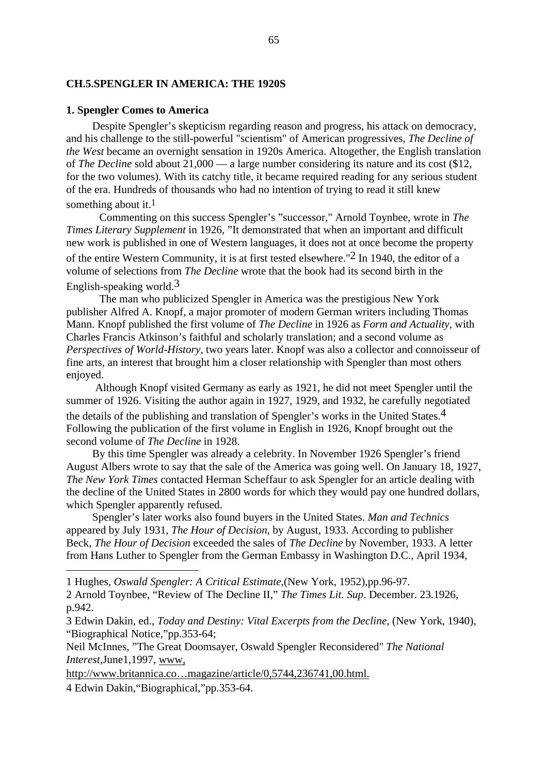## **CH.5.SPENGLER IN AMERICA: THE 1920S**

## **1. Spengler Comes to America**

Despite Spengler's skepticism regarding reason and progress, his attack on democracy, and his challenge to the still-powerful "scientism" of American progressives, *The Decline of the West* became an overnight sensation in 1920s America. Altogether, the English translation of *The Decline* sold about 21,000 — a large number considering its nature and its cost (\$12, for the two volumes). With its catchy title, it became required reading for any serious student of the era. Hundreds of thousands who had no intention of trying to read it still knew something about it.<sup>1</sup>

Commenting on this success Spengler's "successor," Arnold Toynbee, wrote in *The Times Literary Supplement* in 1926*,* "It demonstrated that when an important and difficult new work is published in one of Western languages, it does not at once become the property of the entire Western Community, it is at first tested elsewhere."2 In 1940, the editor of a volume of selections from *The Decline* wrote that the book had its second birth in the English-speaking world.3

The man who publicized Spengler in America was the prestigious New York publisher Alfred A. Knopf, a major promoter of modern German writers including Thomas Mann. Knopf published the first volume of *The Decline* in 1926 as *Form and Actuality*, with Charles Francis Atkinson's faithful and scholarly translation; and a second volume as *Perspectives of World-History*, two years later. Knopf was also a collector and connoisseur of fine arts, an interest that brought him a closer relationship with Spengler than most others enjoyed.

Although Knopf visited Germany as early as 1921, he did not meet Spengler until the summer of 1926. Visiting the author again in 1927, 1929, and 1932, he carefully negotiated the details of the publishing and translation of Spengler's works in the United States.<sup>4</sup> Following the publication of the first volume in English in 1926, Knopf brought out the second volume of *The Decline* in 1928.

By this time Spengler was already a celebrity. In November 1926 Spengler's friend August Albers wrote to say that the sale of the America was going well. On January 18, 1927, *The New York Times* contacted Herman Scheffaur to ask Spengler for an article dealing with the decline of the United States in 2800 words for which they would pay one hundred dollars, which Spengler apparently refused.

Spengler's later works also found buyers in the United States. *Man and Technics* appeared by July 1931, *The Hour of Decision*, by August, 1933. According to publisher Beck, *The Hour of Decision* exceeded the sales of *The Decline* by November, 1933. A letter from Hans Luther to Spengler from the German Embassy in Washington D.C., April 1934,

http://www.britannica.co…magazine/article/0,5744,236741,00.html.

4 Edwin Dakin,"Biographical,"pp.353-64.

<sup>1</sup> Hughes, *Oswald Spengler: A Critical Estimate*,(New York, 1952),pp.96-97.

<sup>2</sup> Arnold Toynbee, "Review of The Decline II," *The Times Lit. Sup*. December. 23.1926, p.942.

<sup>3</sup> Edwin Dakin, ed., *Today and Destiny: Vital Excerpts from the Decline*, (New York, 1940), "Biographical Notice,"pp.353-64;

Neil McInnes, "The Great Doomsayer, Oswald Spengler Reconsidered" *The National Interest*,June1,1997, www,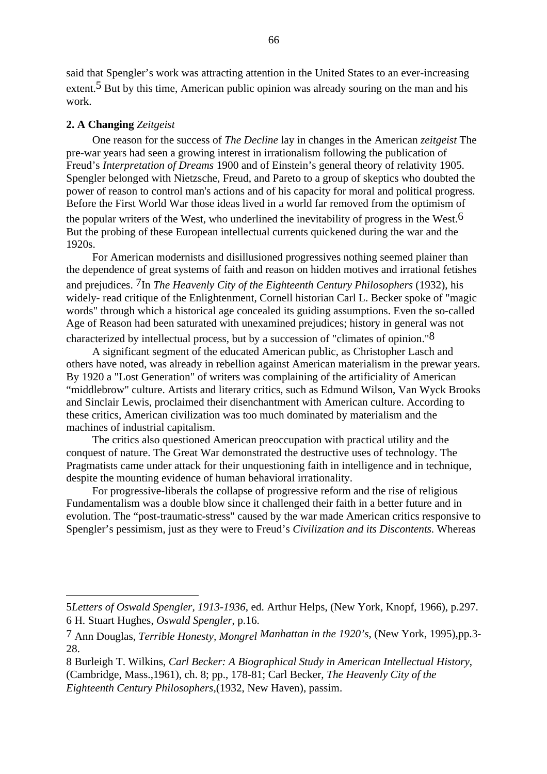said that Spengler's work was attracting attention in the United States to an ever-increasing extent.<sup>5</sup> But by this time, American public opinion was already souring on the man and his work.

### **2. A Changing** *Zeitgeist*

One reason for the success of *The Decline* lay in changes in the American *zeitgeist* The pre-war years had seen a growing interest in irrationalism following the publication of Freud's *Interpretation of Dreams* 1900 and of Einstein's general theory of relativity 1905. Spengler belonged with Nietzsche, Freud, and Pareto to a group of skeptics who doubted the power of reason to control man's actions and of his capacity for moral and political progress. Before the First World War those ideas lived in a world far removed from the optimism of the popular writers of the West, who underlined the inevitability of progress in the West.<sup>6</sup> But the probing of these European intellectual currents quickened during the war and the 1920s.

For American modernists and disillusioned progressives nothing seemed plainer than the dependence of great systems of faith and reason on hidden motives and irrational fetishes and prejudices. 7In *The Heavenly City of the Eighteenth Century Philosophers* (1932), his widely- read critique of the Enlightenment, Cornell historian Carl L. Becker spoke of "magic words" through which a historical age concealed its guiding assumptions. Even the so-called Age of Reason had been saturated with unexamined prejudices; history in general was not

characterized by intellectual process, but by a succession of "climates of opinion."8 A significant segment of the educated American public, as Christopher Lasch and others have noted, was already in rebellion against American materialism in the prewar years. By 1920 a "Lost Generation" of writers was complaining of the artificiality of American "middlebrow" culture. Artists and literary critics, such as Edmund Wilson, Van Wyck Brooks and Sinclair Lewis, proclaimed their disenchantment with American culture. According to these critics, American civilization was too much dominated by materialism and the machines of industrial capitalism.

The critics also questioned American preoccupation with practical utility and the conquest of nature. The Great War demonstrated the destructive uses of technology. The Pragmatists came under attack for their unquestioning faith in intelligence and in technique, despite the mounting evidence of human behavioral irrationality.

For progressive-liberals the collapse of progressive reform and the rise of religious Fundamentalism was a double blow since it challenged their faith in a better future and in evolution. The "post-traumatic-stress" caused by the war made American critics responsive to Spengler's pessimism, just as they were to Freud's *Civilization and its Discontents.* Whereas

<sup>5</sup>*Letters of Oswald Spengler, 1913-1936*, ed. Arthur Helps, (New York, Knopf, 1966), p.297. 6 H. Stuart Hughes, *Oswald Spengler*, p.16.

<sup>7</sup> Ann Douglas, *Terrible Honesty, Mongrel Manhattan in the 1920's*, (New York, 1995),pp.3- 28.

<sup>8</sup> Burleigh T. Wilkins, *Carl Becker: A Biographical Study in American Intellectual History*,

<sup>(</sup>Cambridge, Mass.,1961), ch. 8; pp., 178-81; Carl Becker, *The Heavenly City of the*

*Eighteenth Century Philosophers,*(1932, New Haven), passim.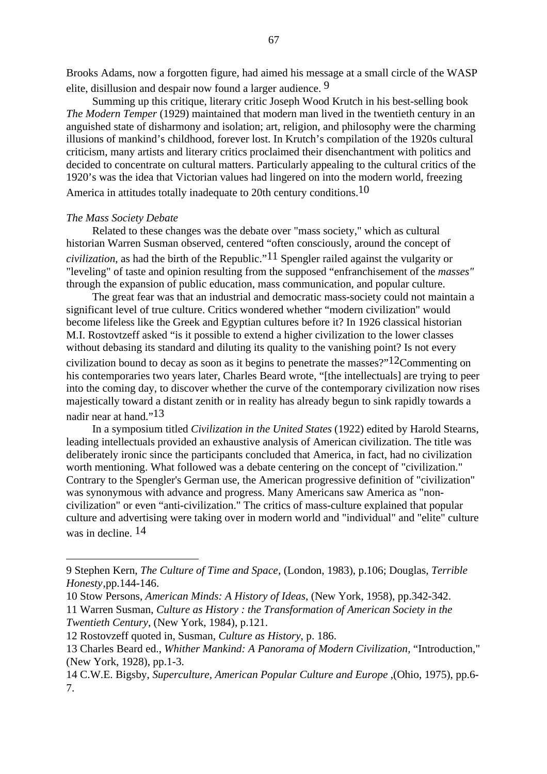Brooks Adams, now a forgotten figure, had aimed his message at a small circle of the WASP elite, disillusion and despair now found a larger audience. 9

Summing up this critique, literary critic Joseph Wood Krutch in his best-selling book *The Modern Temper* (1929) maintained that modern man lived in the twentieth century in an anguished state of disharmony and isolation; art, religion, and philosophy were the charming illusions of mankind's childhood, forever lost. In Krutch's compilation of the 1920s cultural criticism, many artists and literary critics proclaimed their disenchantment with politics and decided to concentrate on cultural matters. Particularly appealing to the cultural critics of the 1920's was the idea that Victorian values had lingered on into the modern world, freezing

America in attitudes totally inadequate to 20th century conditions.<sup>10</sup>

#### *The Mass Society Debate*

Related to these changes was the debate over "mass society," which as cultural historian Warren Susman observed, centered "often consciously, around the concept of *civilization*, as had the birth of the Republic."11 Spengler railed against the vulgarity or "leveling" of taste and opinion resulting from the supposed "enfranchisement of the *masses"* through the expansion of public education, mass communication, and popular culture.

The great fear was that an industrial and democratic mass-society could not maintain a significant level of true culture. Critics wondered whether "modern civilization" would become lifeless like the Greek and Egyptian cultures before it? In 1926 classical historian M.I. Rostovtzeff asked "is it possible to extend a higher civilization to the lower classes without debasing its standard and diluting its quality to the vanishing point? Is not every

civilization bound to decay as soon as it begins to penetrate the masses?" $12$ Commenting on his contemporaries two years later, Charles Beard wrote, "[the intellectuals] are trying to peer into the coming day, to discover whether the curve of the contemporary civilization now rises majestically toward a distant zenith or in reality has already begun to sink rapidly towards a nadir near at hand."<sup>13</sup>

In a symposium titled *Civilization in the United States* (1922) edited by Harold Stearns, leading intellectuals provided an exhaustive analysis of American civilization. The title was deliberately ironic since the participants concluded that America, in fact, had no civilization worth mentioning. What followed was a debate centering on the concept of "civilization." Contrary to the Spengler's German use, the American progressive definition of "civilization" was synonymous with advance and progress. Many Americans saw America as "noncivilization" or even "anti-civilization." The critics of mass-culture explained that popular culture and advertising were taking over in modern world and "individual" and "elite" culture was in decline.  $14$ 

<sup>9</sup> Stephen Kern, *The Culture of Time and Space*, (London, 1983), p.106; Douglas, *Terrible Honesty*,pp.144-146.

<sup>10</sup> Stow Persons, *American Minds: A History of Ideas*, (New York, 1958), pp.342-342.

<sup>11</sup> Warren Susman, *Culture as History : the Transformation of American Society in the Twentieth Century*, (New York, 1984), p.121.

<sup>12</sup> Rostovzeff quoted in, Susman, *Culture as History*, p. 186.

<sup>13</sup> Charles Beard ed., *Whither Mankind: A Panorama of Modern Civilization*, "Introduction," (New York, 1928), pp.1-3.

<sup>14</sup> C.W.E. Bigsby, *Superculture, American Popular Culture and Europe* ,(Ohio, 1975), pp.6- 7.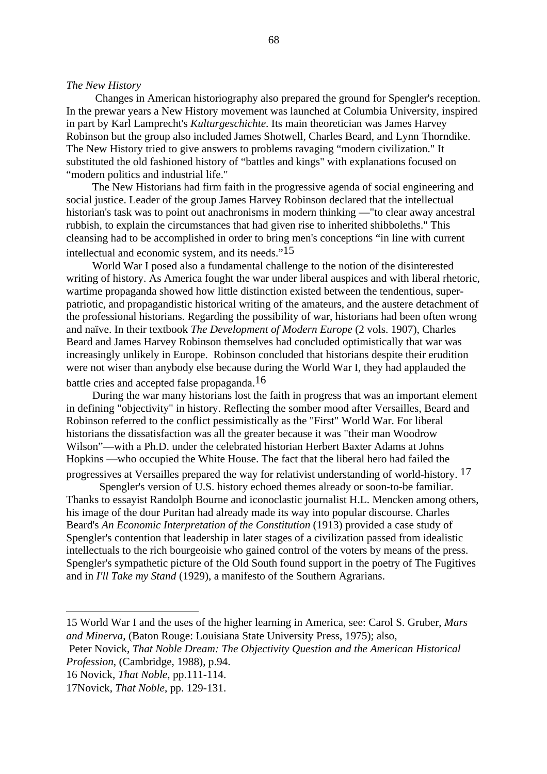#### *The New History*

Changes in American historiography also prepared the ground for Spengler's reception. In the prewar years a New History movement was launched at Columbia University, inspired in part by Karl Lamprecht's *Kulturgeschichte*. Its main theoretician was James Harvey Robinson but the group also included James Shotwell, Charles Beard, and Lynn Thorndike. The New History tried to give answers to problems ravaging "modern civilization." It substituted the old fashioned history of "battles and kings" with explanations focused on "modern politics and industrial life."

The New Historians had firm faith in the progressive agenda of social engineering and social justice. Leader of the group James Harvey Robinson declared that the intellectual historian's task was to point out anachronisms in modern thinking —"to clear away ancestral rubbish, to explain the circumstances that had given rise to inherited shibboleths." This cleansing had to be accomplished in order to bring men's conceptions "in line with current intellectual and economic system, and its needs."15

World War I posed also a fundamental challenge to the notion of the disinterested writing of history. As America fought the war under liberal auspices and with liberal rhetoric, wartime propaganda showed how little distinction existed between the tendentious, superpatriotic, and propagandistic historical writing of the amateurs, and the austere detachment of the professional historians. Regarding the possibility of war, historians had been often wrong and naïve. In their textbook *The Development of Modern Europe* (2 vols. 1907), Charles Beard and James Harvey Robinson themselves had concluded optimistically that war was increasingly unlikely in Europe. Robinson concluded that historians despite their erudition were not wiser than anybody else because during the World War I, they had applauded the battle cries and accepted false propaganda.16

During the war many historians lost the faith in progress that was an important element in defining "objectivity" in history. Reflecting the somber mood after Versailles, Beard and Robinson referred to the conflict pessimistically as the "First" World War. For liberal historians the dissatisfaction was all the greater because it was "their man Woodrow Wilson"—with a Ph.D. under the celebrated historian Herbert Baxter Adams at Johns Hopkins —who occupied the White House. The fact that the liberal hero had failed the

progressives at Versailles prepared the way for relativist understanding of world-history. 17

Spengler's version of U.S. history echoed themes already or soon-to-be familiar. Thanks to essayist Randolph Bourne and iconoclastic journalist H.L. Mencken among others, his image of the dour Puritan had already made its way into popular discourse. Charles Beard's *An Economic Interpretation of the Constitution* (1913) provided a case study of Spengler's contention that leadership in later stages of a civilization passed from idealistic intellectuals to the rich bourgeoisie who gained control of the voters by means of the press. Spengler's sympathetic picture of the Old South found support in the poetry of The Fugitives and in *I'll Take my Stand* (1929), a manifesto of the Southern Agrarians.

<sup>15</sup> World War I and the uses of the higher learning in America, see: Carol S. Gruber, *Mars and Minerva*, (Baton Rouge: Louisiana State University Press, 1975); also,

Peter Novick, *That Noble Dream: The Objectivity Question and the American Historical Profession*, (Cambridge, 1988), p.94.

<sup>16</sup> Novick, *That Noble*, pp.111-114.

<sup>17</sup>Novick, *That Noble*, pp. 129-131.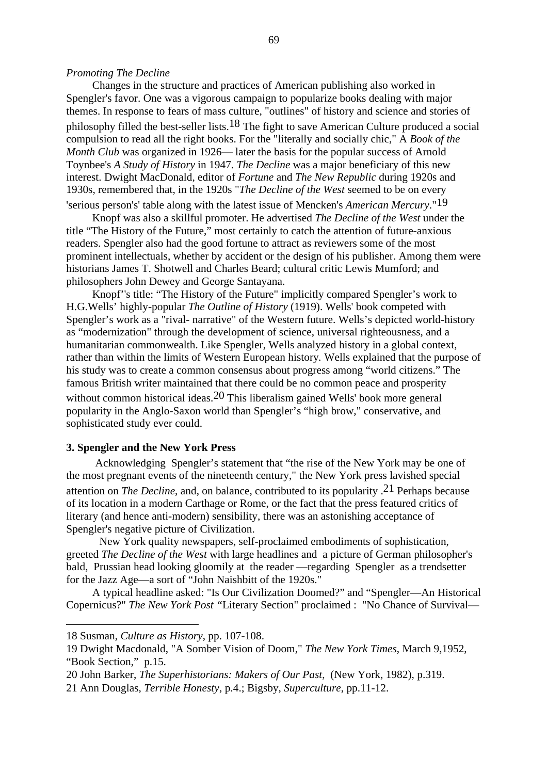#### *Promoting The Decline*

Changes in the structure and practices of American publishing also worked in Spengler's favor. One was a vigorous campaign to popularize books dealing with major themes. In response to fears of mass culture, "outlines" of history and science and stories of philosophy filled the best-seller lists.<sup>18</sup> The fight to save American Culture produced a social compulsion to read all the right books. For the "literally and socially chic," A *Book of the Month Club* was organized in 1926— later the basis for the popular success of Arnold Toynbee's *A Study of History* in 1947. *The Decline* was a major beneficiary of this new interest. Dwight MacDonald, editor of *Fortune* and *The New Republic* during 1920s and 1930s, remembered that, in the 1920s "*The Decline of the West* seemed to be on every 'serious person's' table along with the latest issue of Mencken's *American Mercury*."19

Knopf was also a skillful promoter. He advertised *The Decline of the West* under the title "The History of the Future," most certainly to catch the attention of future-anxious readers. Spengler also had the good fortune to attract as reviewers some of the most prominent intellectuals, whether by accident or the design of his publisher. Among them were historians James T. Shotwell and Charles Beard; cultural critic Lewis Mumford; and philosophers John Dewey and George Santayana.

Knopf''s title: "The History of the Future" implicitly compared Spengler's work to H.G.Wells' highly-popular *The Outline of History* (1919). Wells' book competed with Spengler's work as a "rival- narrative" of the Western future. Wells's depicted world-history as "modernization" through the development of science, universal righteousness, and a humanitarian commonwealth. Like Spengler, Wells analyzed history in a global context, rather than within the limits of Western European history*.* Wells explained that the purpose of his study was to create a common consensus about progress among "world citizens." The famous British writer maintained that there could be no common peace and prosperity without common historical ideas.<sup>20</sup> This liberalism gained Wells' book more general popularity in the Anglo-Saxon world than Spengler's "high brow," conservative, and sophisticated study ever could.

# **3. Spengler and the New York Press**

Acknowledging Spengler's statement that "the rise of the New York may be one of the most pregnant events of the nineteenth century," the New York press lavished special attention on *The Decline*, and, on balance, contributed to its popularity .21 Perhaps because of its location in a modern Carthage or Rome, or the fact that the press featured critics of literary (and hence anti-modern) sensibility, there was an astonishing acceptance of Spengler's negative picture of Civilization.

New York quality newspapers, self-proclaimed embodiments of sophistication, greeted *The Decline of the West* with large headlines and a picture of German philosopher's bald, Prussian head looking gloomily at the reader —regarding Spengler as a trendsetter for the Jazz Age—a sort of "John Naishbitt of the 1920s."

A typical headline asked: "Is Our Civilization Doomed?" and "Spengler—An Historical Copernicus?" *The New York Post "*Literary Section" proclaimed : "No Chance of Survival—

<sup>18</sup> Susman, *Culture as History*, pp. 107-108.

<sup>19</sup> Dwight Macdonald, "A Somber Vision of Doom," *The New York Times*, March 9,1952, "Book Section," p.15.

<sup>20</sup> John Barker, *The Superhistorians: Makers of Our Past*, (New York, 1982), p.319.

<sup>21</sup> Ann Douglas, *Terrible Honesty*, p.4.; Bigsby, *Superculture*, pp.11-12.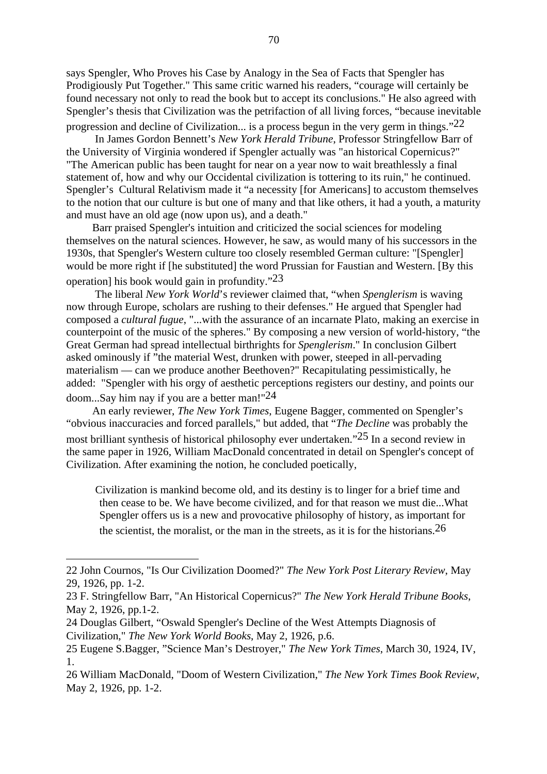says Spengler, Who Proves his Case by Analogy in the Sea of Facts that Spengler has Prodigiously Put Together." This same critic warned his readers, "courage will certainly be found necessary not only to read the book but to accept its conclusions." He also agreed with Spengler's thesis that Civilization was the petrifaction of all living forces, "because inevitable

progression and decline of Civilization... is a process begun in the very germ in things."22 In James Gordon Bennett's *New York Herald Tribune*, Professor Stringfellow Barr of the University of Virginia wondered if Spengler actually was "an historical Copernicus?" "The American public has been taught for near on a year now to wait breathlessly a final statement of, how and why our Occidental civilization is tottering to its ruin," he continued. Spengler's Cultural Relativism made it "a necessity [for Americans] to accustom themselves to the notion that our culture is but one of many and that like others, it had a youth, a maturity and must have an old age (now upon us), and a death."

Barr praised Spengler's intuition and criticized the social sciences for modeling themselves on the natural sciences. However, he saw, as would many of his successors in the 1930s, that Spengler's Western culture too closely resembled German culture: "[Spengler] would be more right if [he substituted] the word Prussian for Faustian and Western. [By this operation] his book would gain in profundity. $23$ 

 The liberal *New York World*'s reviewer claimed that, "when *Spenglerism* is waving now through Europe, scholars are rushing to their defenses." He argued that Spengler had composed a *cultural fugue*, "...with the assurance of an incarnate Plato, making an exercise in counterpoint of the music of the spheres." By composing a new version of world-history, "the Great German had spread intellectual birthrights for *Spenglerism*." In conclusion Gilbert asked ominously if "the material West, drunken with power, steeped in all-pervading materialism — can we produce another Beethoven?" Recapitulating pessimistically, he added: "Spengler with his orgy of aesthetic perceptions registers our destiny, and points our doom...Say him nay if you are a better man!"24

An early reviewer, *The New York Times*, Eugene Bagger, commented on Spengler's "obvious inaccuracies and forced parallels," but added, that "*The Decline* was probably the most brilliant synthesis of historical philosophy ever undertaken."25 In a second review in the same paper in 1926, William MacDonald concentrated in detail on Spengler's concept of Civilization. After examining the notion, he concluded poetically,

Civilization is mankind become old, and its destiny is to linger for a brief time and then cease to be. We have become civilized, and for that reason we must die...What Spengler offers us is a new and provocative philosophy of history, as important for the scientist, the moralist, or the man in the streets, as it is for the historians.  $26$ 

<sup>22</sup> John Cournos, "Is Our Civilization Doomed?" *The New York Post Literary Review*, May 29, 1926, pp. 1-2.

<sup>23</sup> F. Stringfellow Barr, "An Historical Copernicus?" *The New York Herald Tribune Books*, May 2, 1926, pp.1-2.

<sup>24</sup> Douglas Gilbert, "Oswald Spengler's Decline of the West Attempts Diagnosis of Civilization," *The New York World Books*, May 2, 1926, p.6.

<sup>25</sup> Eugene S.Bagger, "Science Man's Destroyer," *The New York Times*, March 30, 1924, IV, 1.

<sup>26</sup> William MacDonald, "Doom of Western Civilization," *The New York Times Book Review*, May 2, 1926, pp. 1-2.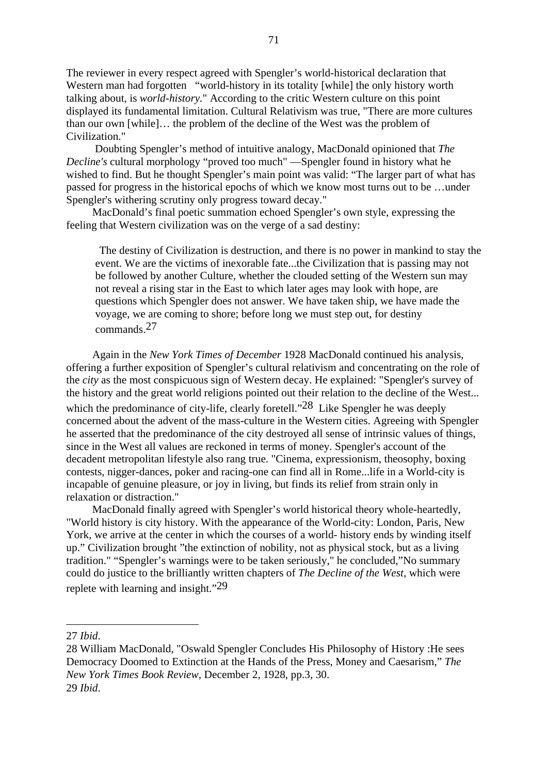The reviewer in every respect agreed with Spengler's world-historical declaration that Western man had forgotten "world-history in its totality [while] the only history worth talking about, is *world-history.*" According to the critic Western culture on this point displayed its fundamental limitation. Cultural Relativism was true, "There are more cultures than our own [while]… the problem of the decline of the West was the problem of Civilization."

 Doubting Spengler's method of intuitive analogy, MacDonald opinioned that *The Decline's* cultural morphology "proved too much" —Spengler found in history what he wished to find. But he thought Spengler's main point was valid: "The larger part of what has passed for progress in the historical epochs of which we know most turns out to be …under Spengler's withering scrutiny only progress toward decay."

MacDonald's final poetic summation echoed Spengler's own style, expressing the feeling that Western civilization was on the verge of a sad destiny:

The destiny of Civilization is destruction, and there is no power in mankind to stay the event. We are the victims of inexorable fate...the Civilization that is passing may not be followed by another Culture, whether the clouded setting of the Western sun may not reveal a rising star in the East to which later ages may look with hope, are questions which Spengler does not answer. We have taken ship, we have made the voyage, we are coming to shore; before long we must step out, for destiny commands.27

Again in the *New York Times of December* 1928 MacDonald continued his analysis, offering a further exposition of Spengler's cultural relativism and concentrating on the role of the *city* as the most conspicuous sign of Western decay. He explained: "Spengler's survey of the history and the great world religions pointed out their relation to the decline of the West... which the predominance of city-life, clearly foretell."<sup>28</sup> Like Spengler he was deeply concerned about the advent of the mass-culture in the Western cities. Agreeing with Spengler he asserted that the predominance of the city destroyed all sense of intrinsic values of things, since in the West all values are reckoned in terms of money. Spengler's account of the decadent metropolitan lifestyle also rang true. "Cinema, expressionism, theosophy, boxing contests, nigger-dances, poker and racing-one can find all in Rome...life in a World-city is incapable of genuine pleasure, or joy in living, but finds its relief from strain only in relaxation or distraction."

MacDonald finally agreed with Spengler's world historical theory whole-heartedly, "World history is city history. With the appearance of the World-city: London, Paris, New York, we arrive at the center in which the courses of a world- history ends by winding itself up." Civilization brought "the extinction of nobility, not as physical stock, but as a living tradition." "Spengler's warnings were to be taken seriously," he concluded,"No summary could do justice to the brilliantly written chapters of *The Decline of the West*, which were replete with learning and insight."29

<sup>27</sup> *Ibid*.

<sup>28</sup> William MacDonald, "Oswald Spengler Concludes His Philosophy of History :He sees Democracy Doomed to Extinction at the Hands of the Press, Money and Caesarism," *The New York Times Book Review*, December 2, 1928, pp.3, 30. 29 *Ibid*.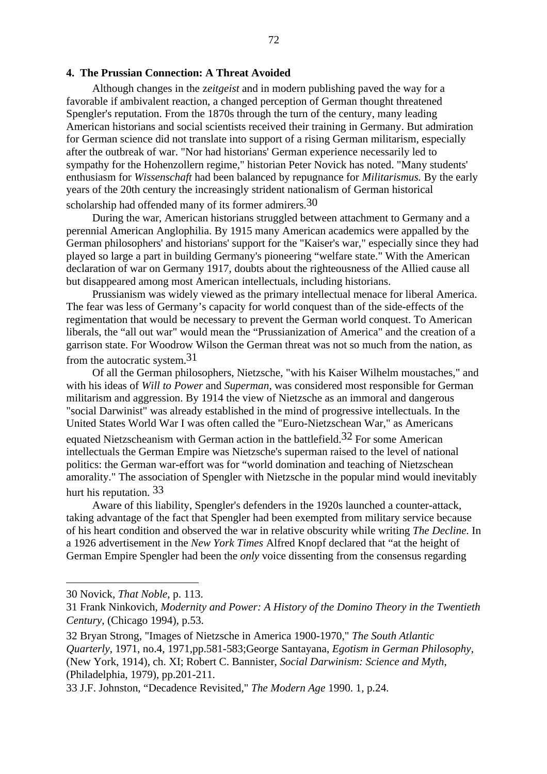## **4. The Prussian Connection: A Threat Avoided**

Although changes in the z*eitgeist* and in modern publishing paved the way for a favorable if ambivalent reaction, a changed perception of German thought threatened Spengler's reputation. From the 1870s through the turn of the century, many leading American historians and social scientists received their training in Germany. But admiration for German science did not translate into support of a rising German militarism, especially after the outbreak of war. "Nor had historians' German experience necessarily led to sympathy for the Hohenzollern regime," historian Peter Novick has noted. "Many students' enthusiasm for *Wissenschaft* had been balanced by repugnance for *Militarismus.* By the early years of the 20th century the increasingly strident nationalism of German historical scholarship had offended many of its former admirers.<sup>30</sup>

During the war, American historians struggled between attachment to Germany and a perennial American Anglophilia. By 1915 many American academics were appalled by the German philosophers' and historians' support for the "Kaiser's war," especially since they had played so large a part in building Germany's pioneering "welfare state." With the American declaration of war on Germany 1917, doubts about the righteousness of the Allied cause all but disappeared among most American intellectuals, including historians.

Prussianism was widely viewed as the primary intellectual menace for liberal America. The fear was less of Germany's capacity for world conquest than of the side-effects of the regimentation that would be necessary to prevent the German world conquest. To American liberals, the "all out war" would mean the "Prussianization of America" and the creation of a garrison state. For Woodrow Wilson the German threat was not so much from the nation, as from the autocratic system.31

Of all the German philosophers, Nietzsche, "with his Kaiser Wilhelm moustaches," and with his ideas of *Will to Power* and *Superman*, was considered most responsible for German militarism and aggression. By 1914 the view of Nietzsche as an immoral and dangerous "social Darwinist" was already established in the mind of progressive intellectuals. In the United States World War I was often called the "Euro-Nietzschean War," as Americans equated Nietzscheanism with German action in the battlefield.<sup>32</sup> For some American intellectuals the German Empire was Nietzsche's superman raised to the level of national politics: the German war-effort was for "world domination and teaching of Nietzschean amorality." The association of Spengler with Nietzsche in the popular mind would inevitably hurt his reputation. 33

Aware of this liability, Spengler's defenders in the 1920s launched a counter-attack, taking advantage of the fact that Spengler had been exempted from military service because of his heart condition and observed the war in relative obscurity while writing *The Decline.* In a 1926 advertisement in the *New York Times* Alfred Knopf declared that "at the height of German Empire Spengler had been the *only* voice dissenting from the consensus regarding

<sup>30</sup> Novick, *That Noble*, p. 113.

<sup>31</sup> Frank Ninkovich, *Modernity and Power: A History of the Domino Theory in the Twentieth Century*, (Chicago 1994), p.53.

<sup>32</sup> Bryan Strong, "Images of Nietzsche in America 1900-1970," *The South Atlantic Quarterly*, 1971, no.4, 1971,pp.581-583;George Santayana, *Egotism in German Philosophy*, (New York, 1914), ch. XI; Robert C. Bannister, *Social Darwinism: Science and Myth*, (Philadelphia, 1979), pp.201-211.

<sup>33</sup> J.F. Johnston, "Decadence Revisited," *The Modern Age* 1990. 1, p.24.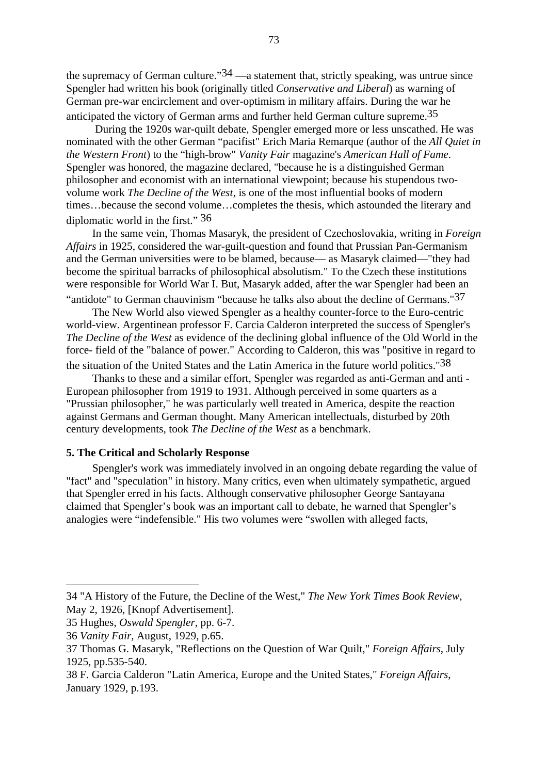the supremacy of German culture." $34$  —a statement that, strictly speaking, was untrue since Spengler had written his book (originally titled *Conservative and Liberal*) as warning of German pre-war encirclement and over-optimism in military affairs. During the war he anticipated the victory of German arms and further held German culture supreme.35

 During the 1920s war-quilt debate, Spengler emerged more or less unscathed. He was nominated with the other German "pacifist" Erich Maria Remarque (author of the *All Quiet in the Western Front*) to the "high-brow" *Vanity Fair* magazine's *American Hall of Fame*. Spengler was honored, the magazine declared, "because he is a distinguished German philosopher and economist with an international viewpoint; because his stupendous twovolume work *The Decline of the West*, is one of the most influential books of modern times…because the second volume…completes the thesis, which astounded the literary and diplomatic world in the first." 36

In the same vein, Thomas Masaryk, the president of Czechoslovakia, writing in *Foreign Affairs* in 1925, considered the war-guilt-question and found that Prussian Pan-Germanism and the German universities were to be blamed, because— as Masaryk claimed—"they had become the spiritual barracks of philosophical absolutism." To the Czech these institutions were responsible for World War I. But, Masaryk added, after the war Spengler had been an

"antidote" to German chauvinism "because he talks also about the decline of Germans." $37$ 

The New World also viewed Spengler as a healthy counter-force to the Euro-centric world-view. Argentinean professor F. Carcia Calderon interpreted the success of Spengler's *The Decline of the West* as evidence of the declining global influence of the Old World in the force- field of the "balance of power." According to Calderon, this was "positive in regard to

the situation of the United States and the Latin America in the future world politics."38

Thanks to these and a similar effort, Spengler was regarded as anti-German and anti - European philosopher from 1919 to 1931. Although perceived in some quarters as a "Prussian philosopher," he was particularly well treated in America, despite the reaction against Germans and German thought. Many American intellectuals, disturbed by 20th century developments, took *The Decline of the West* as a benchmark.

## **5. The Critical and Scholarly Response**

Spengler's work was immediately involved in an ongoing debate regarding the value of "fact" and "speculation" in history. Many critics, even when ultimately sympathetic, argued that Spengler erred in his facts. Although conservative philosopher George Santayana claimed that Spengler's book was an important call to debate, he warned that Spengler's analogies were "indefensible." His two volumes were "swollen with alleged facts,

<sup>34 &</sup>quot;A History of the Future, the Decline of the West," *The New York Times Book Review*, May 2, 1926, [Knopf Advertisement].

<sup>35</sup> Hughes, *Oswald Spengler*, pp. 6-7.

<sup>36</sup> *Vanity Fair*, August, 1929, p.65.

<sup>37</sup> Thomas G. Masaryk, "Reflections on the Question of War Quilt," *Foreign Affairs*, July 1925, pp.535-540.

<sup>38</sup> F. Garcia Calderon "Latin America, Europe and the United States," *Foreign Affairs*, January 1929, p.193.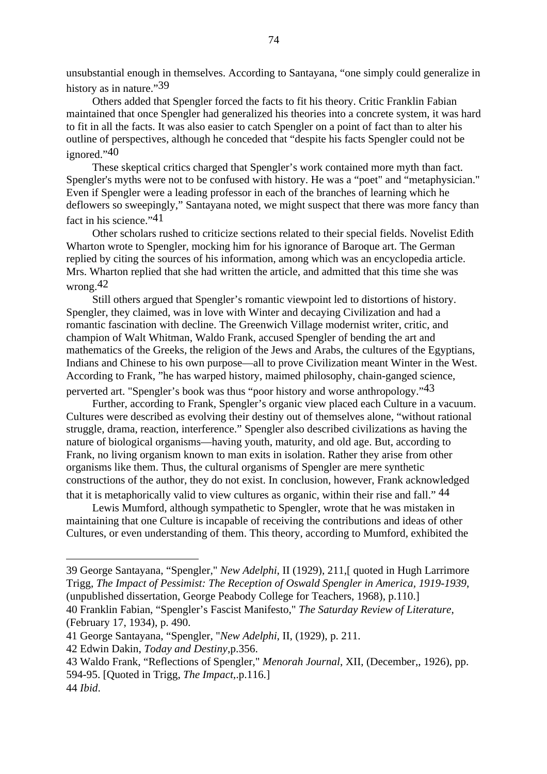unsubstantial enough in themselves. According to Santayana, "one simply could generalize in history as in nature."39

Others added that Spengler forced the facts to fit his theory. Critic Franklin Fabian maintained that once Spengler had generalized his theories into a concrete system, it was hard to fit in all the facts. It was also easier to catch Spengler on a point of fact than to alter his outline of perspectives, although he conceded that "despite his facts Spengler could not be ignored."40

These skeptical critics charged that Spengler's work contained more myth than fact. Spengler's myths were not to be confused with history. He was a "poet" and "metaphysician." Even if Spengler were a leading professor in each of the branches of learning which he deflowers so sweepingly," Santayana noted, we might suspect that there was more fancy than fact in his science."<sup>41</sup>

Other scholars rushed to criticize sections related to their special fields. Novelist Edith Wharton wrote to Spengler, mocking him for his ignorance of Baroque art. The German replied by citing the sources of his information, among which was an encyclopedia article. Mrs. Wharton replied that she had written the article, and admitted that this time she was wrong  $42$ 

Still others argued that Spengler's romantic viewpoint led to distortions of history. Spengler, they claimed, was in love with Winter and decaying Civilization and had a romantic fascination with decline. The Greenwich Village modernist writer, critic, and champion of Walt Whitman, Waldo Frank, accused Spengler of bending the art and mathematics of the Greeks, the religion of the Jews and Arabs, the cultures of the Egyptians, Indians and Chinese to his own purpose—all to prove Civilization meant Winter in the West. According to Frank, "he has warped history, maimed philosophy, chain-ganged science,

perverted art. "Spengler's book was thus "poor history and worse anthropology."43

Further, according to Frank, Spengler's organic view placed each Culture in a vacuum. Cultures were described as evolving their destiny out of themselves alone, "without rational struggle, drama, reaction, interference." Spengler also described civilizations as having the nature of biological organisms—having youth, maturity, and old age. But, according to Frank, no living organism known to man exits in isolation. Rather they arise from other organisms like them. Thus, the cultural organisms of Spengler are mere synthetic constructions of the author, they do not exist. In conclusion, however, Frank acknowledged that it is metaphorically valid to view cultures as organic, within their rise and fall." 44

Lewis Mumford, although sympathetic to Spengler, wrote that he was mistaken in maintaining that one Culture is incapable of receiving the contributions and ideas of other Cultures, or even understanding of them. This theory, according to Mumford, exhibited the

<sup>39</sup> George Santayana, "Spengler," *New Adelphi*, II (1929), 211,[ quoted in Hugh Larrimore Trigg, *The Impact of Pessimist: The Reception of Oswald Spengler in America, 1919-1939*, (unpublished dissertation, George Peabody College for Teachers, 1968), p.110.]

<sup>40</sup> Franklin Fabian, "Spengler's Fascist Manifesto," *The Saturday Review of Literature*, (February 17, 1934), p. 490.

<sup>41</sup> George Santayana, "Spengler, "*New Adelphi*, II, (1929), p. 211.

<sup>42</sup> Edwin Dakin, *Today and Destiny*,p.356.

<sup>43</sup> Waldo Frank, "Reflections of Spengler," *Menorah Journal*, XII, (December,, 1926), pp. 594-95. [Quoted in Trigg, *The Impact*,.p.116.]

<sup>44</sup> *Ibid*.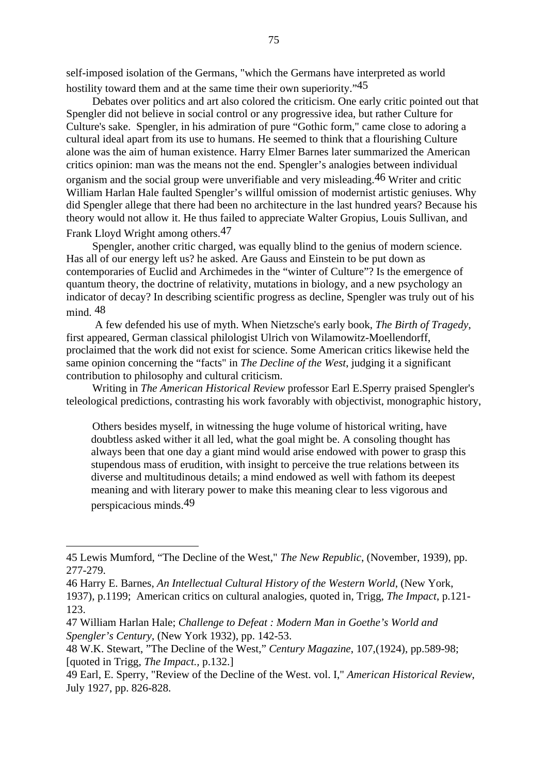self-imposed isolation of the Germans, "which the Germans have interpreted as world hostility toward them and at the same time their own superiority."<sup>45</sup>

Debates over politics and art also colored the criticism. One early critic pointed out that Spengler did not believe in social control or any progressive idea, but rather Culture for Culture's sake. Spengler, in his admiration of pure "Gothic form," came close to adoring a cultural ideal apart from its use to humans. He seemed to think that a flourishing Culture alone was the aim of human existence. Harry Elmer Barnes later summarized the American critics opinion: man was the means not the end. Spengler's analogies between individual organism and the social group were unverifiable and very misleading.46 Writer and critic William Harlan Hale faulted Spengler's willful omission of modernist artistic geniuses. Why did Spengler allege that there had been no architecture in the last hundred years? Because his theory would not allow it. He thus failed to appreciate Walter Gropius, Louis Sullivan, and Frank Lloyd Wright among others.47

Spengler, another critic charged, was equally blind to the genius of modern science. Has all of our energy left us? he asked. Are Gauss and Einstein to be put down as contemporaries of Euclid and Archimedes in the "winter of Culture"? Is the emergence of quantum theory, the doctrine of relativity, mutations in biology, and a new psychology an indicator of decay? In describing scientific progress as decline, Spengler was truly out of his mind. 48

 A few defended his use of myth. When Nietzsche's early book, *The Birth of Tragedy*, first appeared, German classical philologist Ulrich von Wilamowitz-Moellendorff, proclaimed that the work did not exist for science. Some American critics likewise held the same opinion concerning the "facts" in *The Decline of the West*, judging it a significant contribution to philosophy and cultural criticism.

Writing in *The American Historical Review* professor Earl E.Sperry praised Spengler's teleological predictions, contrasting his work favorably with objectivist, monographic history,

Others besides myself, in witnessing the huge volume of historical writing, have doubtless asked wither it all led, what the goal might be. A consoling thought has always been that one day a giant mind would arise endowed with power to grasp this stupendous mass of erudition, with insight to perceive the true relations between its diverse and multitudinous details; a mind endowed as well with fathom its deepest meaning and with literary power to make this meaning clear to less vigorous and perspicacious minds.49

<sup>45</sup> Lewis Mumford, "The Decline of the West," *The New Republic*, (November, 1939), pp. 277-279.

<sup>46</sup> Harry E. Barnes, *An Intellectual Cultural History of the Western World*, (New York, 1937), p.1199; American critics on cultural analogies, quoted in, Trigg, *The Impact*, p.121- 123.

<sup>47</sup> William Harlan Hale; *Challenge to Defeat : Modern Man in Goethe's World and Spengler's Century*, (New York 1932), pp. 142-53.

<sup>48</sup> W.K. Stewart, "The Decline of the West," *Century Magazine*, 107,(1924), pp.589-98; [quoted in Trigg, *The Impact.,* p.132.]

<sup>49</sup> Earl, E. Sperry, "Review of the Decline of the West. vol. I," *American Historical Review*, July 1927, pp. 826-828.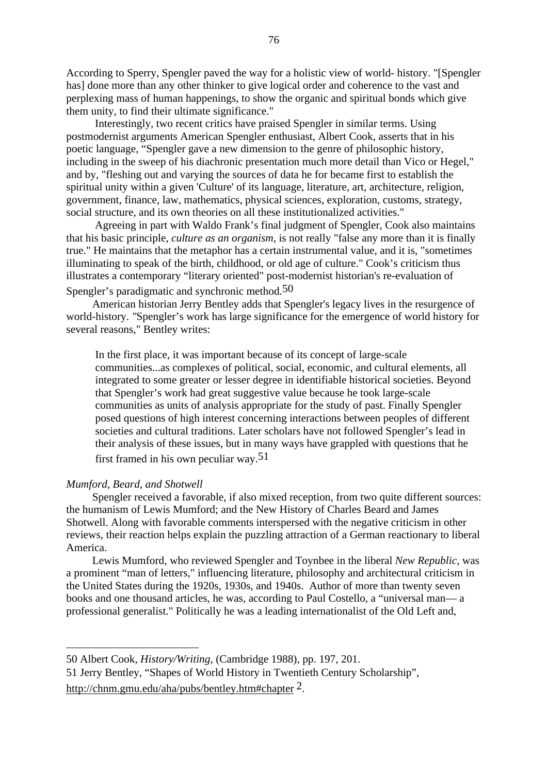According to Sperry, Spengler paved the way for a holistic view of world- history. "[Spengler has] done more than any other thinker to give logical order and coherence to the vast and perplexing mass of human happenings, to show the organic and spiritual bonds which give them unity, to find their ultimate significance."

 Interestingly, two recent critics have praised Spengler in similar terms. Using postmodernist arguments American Spengler enthusiast, Albert Cook, asserts that in his poetic language, "Spengler gave a new dimension to the genre of philosophic history, including in the sweep of his diachronic presentation much more detail than Vico or Hegel," and by, "fleshing out and varying the sources of data he for became first to establish the spiritual unity within a given 'Culture' of its language, literature, art, architecture, religion, government, finance, law, mathematics, physical sciences, exploration, customs, strategy, social structure, and its own theories on all these institutionalized activities."

 Agreeing in part with Waldo Frank's final judgment of Spengler, Cook also maintains that his basic principle, *culture as an organism*, is not really "false any more than it is finally true." He maintains that the metaphor has a certain instrumental value, and it is, "sometimes illuminating to speak of the birth, childhood, or old age of culture." Cook's criticism thus illustrates a contemporary "literary oriented" post-modernist historian's re-evaluation of Spengler's paradigmatic and synchronic method.<sup>50</sup>

American historian Jerry Bentley adds that Spengler's legacy lives in the resurgence of world-history. *"*Spengler's work has large significance for the emergence of world history for several reasons," Bentley writes:

In the first place, it was important because of its concept of large-scale communities...as complexes of political, social, economic, and cultural elements, all integrated to some greater or lesser degree in identifiable historical societies. Beyond that Spengler's work had great suggestive value because he took large-scale communities as units of analysis appropriate for the study of past. Finally Spengler posed questions of high interest concerning interactions between peoples of different societies and cultural traditions. Later scholars have not followed Spengler's lead in their analysis of these issues, but in many ways have grappled with questions that he first framed in his own peculiar way.51

# *Mumford, Beard, and Shotwell*

Spengler received a favorable, if also mixed reception, from two quite different sources: the humanism of Lewis Mumford; and the New History of Charles Beard and James Shotwell. Along with favorable comments interspersed with the negative criticism in other reviews, their reaction helps explain the puzzling attraction of a German reactionary to liberal America.

Lewis Mumford*,* who reviewed Spengler and Toynbee in the liberal *New Republic,* was a prominent "man of letters," influencing literature, philosophy and architectural criticism in the United States during the 1920s, 1930s, and 1940s. Author of more than twenty seven books and one thousand articles, he was, according to Paul Costello, a "universal man— a professional generalist." Politically he was a leading internationalist of the Old Left and,

<sup>50</sup> Albert Cook, *History/Writing*, (Cambridge 1988), pp. 197, 201.

<sup>51</sup> Jerry Bentley, "Shapes of World History in Twentieth Century Scholarship", http://chnm.gmu.edu/aha/pubs/bentley.htm#chapter 2.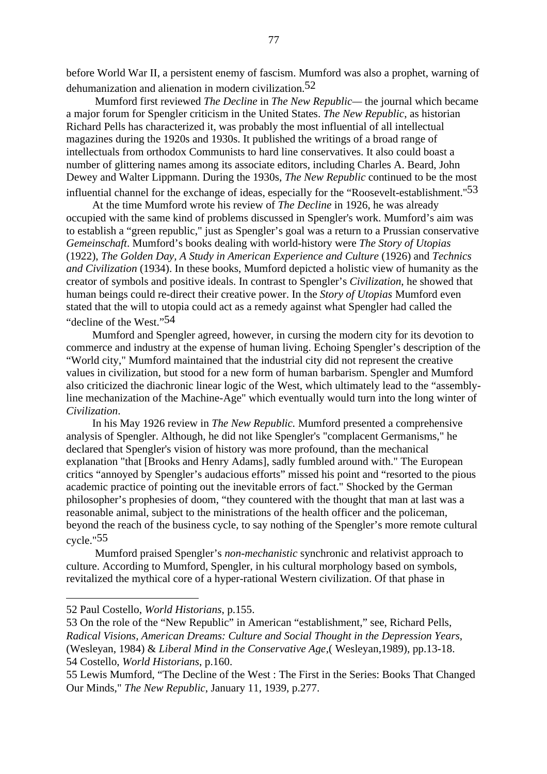before World War II, a persistent enemy of fascism. Mumford was also a prophet, warning of dehumanization and alienation in modern civilization.52

 Mumford first reviewed *The Decline* in *The New Republic—* the journal which became a major forum for Spengler criticism in the United States. *The New Republic*, as historian Richard Pells has characterized it, was probably the most influential of all intellectual magazines during the 1920s and 1930s. It published the writings of a broad range of intellectuals from orthodox Communists to hard line conservatives. It also could boast a number of glittering names among its associate editors, including Charles A. Beard, John Dewey and Walter Lippmann. During the 1930s*, The New Republic* continued to be the most influential channel for the exchange of ideas, especially for the "Roosevelt-establishment."<sup>53</sup>

At the time Mumford wrote his review of *The Decline* in 1926, he was already occupied with the same kind of problems discussed in Spengler's work. Mumford's aim was to establish a "green republic," just as Spengler's goal was a return to a Prussian conservative *Gemeinschaft*. Mumford's books dealing with world-history were *The Story of Utopias* (1922), *The Golden Day, A Study in American Experience and Culture* (1926) and *Technics and Civilization* (1934). In these books, Mumford depicted a holistic view of humanity as the creator of symbols and positive ideals. In contrast to Spengler's *Civilization*, he showed that human beings could re-direct their creative power. In the *Story of Utopias* Mumford even stated that the will to utopia could act as a remedy against what Spengler had called the "decline of the West."54

Mumford and Spengler agreed, however, in cursing the modern city for its devotion to commerce and industry at the expense of human living. Echoing Spengler's description of the "World city," Mumford maintained that the industrial city did not represent the creative values in civilization, but stood for a new form of human barbarism. Spengler and Mumford also criticized the diachronic linear logic of the West, which ultimately lead to the "assemblyline mechanization of the Machine-Age" which eventually would turn into the long winter of *Civilization*.

In his May 1926 review in *The New Republic.* Mumford presented a comprehensive analysis of Spengler. Although, he did not like Spengler's "complacent Germanisms," he declared that Spengler's vision of history was more profound, than the mechanical explanation "that [Brooks and Henry Adams], sadly fumbled around with." The European critics "annoyed by Spengler's audacious efforts" missed his point and "resorted to the pious academic practice of pointing out the inevitable errors of fact." Shocked by the German philosopher's prophesies of doom, "they countered with the thought that man at last was a reasonable animal, subject to the ministrations of the health officer and the policeman, beyond the reach of the business cycle, to say nothing of the Spengler's more remote cultural cycle."55

 Mumford praised Spengler's *non-mechanistic* synchronic and relativist approach to culture. According to Mumford, Spengler, in his cultural morphology based on symbols, revitalized the mythical core of a hyper-rational Western civilization. Of that phase in

<sup>52</sup> Paul Costello, *World Historians*, p.155.

<sup>53</sup> On the role of the "New Republic" in American "establishment," see, Richard Pells, *Radical Visions, American Dreams: Culture and Social Thought in the Depression Years*, (Wesleyan, 1984) & *Liberal Mind in the Conservative Age*,( Wesleyan,1989), pp.13-18. 54 Costello, *World Historians*, p.160.

<sup>55</sup> Lewis Mumford, "The Decline of the West : The First in the Series: Books That Changed Our Minds," *The New Republic*, January 11, 1939, p.277.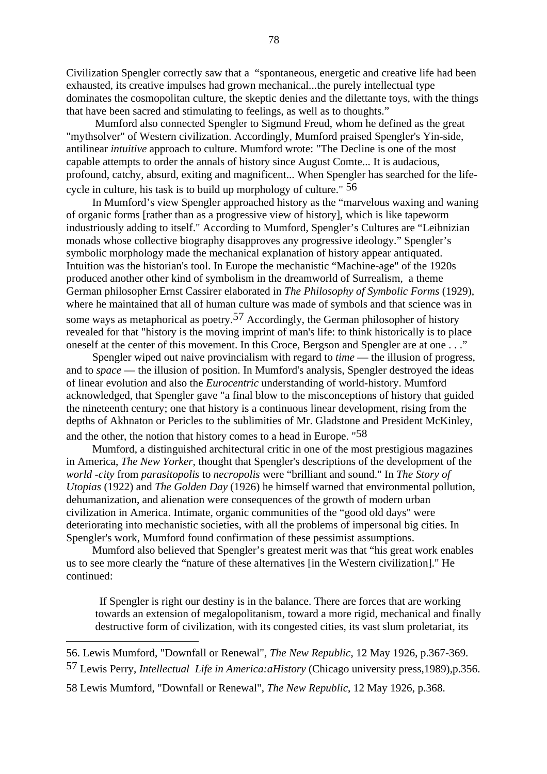Civilization Spengler correctly saw that a "spontaneous, energetic and creative life had been exhausted, its creative impulses had grown mechanical...the purely intellectual type dominates the cosmopolitan culture, the skeptic denies and the dilettante toys, with the things that have been sacred and stimulating to feelings, as well as to thoughts."

 Mumford also connected Spengler to Sigmund Freud, whom he defined as the great "mythsolver" of Western civilization. Accordingly, Mumford praised Spengler's Yin-side, antilinear *intuitive* approach to culture. Mumford wrote: "The Decline is one of the most capable attempts to order the annals of history since August Comte... It is audacious, profound, catchy, absurd, exiting and magnificent... When Spengler has searched for the lifecycle in culture, his task is to build up morphology of culture." 56

In Mumford's view Spengler approached history as the "marvelous waxing and waning of organic forms [rather than as a progressive view of history], which is like tapeworm industriously adding to itself." According to Mumford, Spengler's Cultures are "Leibnizian monads whose collective biography disapproves any progressive ideology." Spengler's symbolic morphology made the mechanical explanation of history appear antiquated. Intuition was the historian's tool. In Europe the mechanistic "Machine-age" of the 1920s produced another other kind of symbolism in the dreamworld of Surrealism, a theme German philosopher Ernst Cassirer elaborated in *The Philosophy of Symbolic Forms* (1929), where he maintained that all of human culture was made of symbols and that science was in some ways as metaphorical as poetry.<sup>57</sup> Accordingly, the German philosopher of history revealed for that "history is the moving imprint of man's life: to think historically is to place oneself at the center of this movement. In this Croce, Bergson and Spengler are at one . . ."

Spengler wiped out naive provincialism with regard to *time* — the illusion of progress, and to *space* — the illusion of position. In Mumford's analysis, Spengler destroyed the ideas of linear evolutio*n* and also the *Eurocentric* understanding of world-history. Mumford acknowledged, that Spengler gave "a final blow to the misconceptions of history that guided the nineteenth century; one that history is a continuous linear development, rising from the depths of Akhnaton or Pericles to the sublimities of Mr. Gladstone and President McKinley, and the other, the notion that history comes to a head in Europe. "58

Mumford, a distinguished architectural critic in one of the most prestigious magazines in America, *The New Yorker*, thought that Spengler's descriptions of the development of the *world -city* from *parasitopolis* to *necropolis* were "brilliant and sound." In *The Story of Utopias* (1922) and *The Golden Day* (1926) he himself warned that environmental pollution, dehumanization, and alienation were consequences of the growth of modern urban civilization in America. Intimate, organic communities of the "good old days" were deteriorating into mechanistic societies, with all the problems of impersonal big cities. In Spengler's work, Mumford found confirmation of these pessimist assumptions.

Mumford also believed that Spengler's greatest merit was that "his great work enables us to see more clearly the "nature of these alternatives [in the Western civilization]." He continued:

If Spengler is right our destiny is in the balance. There are forces that are working towards an extension of megalopolitanism, toward a more rigid, mechanical and finally destructive form of civilization, with its congested cities, its vast slum proletariat, its

<sup>56.</sup> Lewis Mumford, "Downfall or Renewal", *The New Republic*, 12 May 1926, p.367-369.

<sup>57</sup> Lewis Perry, *Intellectual Life in America:aHistory* (Chicago university press,1989),p.356.

<sup>58</sup> Lewis Mumford, "Downfall or Renewal", *The New Republic*, 12 May 1926, p.368.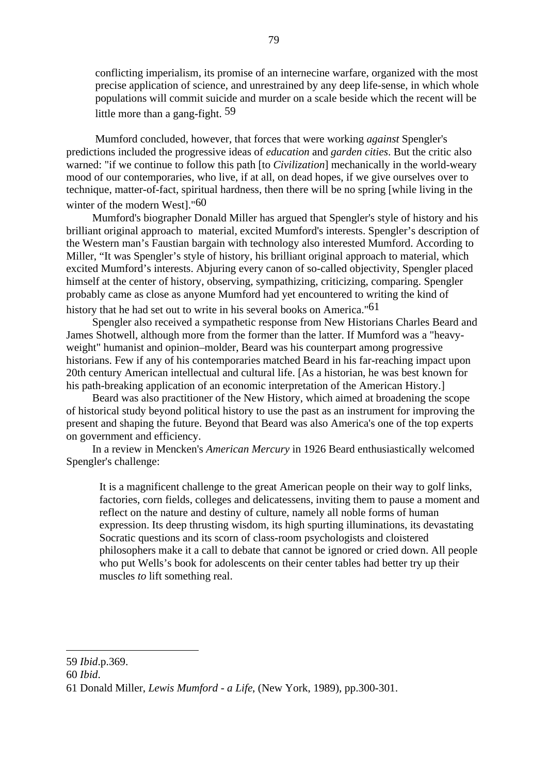conflicting imperialism, its promise of an internecine warfare, organized with the most precise application of science, and unrestrained by any deep life-sense, in which whole populations will commit suicide and murder on a scale beside which the recent will be little more than a gang-fight. 59

Mumford concluded, however, that forces that were working *against* Spengler's predictions included the progressive ideas of *education* and *garden cities*. But the critic also warned: "if we continue to follow this path [to *Civilization*] mechanically in the world-weary mood of our contemporaries, who live, if at all, on dead hopes, if we give ourselves over to technique, matter-of-fact, spiritual hardness, then there will be no spring [while living in the winter of the modern West]."60

Mumford's biographer Donald Miller has argued that Spengler's style of history and his brilliant original approach to material, excited Mumford's interests. Spengler's description of the Western man's Faustian bargain with technology also interested Mumford. According to Miller, "It was Spengler's style of history, his brilliant original approach to material, which excited Mumford's interests. Abjuring every canon of so-called objectivity, Spengler placed himself at the center of history, observing, sympathizing, criticizing, comparing. Spengler probably came as close as anyone Mumford had yet encountered to writing the kind of history that he had set out to write in his several books on America."61

Spengler also received a sympathetic response from New Historians Charles Beard and James Shotwell, although more from the former than the latter. If Mumford was a "heavyweight" humanist and opinion–molder, Beard was his counterpart among progressive historians. Few if any of his contemporaries matched Beard in his far-reaching impact upon 20th century American intellectual and cultural life. [As a historian, he was best known for his path-breaking application of an economic interpretation of the American History.]

Beard was also practitioner of the New History, which aimed at broadening the scope of historical study beyond political history to use the past as an instrument for improving the present and shaping the future. Beyond that Beard was also America's one of the top experts on government and efficiency.

In a review in Mencken's *American Mercury* in 1926 Beard enthusiastically welcomed Spengler's challenge:

It is a magnificent challenge to the great American people on their way to golf links, factories, corn fields, colleges and delicatessens, inviting them to pause a moment and reflect on the nature and destiny of culture, namely all noble forms of human expression. Its deep thrusting wisdom, its high spurting illuminations, its devastating Socratic questions and its scorn of class-room psychologists and cloistered philosophers make it a call to debate that cannot be ignored or cried down. All people who put Wells's book for adolescents on their center tables had better try up their muscles *to* lift something real.

<sup>59</sup> *Ibid*.p.369.

<sup>60</sup> *Ibid*.

<sup>61</sup> Donald Miller, *Lewis Mumford - a Life*, (New York, 1989), pp.300-301.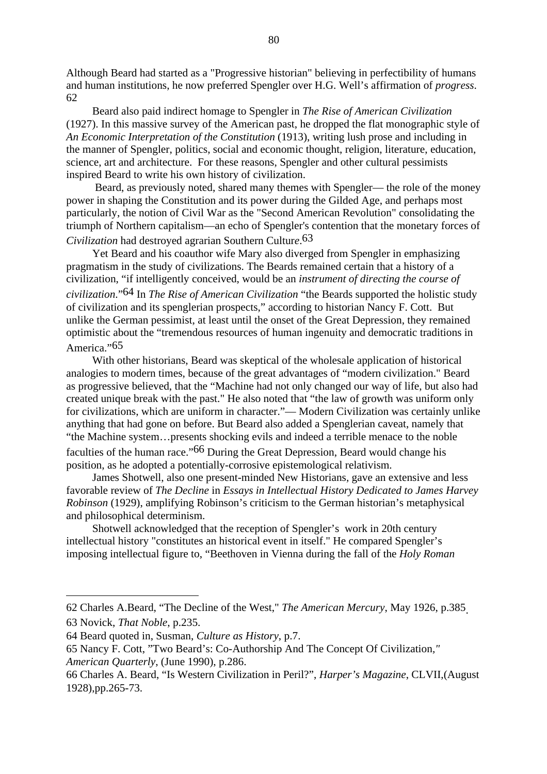Although Beard had started as a "Progressive historian" believing in perfectibility of humans and human institutions, he now preferred Spengler over H.G. Well's affirmation of *progress*. 62

Beard also paid indirect homage to Spengler in *The Rise of American Civilization* (1927). In this massive survey of the American past, he dropped the flat monographic style of *An Economic Interpretation of the Constitution* (1913), writing lush prose and including in the manner of Spengler, politics, social and economic thought, religion, literature, education, science, art and architecture. For these reasons, Spengler and other cultural pessimists inspired Beard to write his own history of civilization.

 Beard, as previously noted, shared many themes with Spengler— the role of the money power in shaping the Constitution and its power during the Gilded Age, and perhaps most particularly, the notion of Civil War as the "Second American Revolution" consolidating the triumph of Northern capitalism—an echo of Spengler's contention that the monetary forces of

*Civilization* had destroyed agrarian Southern Cultur*e*. 63

Yet Beard and his coauthor wife Mary also diverged from Spengler in emphasizing pragmatism in the study of civilizations. The Beards remained certain that a history of a civilization, "if intelligently conceived, would be an *instrument of directing the course of civilization*."64 In *The Rise of American Civilization* "the Beards supported the holistic study of civilization and its spenglerian prospects," according to historian Nancy F. Cott. But unlike the German pessimist, at least until the onset of the Great Depression, they remained optimistic about the "tremendous resources of human ingenuity and democratic traditions in America."<sup>65</sup>

With other historians, Beard was skeptical of the wholesale application of historical analogies to modern times, because of the great advantages of "modern civilization." Beard as progressive believed, that the "Machine had not only changed our way of life, but also had created unique break with the past." He also noted that "the law of growth was uniform only for civilizations, which are uniform in character."— Modern Civilization was certainly unlike anything that had gone on before. But Beard also added a Spenglerian caveat, namely that "the Machine system…presents shocking evils and indeed a terrible menace to the noble faculties of the human race."66 During the Great Depression, Beard would change his position, as he adopted a potentially-corrosive epistemological relativism.

James Shotwell, also one present-minded New Historians*,* gave an extensive and less favorable review of *The Decline* in *Essays in Intellectual History Dedicated to James Harvey Robinson* (1929), amplifying Robinson's criticism to the German historian's metaphysical and philosophical determinism.

Shotwell acknowledged that the reception of Spengler's work in 20th century intellectual history "constitutes an historical event in itself." He compared Spengler's imposing intellectual figure to, "Beethoven in Vienna during the fall of the *Holy Roman*

<sup>62</sup> Charles A.Beard, "The Decline of the West," *The American Mercury*, May 1926, p.385. 63 Novick, *That Noble*, p.235.

<sup>64</sup> Beard quoted in, Susman, *Culture as History*, p.7.

<sup>65</sup> Nancy F. Cott, "Two Beard's: Co-Authorship And The Concept Of Civilization*," American Quarterly*, (June 1990), p.286.

<sup>66</sup> Charles A. Beard, "Is Western Civilization in Peril?", *Harper's Magazine*, CLVII,(August 1928),pp.265-73.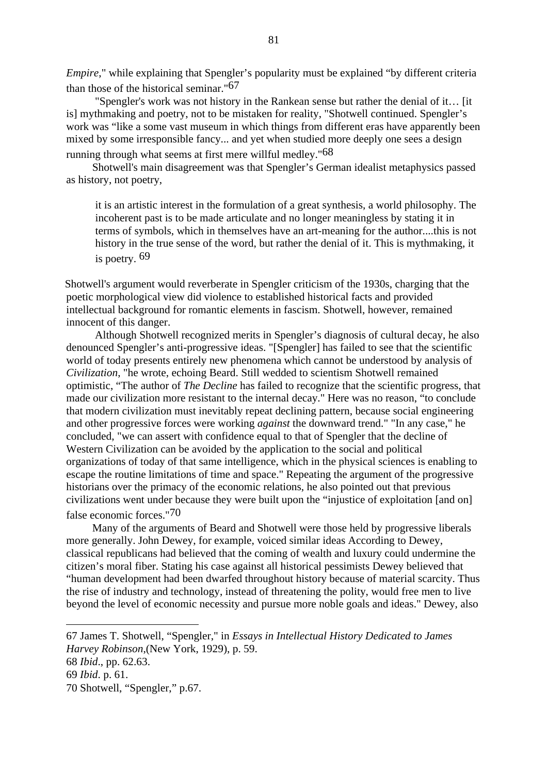*Empire*," while explaining that Spengler's popularity must be explained "by different criteria" than those of the historical seminar."67

 "Spengler's work was not history in the Rankean sense but rather the denial of it… [it is] mythmaking and poetry, not to be mistaken for reality, "Shotwell continued. Spengler's work was "like a some vast museum in which things from different eras have apparently been mixed by some irresponsible fancy... and yet when studied more deeply one sees a design running through what seems at first mere willful medley."68

Shotwell's main disagreement was that Spengler's German idealist metaphysics passed as history, not poetry,

it is an artistic interest in the formulation of a great synthesis, a world philosophy. The incoherent past is to be made articulate and no longer meaningless by stating it in terms of symbols, which in themselves have an art-meaning for the author....this is not history in the true sense of the word, but rather the denial of it. This is mythmaking, it is poetry. 69

 Shotwell's argument would reverberate in Spengler criticism of the 1930s, charging that the poetic morphological view did violence to established historical facts and provided intellectual background for romantic elements in fascism. Shotwell, however, remained innocent of this danger.

 Although Shotwell recognized merits in Spengler's diagnosis of cultural decay, he also denounced Spengler's anti-progressive ideas. "[Spengler] has failed to see that the scientific world of today presents entirely new phenomena which cannot be understood by analysis of *Civilization*, "he wrote, echoing Beard. Still wedded to scientism Shotwell remained optimistic, "The author of *The Decline* has failed to recognize that the scientific progress, that made our civilization more resistant to the internal decay." Here was no reason, "to conclude that modern civilization must inevitably repeat declining pattern, because social engineering and other progressive forces were working *against* the downward trend." "In any case," he concluded, "we can assert with confidence equal to that of Spengler that the decline of Western Civilization can be avoided by the application to the social and political organizations of today of that same intelligence, which in the physical sciences is enabling to escape the routine limitations of time and space." Repeating the argument of the progressive historians over the primacy of the economic relations, he also pointed out that previous civilizations went under because they were built upon the "injustice of exploitation [and on] false economic forces."70

Many of the arguments of Beard and Shotwell were those held by progressive liberals more generally. John Dewey, for example, voiced similar ideas According to Dewey, classical republicans had believed that the coming of wealth and luxury could undermine the citizen's moral fiber. Stating his case against all historical pessimists Dewey believed that "human development had been dwarfed throughout history because of material scarcity. Thus the rise of industry and technology, instead of threatening the polity, would free men to live beyond the level of economic necessity and pursue more noble goals and ideas." Dewey, also

<sup>67</sup> James T. Shotwell, "Spengler," in *Essays in Intellectual History Dedicated to James Harvey Robinson*,(New York, 1929), p. 59.

<sup>68</sup> *Ibid*., pp. 62.63.

<sup>69</sup> *Ibid*. p. 61.

<sup>70</sup> Shotwell, "Spengler," p.67.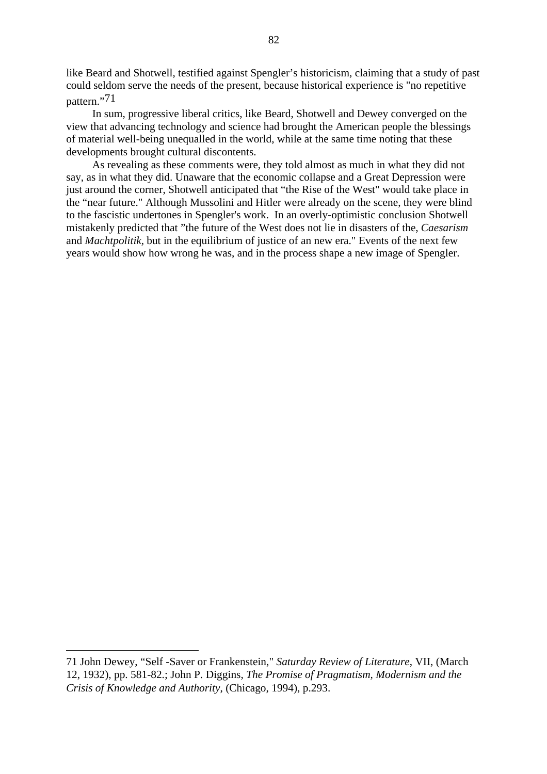like Beard and Shotwell, testified against Spengler's historicism, claiming that a study of past could seldom serve the needs of the present, because historical experience is "no repetitive pattern."71

In sum, progressive liberal critics, like Beard, Shotwell and Dewey converged on the view that advancing technology and science had brought the American people the blessings of material well-being unequalled in the world, while at the same time noting that these developments brought cultural discontents.

As revealing as these comments were, they told almost as much in what they did not say, as in what they did. Unaware that the economic collapse and a Great Depression were just around the corner, Shotwell anticipated that "the Rise of the West" would take place in the "near future." Although Mussolini and Hitler were already on the scene, they were blind to the fascistic undertones in Spengler's work. In an overly-optimistic conclusion Shotwell mistakenly predicted that "the future of the West does not lie in disasters of the, *Caesarism* and *Machtpolitik,* but in the equilibrium of justice of an new era." Events of the next few years would show how wrong he was, and in the process shape a new image of Spengler.

<sup>71</sup> John Dewey, "Self -Saver or Frankenstein," *Saturday Review of Literature*, VII, (March 12, 1932), pp. 581-82.; John P. Diggins, *The Promise of Pragmatism, Modernism and the Crisis of Knowledge and Authority*, (Chicago, 1994), p.293.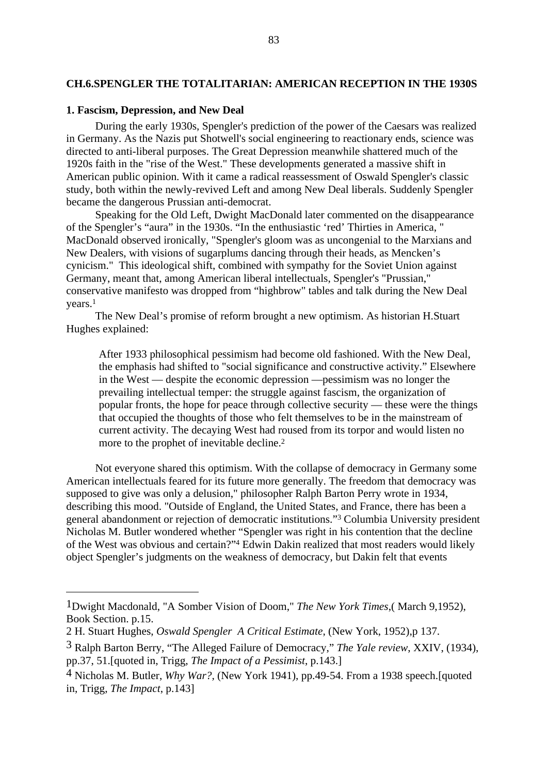## **CH.6.SPENGLER THE TOTALITARIAN: AMERICAN RECEPTION IN THE 1930S**

## **1. Fascism, Depression, and New Deal**

During the early 1930s, Spengler's prediction of the power of the Caesars was realized in Germany. As the Nazis put Shotwell's social engineering to reactionary ends, science was directed to anti-liberal purposes. The Great Depression meanwhile shattered much of the 1920s faith in the "rise of the West." These developments generated a massive shift in American public opinion. With it came a radical reassessment of Oswald Spengler's classic study, both within the newly-revived Left and among New Deal liberals. Suddenly Spengler became the dangerous Prussian anti-democrat.

Speaking for the Old Left, Dwight MacDonald later commented on the disappearance of the Spengler's "aura" in the 1930s. "In the enthusiastic 'red' Thirties in America, " MacDonald observed ironically, "Spengler's gloom was as uncongenial to the Marxians and New Dealers, with visions of sugarplums dancing through their heads, as Mencken's cynicism." This ideological shift, combined with sympathy for the Soviet Union against Germany, meant that, among American liberal intellectuals, Spengler's "Prussian," conservative manifesto was dropped from "highbrow" tables and talk during the New Deal years.1

The New Deal's promise of reform brought a new optimism. As historian H.Stuart Hughes explained:

After 1933 philosophical pessimism had become old fashioned. With the New Deal, the emphasis had shifted to "social significance and constructive activity." Elsewhere in the West — despite the economic depression —pessimism was no longer the prevailing intellectual temper: the struggle against fascism, the organization of popular fronts, the hope for peace through collective security — these were the things that occupied the thoughts of those who felt themselves to be in the mainstream of current activity. The decaying West had roused from its torpor and would listen no more to the prophet of inevitable decline.2

Not everyone shared this optimism. With the collapse of democracy in Germany some American intellectuals feared for its future more generally. The freedom that democracy was supposed to give was only a delusion," philosopher Ralph Barton Perry wrote in 1934, describing this mood. "Outside of England, the United States, and France, there has been a general abandonment or rejection of democratic institutions."3 Columbia University president Nicholas M. Butler wondered whether "Spengler was right in his contention that the decline of the West was obvious and certain?"4 Edwin Dakin realized that most readers would likely object Spengler's judgments on the weakness of democracy, but Dakin felt that events

<sup>1</sup>Dwight Macdonald, "A Somber Vision of Doom," *The New York Times*,( March 9,1952), Book Section. p.15.

<sup>2</sup> H. Stuart Hughes, *Oswald Spengler A Critical Estimate*, (New York, 1952),p 137.

<sup>3</sup> Ralph Barton Berry, "The Alleged Failure of Democracy," *The Yale review*, XXIV, (1934), pp.37, 51.[quoted in, Trigg, *The Impact of a Pessimist*, p.143.]

<sup>4</sup> Nicholas M. Butler, *Why War?,* (New York 1941), pp.49-54. From a 1938 speech.[quoted in, Trigg, *The Impact*, p.143]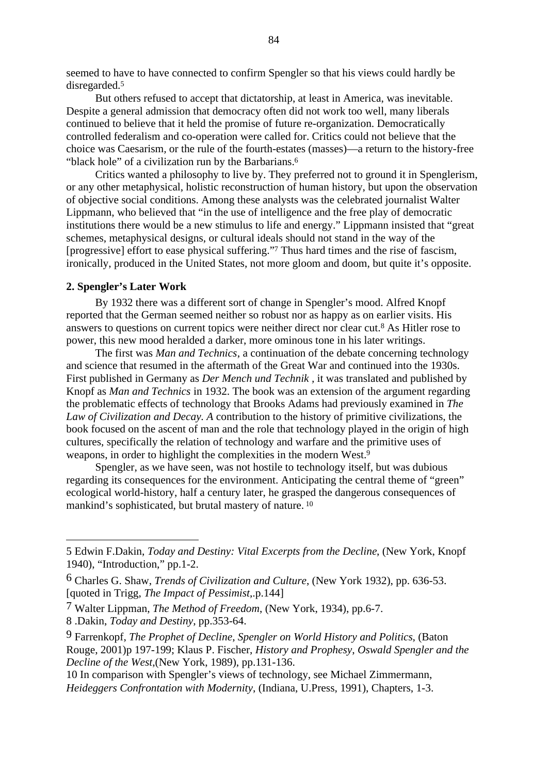seemed to have to have connected to confirm Spengler so that his views could hardly be disregarded.5

But others refused to accept that dictatorship, at least in America, was inevitable. Despite a general admission that democracy often did not work too well, many liberals continued to believe that it held the promise of future re-organization. Democratically controlled federalism and co-operation were called for. Critics could not believe that the choice was Caesarism*,* or the rule of the fourth-estates (masses)—a return to the history-free "black hole" of a civilization run by the Barbarians.<sup>6</sup>

Critics wanted a philosophy to live by. They preferred not to ground it in Spenglerism, or any other metaphysical, holistic reconstruction of human history, but upon the observation of objective social conditions. Among these analysts was the celebrated journalist Walter Lippmann, who believed that "in the use of intelligence and the free play of democratic institutions there would be a new stimulus to life and energy." Lippmann insisted that "great schemes, metaphysical designs, or cultural ideals should not stand in the way of the [progressive] effort to ease physical suffering."7 Thus hard times and the rise of fascism, ironically, produced in the United States, not more gloom and doom, but quite it's opposite.

### **2. Spengler's Later Work**

By 1932 there was a different sort of change in Spengler's mood. Alfred Knopf reported that the German seemed neither so robust nor as happy as on earlier visits. His answers to questions on current topics were neither direct nor clear cut.8 As Hitler rose to power, this new mood heralded a darker, more ominous tone in his later writings.

The first was *Man and Technics*, a continuation of the debate concerning technology and science that resumed in the aftermath of the Great War and continued into the 1930s. First published in Germany as *Der Mench und Technik ,* it was translated and published by Knopf as *Man and Technics* in 1932. The book was an extension of the argument regarding the problematic effects of technology that Brooks Adams had previously examined in *The Law of Civilization and Decay. A* contribution to the history of primitive civilizations, the book focused on the ascent of man and the role that technology played in the origin of high cultures, specifically the relation of technology and warfare and the primitive uses of weapons, in order to highlight the complexities in the modern West.9

Spengler, as we have seen, was not hostile to technology itself, but was dubious regarding its consequences for the environment. Anticipating the central theme of "green" ecological world-history, half a century later, he grasped the dangerous consequences of mankind's sophisticated, but brutal mastery of nature. 10

<sup>5</sup> Edwin F.Dakin, *Today and Destiny: Vital Excerpts from the Decline*, (New York, Knopf 1940), "Introduction," pp.1-2.

<sup>6</sup> Charles G. Shaw, *Trends of Civilization and Culture*, (New York 1932), pp. 636-53. [quoted in Trigg, *The Impact of Pessimist*,.p.144]

<sup>7</sup> Walter Lippman, *The Method of Freedom*, (New York, 1934), pp.6-7.

<sup>8 .</sup>Dakin, *Today and Destiny*, pp.353-64.

<sup>9</sup> Farrenkopf, *The Prophet of Decline*, *Spengler on World History and Politics*, (Baton Rouge, 2001)p 197-199; Klaus P. Fischer, *History and Prophesy*, *Oswald Spengler and the Decline of the West*,(New York, 1989), pp.131-136.

<sup>10</sup> In comparison with Spengler's views of technology, see Michael Zimmermann, *Heideggers Confrontation with Modernity*, (Indiana, U.Press, 1991), Chapters, 1-3.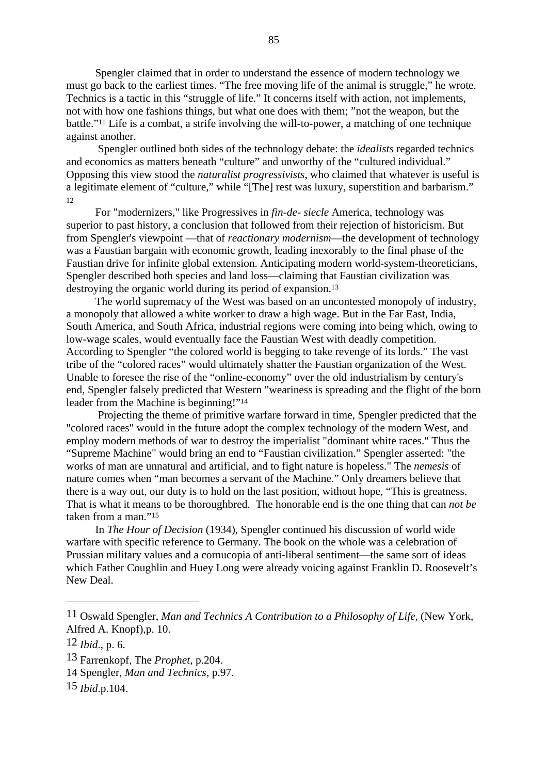Spengler claimed that in order to understand the essence of modern technology we must go back to the earliest times. "The free moving life of the animal is struggle," he wrote. Technics is a tactic in this "struggle of life." It concerns itself with action, not implements, not with how one fashions things, but what one does with them; "not the weapon, but the battle."11 Life is a combat, a strife involving the will-to-power, a matching of one technique against another.

 Spengler outlined both sides of the technology debate: the *idealists* regarded technics and economics as matters beneath "culture" and unworthy of the "cultured individual." Opposing this view stood the *naturalist progressivists*, who claimed that whatever is useful is a legitimate element of "culture," while "[The] rest was luxury, superstition and barbarism."  $12$ 

For "modernizers," like Progressives in *fin-de- siecle* America, technology was superior to past history, a conclusion that followed from their rejection of historicism. But from Spengler's viewpoint —that of *reactionary modernism*—the development of technology was a Faustian bargain with economic growth, leading inexorably to the final phase of the Faustian drive for infinite global extension. Anticipating modern world-system-theoreticians, Spengler described both species and land loss—claiming that Faustian civilization was destroying the organic world during its period of expansion.<sup>13</sup>

The world supremacy of the West was based on an uncontested monopoly of industry, a monopoly that allowed a white worker to draw a high wage. But in the Far East, India, South America, and South Africa, industrial regions were coming into being which, owing to low-wage scales, would eventually face the Faustian West with deadly competition. According to Spengler "the colored world is begging to take revenge of its lords." The vast tribe of the "colored races" would ultimately shatter the Faustian organization of the West. Unable to foresee the rise of the "online-economy" over the old industrialism by century's end, Spengler falsely predicted that Western "weariness is spreading and the flight of the born leader from the Machine is beginning!"14

 Projecting the theme of primitive warfare forward in time, Spengler predicted that the "colored races" would in the future adopt the complex technology of the modern West, and employ modern methods of war to destroy the imperialist "dominant white races." Thus the "Supreme Machine" would bring an end to "Faustian civilization." Spengler asserted: "the works of man are unnatural and artificial, and to fight nature is hopeless." The *nemesis* of nature comes when "man becomes a servant of the Machine." Only dreamers believe that there is a way out, our duty is to hold on the last position, without hope, "This is greatness. That is what it means to be thoroughbred. The honorable end is the one thing that can *not be* taken from a man."15

In *The Hour of Decision* (1934), Spengler continued his discussion of world wide warfare with specific reference to Germany. The book on the whole was a celebration of Prussian military values and a cornucopia of anti-liberal sentiment—the same sort of ideas which Father Coughlin and Huey Long were already voicing against Franklin D. Roosevelt's New Deal.

<sup>11</sup> Oswald Spengler, *Man and Technics A Contribution to a Philosophy of Life*, (New York, Alfred A. Knopf),p. 10.

<sup>12</sup> *Ibid*., p. 6.

<sup>13</sup> Farrenkopf, The *Prophet*, p.204.

<sup>14</sup> Spengler, *Man and Technics*, p.97.

<sup>15</sup> *Ibid*.p.104.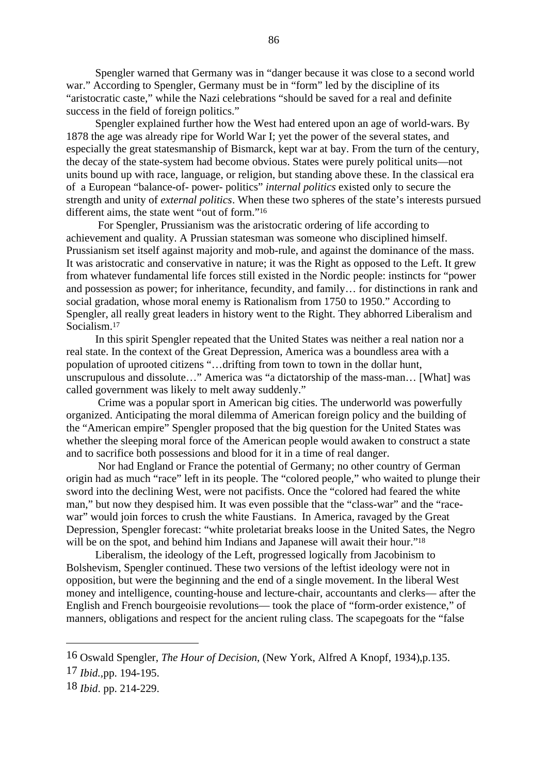Spengler warned that Germany was in "danger because it was close to a second world war." According to Spengler, Germany must be in "form" led by the discipline of its "aristocratic caste," while the Nazi celebrations "should be saved for a real and definite success in the field of foreign politics."

Spengler explained further how the West had entered upon an age of world-wars. By 1878 the age was already ripe for World War I; yet the power of the several states, and especially the great statesmanship of Bismarck, kept war at bay. From the turn of the century, the decay of the state-system had become obvious. States were purely political units—not units bound up with race, language, or religion, but standing above these. In the classical era of a European "balance-of- power- politics" *internal politics* existed only to secure the strength and unity of *external politics*. When these two spheres of the state's interests pursued different aims, the state went "out of form."16

 For Spengler, Prussianism was the aristocratic ordering of life according to achievement and quality. A Prussian statesman was someone who disciplined himself. Prussianism set itself against majority and mob-rule, and against the dominance of the mass. It was aristocratic and conservative in nature; it was the Right as opposed to the Left. It grew from whatever fundamental life forces still existed in the Nordic people: instincts for "power and possession as power; for inheritance, fecundity, and family… for distinctions in rank and social gradation, whose moral enemy is Rationalism from 1750 to 1950." According to Spengler, all really great leaders in history went to the Right. They abhorred Liberalism and Socialism.17

In this spirit Spengler repeated that the United States was neither a real nation nor a real state. In the context of the Great Depression, America was a boundless area with a population of uprooted citizens "…drifting from town to town in the dollar hunt, unscrupulous and dissolute…" America was "a dictatorship of the mass-man… [What] was called government was likely to melt away suddenly."

 Crime was a popular sport in American big cities. The underworld was powerfully organized. Anticipating the moral dilemma of American foreign policy and the building of the "American empire" Spengler proposed that the big question for the United States was whether the sleeping moral force of the American people would awaken to construct a state and to sacrifice both possessions and blood for it in a time of real danger.

 Nor had England or France the potential of Germany; no other country of German origin had as much "race" left in its people. The "colored people," who waited to plunge their sword into the declining West, were not pacifists. Once the "colored had feared the white man," but now they despised him. It was even possible that the "class-war" and the "racewar" would join forces to crush the white Faustians. In America, ravaged by the Great Depression, Spengler forecast: "white proletariat breaks loose in the United Sates, the Negro will be on the spot, and behind him Indians and Japanese will await their hour."<sup>18</sup>

Liberalism, the ideology of the Left, progressed logically from Jacobinism to Bolshevism, Spengler continued. These two versions of the leftist ideology were not in opposition, but were the beginning and the end of a single movement. In the liberal West money and intelligence, counting-house and lecture-chair, accountants and clerks— after the English and French bourgeoisie revolutions— took the place of "form-order existence," of manners, obligations and respect for the ancient ruling class. The scapegoats for the "false

<sup>16</sup> Oswald Spengler, *The Hour of Decision*, (New York, Alfred A Knopf, 1934),p.135.

<sup>17</sup> *Ibid.,*pp. 194-195.

<sup>18</sup> *Ibid*. pp. 214-229.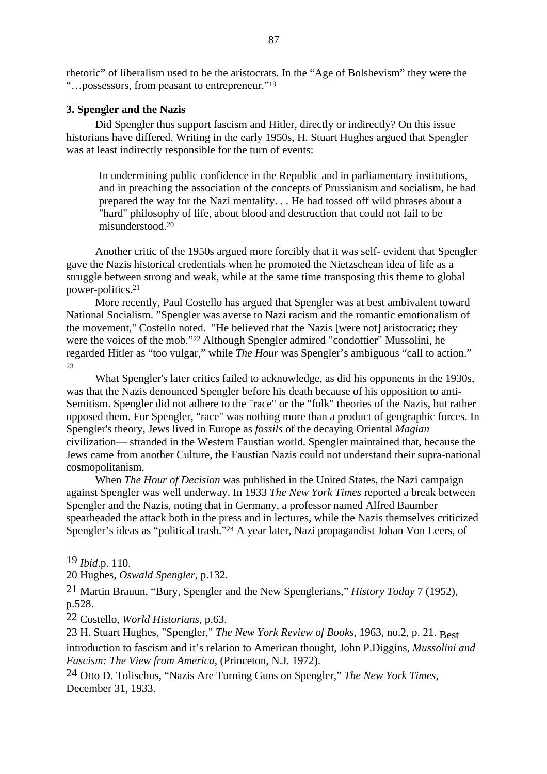rhetoric" of liberalism used to be the aristocrats. In the "Age of Bolshevism" they were the "…possessors, from peasant to entrepreneur."19

#### **3. Spengler and the Nazis**

Did Spengler thus support fascism and Hitler, directly or indirectly? On this issue historians have differed. Writing in the early 1950s, H. Stuart Hughes argued that Spengler was at least indirectly responsible for the turn of events:

In undermining public confidence in the Republic and in parliamentary institutions, and in preaching the association of the concepts of Prussianism and socialism, he had prepared the way for the Nazi mentality. . . He had tossed off wild phrases about a "hard" philosophy of life, about blood and destruction that could not fail to be misunderstood.20

Another critic of the 1950s argued more forcibly that it was self- evident that Spengler gave the Nazis historical credentials when he promoted the Nietzschean idea of life as a struggle between strong and weak, while at the same time transposing this theme to global power-politics.21

More recently, Paul Costello has argued that Spengler was at best ambivalent toward National Socialism. "Spengler was averse to Nazi racism and the romantic emotionalism of the movement." Costello noted. "He believed that the Nazis [were not] aristocratic: they were the voices of the mob."22 Although Spengler admired "condottier" Mussolini, he regarded Hitler as "too vulgar," while *The Hour* was Spengler's ambiguous "call to action." 23

What Spengler's later critics failed to acknowledge, as did his opponents in the 1930s, was that the Nazis denounced Spengler before his death because of his opposition to anti-Semitism. Spengler did not adhere to the "race" or the "folk" theories of the Nazis, but rather opposed them. For Spengler, "race" was nothing more than a product of geographic forces. In Spengler's theory, Jews lived in Europe as *fossils* of the decaying Oriental *Magian* civilization— stranded in the Western Faustian world. Spengler maintained that, because the Jews came from another Culture, the Faustian Nazis could not understand their supra-national cosmopolitanism.

When *The Hour of Decision* was published in the United States, the Nazi campaign against Spengler was well underway. In 1933 *The New York Times* reported a break between Spengler and the Nazis, noting that in Germany, a professor named Alfred Baumber spearheaded the attack both in the press and in lectures, while the Nazis themselves criticized Spengler's ideas as "political trash."<sup>24</sup> A year later, Nazi propagandist Johan Von Leers, of

23 H. Stuart Hughes, "Spengler," *The New York Review of Books*, 1963, no.2, p. 21. Best introduction to fascism and it's relation to American thought, John P.Diggins, *Mussolini and Fascism: The View from America*, (Princeton, N.J. 1972).

24 Otto D. Tolischus, "Nazis Are Turning Guns on Spengler," *The New York Times*, December 31, 1933.

<sup>19</sup> *Ibid*.p. 110.

<sup>20</sup> Hughes, *Oswald Spengler*, p.132.

<sup>21</sup> Martin Brauun, "Bury, Spengler and the New Spenglerians," *History Today* 7 (1952), p.528.

<sup>22</sup> Costello, *World Historians,* p.63.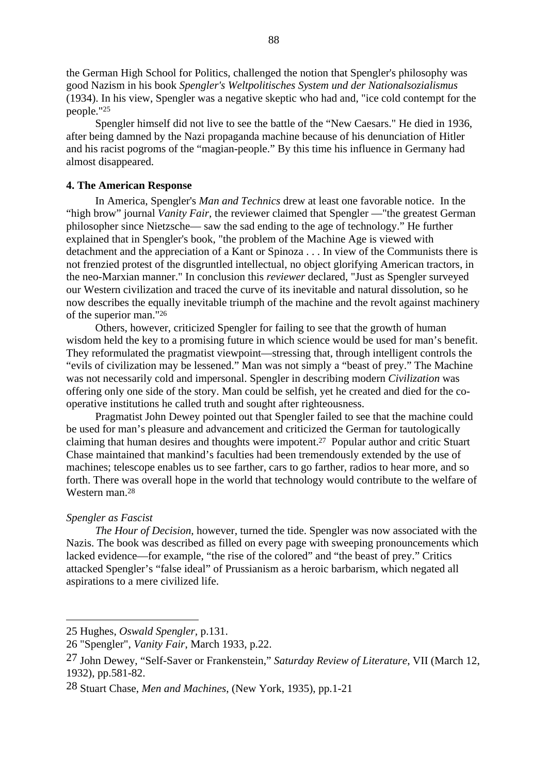the German High School for Politics, challenged the notion that Spengler's philosophy was good Nazism in his book *Spengler's Weltpolitisches System und der Nationalsozialismus* (1934). In his view, Spengler was a negative skeptic who had and, "ice cold contempt for the people."25

Spengler himself did not live to see the battle of the "New Caesars." He died in 1936, after being damned by the Nazi propaganda machine because of his denunciation of Hitler and his racist pogroms of the "magian-people." By this time his influence in Germany had almost disappeared.

## **4. The American Response**

In America, Spengler's *Man and Technics* drew at least one favorable notice. In the "high brow" journal *Vanity Fair,* the reviewer claimed that Spengler —"the greatest German philosopher since Nietzsche— saw the sad ending to the age of technology." He further explained that in Spengler's book, "the problem of the Machine Age is viewed with detachment and the appreciation of a Kant or Spinoza . . . In view of the Communists there is not frenzied protest of the disgruntled intellectual, no object glorifying American tractors, in the neo-Marxian manner." In conclusion this *reviewer* declared, "Just as Spengler surveyed our Western civilization and traced the curve of its inevitable and natural dissolution, so he now describes the equally inevitable triumph of the machine and the revolt against machinery of the superior man."26

Others, however, criticized Spengler for failing to see that the growth of human wisdom held the key to a promising future in which science would be used for man's benefit. They reformulated the pragmatist viewpoint—stressing that, through intelligent controls the "evils of civilization may be lessened." Man was not simply a "beast of prey." The Machine was not necessarily cold and impersonal. Spengler in describing modern *Civilization* was offering only one side of the story. Man could be selfish, yet he created and died for the cooperative institutions he called truth and sought after righteousness.

Pragmatist John Dewey pointed out that Spengler failed to see that the machine could be used for man's pleasure and advancement and criticized the German for tautologically claiming that human desires and thoughts were impotent.27 Popular author and critic Stuart Chase maintained that mankind's faculties had been tremendously extended by the use of machines; telescope enables us to see farther, cars to go farther, radios to hear more, and so forth. There was overall hope in the world that technology would contribute to the welfare of Western man.28

## *Spengler as Fascist*

*The Hour of Decision*, however, turned the tide. Spengler was now associated with the Nazis. The book was described as filled on every page with sweeping pronouncements which lacked evidence—for example, "the rise of the colored" and "the beast of prey." Critics attacked Spengler's "false ideal" of Prussianism as a heroic barbarism, which negated all aspirations to a mere civilized life.

<sup>25</sup> Hughes, *Oswald Spengler,* p.131.

<sup>26 &</sup>quot;Spengler", *Vanity Fair*, March 1933, p.22.

<sup>27</sup> John Dewey, "Self-Saver or Frankenstein," *Saturday Review of Literature*, VII (March 12, 1932), pp.581-82.

<sup>28</sup> Stuart Chase, *Men and Machines*, (New York, 1935), pp.1-21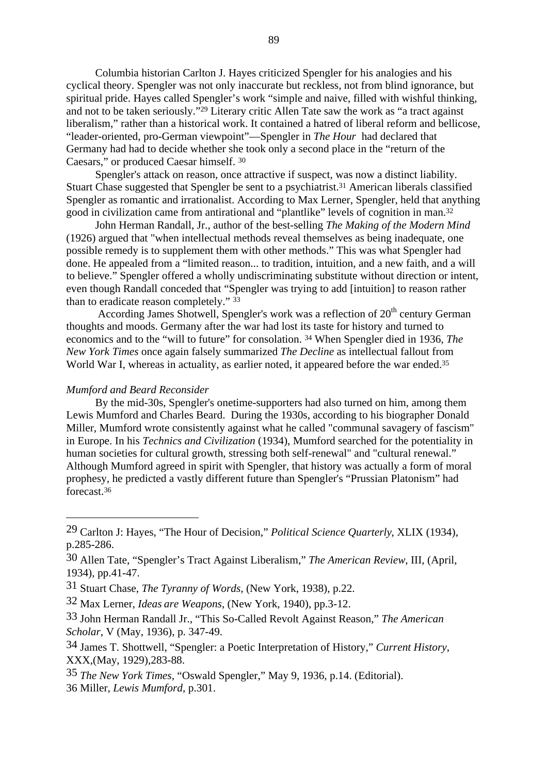Columbia historian Carlton J. Hayes criticized Spengler for his analogies and his cyclical theory. Spengler was not only inaccurate but reckless, not from blind ignorance, but spiritual pride. Hayes called Spengler's work "simple and naive, filled with wishful thinking, and not to be taken seriously."29 Literary critic Allen Tate saw the work as "a tract against liberalism," rather than a historical work. It contained a hatred of liberal reform and bellicose, "leader-oriented, pro-German viewpoint"—Spengler in *The Hour* had declared that Germany had had to decide whether she took only a second place in the "return of the Caesars," or produced Caesar himself. 30

Spengler's attack on reason, once attractive if suspect, was now a distinct liability. Stuart Chase suggested that Spengler be sent to a psychiatrist.<sup>31</sup> American liberals classified Spengler as romantic and irrationalist. According to Max Lerner, Spengler, held that anything good in civilization came from antirational and "plantlike" levels of cognition in man.32

John Herman Randall, Jr., author of the best-selling *The Making of the Modern Mind* (1926) argued that "when intellectual methods reveal themselves as being inadequate, one possible remedy is to supplement them with other methods." This was what Spengler had done. He appealed from a "limited reason... to tradition, intuition, and a new faith, and a will to believe." Spengler offered a wholly undiscriminating substitute without direction or intent, even though Randall conceded that "Spengler was trying to add [intuition] to reason rather than to eradicate reason completely." 33

According James Shotwell, Spengler's work was a reflection of  $20<sup>th</sup>$  century German thoughts and moods. Germany after the war had lost its taste for history and turned to economics and to the "will to future" for consolation. 34 When Spengler died in 1936, *The New York Times* once again falsely summarized *The Decline* as intellectual fallout from World War I, whereas in actuality, as earlier noted, it appeared before the war ended.<sup>35</sup>

#### *Mumford and Beard Reconsider*

By the mid-30s, Spengler's onetime-supporters had also turned on him, among them Lewis Mumford and Charles Beard. During the 1930s, according to his biographer Donald Miller, Mumford wrote consistently against what he called "communal savagery of fascism" in Europe. In his *Technics and Civilization* (1934), Mumford searched for the potentiality in human societies for cultural growth, stressing both self-renewal" and "cultural renewal." Although Mumford agreed in spirit with Spengler, that history was actually a form of moral prophesy, he predicted a vastly different future than Spengler's "Prussian Platonism" had forecast.36

35 *The New York Times,* "Oswald Spengler," May 9, 1936, p.14. (Editorial). 36 Miller, *Lewis Mumford*, p.301.

<sup>29</sup> Carlton J: Hayes, "The Hour of Decision," *Political Science Quarterly*, XLIX (1934), p.285-286.

<sup>30</sup> Allen Tate, "Spengler's Tract Against Liberalism," *The American Review*, III, (April, 1934), pp.41-47.

<sup>31</sup> Stuart Chase, *The Tyranny of Words*, (New York, 1938), p.22.

<sup>32</sup> Max Lerner, *Ideas are Weapons*, (New York, 1940), pp.3-12.

<sup>33</sup> John Herman Randall Jr., "This So-Called Revolt Against Reason," *The American Scholar*, V (May, 1936), p. 347-49.

<sup>34</sup> James T. Shottwell, "Spengler: a Poetic Interpretation of History," *Current History*, XXX,(May, 1929),283-88.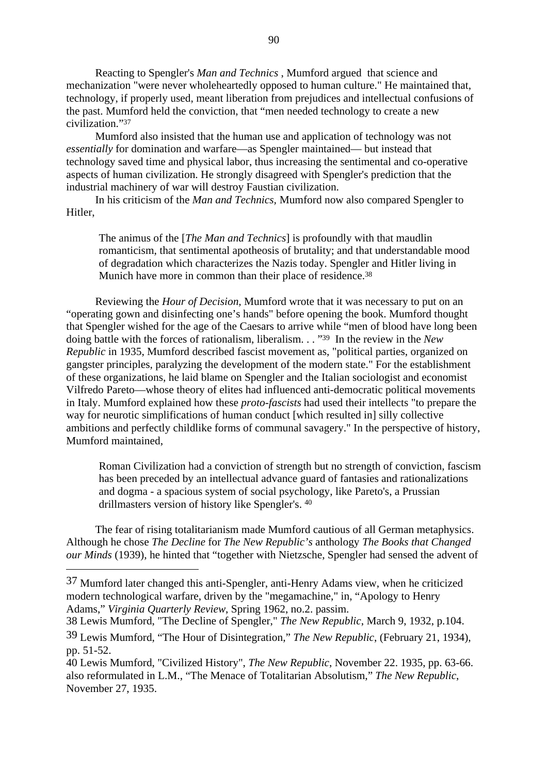Reacting to Spengler's *Man and Technics* , Mumford argued that science and mechanization "were never wholeheartedly opposed to human culture." He maintained that, technology, if properly used, meant liberation from prejudices and intellectual confusions of the past. Mumford held the conviction, that "men needed technology to create a new civilization."37

Mumford also insisted that the human use and application of technology was not *essentially* for domination and warfare—as Spengler maintained— but instead that technology saved time and physical labor, thus increasing the sentimental and co-operative aspects of human civilization. He strongly disagreed with Spengler's prediction that the industrial machinery of war will destroy Faustian civilization.

In his criticism of the *Man and Technics,* Mumford now also compared Spengler to Hitler,

The animus of the [*The Man and Technics*] is profoundly with that maudlin romanticism, that sentimental apotheosis of brutality; and that understandable mood of degradation which characterizes the Nazis today. Spengler and Hitler living in Munich have more in common than their place of residence.<sup>38</sup>

Reviewing the *Hour of Decision,* Mumford wrote that it was necessary to put on an "operating gown and disinfecting one's hands" before opening the book. Mumford thought that Spengler wished for the age of the Caesars to arrive while "men of blood have long been doing battle with the forces of rationalism, liberalism. . . "39 In the review in the *New Republic* in 1935, Mumford described fascist movement as, "political parties, organized on gangster principles, paralyzing the development of the modern state." For the establishment of these organizations, he laid blame on Spengler and the Italian sociologist and economist Vilfredo Pareto—whose theory of elites had influenced anti-democratic political movements in Italy. Mumford explained how these *proto-fascists* had used their intellects "to prepare the way for neurotic simplifications of human conduct [which resulted in] silly collective ambitions and perfectly childlike forms of communal savagery." In the perspective of history, Mumford maintained,

Roman Civilization had a conviction of strength but no strength of conviction, fascism has been preceded by an intellectual advance guard of fantasies and rationalizations and dogma - a spacious system of social psychology, like Pareto's, a Prussian drillmasters version of history like Spengler's. 40

The fear of rising totalitarianism made Mumford cautious of all German metaphysics. Although he chose *The Decline* for *The New Republic's* anthology *The Books that Changed our Minds* (1939), he hinted that "together with Nietzsche, Spengler had sensed the advent of

<sup>37</sup> Mumford later changed this anti-Spengler, anti-Henry Adams view, when he criticized modern technological warfare, driven by the "megamachine," in, "Apology to Henry Adams," *Virginia Quarterly Review*, Spring 1962, no.2. passim.

<sup>38</sup> Lewis Mumford, "The Decline of Spengler," *The New Republic*, March 9, 1932, p.104.

<sup>39</sup> Lewis Mumford, "The Hour of Disintegration," *The New Republic*, (February 21, 1934), pp. 51-52.

<sup>40</sup> Lewis Mumford, "Civilized History", *The New Republic*, November 22. 1935, pp. 63-66. also reformulated in L.M., "The Menace of Totalitarian Absolutism," *The New Republic*, November 27, 1935.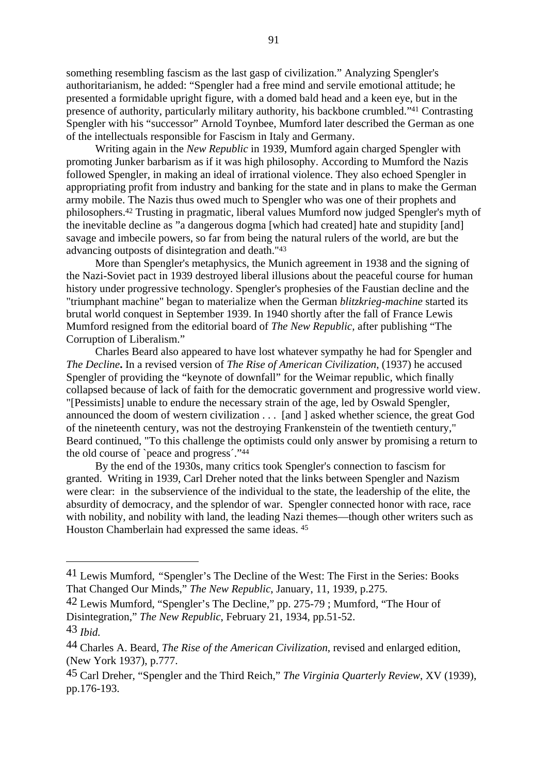something resembling fascism as the last gasp of civilization." Analyzing Spengler's authoritarianism, he added: "Spengler had a free mind and servile emotional attitude; he presented a formidable upright figure, with a domed bald head and a keen eye, but in the presence of authority, particularly military authority, his backbone crumbled."41 Contrasting Spengler with his "successor" Arnold Toynbee, Mumford later described the German as one of the intellectuals responsible for Fascism in Italy and Germany.

Writing again in the *New Republic* in 1939, Mumford again charged Spengler with promoting Junker barbarism as if it was high philosophy. According to Mumford the Nazis followed Spengler, in making an ideal of irrational violence. They also echoed Spengler in appropriating profit from industry and banking for the state and in plans to make the German army mobile. The Nazis thus owed much to Spengler who was one of their prophets and philosophers.42 Trusting in pragmatic, liberal values Mumford now judged Spengler's myth of the inevitable decline as "a dangerous dogma [which had created] hate and stupidity [and] savage and imbecile powers, so far from being the natural rulers of the world, are but the advancing outposts of disintegration and death."43

More than Spengler's metaphysics, the Munich agreement in 1938 and the signing of the Nazi-Soviet pact in 1939 destroyed liberal illusions about the peaceful course for human history under progressive technology. Spengler's prophesies of the Faustian decline and the "triumphant machine" began to materialize when the German *blitzkrieg-machine* started its brutal world conquest in September 1939. In 1940 shortly after the fall of France Lewis Mumford resigned from the editorial board of *The New Republic,* after publishing "The Corruption of Liberalism."

Charles Beard also appeared to have lost whatever sympathy he had for Spengler and *The Decline***.** In a revised version of *The Rise of American Civilization*, (1937) he accused Spengler of providing the "keynote of downfall" for the Weimar republic, which finally collapsed because of lack of faith for the democratic government and progressive world view. "[Pessimists] unable to endure the necessary strain of the age, led by Oswald Spengler, announced the doom of western civilization . . . [and ] asked whether science, the great God of the nineteenth century, was not the destroying Frankenstein of the twentieth century," Beard continued, "To this challenge the optimists could only answer by promising a return to the old course of `peace and progress´."44

By the end of the 1930s, many critics took Spengler's connection to fascism for granted. Writing in 1939, Carl Dreher noted that the links between Spengler and Nazism were clear: in the subservience of the individual to the state, the leadership of the elite, the absurdity of democracy, and the splendor of war. Spengler connected honor with race, race with nobility, and nobility with land, the leading Nazi themes—though other writers such as Houston Chamberlain had expressed the same ideas. 45

<sup>41</sup> Lewis Mumford, *"*Spengler's The Decline of the West: The First in the Series: Books That Changed Our Minds," *The New Republic*, January, 11, 1939, p.275.

<sup>42</sup> Lewis Mumford, "Spengler's The Decline," pp. 275-79 ; Mumford, "The Hour of Disintegration," *The New Republic*, February 21, 1934, pp.51-52.

<sup>43</sup> *Ibid.*

<sup>44</sup> Charles A. Beard, *The Rise of the American Civilization*, revised and enlarged edition, (New York 1937), p.777.

<sup>45</sup> Carl Dreher, "Spengler and the Third Reich," *The Virginia Quarterly Review*, XV (1939), pp.176-193.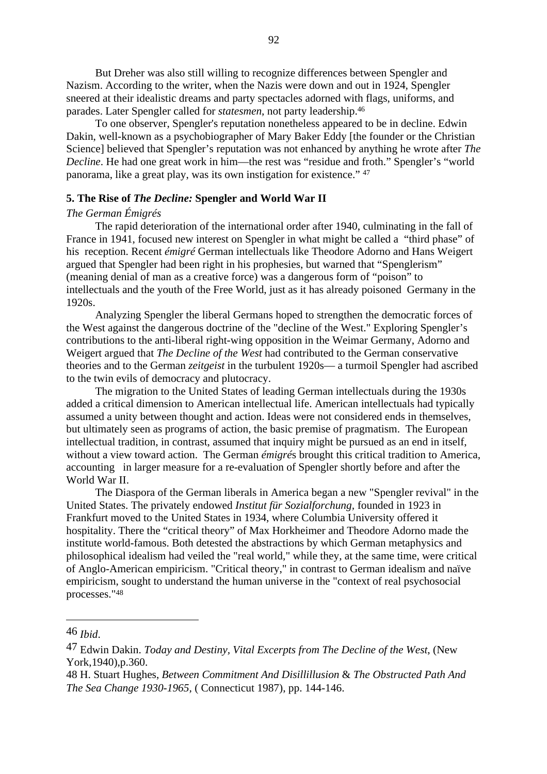But Dreher was also still willing to recognize differences between Spengler and Nazism. According to the writer, when the Nazis were down and out in 1924, Spengler sneered at their idealistic dreams and party spectacles adorned with flags, uniforms, and parades. Later Spengler called for *statesmen*, not party leadership.46

To one observer, Spengler's reputation nonetheless appeared to be in decline. Edwin Dakin, well-known as a psychobiographer of Mary Baker Eddy [the founder or the Christian Science] believed that Spengler's reputation was not enhanced by anything he wrote after *The Decline*. He had one great work in him—the rest was "residue and froth." Spengler's "world panorama, like a great play, was its own instigation for existence." 47

#### **5. The Rise of** *The Decline:* **Spengler and World War II**

#### *The German Émigrés*

The rapid deterioration of the international order after 1940, culminating in the fall of France in 1941, focused new interest on Spengler in what might be called a "third phase" of his reception. Recent *émigré* German intellectuals like Theodore Adorno and Hans Weigert argued that Spengler had been right in his prophesies, but warned that "Spenglerism" (meaning denial of man as a creative force) was a dangerous form of "poison" to intellectuals and the youth of the Free World, just as it has already poisoned Germany in the 1920s.

Analyzing Spengler the liberal Germans hoped to strengthen the democratic forces of the West against the dangerous doctrine of the "decline of the West." Exploring Spengler's contributions to the anti-liberal right-wing opposition in the Weimar Germany, Adorno and Weigert argued that *The Decline of the West* had contributed to the German conservative theories and to the German *zeitgeist* in the turbulent 1920s— a turmoil Spengler had ascribed to the twin evils of democracy and plutocracy.

The migration to the United States of leading German intellectuals during the 1930s added a critical dimension to American intellectual life. American intellectuals had typically assumed a unity between thought and action. Ideas were not considered ends in themselves, but ultimately seen as programs of action, the basic premise of pragmatism. The European intellectual tradition, in contrast, assumed that inquiry might be pursued as an end in itself, without a view toward action. The German *émigré*s brought this critical tradition to America, accounting in larger measure for a re-evaluation of Spengler shortly before and after the World War II.

The Diaspora of the German liberals in America began a new "Spengler revival" in the United States. The privately endowed *Institut für Sozialforchung,* founded in 1923 in Frankfurt moved to the United States in 1934, where Columbia University offered it hospitality. There the "critical theory" of Max Horkheimer and Theodore Adorno made the institute world-famous. Both detested the abstractions by which German metaphysics and philosophical idealism had veiled the "real world," while they, at the same time, were critical of Anglo-American empiricism. "Critical theory," in contrast to German idealism and naïve empiricism, sought to understand the human universe in the "context of real psychosocial processes."48

<sup>46</sup> *Ibid*.

<sup>47</sup> Edwin Dakin. *Today and Destiny, Vital Excerpts from The Decline of the West*, (New York,1940),p.360.

<sup>48</sup> H. Stuart Hughes, *Between Commitment And Disillillusion* & *The Obstructed Path And The Sea Change 1930-1965,* ( Connecticut 1987), pp. 144-146.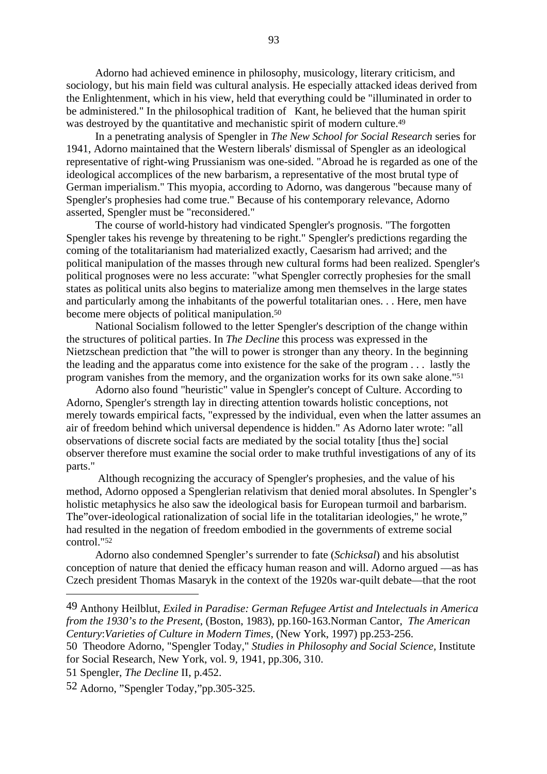Adorno had achieved eminence in philosophy, musicology, literary criticism, and sociology, but his main field was cultural analysis. He especially attacked ideas derived from the Enlightenment, which in his view, held that everything could be "illuminated in order to be administered." In the philosophical tradition of Kant, he believed that the human spirit was destroyed by the quantitative and mechanistic spirit of modern culture.<sup>49</sup>

In a penetrating analysis of Spengler in *The New School for Social Research* series for 1941, Adorno maintained that the Western liberals' dismissal of Spengler as an ideological representative of right-wing Prussianism was one-sided. "Abroad he is regarded as one of the ideological accomplices of the new barbarism, a representative of the most brutal type of German imperialism." This myopia, according to Adorno, was dangerous "because many of Spengler's prophesies had come true." Because of his contemporary relevance, Adorno asserted, Spengler must be "reconsidered."

The course of world-history had vindicated Spengler's prognosis. "The forgotten Spengler takes his revenge by threatening to be right." Spengler's predictions regarding the coming of the totalitarianism had materialized exactly, Caesarism had arrived; and the political manipulation of the masses through new cultural forms had been realized. Spengler's political prognoses were no less accurate: "what Spengler correctly prophesies for the small states as political units also begins to materialize among men themselves in the large states and particularly among the inhabitants of the powerful totalitarian ones. . . Here, men have become mere objects of political manipulation.50

National Socialism followed to the letter Spengler's description of the change within the structures of political parties. In *The Decline* this process was expressed in the Nietzschean prediction that "the will to power is stronger than any theory. In the beginning the leading and the apparatus come into existence for the sake of the program . . . lastly the program vanishes from the memory, and the organization works for its own sake alone."51

Adorno also found "heuristic" value in Spengler's concept of Culture. According to Adorno, Spengler's strength lay in directing attention towards holistic conceptions, not merely towards empirical facts, "expressed by the individual, even when the latter assumes an air of freedom behind which universal dependence is hidden." As Adorno later wrote: "all observations of discrete social facts are mediated by the social totality [thus the] social observer therefore must examine the social order to make truthful investigations of any of its parts."

 Although recognizing the accuracy of Spengler's prophesies, and the value of his method, Adorno opposed a Spenglerian relativism that denied moral absolutes. In Spengler's holistic metaphysics he also saw the ideological basis for European turmoil and barbarism. The"over-ideological rationalization of social life in the totalitarian ideologies," he wrote," had resulted in the negation of freedom embodied in the governments of extreme social control."52

Adorno also condemned Spengler's surrender to fate (*Schicksal*) and his absolutist conception of nature that denied the efficacy human reason and will. Adorno argued —as has Czech president Thomas Masaryk in the context of the 1920s war-quilt debate—that the root

<sup>49</sup> Anthony Heilblut, *Exiled in Paradise: German Refugee Artist and Intelectuals in America from the 1930's to the Present*, (Boston, 1983), pp.160-163.Norman Cantor, *The American Century*:*Varieties of Culture in Modern Times*, (New York, 1997) pp.253-256.

<sup>50</sup> Theodore Adorno, "Spengler Today," *Studies in Philosophy and Social Science,* Institute for Social Research, New York, vol. 9, 1941, pp.306, 310.

<sup>51</sup> Spengler, *The Decline* II, p.452.

<sup>52</sup> Adorno, "Spengler Today,"pp.305-325.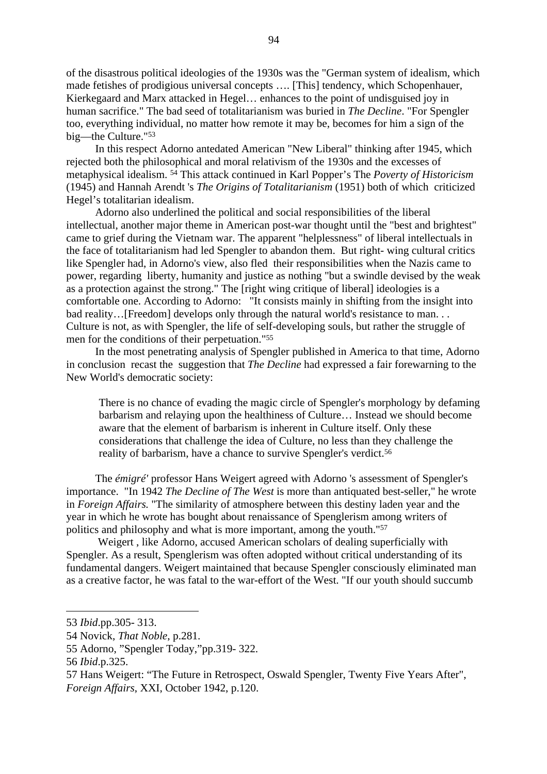of the disastrous political ideologies of the 1930s was the "German system of idealism, which made fetishes of prodigious universal concepts …. [This] tendency, which Schopenhauer, Kierkegaard and Marx attacked in Hegel… enhances to the point of undisguised joy in human sacrifice." The bad seed of totalitarianism was buried in *The Decline*. "For Spengler too, everything individual, no matter how remote it may be, becomes for him a sign of the big—the Culture."53

In this respect Adorno antedated American "New Liberal" thinking after 1945, which rejected both the philosophical and moral relativism of the 1930s and the excesses of metaphysical idealism. 54 This attack continued in Karl Popper's The *Poverty of Historicism* (1945) and Hannah Arendt 's *The Origins of Totalitarianism* (1951) both of which criticized Hegel's totalitarian idealism.

Adorno also underlined the political and social responsibilities of the liberal intellectual, another major theme in American post-war thought until the "best and brightest" came to grief during the Vietnam war. The apparent "helplessness" of liberal intellectuals in the face of totalitarianism had led Spengler to abandon them. But right- wing cultural critics like Spengler had, in Adorno's view, also fled their responsibilities when the Nazis came to power, regarding liberty, humanity and justice as nothing "but a swindle devised by the weak as a protection against the strong." The [right wing critique of liberal] ideologies is a comfortable one. According to Adorno: "It consists mainly in shifting from the insight into bad reality...[Freedom] develops only through the natural world's resistance to man... Culture is not, as with Spengler, the life of self-developing souls, but rather the struggle of men for the conditions of their perpetuation."55

In the most penetrating analysis of Spengler published in America to that time, Adorno in conclusion recast the suggestion that *The Decline* had expressed a fair forewarning to the New World's democratic society:

There is no chance of evading the magic circle of Spengler's morphology by defaming barbarism and relaying upon the healthiness of Culture… Instead we should become aware that the element of barbarism is inherent in Culture itself. Only these considerations that challenge the idea of Culture, no less than they challenge the reality of barbarism, have a chance to survive Spengler's verdict.<sup>56</sup>

The *émigré'* professor Hans Weigert agreed with Adorno 's assessment of Spengler's importance. "In 1942 *The Decline of The West* is more than antiquated best-seller," he wrote in *Foreign Affairs.* "The similarity of atmosphere between this destiny laden year and the year in which he wrote has bought about renaissance of Spenglerism among writers of politics and philosophy and what is more important, among the youth."57

 Weigert , like Adorno, accused American scholars of dealing superficially with Spengler. As a result, Spenglerism was often adopted without critical understanding of its fundamental dangers. Weigert maintained that because Spengler consciously eliminated man as a creative factor, he was fatal to the war-effort of the West. "If our youth should succumb

<sup>53</sup> *Ibid*.pp.305- 313.

<sup>54</sup> Novick, *That Noble*, p.281.

<sup>55</sup> Adorno, "Spengler Today,"pp.319- 322.

<sup>56</sup> *Ibid*.p.325.

<sup>57</sup> Hans Weigert: "The Future in Retrospect, Oswald Spengler, Twenty Five Years After", *Foreign Affairs*, XXI, October 1942, p.120.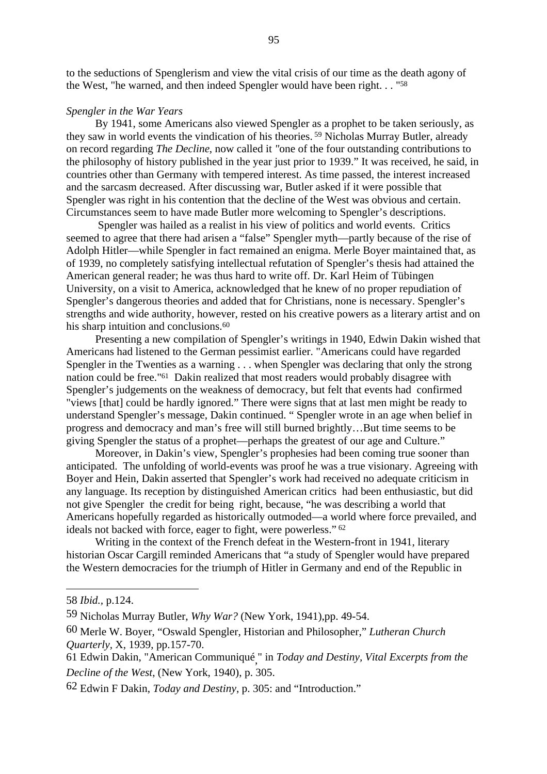to the seductions of Spenglerism and view the vital crisis of our time as the death agony of the West, "he warned, and then indeed Spengler would have been right. . . "58

## *Spengler in the War Years*

By 1941, some Americans also viewed Spengler as a prophet to be taken seriously, as they saw in world events the vindication of his theories. 59 Nicholas Murray Butler, already on record regarding *The Decline*, now called it *"*one of the four outstanding contributions to the philosophy of history published in the year just prior to 1939." It was received, he said, in countries other than Germany with tempered interest. As time passed, the interest increased and the sarcasm decreased. After discussing war, Butler asked if it were possible that Spengler was right in his contention that the decline of the West was obvious and certain. Circumstances seem to have made Butler more welcoming to Spengler's descriptions.

 Spengler was hailed as a realist in his view of politics and world events. Critics seemed to agree that there had arisen a "false" Spengler myth—partly because of the rise of Adolph Hitler—while Spengler in fact remained an enigma. Merle Boyer maintained that, as of 1939, no completely satisfying intellectual refutation of Spengler's thesis had attained the American general reader; he was thus hard to write off. Dr. Karl Heim of Tübingen University, on a visit to America, acknowledged that he knew of no proper repudiation of Spengler's dangerous theories and added that for Christians, none is necessary. Spengler's strengths and wide authority, however, rested on his creative powers as a literary artist and on his sharp intuition and conclusions.<sup>60</sup>

Presenting a new compilation of Spengler's writings in 1940, Edwin Dakin wished that Americans had listened to the German pessimist earlier. "Americans could have regarded Spengler in the Twenties as a warning . . . when Spengler was declaring that only the strong nation could be free."61 Dakin realized that most readers would probably disagree with Spengler's judgements on the weakness of democracy, but felt that events had confirmed "views [that] could be hardly ignored." There were signs that at last men might be ready to understand Spengler's message, Dakin continued. " Spengler wrote in an age when belief in progress and democracy and man's free will still burned brightly…But time seems to be giving Spengler the status of a prophet—perhaps the greatest of our age and Culture."

Moreover, in Dakin's view, Spengler's prophesies had been coming true sooner than anticipated. The unfolding of world-events was proof he was a true visionary. Agreeing with Boyer and Hein, Dakin asserted that Spengler's work had received no adequate criticism in any language. Its reception by distinguished American critics had been enthusiastic, but did not give Spengler the credit for being right, because, "he was describing a world that Americans hopefully regarded as historically outmoded—a world where force prevailed, and ideals not backed with force, eager to fight, were powerless." 62

Writing in the context of the French defeat in the Western-front in 1941, literary historian Oscar Cargill reminded Americans that "a study of Spengler would have prepared the Western democracies for the triumph of Hitler in Germany and end of the Republic in

<sup>58</sup> *Ibid.,* p.124.

<sup>59</sup> Nicholas Murray Butler, *Why War?* (New York, 1941),pp. 49-54.

<sup>60</sup> Merle W. Boyer, "Oswald Spengler, Historian and Philosopher," *Lutheran Church Quarterly,* X, 1939, pp.157-70.

<sup>61</sup> Edwin Dakin, "American Communiqué, " in *Today and Destiny, Vital Excerpts from the Decline of the West*, (New York, 1940), p. 305.

<sup>62</sup> Edwin F Dakin, *Today and Destiny*, p. 305: and "Introduction."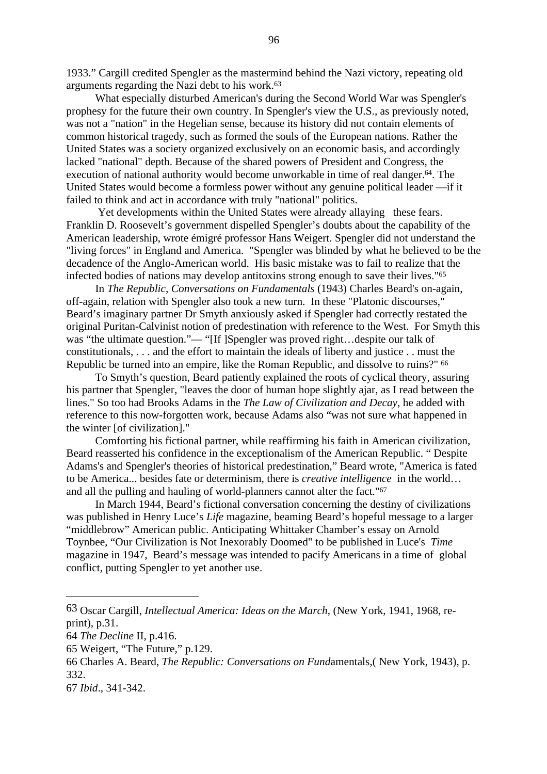1933." Cargill credited Spengler as the mastermind behind the Nazi victory, repeating old arguments regarding the Nazi debt to his work.63

What especially disturbed American's during the Second World War was Spengler's prophesy for the future their own country. In Spengler's view the U.S., as previously noted, was not a "nation" in the Hegelian sense, because its history did not contain elements of common historical tragedy, such as formed the souls of the European nations. Rather the United States was a society organized exclusively on an economic basis, and accordingly lacked "national" depth. Because of the shared powers of President and Congress, the execution of national authority would become unworkable in time of real danger.<sup>64</sup>. The United States would become a formless power without any genuine political leader —if it failed to think and act in accordance with truly "national" politics.

 Yet developments within the United States were already allaying these fears. Franklin D. Roosevelt's government dispelled Spengler's doubts about the capability of the American leadership, wrote émigré professor Hans Weigert. Spengler did not understand the "living forces" in England and America. "Spengler was blinded by what he believed to be the decadence of the Anglo-American world. His basic mistake was to fail to realize that the infected bodies of nations may develop antitoxins strong enough to save their lives."65

In *The Republic, Conversations on Fundamentals* (1943) Charles Beard's on-again, off-again, relation with Spengler also took a new turn. In these "Platonic discourses," Beard's imaginary partner Dr Smyth anxiously asked if Spengler had correctly restated the original Puritan-Calvinist notion of predestination with reference to the West. For Smyth this was "the ultimate question."— "[If ]Spengler was proved right...despite our talk of constitutionals, . . . and the effort to maintain the ideals of liberty and justice . . must the Republic be turned into an empire, like the Roman Republic, and dissolve to ruins?" <sup>66</sup>

To Smyth's question, Beard patiently explained the roots of cyclical theory, assuring his partner that Spengler*,* "leaves the door of human hope slightly ajar, as I read between the lines." So too had Brooks Adams in the *The Law of Civilization and Decay*, he added with reference to this now-forgotten work, because Adams also "was not sure what happened in the winter [of civilization]."

Comforting his fictional partner, while reaffirming his faith in American civilization, Beard reasserted his confidence in the exceptionalism of the American Republic. " Despite Adams's and Spengler's theories of historical predestination," Beard wrote, "America is fated to be America... besides fate or determinism, there is *creative intelligence* in the world… and all the pulling and hauling of world-planners cannot alter the fact."67

In March 1944, Beard's fictional conversation concerning the destiny of civilizations was published in Henry Luce's *Life* magazine, beaming Beard's hopeful message to a larger "middlebrow" American public. Anticipating Whittaker Chamber's essay on Arnold Toynbee, "Our Civilization is Not Inexorably Doomed" to be published in Luce's *Time* magazine in 1947, Beard's message was intended to pacify Americans in a time of global conflict, putting Spengler to yet another use.

<sup>63</sup> Oscar Cargill, *Intellectual America: Ideas on the March*, (New York, 1941, 1968, reprint), p.31.

<sup>64</sup> *The Decline* II, p.416.

<sup>65</sup> Weigert, "The Future," p.129.

<sup>66</sup> Charles A. Beard, *The Republic: Conversations on Fund*amentals,( New York, 1943), p. 332.

<sup>67</sup> *Ibid*., 341-342.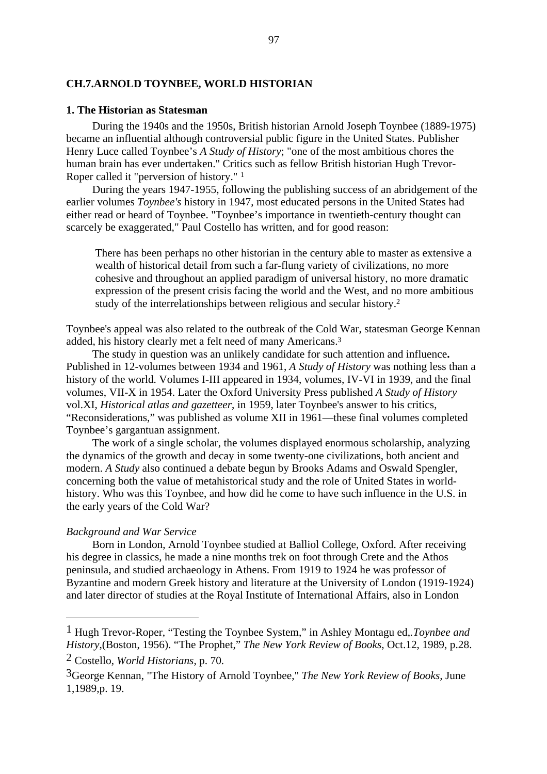## **CH.7.ARNOLD TOYNBEE, WORLD HISTORIAN**

### **1. The Historian as Statesman**

During the 1940s and the 1950s, British historian Arnold Joseph Toynbee (1889-1975) became an influential although controversial public figure in the United States. Publisher Henry Luce called Toynbee's *A Study of History*; "one of the most ambitious chores the human brain has ever undertaken." Critics such as fellow British historian Hugh Trevor-Roper called it "perversion of history." 1

During the years 1947-1955, following the publishing success of an abridgement of the earlier volumes *Toynbee's* history in 1947, most educated persons in the United States had either read or heard of Toynbee. "Toynbee's importance in twentieth-century thought can scarcely be exaggerated," Paul Costello has written, and for good reason:

There has been perhaps no other historian in the century able to master as extensive a wealth of historical detail from such a far-flung variety of civilizations, no more cohesive and throughout an applied paradigm of universal history, no more dramatic expression of the present crisis facing the world and the West, and no more ambitious study of the interrelationships between religious and secular history.2

Toynbee's appeal was also related to the outbreak of the Cold War, statesman George Kennan added, his history clearly met a felt need of many Americans.3

The study in question was an unlikely candidate for such attention and influence**.** Published in 12-volumes between 1934 and 1961, *A Study of History* was nothing less than a history of the world. Volumes I-III appeared in 1934, volumes, IV-VI in 1939, and the final volumes, VII-X in 1954. Later the Oxford University Press published *A Study of History* vol.XI, *Historical atlas and gazetteer*, in 1959, later Toynbee's answer to his critics, "Reconsiderations," was published as volume XII in 1961—these final volumes completed Toynbee's gargantuan assignment.

The work of a single scholar, the volumes displayed enormous scholarship, analyzing the dynamics of the growth and decay in some twenty-one civilizations, both ancient and modern. *A Study* also continued a debate begun by Brooks Adams and Oswald Spengler, concerning both the value of metahistorical study and the role of United States in worldhistory. Who was this Toynbee, and how did he come to have such influence in the U.S. in the early years of the Cold War?

## *Background and War Service*

Born in London, Arnold Toynbee studied at Balliol College, Oxford. After receiving his degree in classics, he made a nine months trek on foot through Crete and the Athos peninsula, and studied archaeology in Athens. From 1919 to 1924 he was professor of Byzantine and modern Greek history and literature at the University of London (1919-1924) and later director of studies at the Royal Institute of International Affairs, also in London

<sup>1</sup> Hugh Trevor-Roper, "Testing the Toynbee System," in Ashley Montagu ed,*.Toynbee and History*,(Boston, 1956). "The Prophet," *The New York Review of Books*, Oct.12, 1989, p.28.

<sup>2</sup> Costello, *World Historians*, p. 70.

<sup>3</sup>George Kennan, "The History of Arnold Toynbee," *The New York Review of Books,* June 1,1989,p. 19.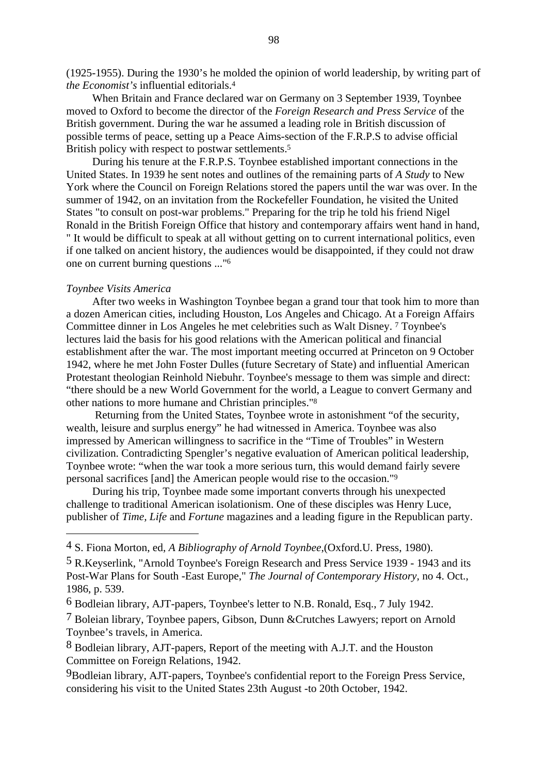(1925-1955). During the 1930's he molded the opinion of world leadership, by writing part of *the Economist's* influential editorials.4

When Britain and France declared war on Germany on 3 September 1939, Toynbee moved to Oxford to become the director of the *Foreign Research and Press Service* of the British government. During the war he assumed a leading role in British discussion of possible terms of peace, setting up a Peace Aims-section of the F.R.P.S to advise official British policy with respect to postwar settlements.<sup>5</sup>

During his tenure at the F.R.P.S. Toynbee established important connections in the United States. In 1939 he sent notes and outlines of the remaining parts of *A Study* to New York where the Council on Foreign Relations stored the papers until the war was over. In the summer of 1942, on an invitation from the Rockefeller Foundation, he visited the United States "to consult on post-war problems." Preparing for the trip he told his friend Nigel Ronald in the British Foreign Office that history and contemporary affairs went hand in hand, " It would be difficult to speak at all without getting on to current international politics, even if one talked on ancient history, the audiences would be disappointed, if they could not draw one on current burning questions ..."6

## *Toynbee Visits America*

After two weeks in Washington Toynbee began a grand tour that took him to more than a dozen American cities, including Houston, Los Angeles and Chicago. At a Foreign Affairs Committee dinner in Los Angeles he met celebrities such as Walt Disney. 7 Toynbee's lectures laid the basis for his good relations with the American political and financial establishment after the war. The most important meeting occurred at Princeton on 9 October 1942, where he met John Foster Dulles (future Secretary of State) and influential American Protestant theologian Reinhold Niebuhr. Toynbee's message to them was simple and direct: "there should be a new World Government for the world, a League to convert Germany and other nations to more humane and Christian principles."8

 Returning from the United States, Toynbee wrote in astonishment "of the security, wealth, leisure and surplus energy" he had witnessed in America. Toynbee was also impressed by American willingness to sacrifice in the "Time of Troubles" in Western civilization. Contradicting Spengler's negative evaluation of American political leadership, Toynbee wrote: "when the war took a more serious turn, this would demand fairly severe personal sacrifices [and] the American people would rise to the occasion."9

During his trip, Toynbee made some important converts through his unexpected challenge to traditional American isolationism. One of these disciples was Henry Luce, publisher of *Time, Life* and *Fortune* magazines and a leading figure in the Republican party.

9Bodleian library, AJT-papers, Toynbee's confidential report to the Foreign Press Service, considering his visit to the United States 23th August -to 20th October, 1942.

<sup>4</sup> S. Fiona Morton, ed, *A Bibliography of Arnold Toynbee*,(Oxford.U. Press, 1980).

<sup>5</sup> R.Keyserlink, "Arnold Toynbee's Foreign Research and Press Service 1939 - 1943 and its Post-War Plans for South -East Europe," *The Journal of Contemporary History,* no 4. Oct., 1986, p. 539.

<sup>6</sup> Bodleian library, AJT-papers, Toynbee's letter to N.B. Ronald, Esq., 7 July 1942.

<sup>7</sup> Boleian library, Toynbee papers, Gibson, Dunn &Crutches Lawyers; report on Arnold Toynbee's travels, in America.

<sup>8</sup> Bodleian library, AJT-papers, Report of the meeting with A.J.T. and the Houston Committee on Foreign Relations, 1942.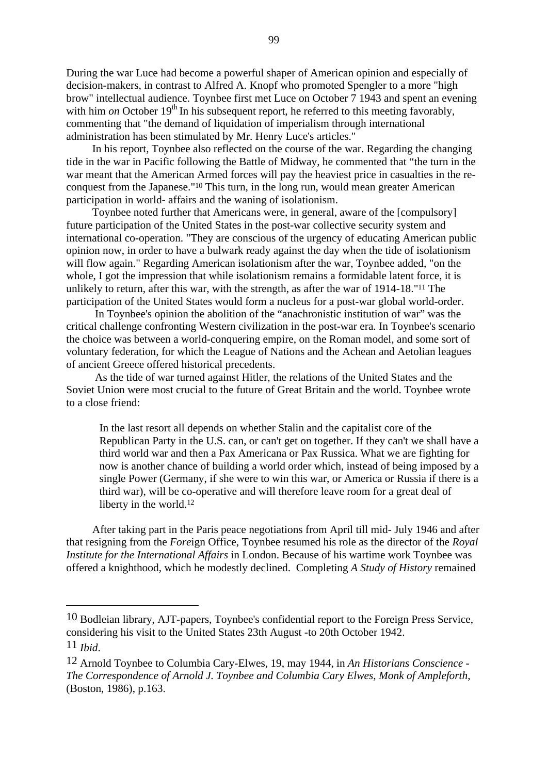During the war Luce had become a powerful shaper of American opinion and especially of decision-makers, in contrast to Alfred A. Knopf who promoted Spengler to a more "high brow" intellectual audience. Toynbee first met Luce on October 7 1943 and spent an evening with him *on* October  $19<sup>th</sup>$  In his subsequent report, he referred to this meeting favorably, commenting that "the demand of liquidation of imperialism through international administration has been stimulated by Mr. Henry Luce's articles."

In his report, Toynbee also reflected on the course of the war. Regarding the changing tide in the war in Pacific following the Battle of Midway, he commented that "the turn in the war meant that the American Armed forces will pay the heaviest price in casualties in the reconquest from the Japanese."10 This turn, in the long run, would mean greater American participation in world- affairs and the waning of isolationism.

Toynbee noted further that Americans were, in general, aware of the [compulsory] future participation of the United States in the post-war collective security system and international co-operation. "They are conscious of the urgency of educating American public opinion now, in order to have a bulwark ready against the day when the tide of isolationism will flow again." Regarding American isolationism after the war, Toynbee added, "on the whole, I got the impression that while isolationism remains a formidable latent force, it is unlikely to return, after this war, with the strength, as after the war of 1914-18."11 The participation of the United States would form a nucleus for a post-war global world-order.

 In Toynbee's opinion the abolition of the "anachronistic institution of war" was the critical challenge confronting Western civilization in the post-war era. In Toynbee's scenario the choice was between a world-conquering empire, on the Roman model, and some sort of voluntary federation, for which the League of Nations and the Achean and Aetolian leagues of ancient Greece offered historical precedents.

 As the tide of war turned against Hitler, the relations of the United States and the Soviet Union were most crucial to the future of Great Britain and the world. Toynbee wrote to a close friend:

In the last resort all depends on whether Stalin and the capitalist core of the Republican Party in the U.S. can, or can't get on together. If they can't we shall have a third world war and then a Pax Americana or Pax Russica. What we are fighting for now is another chance of building a world order which, instead of being imposed by a single Power (Germany, if she were to win this war, or America or Russia if there is a third war), will be co-operative and will therefore leave room for a great deal of liberty in the world.12

After taking part in the Paris peace negotiations from April till mid- July 1946 and after that resigning from the *Fore*ign Office, Toynbee resumed his role as the director of the *Royal Institute for the International Affairs* in London. Because of his wartime work Toynbee was offered a knighthood, which he modestly declined. Completing *A Study of History* remained

<sup>10</sup> Bodleian library, AJT-papers, Toynbee's confidential report to the Foreign Press Service, considering his visit to the United States 23th August -to 20th October 1942.

<sup>11</sup> *Ibid*.

<sup>12</sup> Arnold Toynbee to Columbia Cary-Elwes, 19, may 1944, in *An Historians Conscience - The Correspondence of Arnold J. Toynbee and Columbia Cary Elwes, Monk of Ampleforth*, (Boston, 1986), p.163.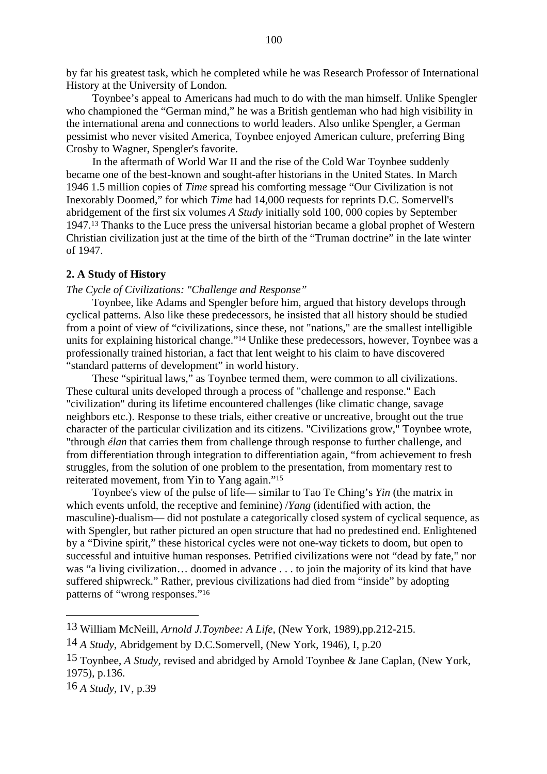by far his greatest task, which he completed while he was Research Professor of International History at the University of London*.*

Toynbee's appeal to Americans had much to do with the man himself. Unlike Spengler who championed the "German mind," he was a British gentleman who had high visibility in the international arena and connections to world leaders. Also unlike Spengler, a German pessimist who never visited America, Toynbee enjoyed American culture, preferring Bing Crosby to Wagner, Spengler's favorite.

In the aftermath of World War II and the rise of the Cold War Toynbee suddenly became one of the best-known and sought-after historians in the United States. In March 1946 1.5 million copies of *Time* spread his comforting message "Our Civilization is not Inexorably Doomed," for which *Time* had 14,000 requests for reprints D.C. Somervell's abridgement of the first six volumes *A Study* initially sold 100, 000 copies by September 1947.13 Thanks to the Luce press the universal historian became a global prophet of Western Christian civilization just at the time of the birth of the "Truman doctrine" in the late winter of 1947.

# **2. A Study of History**

# *The Cycle of Civilizations: "Challenge and Response"*

Toynbee, like Adams and Spengler before him, argued that history develops through cyclical patterns. Also like these predecessors, he insisted that all history should be studied from a point of view of "civilizations, since these, not "nations," are the smallest intelligible units for explaining historical change."<sup>14</sup> Unlike these predecessors, however, Toynbee was a professionally trained historian, a fact that lent weight to his claim to have discovered "standard patterns of development" in world history.

These "spiritual laws," as Toynbee termed them, were common to all civilizations. These cultural units developed through a process of "challenge and response." Each "civilization" during its lifetime encountered challenges (like climatic change, savage neighbors etc.). Response to these trials, either creative or uncreative, brought out the true character of the particular civilization and its citizens. "Civilizations grow," Toynbee wrote, "through *élan* that carries them from challenge through response to further challenge, and from differentiation through integration to differentiation again, "from achievement to fresh struggles, from the solution of one problem to the presentation, from momentary rest to reiterated movement, from Yin to Yang again."15

Toynbee's view of the pulse of life— similar to Tao Te Ching's *Yin* (the matrix in which events unfold, the receptive and feminine) /*Yang* (identified with action, the masculine)-dualism— did not postulate a categorically closed system of cyclical sequence, as with Spengler, but rather pictured an open structure that had no predestined end. Enlightened by a "Divine spirit," these historical cycles were not one-way tickets to doom, but open to successful and intuitive human responses. Petrified civilizations were not "dead by fate," nor was "a living civilization… doomed in advance . . . to join the majority of its kind that have suffered shipwreck." Rather, previous civilizations had died from "inside" by adopting patterns of "wrong responses."16

16 *A Study,* IV, p.39

<sup>13</sup> William McNeill, *Arnold J.Toynbee: A Life*, (New York, 1989),pp.212-215.

<sup>14</sup> *A Study*, Abridgement by D.C.Somervell, (New York, 1946), I, p.20

<sup>15</sup> Toynbee, *A Study,* revised and abridged by Arnold Toynbee & Jane Caplan, (New York, 1975), p.136.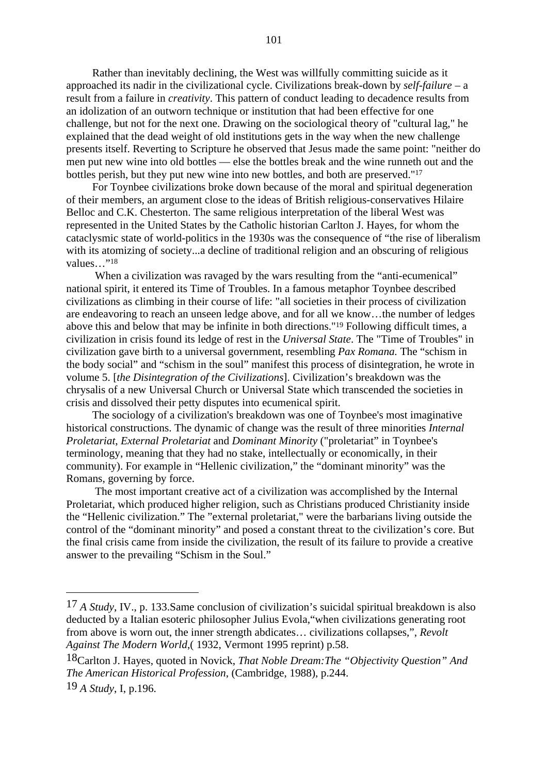Rather than inevitably declining, the West was willfully committing suicide as it approached its nadir in the civilizational cycle. Civilizations break-down by *self-failure* – a result from a failure in *creativity*. This pattern of conduct leading to decadence results from an idolization of an outworn technique or institution that had been effective for one challenge*,* but not for the next one. Drawing on the sociological theory of "cultural lag," he explained that the dead weight of old institutions gets in the way when the new challenge presents itself. Reverting to Scripture he observed that Jesus made the same point: "neither do men put new wine into old bottles — else the bottles break and the wine runneth out and the bottles perish, but they put new wine into new bottles, and both are preserved."17

For Toynbee civilizations broke down because of the moral and spiritual degeneration of their members, an argument close to the ideas of British religious-conservatives Hilaire Belloc and C.K. Chesterton. The same religious interpretation of the liberal West was represented in the United States by the Catholic historian Carlton J. Hayes, for whom the cataclysmic state of world-politics in the 1930s was the consequence of "the rise of liberalism with its atomizing of society...a decline of traditional religion and an obscuring of religious values…"18

When a civilization was ravaged by the wars resulting from the "anti-ecumenical" national spirit, it entered its Time of Troubles. In a famous metaphor Toynbee described civilizations as climbing in their course of life: "all societies in their process of civilization are endeavoring to reach an unseen ledge above, and for all we know…the number of ledges above this and below that may be infinite in both directions."19 Following difficult times, a civilization in crisis found its ledge of rest in the *Universal State*. The "Time of Troubles" in civilization gave birth to a universal government, resembling *Pax Romana.* The "schism in the body social" and "schism in the soul" manifest this process of disintegration, he wrote in volume 5. [*the Disintegration of the Civilizations*]. Civilization's breakdown was the chrysalis of a new Universal Church or Universal State which transcended the societies in crisis and dissolved their petty disputes into ecumenical spirit.

The sociology of a civilization's breakdown was one of Toynbee's most imaginative historical constructions. The dynamic of change was the result of three minorities *Internal Proletariat*, *External Proletariat* and *Dominant Minority* ("proletariat" in Toynbee's terminology, meaning that they had no stake, intellectually or economically, in their community). For example in "Hellenic civilization," the "dominant minority" was the Romans, governing by force.

 The most important creative act of a civilization was accomplished by the Internal Proletariat, which produced higher religion, such as Christians produced Christianity inside the "Hellenic civilization." The "external proletariat," were the barbarians living outside the control of the "dominant minority" and posed a constant threat to the civilization's core. But the final crisis came from inside the civilization, the result of its failure to provide a creative answer to the prevailing "Schism in the Soul."

<sup>17</sup> *A Study*, IV., p. 133.Same conclusion of civilization's suicidal spiritual breakdown is also deducted by a Italian esoteric philosopher Julius Evola,"when civilizations generating root from above is worn out, the inner strength abdicates… civilizations collapses,", *Revolt Against The Modern World*,( 1932, Vermont 1995 reprint) p.58.

<sup>18</sup>Carlton J. Hayes, quoted in Novick, *That Noble Dream:The "Objectivity Question" And The American Historical Profession*, (Cambridge, 1988), p.244. 19 *A Study*, I, p.196.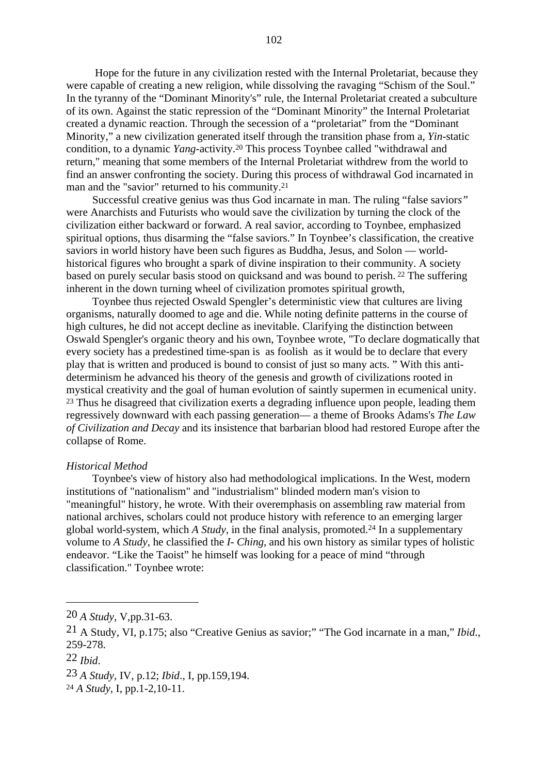Hope for the future in any civilization rested with the Internal Proletariat, because they were capable of creating a new religion, while dissolving the ravaging "Schism of the Soul." In the tyranny of the "Dominant Minority's" rule, the Internal Proletariat created a subculture of its own. Against the static repression of the "Dominant Minority" the Internal Proletariat created a dynamic reaction. Through the secession of a "proletariat" from the "Dominant Minority," a new civilization generated itself through the transition phase from a, *Yin*-static condition, to a dynamic *Yang*-activity.20 This process Toynbee called "withdrawal and return," meaning that some members of the Internal Proletariat withdrew from the world to find an answer confronting the society. During this process of withdrawal God incarnated in man and the "savior" returned to his community.21

Successful creative genius was thus God incarnate in man. The ruling "false savior*s"* were Anarchists and Futurists who would save the civilization by turning the clock of the civilization either backward or forward. A real savior, according to Toynbee, emphasized spiritual options, thus disarming the "false saviors." In Toynbee's classification, the creative saviors in world history have been such figures as Buddha, Jesus, and Solon — worldhistorical figures who brought a spark of divine inspiration to their community. A society based on purely secular basis stood on quicksand and was bound to perish. 22 The suffering inherent in the down turning wheel of civilization promotes spiritual growth,

Toynbee thus rejected Oswald Spengler's deterministic view that cultures are living organisms, naturally doomed to age and die. While noting definite patterns in the course of high cultures, he did not accept decline as inevitable. Clarifying the distinction between Oswald Spengler's organic theory and his own, Toynbee wrote, "To declare dogmatically that every society has a predestined time-span is as foolish as it would be to declare that every play that is written and produced is bound to consist of just so many acts. " With this antideterminism he advanced his theory of the genesis and growth of civilizations rooted in mystical creativity and the goal of human evolution of saintly supermen in ecumenical unity. <sup>23</sup> Thus he disagreed that civilization exerts a degrading influence upon people, leading them regressively downward with each passing generation— a theme of Brooks Adams's *The Law of Civilization and Decay* and its insistence that barbarian blood had restored Europe after the collapse of Rome.

#### *Historical Method*

Toynbee's view of history also had methodological implications. In the West, modern institutions of "nationalism" and "industrialism" blinded modern man's vision to "meaningful" history, he wrote. With their overemphasis on assembling raw material from national archives, scholars could not produce history with reference to an emerging larger global world-system, which *A Study,* in the final analysis, promoted.24 In a supplementary volume to *A Study*, he classified the *I- Ching*, and his own history as similar types of holistic endeavor. "Like the Taoist" he himself was looking for a peace of mind "through classification." Toynbee wrote:

<sup>20</sup> *A Study,* V,pp.31-63.

<sup>21</sup> A Study, VI, p.175; also "Creative Genius as savior;" "The God incarnate in a man," *Ibid*., 259-278.

<sup>22</sup> *Ibid*.

<sup>23</sup> *A Study*, IV, p.12; *Ibid*., I, pp.159,194.

<sup>24</sup> *A Study*, I, pp.1-2,10-11.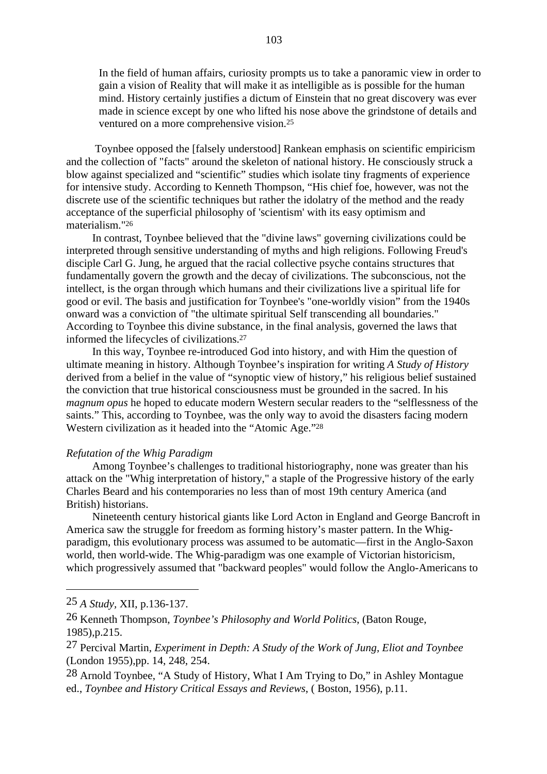In the field of human affairs, curiosity prompts us to take a panoramic view in order to gain a vision of Reality that will make it as intelligible as is possible for the human mind. History certainly justifies a dictum of Einstein that no great discovery was ever made in science except by one who lifted his nose above the grindstone of details and ventured on a more comprehensive vision.25

 Toynbee opposed the [falsely understood] Rankean emphasis on scientific empiricism and the collection of "facts" around the skeleton of national history. He consciously struck a blow against specialized and "scientific" studies which isolate tiny fragments of experience for intensive study. According to Kenneth Thompson, "His chief foe, however, was not the discrete use of the scientific techniques but rather the idolatry of the method and the ready acceptance of the superficial philosophy of 'scientism' with its easy optimism and materialism."26

In contrast, Toynbee believed that the "divine laws" governing civilizations could be interpreted through sensitive understanding of myths and high religions. Following Freud's disciple Carl G. Jung, he argued that the racial collective psyche contains structures that fundamentally govern the growth and the decay of civilizations. The subconscious, not the intellect, is the organ through which humans and their civilizations live a spiritual life for good or evil. The basis and justification for Toynbee's "one-worldly vision" from the 1940s onward was a conviction of "the ultimate spiritual Self transcending all boundaries." According to Toynbee this divine substance, in the final analysis, governed the laws that informed the lifecycles of civilizations.27

In this way, Toynbee re-introduced God into history, and with Him the question of ultimate meaning in history. Although Toynbee's inspiration for writing *A Study of History* derived from a belief in the value of "synoptic view of history," his religious belief sustained the conviction that true historical consciousness must be grounded in the sacred. In his *magnum opus* he hoped to educate modern Western secular readers to the "selflessness of the saints." This, according to Toynbee, was the only way to avoid the disasters facing modern Western civilization as it headed into the "Atomic Age."28

#### *Refutation of the Whig Paradigm*

Among Toynbee's challenges to traditional historiography, none was greater than his attack on the "Whig interpretation of history," a staple of the Progressive history of the early Charles Beard and his contemporaries no less than of most 19th century America (and British) historians.

Nineteenth century historical giants like Lord Acton in England and George Bancroft in America saw the struggle for freedom as forming history's master pattern. In the Whigparadigm, this evolutionary process was assumed to be automatic—first in the Anglo-Saxon world, then world-wide. The Whig-paradigm was one example of Victorian historicism, which progressively assumed that "backward peoples" would follow the Anglo-Americans to

28 Arnold Toynbee, "A Study of History, What I Am Trying to Do," in Ashley Montague ed., *Toynbee and History Critical Essays and Reviews*, ( Boston, 1956), p.11.

<sup>25</sup> *A Study,* XII, p.136-137.

<sup>26</sup> Kenneth Thompson, *Toynbee's Philosophy and World Politics*, (Baton Rouge, 1985),p.215.

<sup>27</sup> Percival Martin, *Experiment in Depth: A Study of the Work of Jung, Eliot and Toynbee* (London 1955),pp. 14, 248, 254.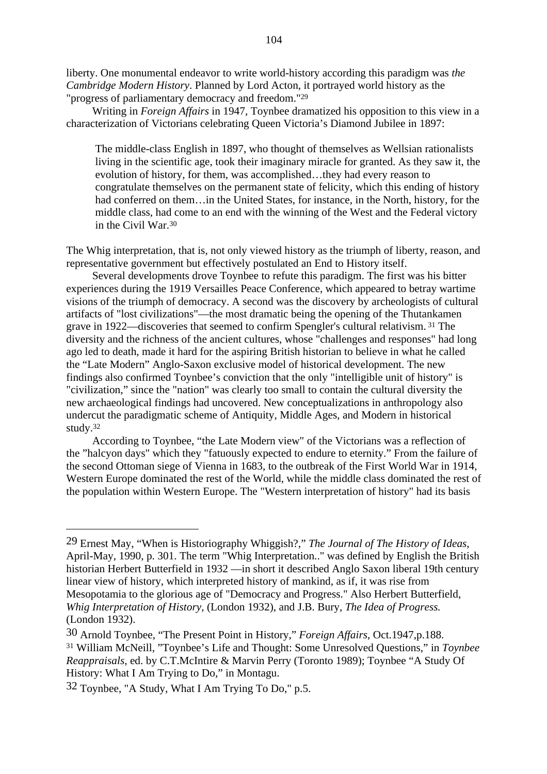liberty. One monumental endeavor to write world-history according this paradigm was *the Cambridge Modern History*. Planned by Lord Acton, it portrayed world history as the "progress of parliamentary democracy and freedom."29

Writing in *Foreign Affairs* in 1947, Toynbee dramatized his opposition to this view in a characterization of Victorians celebrating Queen Victoria's Diamond Jubilee in 1897:

The middle-class English in 1897, who thought of themselves as Wellsian rationalists living in the scientific age, took their imaginary miracle for granted. As they saw it, the evolution of history, for them, was accomplished…they had every reason to congratulate themselves on the permanent state of felicity, which this ending of history had conferred on them... in the United States, for instance, in the North, history, for the middle class, had come to an end with the winning of the West and the Federal victory in the Civil War.30

The Whig interpretation, that is, not only viewed history as the triumph of liberty, reason, and representative government but effectively postulated an End to History itself.

Several developments drove Toynbee to refute this paradigm. The first was his bitter experiences during the 1919 Versailles Peace Conference, which appeared to betray wartime visions of the triumph of democracy. A second was the discovery by archeologists of cultural artifacts of "lost civilizations"—the most dramatic being the opening of the Thutankamen grave in 1922—discoveries that seemed to confirm Spengler's cultural relativism. 31 The diversity and the richness of the ancient cultures, whose "challenges and responses" had long ago led to death, made it hard for the aspiring British historian to believe in what he called the "Late Modern" Anglo-Saxon exclusive model of historical development. The new findings also confirmed Toynbee's conviction that the only "intelligible unit of history" is "civilization," since the "nation" was clearly too small to contain the cultural diversity the new archaeological findings had uncovered. New conceptualizations in anthropology also undercut the paradigmatic scheme of Antiquity, Middle Ages, and Modern in historical study.32

According to Toynbee, "the Late Modern view" of the Victorians was a reflection of the "halcyon days" which they "fatuously expected to endure to eternity." From the failure of the second Ottoman siege of Vienna in 1683, to the outbreak of the First World War in 1914, Western Europe dominated the rest of the World, while the middle class dominated the rest of the population within Western Europe. The "Western interpretation of history" had its basis

<sup>29</sup> Ernest May, "When is Historiography Whiggish?," *The Journal of The History of Ideas*, April-May, 1990, p. 301. The term "Whig Interpretation.." was defined by English the British historian Herbert Butterfield in 1932 —in short it described Anglo Saxon liberal 19th century linear view of history, which interpreted history of mankind, as if, it was rise from Mesopotamia to the glorious age of "Democracy and Progress." Also Herbert Butterfield, *Whig Interpretation of History,* (London 1932), and J.B. Bury*, The Idea of Progress.* (London 1932).

<sup>30</sup> Arnold Toynbee, "The Present Point in History," *Foreign Affairs*, Oct.1947,p.188. 31 William McNeill, "Toynbee's Life and Thought: Some Unresolved Questions," in *Toynbee Reappraisals*, ed. by C.T.McIntire & Marvin Perry (Toronto 1989); Toynbee "A Study Of History: What I Am Trying to Do," in Montagu.

<sup>32</sup> Toynbee, "A Study, What I Am Trying To Do," p.5.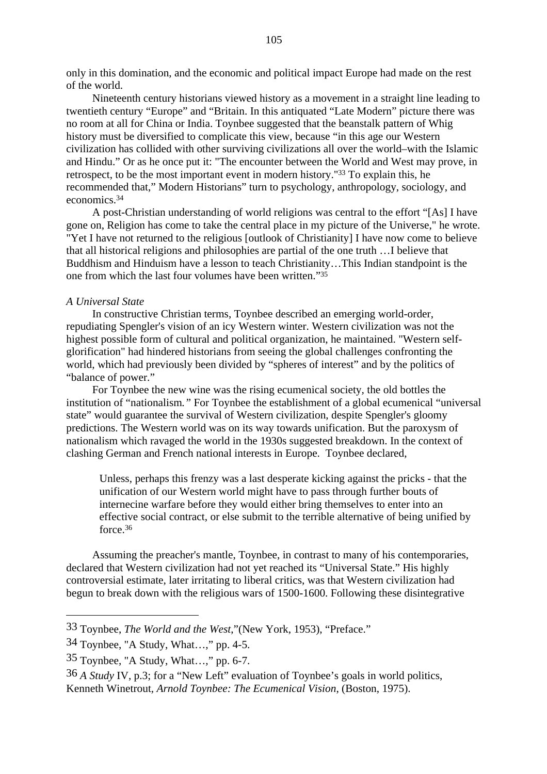only in this domination, and the economic and political impact Europe had made on the rest of the world.

Nineteenth century historians viewed history as a movement in a straight line leading to twentieth century "Europe" and "Britain. In this antiquated "Late Modern" picture there was no room at all for China or India. Toynbee suggested that the beanstalk pattern of Whig history must be diversified to complicate this view, because "in this age our Western civilization has collided with other surviving civilizations all over the world–with the Islamic and Hindu." Or as he once put it: "The encounter between the World and West may prove, in retrospect, to be the most important event in modern history."33 To explain this, he recommended that," Modern Historians" turn to psychology, anthropology, sociology, and economics.34

A post-Christian understanding of world religions was central to the effort "[As] I have gone on, Religion has come to take the central place in my picture of the Universe," he wrote. "Yet I have not returned to the religious [outlook of Christianity] I have now come to believe that all historical religions and philosophies are partial of the one truth …I believe that Buddhism and Hinduism have a lesson to teach Christianity…This Indian standpoint is the one from which the last four volumes have been written."35

#### *A Universal State*

In constructive Christian terms, Toynbee described an emerging world-order, repudiating Spengler's vision of an icy Western winter. Western civilization was not the highest possible form of cultural and political organization, he maintained. "Western selfglorification" had hindered historians from seeing the global challenges confronting the world, which had previously been divided by "spheres of interest" and by the politics of "balance of power."

For Toynbee the new wine was the rising ecumenical society*,* the old bottles the institution of "nationalism*."* For Toynbee the establishment of a global ecumenical "universal state" would guarantee the survival of Western civilization, despite Spengler's gloomy predictions. The Western world was on its way towards unification. But the paroxysm of nationalism which ravaged the world in the 1930s suggested breakdown. In the context of clashing German and French national interests in Europe. Toynbee declared,

Unless, perhaps this frenzy was a last desperate kicking against the pricks - that the unification of our Western world might have to pass through further bouts of internecine warfare before they would either bring themselves to enter into an effective social contract, or else submit to the terrible alternative of being unified by force.36

Assuming the preacher's mantle, Toynbee, in contrast to many of his contemporaries, declared that Western civilization had not yet reached its "Universal State." His highly controversial estimate, later irritating to liberal critics, was that Western civilization had begun to break down with the religious wars of 1500-1600. Following these disintegrative

<sup>33</sup> Toynbee, *The World and the West*,"(New York, 1953), "Preface."

<sup>34</sup> Toynbee, "A Study, What…," pp. 4-5.

<sup>35</sup> Toynbee, "A Study, What…," pp. 6-7.

<sup>36</sup> *A Study* IV, p.3; for a "New Left" evaluation of Toynbee's goals in world politics, Kenneth Winetrout*, Arnold Toynbee: The Ecumenical Vision*, (Boston, 1975).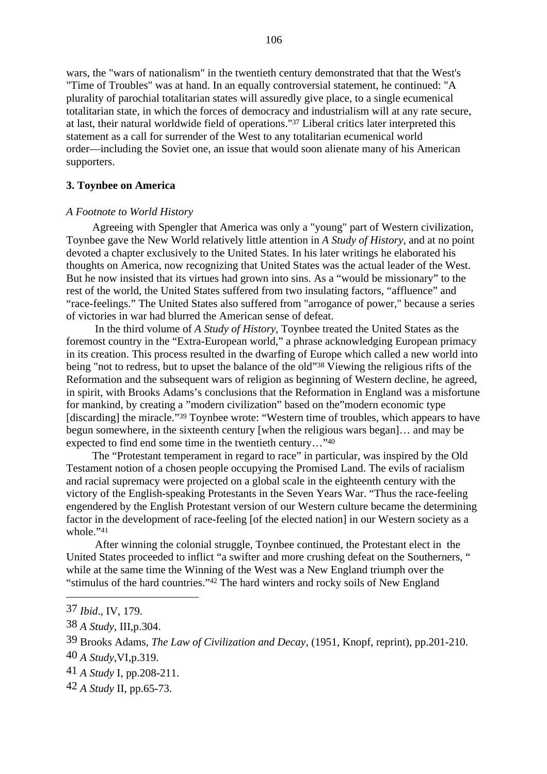wars, the "wars of nationalism" in the twentieth century demonstrated that that the West's "Time of Troubles" was at hand. In an equally controversial statement, he continued: "A plurality of parochial totalitarian states will assuredly give place, to a single ecumenical totalitarian state, in which the forces of democracy and industrialism will at any rate secure, at last, their natural worldwide field of operations."37 Liberal critics later interpreted this statement as a call for surrender of the West to any totalitarian ecumenical world order—including the Soviet one, an issue that would soon alienate many of his American supporters.

#### **3. Toynbee on America**

## *A Footnote to World History*

Agreeing with Spengler that America was only a "young" part of Western civilization, Toynbee gave the New World relatively little attention in *A Study of History,* and at no point devoted a chapter exclusively to the United States. In his later writings he elaborated his thoughts on America, now recognizing that United States was the actual leader of the West. But he now insisted that its virtues had grown into sins. As a "would be missionary" to the rest of the world, the United States suffered from two insulating factors, "affluence" and "race-feelings." The United States also suffered from "arrogance of power," because a series of victories in war had blurred the American sense of defeat.

 In the third volume of *A Study of History*, Toynbee treated the United States as the foremost country in the "Extra-European world," a phrase acknowledging European primacy in its creation. This process resulted in the dwarfing of Europe which called a new world into being "not to redress, but to upset the balance of the old"38 Viewing the religious rifts of the Reformation and the subsequent wars of religion as beginning of Western decline, he agreed, in spirit, with Brooks Adams's conclusions that the Reformation in England was a misfortune for mankind, by creating a "modern civilization" based on the"modern economic type [discarding] the miracle."<sup>39</sup> Toynbee wrote: "Western time of troubles, which appears to have begun somewhere, in the sixteenth century [when the religious wars began]… and may be expected to find end some time in the twentieth century…"40

The "Protestant temperament in regard to race" in particular, was inspired by the Old Testament notion of a chosen people occupying the Promised Land. The evils of racialism and racial supremacy were projected on a global scale in the eighteenth century with the victory of the English-speaking Protestants in the Seven Years War. "Thus the race-feeling engendered by the English Protestant version of our Western culture became the determining factor in the development of race-feeling [of the elected nation] in our Western society as a whole."41

 After winning the colonial struggle, Toynbee continued, the Protestant elect in the United States proceeded to inflict "a swifter and more crushing defeat on the Southerners, " while at the same time the Winning of the West was a New England triumph over the "stimulus of the hard countries."42 The hard winters and rocky soils of New England

<sup>37</sup> *Ibid*., IV, 179.

<sup>38</sup> *A Study*, III,p.304.

<sup>39</sup> Brooks Adams, *The Law of Civilization and Decay*, (1951, Knopf, reprint), pp.201-210.

<sup>40</sup> *A Study*,VI,p.319.

<sup>41</sup> *A Study* I, pp.208-211.

<sup>42</sup> *A Study* II, pp.65-73.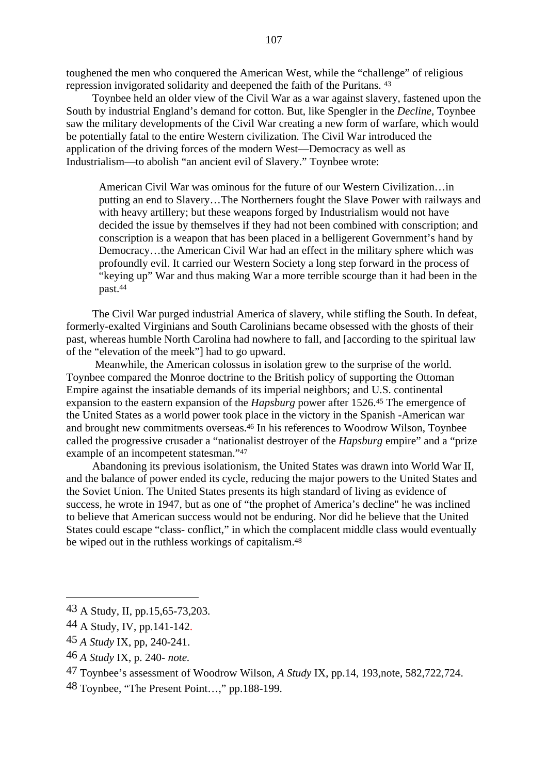toughened the men who conquered the American West, while the "challenge" of religious repression invigorated solidarity and deepened the faith of the Puritans. 43

Toynbee held an older view of the Civil War as a war against slavery, fastened upon the South by industrial England's demand for cotton. But, like Spengler in the *Decline*, Toynbee saw the military developments of the Civil War creating a new form of warfare, which would be potentially fatal to the entire Western civilization. The Civil War introduced the application of the driving forces of the modern West—Democracy as well as Industrialism—to abolish "an ancient evil of Slavery." Toynbee wrote:

American Civil War was ominous for the future of our Western Civilization…in putting an end to Slavery…The Northerners fought the Slave Power with railways and with heavy artillery; but these weapons forged by Industrialism would not have decided the issue by themselves if they had not been combined with conscription; and conscription is a weapon that has been placed in a belligerent Government's hand by Democracy…the American Civil War had an effect in the military sphere which was profoundly evil. It carried our Western Society a long step forward in the process of "keying up" War and thus making War a more terrible scourge than it had been in the past.44

The Civil War purged industrial America of slavery, while stifling the South. In defeat, formerly-exalted Virginians and South Carolinians became obsessed with the ghosts of their past, whereas humble North Carolina had nowhere to fall, and [according to the spiritual law of the "elevation of the meek"] had to go upward.

 Meanwhile, the American colossus in isolation grew to the surprise of the world. Toynbee compared the Monroe doctrine to the British policy of supporting the Ottoman Empire against the insatiable demands of its imperial neighbors; and U.S. continental expansion to the eastern expansion of the *Hapsburg* power after 1526.45 The emergence of the United States as a world power took place in the victory in the Spanish -American war and brought new commitments overseas.46 In his references to Woodrow Wilson, Toynbee called the progressive crusader a "nationalist destroyer of the *Hapsburg* empire" and a "prize example of an incompetent statesman."47

Abandoning its previous isolationism, the United States was drawn into World War II, and the balance of power ended its cycle, reducing the major powers to the United States and the Soviet Union. The United States presents its high standard of living as evidence of success, he wrote in 1947, but as one of "the prophet of America's decline" he was inclined to believe that American success would not be enduring. Nor did he believe that the United States could escape "class- conflict," in which the complacent middle class would eventually be wiped out in the ruthless workings of capitalism.48

46 *A Study* IX, p. 240- *note.*

48 Toynbee, "The Present Point…," pp.188-199.

<sup>43</sup> A Study, II, pp.15,65-73,203.

<sup>44</sup> A Study, IV, pp.141-142.

<sup>45</sup> *A Study* IX, pp, 240-241.

<sup>47</sup> Toynbee's assessment of Woodrow Wilson, *A Study* IX, pp.14, 193,note, 582,722,724.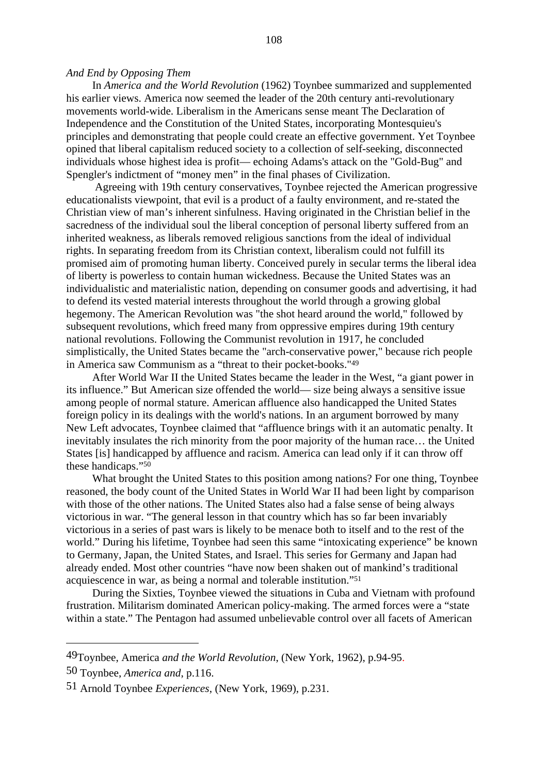In *America and the World Revolution* (1962) Toynbee summarized and supplemented his earlier views. America now seemed the leader of the 20th century anti-revolutionary movements world-wide. Liberalism in the Americans sense meant The Declaration of Independence and the Constitution of the United States, incorporating Montesquieu's principles and demonstrating that people could create an effective government. Yet Toynbee opined that liberal capitalism reduced society to a collection of self-seeking, disconnected individuals whose highest idea is profit— echoing Adams's attack on the "Gold-Bug" and Spengler's indictment of "money men" in the final phases of Civilization.

 Agreeing with 19th century conservatives, Toynbee rejected the American progressive educationalists viewpoint, that evil is a product of a faulty environment, and re-stated the Christian view of man's inherent sinfulness. Having originated in the Christian belief in the sacredness of the individual soul the liberal conception of personal liberty suffered from an inherited weakness, as liberals removed religious sanctions from the ideal of individual rights. In separating freedom from its Christian context, liberalism could not fulfill its promised aim of promoting human liberty. Conceived purely in secular terms the liberal idea of liberty is powerless to contain human wickedness. Because the United States was an individualistic and materialistic nation, depending on consumer goods and advertising, it had to defend its vested material interests throughout the world through a growing global hegemony. The American Revolution was "the shot heard around the world," followed by subsequent revolutions, which freed many from oppressive empires during 19th century national revolutions. Following the Communist revolution in 1917, he concluded simplistically, the United States became the "arch-conservative power," because rich people in America saw Communism as a "threat to their pocket-books."49

After World War II the United States became the leader in the West, "a giant power in its influence." But American size offended the world— size being always a sensitive issue among people of normal stature. American affluence also handicapped the United States foreign policy in its dealings with the world's nations. In an argument borrowed by many New Left advocates, Toynbee claimed that "affluence brings with it an automatic penalty. It inevitably insulates the rich minority from the poor majority of the human race… the United States [is] handicapped by affluence and racism. America can lead only if it can throw off these handicaps."50

What brought the United States to this position among nations? For one thing, Toynbee reasoned, the body count of the United States in World War II had been light by comparison with those of the other nations. The United States also had a false sense of being always victorious in war. "The general lesson in that country which has so far been invariably victorious in a series of past wars is likely to be menace both to itself and to the rest of the world." During his lifetime, Toynbee had seen this same "intoxicating experience" be known to Germany, Japan, the United States, and Israel. This series for Germany and Japan had already ended. Most other countries "have now been shaken out of mankind's traditional acquiescence in war, as being a normal and tolerable institution."51

During the Sixties, Toynbee viewed the situations in Cuba and Vietnam with profound frustration. Militarism dominated American policy-making. The armed forces were a "state within a state." The Pentagon had assumed unbelievable control over all facets of American

<sup>49</sup>Toynbee, America *and the World Revolution*, (New York, 1962), p.94-95.

<sup>50</sup> Toynbee, *America and*, p.116.

<sup>51</sup> Arnold Toynbee *Experiences*, (New York, 1969), p.231.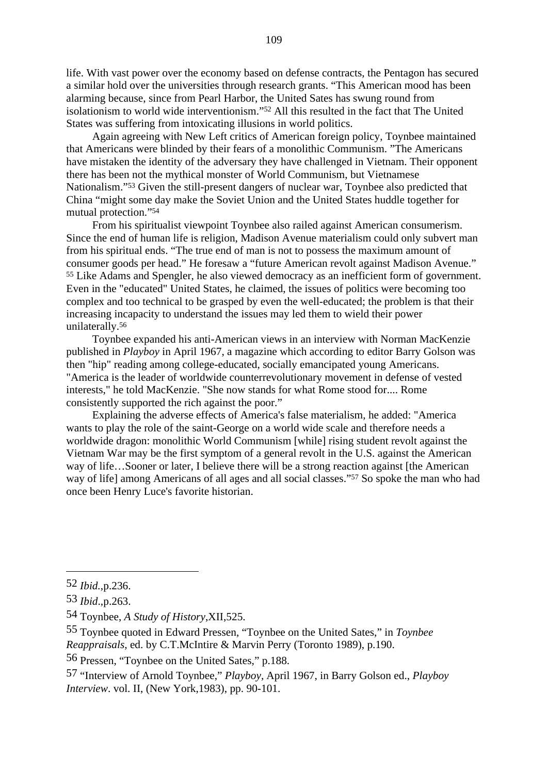life. With vast power over the economy based on defense contracts, the Pentagon has secured a similar hold over the universities through research grants. "This American mood has been alarming because, since from Pearl Harbor, the United Sates has swung round from isolationism to world wide interventionism."52 All this resulted in the fact that The United States was suffering from intoxicating illusions in world politics.

Again agreeing with New Left critics of American foreign policy, Toynbee maintained that Americans were blinded by their fears of a monolithic Communism. "The Americans have mistaken the identity of the adversary they have challenged in Vietnam. Their opponent there has been not the mythical monster of World Communism, but Vietnamese Nationalism."53 Given the still-present dangers of nuclear war, Toynbee also predicted that China "might some day make the Soviet Union and the United States huddle together for mutual protection."54

From his spiritualist viewpoint Toynbee also railed against American consumerism. Since the end of human life is religion, Madison Avenue materialism could only subvert man from his spiritual ends. "The true end of man is not to possess the maximum amount of consumer goods per head." He foresaw a "future American revolt against Madison Avenue." 55 Like Adams and Spengler, he also viewed democracy as an inefficient form of government. Even in the "educated" United States, he claimed, the issues of politics were becoming too complex and too technical to be grasped by even the well-educated; the problem is that their increasing incapacity to understand the issues may led them to wield their power unilaterally.56

Toynbee expanded his anti-American views in an interview with Norman MacKenzie published in *Playboy* in April 1967, a magazine which according to editor Barry Golson was then "hip" reading among college-educated, socially emancipated young Americans. "America is the leader of worldwide counterrevolutionary movement in defense of vested interests," he told MacKenzie. "She now stands for what Rome stood for.... Rome consistently supported the rich against the poor."

Explaining the adverse effects of America's false materialism, he added: "America wants to play the role of the saint-George on a world wide scale and therefore needs a worldwide dragon: monolithic World Communism [while] rising student revolt against the Vietnam War may be the first symptom of a general revolt in the U.S. against the American way of life…Sooner or later, I believe there will be a strong reaction against [the American way of life] among Americans of all ages and all social classes."57 So spoke the man who had once been Henry Luce's favorite historian.

56 Pressen, "Toynbee on the United Sates," p.188.

<sup>52</sup> *Ibid.*,p.236.

<sup>53</sup> *Ibid*.,p.263.

<sup>54</sup> Toynbee, *A Study of History*,XII,525.

<sup>55</sup> Toynbee quoted in Edward Pressen, "Toynbee on the United Sates," in *Toynbee Reappraisals*, ed. by C.T.McIntire & Marvin Perry (Toronto 1989), p.190.

<sup>57 &</sup>quot;Interview of Arnold Toynbee," *Playboy,* April 1967, in Barry Golson ed., *Playboy Interview*. vol. II, (New York,1983), pp. 90-101.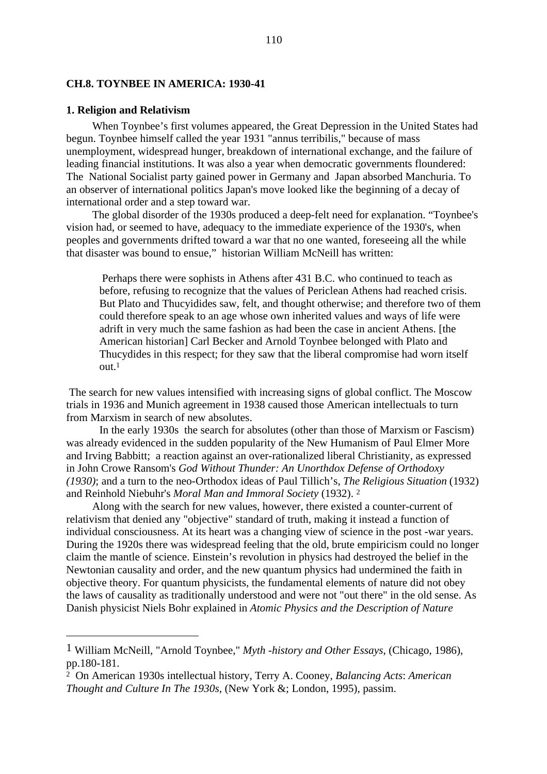# **CH.8. TOYNBEE IN AMERICA: 1930-41**

#### **1. Religion and Relativism**

When Toynbee's first volumes appeared, the Great Depression in the United States had begun. Toynbee himself called the year 1931 "annus terribilis," because of mass unemployment, widespread hunger, breakdown of international exchange, and the failure of leading financial institutions. It was also a year when democratic governments floundered: The National Socialist party gained power in Germany and Japan absorbed Manchuria. To an observer of international politics Japan's move looked like the beginning of a decay of international order and a step toward war.

The global disorder of the 1930s produced a deep-felt need for explanation. "Toynbee's vision had, or seemed to have, adequacy to the immediate experience of the 1930's, when peoples and governments drifted toward a war that no one wanted, foreseeing all the while that disaster was bound to ensue," historian William McNeill has written:

 Perhaps there were sophists in Athens after 431 B.C. who continued to teach as before, refusing to recognize that the values of Periclean Athens had reached crisis. But Plato and Thucyidides saw, felt, and thought otherwise; and therefore two of them could therefore speak to an age whose own inherited values and ways of life were adrift in very much the same fashion as had been the case in ancient Athens. [the American historian] Carl Becker and Arnold Toynbee belonged with Plato and Thucydides in this respect; for they saw that the liberal compromise had worn itself  $out<sup>1</sup>$ 

 The search for new values intensified with increasing signs of global conflict. The Moscow trials in 1936 and Munich agreement in 1938 caused those American intellectuals to turn from Marxism in search of new absolutes.

In the early 1930s the search for absolutes (other than those of Marxism or Fascism) was already evidenced in the sudden popularity of the New Humanism of Paul Elmer More and Irving Babbitt; a reaction against an over-rationalized liberal Christianity, as expressed in John Crowe Ransom's *God Without Thunder: An Unorthdox Defense of Orthodoxy (1930)*; and a turn to the neo-Orthodox ideas of Paul Tillich's, *The Religious Situation* (1932) and Reinhold Niebuhr's *Moral Man and Immoral Society* (1932). 2

Along with the search for new values, however, there existed a counter-current of relativism that denied any "objective" standard of truth, making it instead a function of individual consciousness. At its heart was a changing view of science in the post -war years. During the 1920s there was widespread feeling that the old, brute empiricism could no longer claim the mantle of science. Einstein's revolution in physics had destroyed the belief in the Newtonian causality and order, and the new quantum physics had undermined the faith in objective theory. For quantum physicists, the fundamental elements of nature did not obey the laws of causality as traditionally understood and were not "out there" in the old sense. As Danish physicist Niels Bohr explained in *Atomic Physics and the Description of Nature*

<sup>1</sup> William McNeill, "Arnold Toynbee," *Myth -history and Other Essays*, (Chicago, 1986), pp.180-181.

<sup>2</sup> On American 1930s intellectual history, Terry A. Cooney, *Balancing Acts*: *American Thought and Culture In The 1930s*, (New York &; London, 1995), passim.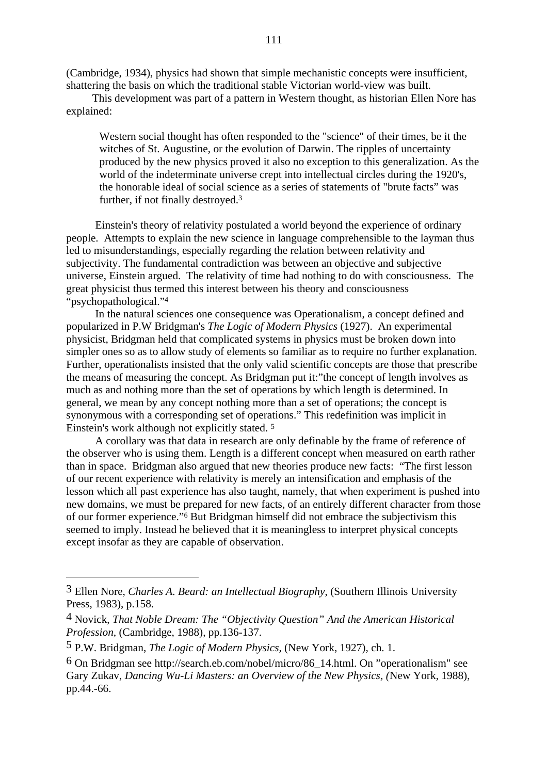(Cambridge, 1934), physics had shown that simple mechanistic concepts were insufficient, shattering the basis on which the traditional stable Victorian world-view was built.

This development was part of a pattern in Western thought, as historian Ellen Nore has explained:

Western social thought has often responded to the "science" of their times, be it the witches of St. Augustine, or the evolution of Darwin. The ripples of uncertainty produced by the new physics proved it also no exception to this generalization. As the world of the indeterminate universe crept into intellectual circles during the 1920's, the honorable ideal of social science as a series of statements of "brute facts" was further, if not finally destroyed.3

Einstein's theory of relativity postulated a world beyond the experience of ordinary people. Attempts to explain the new science in language comprehensible to the layman thus led to misunderstandings, especially regarding the relation between relativity and subjectivity. The fundamental contradiction was between an objective and subjective universe, Einstein argued. The relativity of time had nothing to do with consciousness. The great physicist thus termed this interest between his theory and consciousness "psychopathological."4

In the natural sciences one consequence was Operationalism, a concept defined and popularized in P.W Bridgman's *The Logic of Modern Physics* (1927). An experimental physicist, Bridgman held that complicated systems in physics must be broken down into simpler ones so as to allow study of elements so familiar as to require no further explanation. Further, operationalists insisted that the only valid scientific concepts are those that prescribe the means of measuring the concept. As Bridgman put it:"the concept of length involves as much as and nothing more than the set of operations by which length is determined. In general, we mean by any concept nothing more than a set of operations; the concept is synonymous with a corresponding set of operations." This redefinition was implicit in Einstein's work although not explicitly stated. 5

A corollary was that data in research are only definable by the frame of reference of the observer who is using them. Length is a different concept when measured on earth rather than in space. Bridgman also argued that new theories produce new facts: "The first lesson of our recent experience with relativity is merely an intensification and emphasis of the lesson which all past experience has also taught, namely, that when experiment is pushed into new domains, we must be prepared for new facts, of an entirely different character from those of our former experience."6 But Bridgman himself did not embrace the subjectivism this seemed to imply. Instead he believed that it is meaningless to interpret physical concepts except insofar as they are capable of observation.

<sup>3</sup> Ellen Nore, *Charles A. Beard: an Intellectual Biography*, (Southern Illinois University Press, 1983), p.158.

<sup>4</sup> Novick, *That Noble Dream: The "Objectivity Question" And the American Historical Profession,* (Cambridge, 1988), pp.136-137.

<sup>5</sup> P.W. Bridgman, *The Logic of Modern Physics,* (New York, 1927)*,* ch. 1.

<sup>6</sup> On Bridgman see http://search.eb.com/nobel/micro/86\_14.html. On "operationalism" see Gary Zukav, *Dancing Wu-Li Masters: an Overview of the New Physics, (*New York, 1988), pp.44.-66.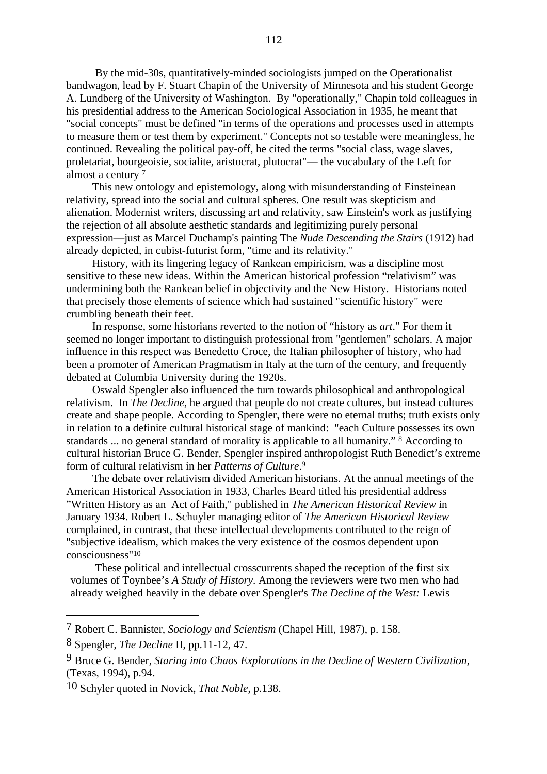By the mid-30s, quantitatively-minded sociologists jumped on the Operationalist bandwagon, lead by F. Stuart Chapin of the University of Minnesota and his student George A. Lundberg of the University of Washington. By "operationally," Chapin told colleagues in his presidential address to the American Sociological Association in 1935, he meant that "social concepts" must be defined "in terms of the operations and processes used in attempts to measure them or test them by experiment." Concepts not so testable were meaningless, he continued. Revealing the political pay-off, he cited the terms "social class, wage slaves, proletariat, bourgeoisie, socialite, aristocrat, plutocrat"— the vocabulary of the Left for almost a century 7

This new ontology and epistemology, along with misunderstanding of Einsteinean relativity, spread into the social and cultural spheres. One result was skepticism and alienation. Modernist writers, discussing art and relativity, saw Einstein's work as justifying the rejection of all absolute aesthetic standards and legitimizing purely personal expression—just as Marcel Duchamp's painting The *Nude Descending the Stairs* (1912) had already depicted, in cubist-futurist form, "time and its relativity."

History, with its lingering legacy of Rankean empiricism, was a discipline most sensitive to these new ideas. Within the American historical profession "relativism" was undermining both the Rankean belief in objectivity and the New History. Historians noted that precisely those elements of science which had sustained "scientific history" were crumbling beneath their feet.

In response, some historians reverted to the notion of "history as *art*." For them it seemed no longer important to distinguish professional from "gentlemen" scholars. A major influence in this respect was Benedetto Croce, the Italian philosopher of history, who had been a promoter of American Pragmatism in Italy at the turn of the century, and frequently debated at Columbia University during the 1920s.

Oswald Spengler also influenced the turn towards philosophical and anthropological relativism. In *The Decline*, he argued that people do not create cultures, but instead cultures create and shape people. According to Spengler, there were no eternal truths; truth exists only in relation to a definite cultural historical stage of mankind: "each Culture possesses its own standards ... no general standard of morality is applicable to all humanity." 8 According to cultural historian Bruce G. Bender, Spengler inspired anthropologist Ruth Benedict's extreme form of cultural relativism in her *Patterns of Culture*. 9

The debate over relativism divided American historians. At the annual meetings of the American Historical Association in 1933, Charles Beard titled his presidential address "Written History as an Act of Faith," published in *The American Historical Review* in January 1934. Robert L. Schuyler managing editor of *The American Historical Review* complained, in contrast, that these intellectual developments contributed to the reign of "subjective idealism, which makes the very existence of the cosmos dependent upon consciousness"10

These political and intellectual crosscurrents shaped the reception of the first six volumes of Toynbee's *A Study of History*. Among the reviewers were two men who had already weighed heavily in the debate over Spengler's *The Decline of the West:* Lewis

<sup>7</sup> Robert C. Bannister, *Sociology and Scientism* (Chapel Hill, 1987), p. 158.

<sup>8</sup> Spengler, *The Decline* II, pp.11-12, 47.

<sup>9</sup> Bruce G. Bender, *Staring into Chaos Explorations in the Decline of Western Civilization*, (Texas, 1994), p.94.

<sup>10</sup> Schyler quoted in Novick, *That Noble*, p.138.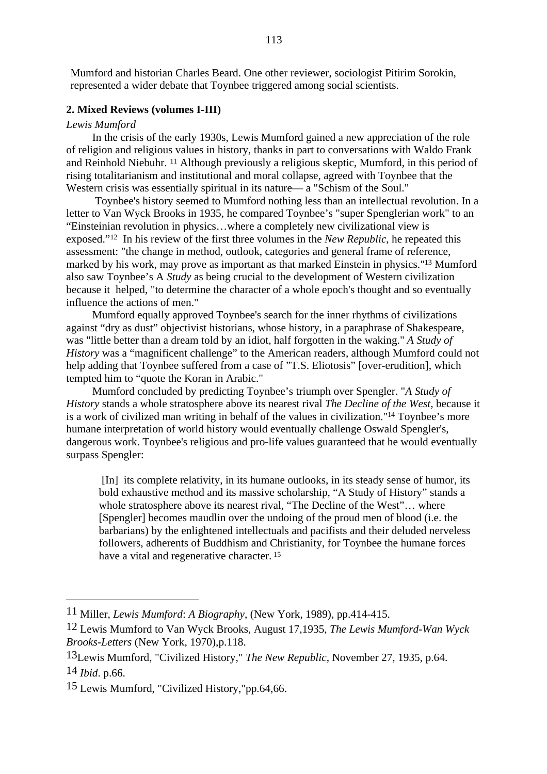Mumford and historian Charles Beard. One other reviewer, sociologist Pitirim Sorokin, represented a wider debate that Toynbee triggered among social scientists.

## **2. Mixed Reviews (volumes I-III)**

#### *Lewis Mumford*

In the crisis of the early 1930s, Lewis Mumford gained a new appreciation of the role of religion and religious values in history, thanks in part to conversations with Waldo Frank and Reinhold Niebuhr. 11 Although previously a religious skeptic, Mumford, in this period of rising totalitarianism and institutional and moral collapse, agreed with Toynbee that the Western crisis was essentially spiritual in its nature— a "Schism of the Soul."

 Toynbee's history seemed to Mumford nothing less than an intellectual revolution. In a letter to Van Wyck Brooks in 1935, he compared Toynbee's "super Spenglerian work" to an "Einsteinian revolution in physics…where a completely new civilizational view is exposed."12 In his review of the first three volumes in the *New Republic*, he repeated this assessment: "the change in method, outlook, categories and general frame of reference, marked by his work, may prove as important as that marked Einstein in physics."13 Mumford also saw Toynbee's A *Study* as being crucial to the development of Western civilization because it helped, "to determine the character of a whole epoch's thought and so eventually influence the actions of men."

Mumford equally approved Toynbee's search for the inner rhythms of civilizations against "dry as dust" objectivist historians, whose history, in a paraphrase of Shakespeare, was "little better than a dream told by an idiot, half forgotten in the waking." *A Study of History* was a "magnificent challenge" to the American readers, although Mumford could not help adding that Toynbee suffered from a case of "T.S. Eliotosis" [over-erudition], which tempted him to "quote the Koran in Arabic."

Mumford concluded by predicting Toynbee's triumph over Spengler. "*A Study of History* stands a whole stratosphere above its nearest rival *The Decline of the West*, because it is a work of civilized man writing in behalf of the values in civilization."14 Toynbee's more humane interpretation of world history would eventually challenge Oswald Spengler's, dangerous work. Toynbee's religious and pro-life values guaranteed that he would eventually surpass Spengler:

 [In] its complete relativity, in its humane outlooks, in its steady sense of humor, its bold exhaustive method and its massive scholarship, "A Study of History" stands a whole stratosphere above its nearest rival, "The Decline of the West"… where [Spengler] becomes maudlin over the undoing of the proud men of blood (i.e. the barbarians) by the enlightened intellectuals and pacifists and their deluded nerveless followers, adherents of Buddhism and Christianity, for Toynbee the humane forces have a vital and regenerative character.<sup>15</sup>

<sup>11</sup> Miller, *Lewis Mumford*: *A Biography*, (New York, 1989), pp.414-415.

<sup>12</sup> Lewis Mumford to Van Wyck Brooks, August 17,1935, *The Lewis Mumford-Wan Wyck Brooks-Letters* (New York, 1970),p.118.

<sup>13</sup>Lewis Mumford, "Civilized History," *The New Republic,* November 27, 1935, p.64. 14 *Ibid*. p.66.

<sup>15</sup> Lewis Mumford, "Civilized History,"pp.64,66.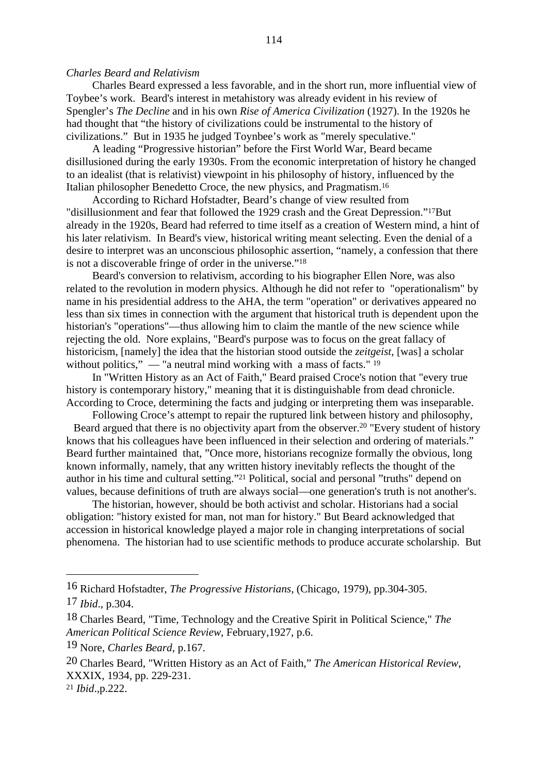#### *Charles Beard and Relativism*

Charles Beard expressed a less favorable, and in the short run, more influential view of Toybee's work. Beard's interest in metahistory was already evident in his review of Spengler's *The Decline* and in his own *Rise of America Civilization* (1927). In the 1920s he had thought that "the history of civilizations could be instrumental to the history of civilizations." But in 1935 he judged Toynbee's work as "merely speculative."

A leading "Progressive historian" before the First World War, Beard became disillusioned during the early 1930s. From the economic interpretation of history he changed to an idealist (that is relativist) viewpoint in his philosophy of history, influenced by the Italian philosopher Benedetto Croce, the new physics, and Pragmatism.16

According to Richard Hofstadter, Beard's change of view resulted from "disillusionment and fear that followed the 1929 crash and the Great Depression."17But already in the 1920s, Beard had referred to time itself as a creation of Western mind, a hint of his later relativism. In Beard's view, historical writing meant selecting. Even the denial of a desire to interpret was an unconscious philosophic assertion, "namely, a confession that there is not a discoverable fringe of order in the universe."18

Beard's conversion to relativism, according to his biographer Ellen Nore, was also related to the revolution in modern physics. Although he did not refer to "operationalism" by name in his presidential address to the AHA, the term "operation" or derivatives appeared no less than six times in connection with the argument that historical truth is dependent upon the historian's "operations"—thus allowing him to claim the mantle of the new science while rejecting the old. Nore explains, "Beard's purpose was to focus on the great fallacy of historicism, [namely] the idea that the historian stood outside the *zeitgeist*, [was] a scholar without politics,"  $\frac{1}{2}$  = "a neutral mind working with a mass of facts." <sup>19</sup>

In "Written History as an Act of Faith," Beard praised Croce's notion that "every true history is contemporary history," meaning that it is distinguishable from dead chronicle. According to Croce, determining the facts and judging or interpreting them was inseparable.

Following Croce's attempt to repair the ruptured link between history and philosophy, Beard argued that there is no objectivity apart from the observer.<sup>20</sup> "Every student of history" knows that his colleagues have been influenced in their selection and ordering of materials." Beard further maintained that, "Once more, historians recognize formally the obvious, long known informally, namely, that any written history inevitably reflects the thought of the author in his time and cultural setting."21 Political, social and personal "truths" depend on values, because definitions of truth are always social—one generation's truth is not another's.

The historian, however, should be both activist and scholar. Historians had a social obligation: "history existed for man, not man for history." But Beard acknowledged that accession in historical knowledge played a major role in changing interpretations of social phenomena. The historian had to use scientific methods to produce accurate scholarship. But

<sup>16</sup> Richard Hofstadter, *The Progressive Historians*, (Chicago, 1979), pp.304-305.

<sup>17</sup> *Ibid*., p.304.

<sup>18</sup> Charles Beard, "Time, Technology and the Creative Spirit in Political Science," *The American Political Science Review*, February,1927, p.6.

<sup>19</sup> Nore, *Charles Beard*, p.167.

<sup>20</sup> Charles Beard, "Written History as an Act of Faith," *The American Historical Review*, XXXIX, 1934, pp. 229-231. <sup>21</sup> *Ibid*.,p.222.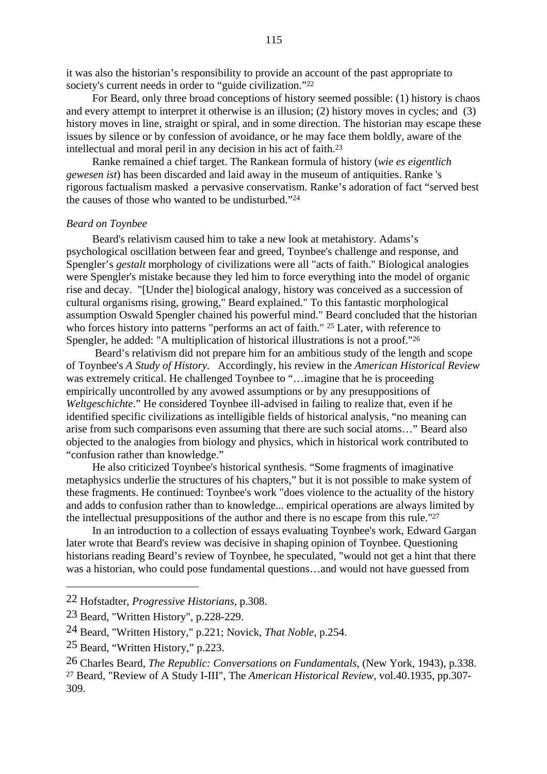it was also the historian's responsibility to provide an account of the past appropriate to society's current needs in order to "guide civilization."<sup>22</sup>

For Beard, only three broad conceptions of history seemed possible: (1) history is chaos and every attempt to interpret it otherwise is an illusion; (2) history moves in cycles; and (3) history moves in line, straight or spiral, and in some direction. The historian may escape these issues by silence or by confession of avoidance, or he may face them boldly, aware of the intellectual and moral peril in any decision in his act of faith.23

Ranke remained a chief target. The Rankean formula of history (*wie es eigentlich gewesen ist*) has been discarded and laid away in the museum of antiquities. Ranke 's rigorous factualism masked a pervasive conservatism. Ranke's adoration of fact "served best the causes of those who wanted to be undisturbed."24

#### *Beard on Toynbee*

Beard's relativism caused him to take a new look at metahistory. Adams's psychological oscillation between fear and greed, Toynbee's challenge and response, and Spengler's *gestalt* morphology of civilizations were all "acts of faith." Biological analogies were Spengler's mistake because they led him to force everything into the model of organic rise and decay. "[Under the] biological analogy, history was conceived as a succession of cultural organisms rising, growing," Beard explained." To this fantastic morphological assumption Oswald Spengler chained his powerful mind." Beard concluded that the historian who forces history into patterns "performs an act of faith." <sup>25</sup> Later, with reference to Spengler, he added: "A multiplication of historical illustrations is not a proof."26

 Beard's relativism did not prepare him for an ambitious study of the length and scope of Toynbee's *A Study of History.* Accordingly, his review in the *American Historical Review* was extremely critical. He challenged Toynbee to "...imagine that he is proceeding empirically uncontrolled by any avowed assumptions or by any presuppositions of *Weltgeschichte*." He considered Toynbee ill-advised in failing to realize that, even if he identified specific civilizations as intelligible fields of historical analysis, "no meaning can arise from such comparisons even assuming that there are such social atoms…" Beard also objected to the analogies from biology and physics, which in historical work contributed to "confusion rather than knowledge."

He also criticized Toynbee's historical synthesis. "Some fragments of imaginative metaphysics underlie the structures of his chapters," but it is not possible to make system of these fragments. He continued: Toynbee's work "does violence to the actuality of the history and adds to confusion rather than to knowledge... empirical operations are always limited by the intellectual presuppositions of the author and there is no escape from this rule."27

In an introduction to a collection of essays evaluating Toynbee's work, Edward Gargan later wrote that Beard's review was decisive in shaping opinion of Toynbee. Questioning historians reading Beard's review of Toynbee, he speculated, "would not get a hint that there was a historian, who could pose fundamental questions…and would not have guessed from

<sup>22</sup> Hofstadter, *Progressive Historians*, p.308.

<sup>23</sup> Beard, "Written History", p.228-229.

<sup>24</sup> Beard, "Written History," p.221; Novick, *That Noble*, p.254.

<sup>25</sup> Beard, "Written History," p.223.

<sup>26</sup> Charles Beard, *The Republic: Conversations on Fundamentals*, (New York, 1943), p.338. 27 Beard, "Review of A Study I-III", The *American Historical Review,* vol.40.1935, pp.307- 309.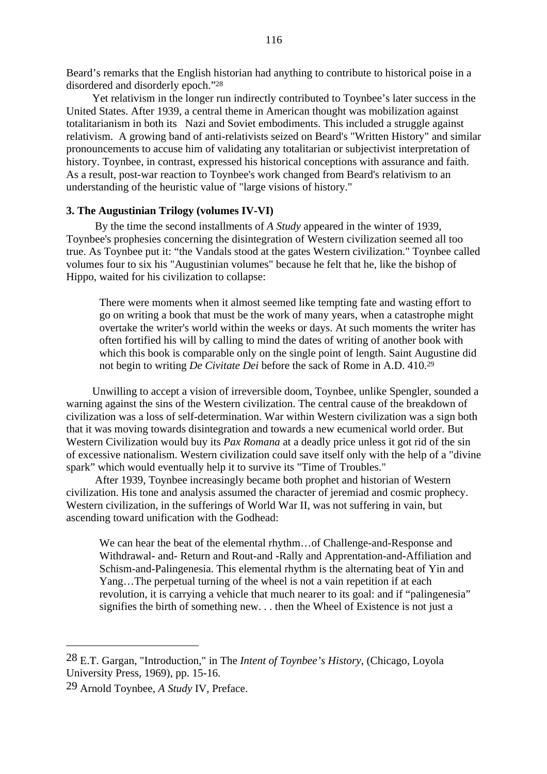Beard's remarks that the English historian had anything to contribute to historical poise in a disordered and disorderly epoch."28

Yet relativism in the longer run indirectly contributed to Toynbee's later success in the United States. After 1939, a central theme in American thought was mobilization against totalitarianism in both its Nazi and Soviet embodiments. This included a struggle against relativism. A growing band of anti-relativists seized on Beard's "Written History" and similar pronouncements to accuse him of validating any totalitarian or subjectivist interpretation of history. Toynbee, in contrast, expressed his historical conceptions with assurance and faith. As a result, post-war reaction to Toynbee's work changed from Beard's relativism to an understanding of the heuristic value of "large visions of history."

# **3. The Augustinian Trilogy (volumes IV-VI)**

 By the time the second installments of *A Study* appeared in the winter of 1939, Toynbee's prophesies concerning the disintegration of Western civilization seemed all too true. As Toynbee put it: "the Vandals stood at the gates Western civilization." Toynbee called volumes four to six his "Augustinian volumes" because he felt that he, like the bishop of Hippo, waited for his civilization to collapse:

There were moments when it almost seemed like tempting fate and wasting effort to go on writing a book that must be the work of many years, when a catastrophe might overtake the writer's world within the weeks or days. At such moments the writer has often fortified his will by calling to mind the dates of writing of another book with which this book is comparable only on the single point of length. Saint Augustine did not begin to writing *De Civitate Dei* before the sack of Rome in A.D. 410.29

Unwilling to accept a vision of irreversible doom, Toynbee, unlike Spengler, sounded a warning against the sins of the Western civilization. The central cause of the breakdown of civilization was a loss of self-determination. War within Western civilization was a sign both that it was moving towards disintegration and towards a new ecumenical world order. But Western Civilization would buy its *Pax Romana* at a deadly price unless it got rid of the sin of excessive nationalism. Western civilization could save itself only with the help of a "divine spark" which would eventually help it to survive its "Time of Troubles."

 After 1939, Toynbee increasingly became both prophet and historian of Western civilization. His tone and analysis assumed the character of jeremiad and cosmic prophecy. Western civilization, in the sufferings of World War II, was not suffering in vain, but ascending toward unification with the Godhead:

We can hear the beat of the elemental rhythm…of Challenge-and-Response and Withdrawal- and- Return and Rout-and -Rally and Apprentation-and-Affiliation and Schism-and-Palingenesia. This elemental rhythm is the alternating beat of Yin and Yang…The perpetual turning of the wheel is not a vain repetition if at each revolution, it is carrying a vehicle that much nearer to its goal: and if "palingenesia" signifies the birth of something new. . . then the Wheel of Existence is not just a

<sup>28</sup> E.T. Gargan, "Introduction," in The *Intent of Toynbee's History*, (Chicago, Loyola University Press, 1969), pp. 15-16.

<sup>29</sup> Arnold Toynbee, *A Study* IV, Preface.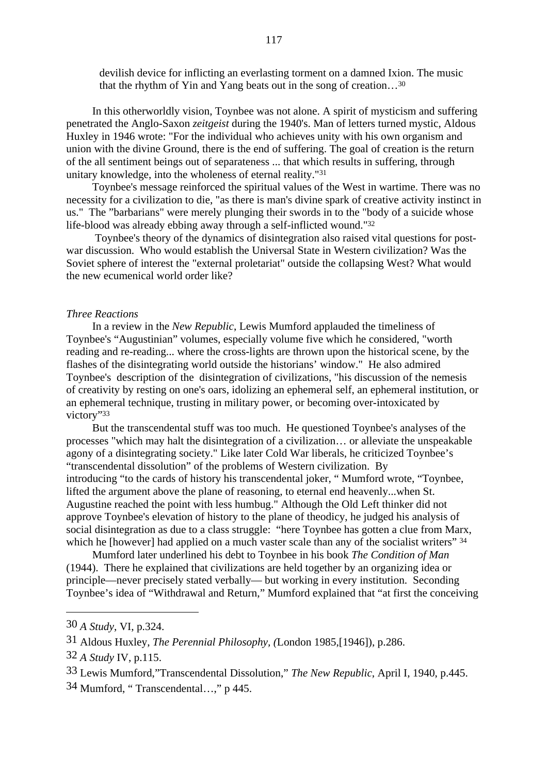devilish device for inflicting an everlasting torment on a damned Ixion. The music that the rhythm of Yin and Yang beats out in the song of creation…30

In this otherworldly vision, Toynbee was not alone. A spirit of mysticism and suffering penetrated the Anglo-Saxon *zeitgeist* during the 1940's. Man of letters turned mystic, Aldous Huxley in 1946 wrote: "For the individual who achieves unity with his own organism and union with the divine Ground, there is the end of suffering. The goal of creation is the return of the all sentiment beings out of separateness ... that which results in suffering, through unitary knowledge, into the wholeness of eternal reality."31

Toynbee's message reinforced the spiritual values of the West in wartime. There was no necessity for a civilization to die, "as there is man's divine spark of creative activity instinct in us." The "barbarians" were merely plunging their swords in to the "body of a suicide whose life-blood was already ebbing away through a self-inflicted wound."32

 Toynbee's theory of the dynamics of disintegration also raised vital questions for postwar discussion. Who would establish the Universal State in Western civilization? Was the Soviet sphere of interest the "external proletariat" outside the collapsing West? What would the new ecumenical world order like?

#### *Three Reactions*

In a review in the *New Republic*, Lewis Mumford applauded the timeliness of Toynbee's "Augustinian" volumes, especially volume five which he considered, "worth reading and re-reading... where the cross-lights are thrown upon the historical scene, by the flashes of the disintegrating world outside the historians' window." He also admired Toynbee's description of the disintegration of civilizations, "his discussion of the nemesis of creativity by resting on one's oars, idolizing an ephemeral self, an ephemeral institution, or an ephemeral technique, trusting in military power, or becoming over-intoxicated by victory"33

But the transcendental stuff was too much. He questioned Toynbee's analyses of the processes "which may halt the disintegration of a civilization… or alleviate the unspeakable agony of a disintegrating society." Like later Cold War liberals, he criticized Toynbee's "transcendental dissolution" of the problems of Western civilization. By introducing "to the cards of history his transcendental joker, " Mumford wrote, "Toynbee, lifted the argument above the plane of reasoning, to eternal end heavenly...when St. Augustine reached the point with less humbug." Although the Old Left thinker did not approve Toynbee's elevation of history to the plane of theodicy, he judged his analysis of social disintegration as due to a class struggle: "here Toynbee has gotten a clue from Marx, which he [however] had applied on a much vaster scale than any of the socialist writers" 34

Mumford later underlined his debt to Toynbee in his book *The Condition of Man* (1944). There he explained that civilizations are held together by an organizing idea or principle—never precisely stated verbally— but working in every institution. Seconding Toynbee's idea of "Withdrawal and Return," Mumford explained that "at first the conceiving

<sup>30</sup> *A Study*, VI, p.324.

<sup>31</sup> Aldous Huxley, *The Perennial Philosophy, (*London 1985,[1946]), p.286.

<sup>32</sup> *A Study* IV, p.115.

<sup>33</sup> Lewis Mumford,"Transcendental Dissolution," *The New Republic*, April I, 1940, p.445.

<sup>34</sup> Mumford, " Transcendental…," p 445.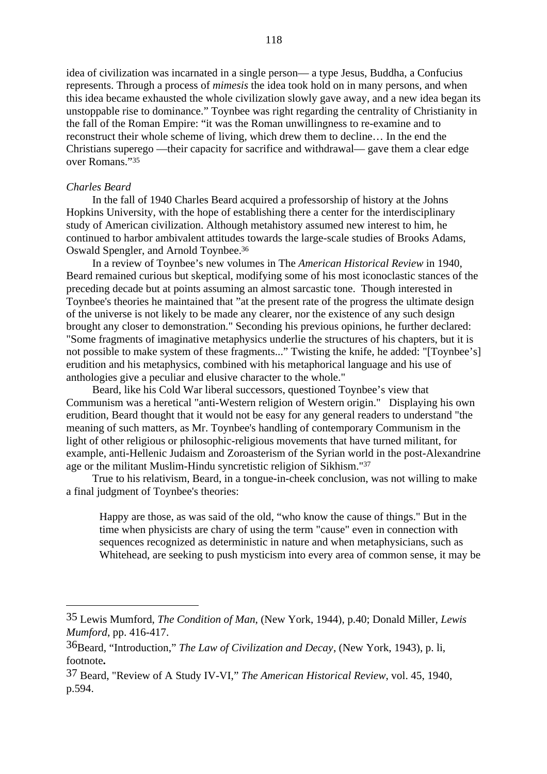idea of civilization was incarnated in a single person— a type Jesus, Buddha, a Confucius represents. Through a process of *mimesis* the idea took hold on in many persons, and when this idea became exhausted the whole civilization slowly gave away, and a new idea began its unstoppable rise to dominance." Toynbee was right regarding the centrality of Christianity in the fall of the Roman Empire: "it was the Roman unwillingness to re-examine and to reconstruct their whole scheme of living, which drew them to decline… In the end the Christians superego —their capacity for sacrifice and withdrawal— gave them a clear edge over Romans."35

## *Charles Beard*

In the fall of 1940 Charles Beard acquired a professorship of history at the Johns Hopkins University, with the hope of establishing there a center for the interdisciplinary study of American civilization. Although metahistory assumed new interest to him, he continued to harbor ambivalent attitudes towards the large-scale studies of Brooks Adams, Oswald Spengler, and Arnold Toynbee.36

In a review of Toynbee's new volumes in The *American Historical Review* in 1940, Beard remained curious but skeptical, modifying some of his most iconoclastic stances of the preceding decade but at points assuming an almost sarcastic tone. Though interested in Toynbee's theories he maintained that "at the present rate of the progress the ultimate design of the universe is not likely to be made any clearer, nor the existence of any such design brought any closer to demonstration." Seconding his previous opinions, he further declared: "Some fragments of imaginative metaphysics underlie the structures of his chapters, but it is not possible to make system of these fragments..." Twisting the knife, he added: "[Toynbee's] erudition and his metaphysics, combined with his metaphorical language and his use of anthologies give a peculiar and elusive character to the whole."

Beard, like his Cold War liberal successors, questioned Toynbee's view that Communism was a heretical "anti-Western religion of Western origin." Displaying his own erudition, Beard thought that it would not be easy for any general readers to understand "the meaning of such matters, as Mr. Toynbee's handling of contemporary Communism in the light of other religious or philosophic-religious movements that have turned militant, for example, anti-Hellenic Judaism and Zoroasterism of the Syrian world in the post-Alexandrine age or the militant Muslim-Hindu syncretistic religion of Sikhism."37

True to his relativism, Beard, in a tongue-in-cheek conclusion, was not willing to make a final judgment of Toynbee's theories:

Happy are those, as was said of the old, "who know the cause of things." But in the time when physicists are chary of using the term "cause" even in connection with sequences recognized as deterministic in nature and when metaphysicians, such as Whitehead, are seeking to push mysticism into every area of common sense, it may be

<sup>35</sup> Lewis Mumford, *The Condition of Man*, (New York, 1944), p.40; Donald Miller, *Lewis Mumford*, pp. 416-417.

<sup>36</sup>Beard, "Introduction," *The Law of Civilization and Decay*, (New York, 1943), p. li, footnote**.**

<sup>37</sup> Beard, "Review of A Study IV-VI," *The American Historical Review*, vol. 45, 1940, p.594.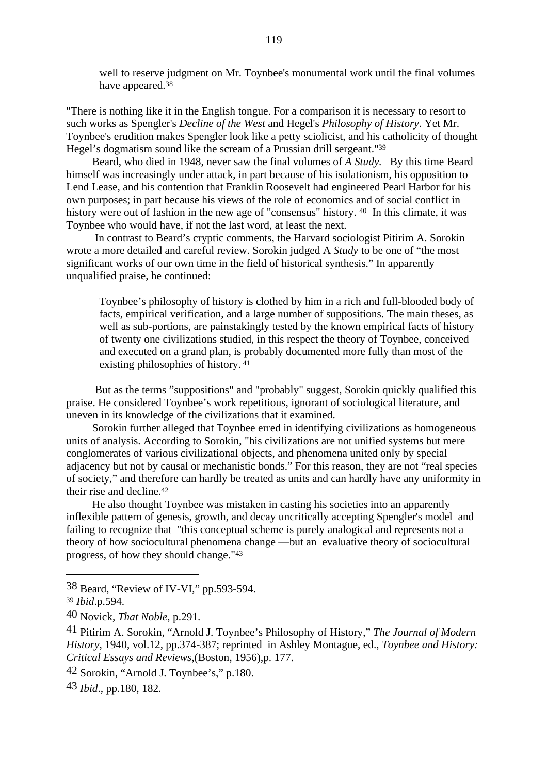well to reserve judgment on Mr. Toynbee's monumental work until the final volumes have appeared.38

"There is nothing like it in the English tongue. For a comparison it is necessary to resort to such works as Spengler's *Decline of the West* and Hegel's *Philosophy of History*. Yet Mr. Toynbee's erudition makes Spengler look like a petty sciolicist, and his catholicity of thought Hegel's dogmatism sound like the scream of a Prussian drill sergeant."39

Beard, who died in 1948, never saw the final volumes of *A Study.* By this time Beard himself was increasingly under attack, in part because of his isolationism, his opposition to Lend Lease, and his contention that Franklin Roosevelt had engineered Pearl Harbor for his own purposes; in part because his views of the role of economics and of social conflict in history were out of fashion in the new age of "consensus" history. <sup>40</sup> In this climate, it was Toynbee who would have, if not the last word, at least the next.

 In contrast to Beard's cryptic comments, the Harvard sociologist Pitirim A. Sorokin wrote a more detailed and careful review. Sorokin judged A *Study* to be one of "the most significant works of our own time in the field of historical synthesis." In apparently unqualified praise, he continued:

Toynbee's philosophy of history is clothed by him in a rich and full-blooded body of facts, empirical verification, and a large number of suppositions. The main theses, as well as sub-portions, are painstakingly tested by the known empirical facts of history of twenty one civilizations studied, in this respect the theory of Toynbee, conceived and executed on a grand plan, is probably documented more fully than most of the existing philosophies of history. 41

 But as the terms "suppositions" and "probably" suggest, Sorokin quickly qualified this praise. He considered Toynbee's work repetitious, ignorant of sociological literature, and uneven in its knowledge of the civilizations that it examined.

Sorokin further alleged that Toynbee erred in identifying civilizations as homogeneous units of analysis. According to Sorokin, "his civilizations are not unified systems but mere conglomerates of various civilizational objects, and phenomena united only by special adjacency but not by causal or mechanistic bonds." For this reason, they are not "real species of society," and therefore can hardly be treated as units and can hardly have any uniformity in their rise and decline.42

He also thought Toynbee was mistaken in casting his societies into an apparently inflexible pattern of genesis, growth, and decay uncritically accepting Spengler's model and failing to recognize that "this conceptual scheme is purely analogical and represents not a theory of how sociocultural phenomena change —but an evaluative theory of sociocultural progress, of how they should change."43

<sup>38</sup> Beard, "Review of IV-VI," pp.593-594.

<sup>39</sup> *Ibid*.p.594.

<sup>40</sup> Novick, *That Noble*, p.291.

<sup>41</sup> Pitirim A. Sorokin, "Arnold J. Toynbee's Philosophy of History," *The Journal of Modern History*, 1940, vol.12, pp.374-387; reprinted in Ashley Montague, ed., *Toynbee and History: Critical Essays and Reviews*,(Boston, 1956),p. 177.

<sup>42</sup> Sorokin, "Arnold J. Toynbee's," p.180.

<sup>43</sup> *Ibid*., pp.180, 182.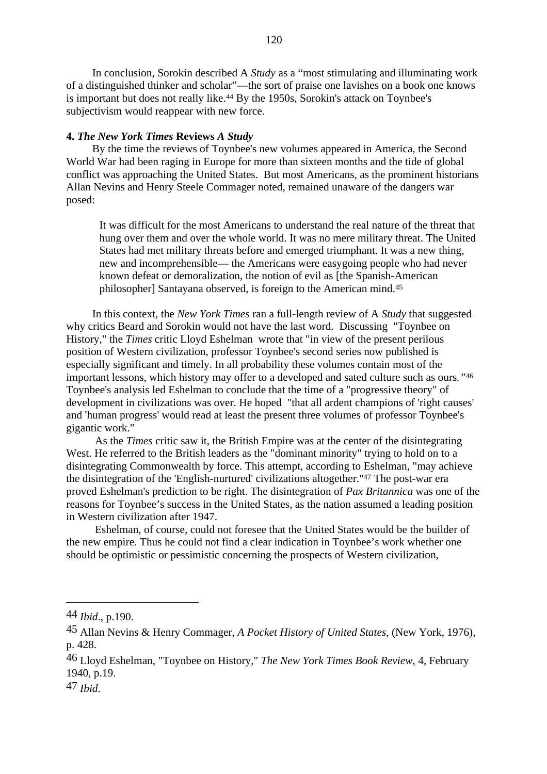In conclusion, Sorokin described A *Study* as a "most stimulating and illuminating work of a distinguished thinker and scholar"—the sort of praise one lavishes on a book one knows is important but does not really like.44 By the 1950s, Sorokin's attack on Toynbee's subjectivism would reappear with new force.

#### **4.** *The New York Times* **Reviews** *A Study*

By the time the reviews of Toynbee's new volumes appeared in America, the Second World War had been raging in Europe for more than sixteen months and the tide of global conflict was approaching the United States. But most Americans, as the prominent historians Allan Nevins and Henry Steele Commager noted, remained unaware of the dangers war posed:

It was difficult for the most Americans to understand the real nature of the threat that hung over them and over the whole world. It was no mere military threat. The United States had met military threats before and emerged triumphant. It was a new thing, new and incomprehensible— the Americans were easygoing people who had never known defeat or demoralization, the notion of evil as [the Spanish-American philosopher] Santayana observed, is foreign to the American mind.45

In this context*,* the *New York Times* ran a full-length review of A *Study* that suggested why critics Beard and Sorokin would not have the last word. Discussing "Toynbee on History," the *Times* critic Lloyd Eshelman wrote that "in view of the present perilous position of Western civilization, professor Toynbee's second series now published is especially significant and timely. In all probability these volumes contain most of the important lessons, which history may offer to a developed and sated culture such as ours*."*<sup>46</sup> Toynbee's analysis led Eshelman to conclude that the time of a "progressive theory" of development in civilizations was over. He hoped "that all ardent champions of 'right causes' and 'human progress' would read at least the present three volumes of professor Toynbee's gigantic work."

 As the *Times* critic saw it, the British Empire was at the center of the disintegrating West. He referred to the British leaders as the "dominant minority" trying to hold on to a disintegrating Commonwealth by force. This attempt, according to Eshelman, "may achieve the disintegration of the 'English-nurtured' civilizations altogether."47 The post-war era proved Eshelman's prediction to be right. The disintegration of *Pax Britannica* was one of the reasons for Toynbee's success in the United States, as the nation assumed a leading position in Western civilization after 1947.

 Eshelman, of course, could not foresee that the United States would be the builder of the new empire*.* Thus he could not find a clear indication in Toynbee's work whether one should be optimistic or pessimistic concerning the prospects of Western civilization,

<sup>44</sup> *Ibid*., p.190.

<sup>45</sup> Allan Nevins & Henry Commager, *A Pocket History of United States*, (New York, 1976), p. 428.

<sup>46</sup> Lloyd Eshelman, "Toynbee on History," *The New York Times Book Review*, 4, February 1940, p.19.

<sup>47</sup> *Ibid*.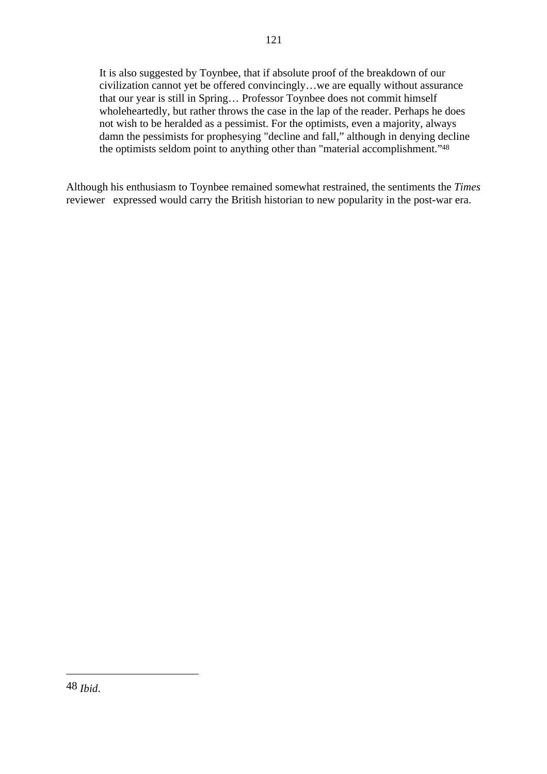It is also suggested by Toynbee, that if absolute proof of the breakdown of our civilization cannot yet be offered convincingly…we are equally without assurance that our year is still in Spring… Professor Toynbee does not commit himself wholeheartedly, but rather throws the case in the lap of the reader. Perhaps he does not wish to be heralded as a pessimist. For the optimists, even a majority, always damn the pessimists for prophesying "decline and fall," although in denying decline the optimists seldom point to anything other than "material accomplishment."48

Although his enthusiasm to Toynbee remained somewhat restrained, the sentiments the *Times* reviewer expressed would carry the British historian to new popularity in the post-war era.

<sup>48</sup> *Ibid*.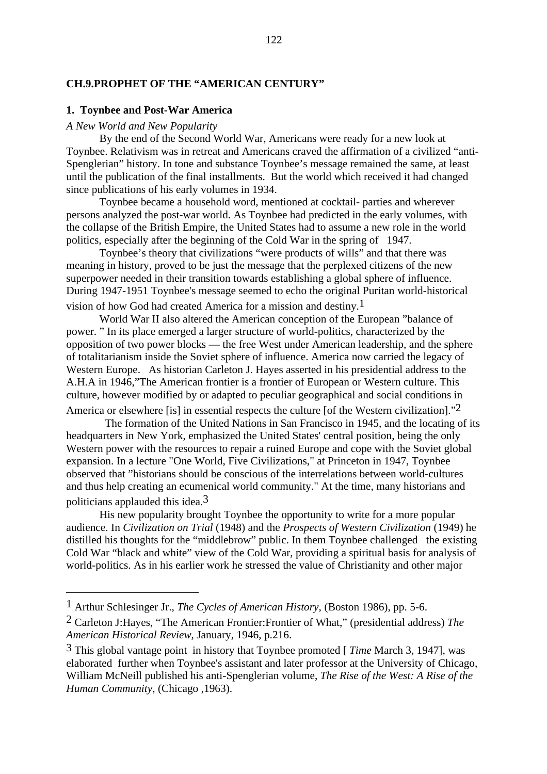## **CH.9.PROPHET OF THE "AMERICAN CENTURY"**

#### **1. Toynbee and Post-War America**

## *A New World and New Popularity*

By the end of the Second World War, Americans were ready for a new look at Toynbee. Relativism was in retreat and Americans craved the affirmation of a civilized "anti-Spenglerian" history. In tone and substance Toynbee's message remained the same, at least until the publication of the final installments. But the world which received it had changed since publications of his early volumes in 1934.

Toynbee became a household word, mentioned at cocktail- parties and wherever persons analyzed the post-war world. As Toynbee had predicted in the early volumes, with the collapse of the British Empire, the United States had to assume a new role in the world politics, especially after the beginning of the Cold War in the spring of 1947.

Toynbee's theory that civilizations "were products of wills" and that there was meaning in history, proved to be just the message that the perplexed citizens of the new superpower needed in their transition towards establishing a global sphere of influence. During 1947-1951 Toynbee's message seemed to echo the original Puritan world-historical vision of how God had created America for a mission and destiny.1

World War II also altered the American conception of the European "balance of power. " In its place emerged a larger structure of world-politics, characterized by the opposition of two power blocks — the free West under American leadership, and the sphere of totalitarianism inside the Soviet sphere of influence. America now carried the legacy of Western Europe. As historian Carleton J. Hayes asserted in his presidential address to the A.H.A in 1946,"The American frontier is a frontier of European or Western culture. This culture, however modified by or adapted to peculiar geographical and social conditions in

America or elsewhere [is] in essential respects the culture [of the Western civilization].<sup>"2</sup>

 The formation of the United Nations in San Francisco in 1945, and the locating of its headquarters in New York, emphasized the United States' central position, being the only Western power with the resources to repair a ruined Europe and cope with the Soviet global expansion. In a lecture "One World, Five Civilizations," at Princeton in 1947, Toynbee observed that "historians should be conscious of the interrelations between world-cultures and thus help creating an ecumenical world community." At the time, many historians and politicians applauded this idea.3

His new popularity brought Toynbee the opportunity to write for a more popular audience. In *Civilization on Trial* (1948) and the *Prospects of Western Civilization* (1949) he distilled his thoughts for the "middlebrow" public. In them Toynbee challenged the existing Cold War "black and white" view of the Cold War, providing a spiritual basis for analysis of world-politics. As in his earlier work he stressed the value of Christianity and other major

<sup>1</sup> Arthur Schlesinger Jr., *The Cycles of American History,* (Boston 1986), pp. 5-6.

<sup>2</sup> Carleton J:Hayes, "The American Frontier:Frontier of What," (presidential address) *The American Historical Review*, January, 1946, p.216.

<sup>3</sup> This global vantage point in history that Toynbee promoted [ *Time* March 3, 1947], was elaborated further when Toynbee's assistant and later professor at the University of Chicago, William McNeill published his anti-Spenglerian volume, *The Rise of the West: A Rise of the Human Community,* (Chicago ,1963).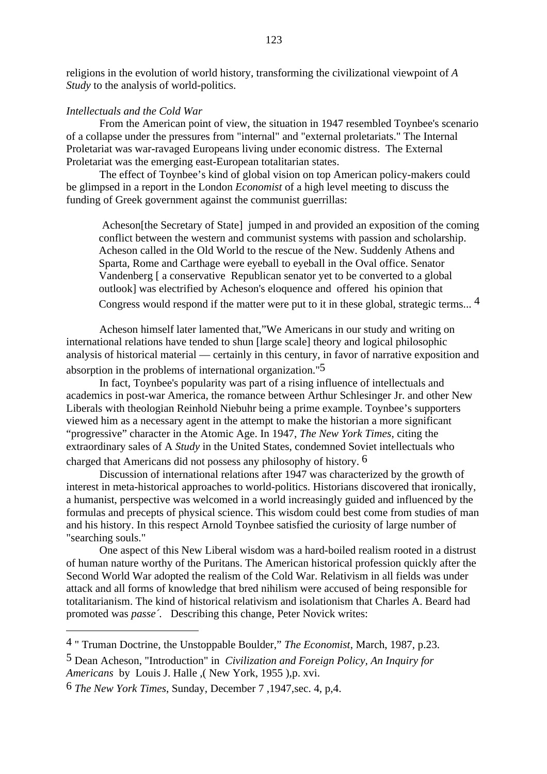religions in the evolution of world history, transforming the civilizational viewpoint of *A Study* to the analysis of world-politics.

## *Intellectuals and the Cold War*

From the American point of view, the situation in 1947 resembled Toynbee's scenario of a collapse under the pressures from "internal" and "external proletariats." The Internal Proletariat was war-ravaged Europeans living under economic distress. The External Proletariat was the emerging east-European totalitarian states.

The effect of Toynbee's kind of global vision on top American policy-makers could be glimpsed in a report in the London *Economist* of a high level meeting to discuss the funding of Greek government against the communist guerrillas:

 Acheson[the Secretary of State] jumped in and provided an exposition of the coming conflict between the western and communist systems with passion and scholarship. Acheson called in the Old World to the rescue of the New. Suddenly Athens and Sparta, Rome and Carthage were eyeball to eyeball in the Oval office. Senator Vandenberg [ a conservative Republican senator yet to be converted to a global outlook] was electrified by Acheson's eloquence and offered his opinion that Congress would respond if the matter were put to it in these global, strategic terms...  $4$ 

Acheson himself later lamented that,"We Americans in our study and writing on international relations have tended to shun [large scale] theory and logical philosophic analysis of historical material — certainly in this century, in favor of narrative exposition and absorption in the problems of international organization."5

In fact, Toynbee's popularity was part of a rising influence of intellectuals and academics in post-war America, the romance between Arthur Schlesinger Jr. and other New Liberals with theologian Reinhold Niebuhr being a prime example. Toynbee's supporters viewed him as a necessary agent in the attempt to make the historian a more significant "progressive" character in the Atomic Age. In 1947, *The New York Times*, citing the extraordinary sales of A *Study* in the United States, condemned Soviet intellectuals who charged that Americans did not possess any philosophy of history. 6

Discussion of international relations after 1947 was characterized by the growth of interest in meta-historical approaches to world-politics. Historians discovered that ironically, a humanist, perspective was welcomed in a world increasingly guided and influenced by the formulas and precepts of physical science. This wisdom could best come from studies of man and his history. In this respect Arnold Toynbee satisfied the curiosity of large number of "searching souls."

One aspect of this New Liberal wisdom was a hard-boiled realism rooted in a distrust of human nature worthy of the Puritans. The American historical profession quickly after the Second World War adopted the realism of the Cold War. Relativism in all fields was under attack and all forms of knowledge that bred nihilism were accused of being responsible for totalitarianism. The kind of historical relativism and isolationism that Charles A. Beard had promoted was *passe´.* Describing this change, Peter Novick writes:

5 Dean Acheson, "Introduction" in *Civilization and Foreign Policy, An Inquiry for Americans* by Louis J. Halle ,( New York, 1955 ),p. xvi.

<sup>4 &</sup>quot; Truman Doctrine, the Unstoppable Boulder," *The Economist*, March, 1987, p.23.

<sup>6</sup> *The New York Times*, Sunday, December 7 ,1947,sec. 4, p,4.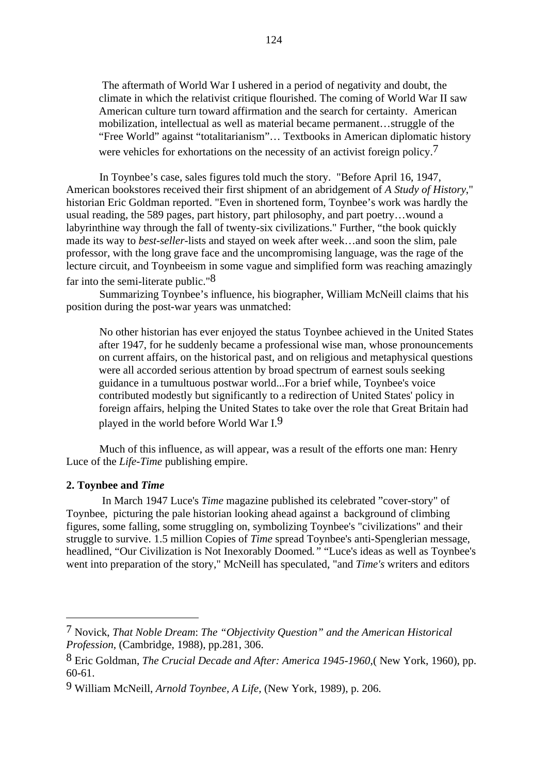The aftermath of World War I ushered in a period of negativity and doubt, the climate in which the relativist critique flourished. The coming of World War II saw American culture turn toward affirmation and the search for certainty. American mobilization, intellectual as well as material became permanent…struggle of the "Free World" against "totalitarianism"… Textbooks in American diplomatic history were vehicles for exhortations on the necessity of an activist foreign policy.<sup>7</sup>

In Toynbee's case, sales figures told much the story. "Before April 16, 1947, American bookstores received their first shipment of an abridgement of *A Study of History*," historian Eric Goldman reported. "Even in shortened form, Toynbee's work was hardly the usual reading, the 589 pages, part history, part philosophy, and part poetry…wound a labyrinthine way through the fall of twenty-six civilizations." Further, "the book quickly made its way to *best-seller*-lists and stayed on week after week…and soon the slim, pale professor, with the long grave face and the uncompromising language, was the rage of the lecture circuit, and Toynbeeism in some vague and simplified form was reaching amazingly far into the semi-literate public."8

Summarizing Toynbee's influence, his biographer, William McNeill claims that his position during the post-war years was unmatched:

No other historian has ever enjoyed the status Toynbee achieved in the United States after 1947, for he suddenly became a professional wise man, whose pronouncements on current affairs, on the historical past, and on religious and metaphysical questions were all accorded serious attention by broad spectrum of earnest souls seeking guidance in a tumultuous postwar world...For a brief while, Toynbee's voice contributed modestly but significantly to a redirection of United States' policy in foreign affairs, helping the United States to take over the role that Great Britain had played in the world before World War I.9

Much of this influence, as will appear, was a result of the efforts one man: Henry Luce of the *Life-Time* publishing empire.

## **2. Toynbee and** *Time*

 In March 1947 Luce's *Time* magazine published its celebrated "cover-story" of Toynbee, picturing the pale historian looking ahead against a background of climbing figures, some falling, some struggling on, symbolizing Toynbee's "civilizations" and their struggle to survive. 1.5 million Copies of *Time* spread Toynbee's anti-Spenglerian message*,* headlined, "Our Civilization is Not Inexorably Doomed*."* "Luce's ideas as well as Toynbee's went into preparation of the story," McNeill has speculated, "and *Time's* writers and editors

<sup>7</sup> Novick, *That Noble Dream*: *The "Objectivity Question" and the American Historical Profession*, (Cambridge, 1988), pp.281, 306.

<sup>8</sup> Eric Goldman, *The Crucial Decade and After: America 1945-1960*,( New York, 1960), pp. 60-61.

<sup>9</sup> William McNeill, *Arnold Toynbee, A Life,* (New York, 1989), p. 206.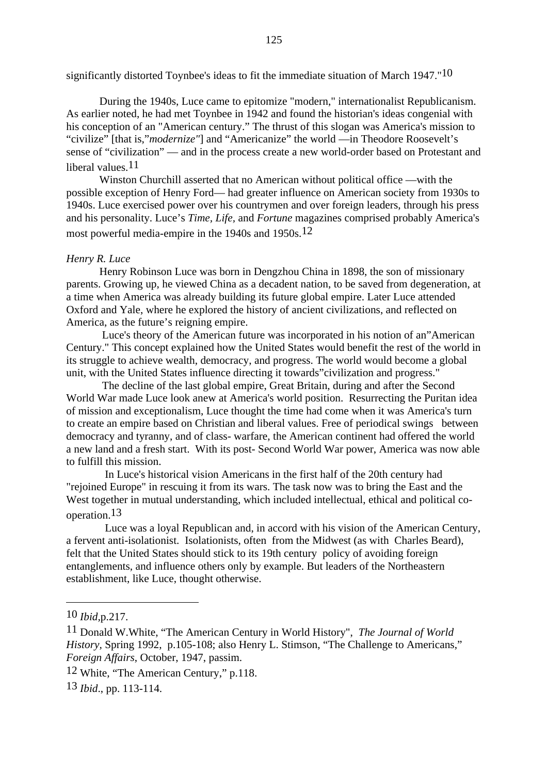significantly distorted Toynbee's ideas to fit the immediate situation of March 1947."<sup>10</sup>

During the 1940s, Luce came to epitomize "modern," internationalist Republicanism. As earlier noted, he had met Toynbee in 1942 and found the historian's ideas congenial with his conception of an "American century." The thrust of this slogan was America's mission to "civilize" [that is,"*modernize"*] and "Americanize" the world —in Theodore Roosevelt's sense of "civilization" — and in the process create a new world-order based on Protestant and liberal values.<sup>11</sup>

Winston Churchill asserted that no American without political office —with the possible exception of Henry Ford— had greater influence on American society from 1930s to 1940s. Luce exercised power over his countrymen and over foreign leaders, through his press and his personality. Luce's *Time, Life,* and *Fortune* magazines comprised probably America's most powerful media-empire in the 1940s and 1950s.12

# *Henry R. Luce*

Henry Robinson Luce was born in Dengzhou China in 1898, the son of missionary parents. Growing up, he viewed China as a decadent nation, to be saved from degeneration, at a time when America was already building its future global empire. Later Luce attended Oxford and Yale, where he explored the history of ancient civilizations, and reflected on America, as the future's reigning empire.

 Luce's theory of the American future was incorporated in his notion of an"American Century." This concept explained how the United States would benefit the rest of the world in its struggle to achieve wealth, democracy, and progress. The world would become a global unit, with the United States influence directing it towards"civilization and progress."

 The decline of the last global empire, Great Britain, during and after the Second World War made Luce look anew at America's world position. Resurrecting the Puritan idea of mission and exceptionalism, Luce thought the time had come when it was America's turn to create an empire based on Christian and liberal values. Free of periodical swings between democracy and tyranny, and of class- warfare, the American continent had offered the world a new land and a fresh start. With its post- Second World War power, America was now able to fulfill this mission.

 In Luce's historical vision Americans in the first half of the 20th century had "rejoined Europe" in rescuing it from its wars. The task now was to bring the East and the West together in mutual understanding, which included intellectual, ethical and political cooperation.13

 Luce was a loyal Republican and, in accord with his vision of the American Century, a fervent anti-isolationist. Isolationists, often from the Midwest (as with Charles Beard), felt that the United States should stick to its 19th century policy of avoiding foreign entanglements, and influence others only by example. But leaders of the Northeastern establishment, like Luce, thought otherwise.

<sup>10</sup> *Ibid,*p.217.

<sup>11</sup> Donald W.White, "The American Century in World History", *The Journal of World History,* Spring 1992, p.105-108; also Henry L. Stimson, "The Challenge to Americans," *Foreign Affairs*, October, 1947, passim.

<sup>12</sup> White, "The American Century," p.118.

<sup>13</sup> *Ibid*., pp. 113-114.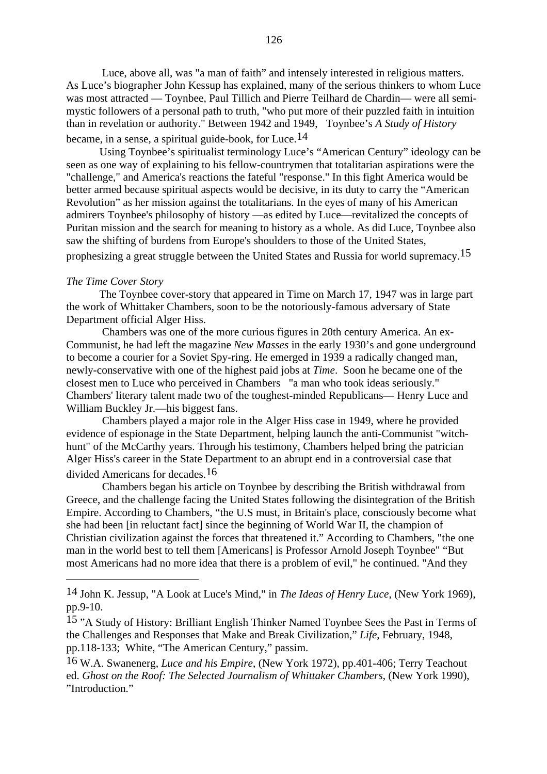Luce, above all, was "a man of faith" and intensely interested in religious matters. As Luce's biographer John Kessup has explained, many of the serious thinkers to whom Luce was most attracted — Toynbee, Paul Tillich and Pierre Teilhard de Chardin— were all semimystic followers of a personal path to truth, "who put more of their puzzled faith in intuition than in revelation or authority." Between 1942 and 1949, Toynbee's *A Study of History* became, in a sense, a spiritual guide-book, for Luce.14

Using Toynbee's spiritualist terminology Luce's "American Century" ideology can be seen as one way of explaining to his fellow-countrymen that totalitarian aspirations were the "challenge," and America's reactions the fateful "response." In this fight America would be better armed because spiritual aspects would be decisive, in its duty to carry the "American Revolution" as her mission against the totalitarians. In the eyes of many of his American admirers Toynbee's philosophy of history —as edited by Luce—revitalized the concepts of Puritan mission and the search for meaning to history as a whole. As did Luce, Toynbee also saw the shifting of burdens from Europe's shoulders to those of the United States,

prophesizing a great struggle between the United States and Russia for world supremacy.15

#### *The Time Cover Story*

The Toynbee cover-story that appeared in Time on March 17, 1947 was in large part the work of Whittaker Chambers, soon to be the notoriously-famous adversary of State Department official Alger Hiss.

 Chambers was one of the more curious figures in 20th century America. An ex-Communist, he had left the magazine *New Masses* in the early 1930's and gone underground to become a courier for a Soviet Spy-ring. He emerged in 1939 a radically changed man, newly-conservative with one of the highest paid jobs at *Time*. Soon he became one of the closest men to Luce who perceived in Chambers "a man who took ideas seriously." Chambers' literary talent made two of the toughest-minded Republicans— Henry Luce and William Buckley Jr.—his biggest fans.

 Chambers played a major role in the Alger Hiss case in 1949, where he provided evidence of espionage in the State Department, helping launch the anti-Communist "witchhunt" of the McCarthy years. Through his testimony, Chambers helped bring the patrician Alger Hiss's career in the State Department to an abrupt end in a controversial case that divided Americans for decades.16

 Chambers began his article on Toynbee by describing the British withdrawal from Greece, and the challenge facing the United States following the disintegration of the British Empire. According to Chambers, "the U.S must, in Britain's place, consciously become what she had been [in reluctant fact] since the beginning of World War II, the champion of Christian civilization against the forces that threatened it." According to Chambers, "the one man in the world best to tell them [Americans] is Professor Arnold Joseph Toynbee" "But most Americans had no more idea that there is a problem of evil," he continued. "And they

<sup>14</sup> John K. Jessup, "A Look at Luce's Mind," in *The Ideas of Henry Luce*, (New York 1969), pp.9-10.

<sup>15 &</sup>quot;A Study of History: Brilliant English Thinker Named Toynbee Sees the Past in Terms of the Challenges and Responses that Make and Break Civilization," *Life*, February, 1948, pp.118-133; White, "The American Century," passim.

<sup>16</sup> W.A. Swanenerg, *Luce and his Empire*, (New York 1972), pp.401-406; Terry Teachout ed. *Ghost on the Roof: The Selected Journalism of Whittaker Chambers*, (New York 1990), "Introduction."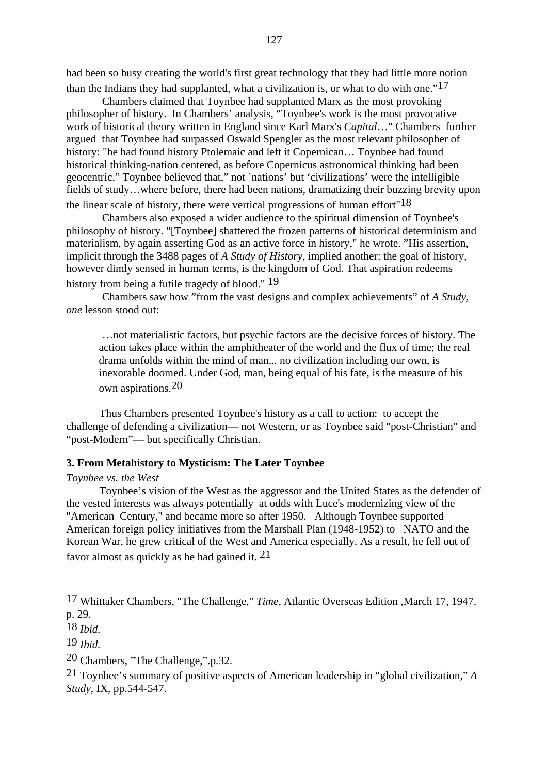had been so busy creating the world's first great technology that they had little more notion than the Indians they had supplanted, what a civilization is, or what to do with one." $17$ 

 Chambers claimed that Toynbee had supplanted Marx as the most provoking philosopher of history. In Chambers' analysis, "Toynbee's work is the most provocative work of historical theory written in England since Karl Marx's *Capital*…" Chambers further argued that Toynbee had surpassed Oswald Spengler as the most relevant philosopher of history: "he had found history Ptolemaic and left it Copernican… Toynbee had found historical thinking-nation centered, as before Copernicus astronomical thinking had been geocentric." Toynbee believed that," not `nations' but 'civilizations' were the intelligible fields of study…where before, there had been nations, dramatizing their buzzing brevity upon the linear scale of history, there were vertical progressions of human effort  $18$ 

 Chambers also exposed a wider audience to the spiritual dimension of Toynbee's philosophy of history. "[Toynbee] shattered the frozen patterns of historical determinism and materialism, by again asserting God as an active force in history," he wrote. "His assertion, implicit through the 3488 pages of *A Study of History*, implied another: the goal of history, however dimly sensed in human terms, is the kingdom of God. That aspiration redeems history from being a futile tragedy of blood." <sup>19</sup>

 Chambers saw how "from the vast designs and complex achievements" of *A Study, one* lesson stood out:

 …not materialistic factors, but psychic factors are the decisive forces of history. The action takes place within the amphitheater of the world and the flux of time; the real drama unfolds within the mind of man... no civilization including our own, is inexorable doomed. Under God, man, being equal of his fate, is the measure of his own aspirations.20

Thus Chambers presented Toynbee's history as a call to action: to accept the challenge of defending a civilization— not Western, or as Toynbee said "post-Christian" and "post-Modern"— but specifically Christian.

#### **3. From Metahistory to Mysticism: The Later Toynbee**

#### *Toynbee vs. the West*

Toynbee's vision of the West as the aggressor and the United States as the defender of the vested interests was always potentially at odds with Luce's modernizing view of the "American Century," and became more so after 1950. Although Toynbee supported American foreign policy initiatives from the Marshall Plan (1948-1952) to NATO and the Korean War, he grew critical of the West and America especially. As a result, he fell out of favor almost as quickly as he had gained it. 21

<sup>17</sup> Whittaker Chambers, "The Challenge," *Time,* Atlantic Overseas Edition ,March 17, 1947. p. 29.

<sup>18</sup> *Ibid.*

<sup>19</sup> *Ibid.*

<sup>20</sup> Chambers, "The Challenge,".p.32.

<sup>21</sup> Toynbee's summary of positive aspects of American leadership in "global civilization," *A Study*, IX, pp.544-547.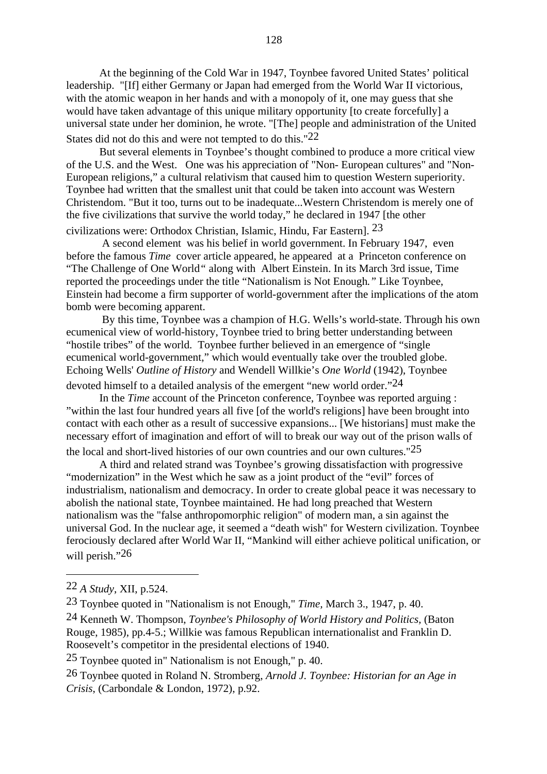At the beginning of the Cold War in 1947, Toynbee favored United States' political leadership. "[If] either Germany or Japan had emerged from the World War II victorious, with the atomic weapon in her hands and with a monopoly of it, one may guess that she would have taken advantage of this unique military opportunity [to create forcefully] a universal state under her dominion, he wrote. "[The] people and administration of the United States did not do this and were not tempted to do this."22

But several elements in Toynbee's thought combined to produce a more critical view of the U.S. and the West. One was his appreciation of "Non- European cultures" and "Non-European religions," a cultural relativism that caused him to question Western superiority. Toynbee had written that the smallest unit that could be taken into account was Western Christendom. "But it too, turns out to be inadequate...Western Christendom is merely one of the five civilizations that survive the world today," he declared in 1947 [the other

civilizations were: Orthodox Christian, Islamic, Hindu, Far Eastern]. 23

A second element was his belief in world government. In February 1947, even before the famous *Time* cover article appeared, he appeared at a Princeton conference on "The Challenge of One World*"* along with Albert Einstein. In its March 3rd issue, Time reported the proceedings under the title "Nationalism is Not Enough*."* Like Toynbee, Einstein had become a firm supporter of world-government after the implications of the atom bomb were becoming apparent.

 By this time, Toynbee was a champion of H.G. Wells's world-state. Through his own ecumenical view of world-history, Toynbee tried to bring better understanding between "hostile tribes" of the world. Toynbee further believed in an emergence of "single ecumenical world-government," which would eventually take over the troubled globe. Echoing Wells' *Outline of History* and Wendell Willkie's *One World* (1942), Toynbee

devoted himself to a detailed analysis of the emergent "new world order."<sup>24</sup>

In the *Time* account of the Princeton conference, Toynbee was reported arguing : "within the last four hundred years all five [of the world's religions] have been brought into contact with each other as a result of successive expansions... [We historians] must make the necessary effort of imagination and effort of will to break our way out of the prison walls of the local and short-lived histories of our own countries and our own cultures." $25$ 

A third and related strand was Toynbee's growing dissatisfaction with progressive "modernization" in the West which he saw as a joint product of the "evil" forces of industrialism, nationalism and democracy. In order to create global peace it was necessary to abolish the national state, Toynbee maintained. He had long preached that Western nationalism was the "false anthropomorphic religion" of modern man, a sin against the universal God. In the nuclear age, it seemed a "death wish" for Western civilization. Toynbee ferociously declared after World War II, "Mankind will either achieve political unification, or will perish."26

<sup>22</sup> *A Study*, XII, p.524.

<sup>23</sup> Toynbee quoted in "Nationalism is not Enough," *Time,* March 3., 1947, p. 40.

<sup>24</sup> Kenneth W. Thompson, *Toynbee's Philosophy of World History and Politics,* (Baton Rouge, 1985), pp.4-5.; Willkie was famous Republican internationalist and Franklin D. Roosevelt's competitor in the presidental elections of 1940.

<sup>25</sup> Toynbee quoted in" Nationalism is not Enough," p. 40.

<sup>26</sup> Toynbee quoted in Roland N. Stromberg, *Arnold J. Toynbee: Historian for an Age in Crisis*, (Carbondale & London, 1972), p.92.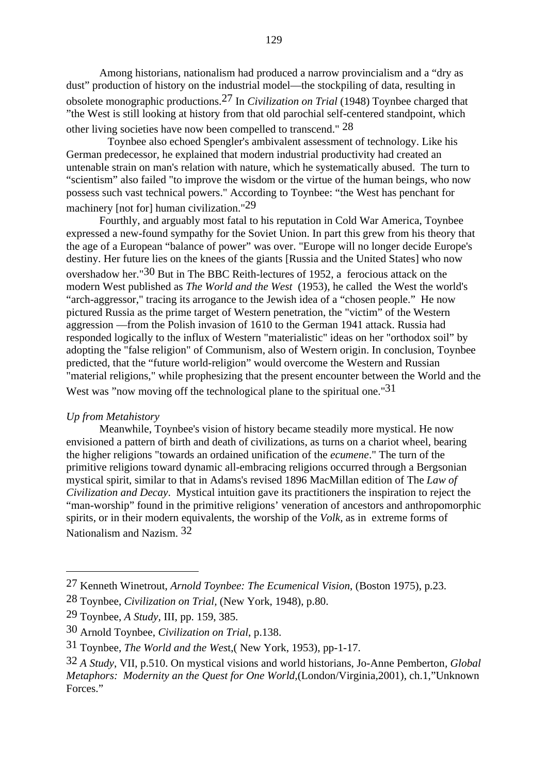Among historians, nationalism had produced a narrow provincialism and a "dry as dust" production of history on the industrial model—the stockpiling of data, resulting in obsolete monographic productions.27 In *Civilization on Trial* (1948) Toynbee charged that "the West is still looking at history from that old parochial self-centered standpoint, which other living societies have now been compelled to transcend." 28

 Toynbee also echoed Spengler's ambivalent assessment of technology. Like his German predecessor, he explained that modern industrial productivity had created an untenable strain on man's relation with nature, which he systematically abused. The turn to "scientism" also failed "to improve the wisdom or the virtue of the human beings, who now possess such vast technical powers." According to Toynbee: "the West has penchant for machinery [not for] human civilization."29

Fourthly, and arguably most fatal to his reputation in Cold War America, Toynbee expressed a new-found sympathy for the Soviet Union. In part this grew from his theory that the age of a European "balance of power" was over. "Europe will no longer decide Europe's destiny. Her future lies on the knees of the giants [Russia and the United States] who now overshadow her."30 But in The BBC Reith-lectures of 1952, a ferocious attack on the modern West published as *The World and the West* (1953), he called the West the world's "arch-aggressor," tracing its arrogance to the Jewish idea of a "chosen people." He now pictured Russia as the prime target of Western penetration, the "victim" of the Western aggression —from the Polish invasion of 1610 to the German 1941 attack. Russia had responded logically to the influx of Western "materialistic" ideas on her "orthodox soil" by adopting the "false religion" of Communism, also of Western origin. In conclusion, Toynbee predicted, that the "future world-religion" would overcome the Western and Russian "material religions," while prophesizing that the present encounter between the World and the West was "now moving off the technological plane to the spiritual one."31

# *Up from Metahistory*

Meanwhile, Toynbee's vision of history became steadily more mystical. He now envisioned a pattern of birth and death of civilizations, as turns on a chariot wheel, bearing the higher religions "towards an ordained unification of the *ecumene*." The turn of the primitive religions toward dynamic all-embracing religions occurred through a Bergsonian mystical spirit, similar to that in Adams's revised 1896 MacMillan edition of The *Law of Civilization and Decay*. Mystical intuition gave its practitioners the inspiration to reject the "man-worship" found in the primitive religions' veneration of ancestors and anthropomorphic spirits, or in their modern equivalents, the worship of the *Volk,* as in extreme forms of Nationalism and Nazism. 32

<sup>27</sup> Kenneth Winetrout, *Arnold Toynbee: The Ecumenical Vision*, (Boston 1975), p.23.

<sup>28</sup> Toynbee, *Civilization on Trial,* (New York, 1948), p.80.

<sup>29</sup> Toynbee, *A Study,* III, pp. 159, 385.

<sup>30</sup> Arnold Toynbee, *Civilization on Trial*, p.138.

<sup>31</sup> Toynbee, *The World and the Wes*t,( New York, 1953), pp-1-17.

<sup>32</sup> *A Study*, VII, p.510. On mystical visions and world historians, Jo-Anne Pemberton*, Global Metaphors: Modernity an the Quest for One World*,(London/Virginia,2001), ch.1,"Unknown Forces."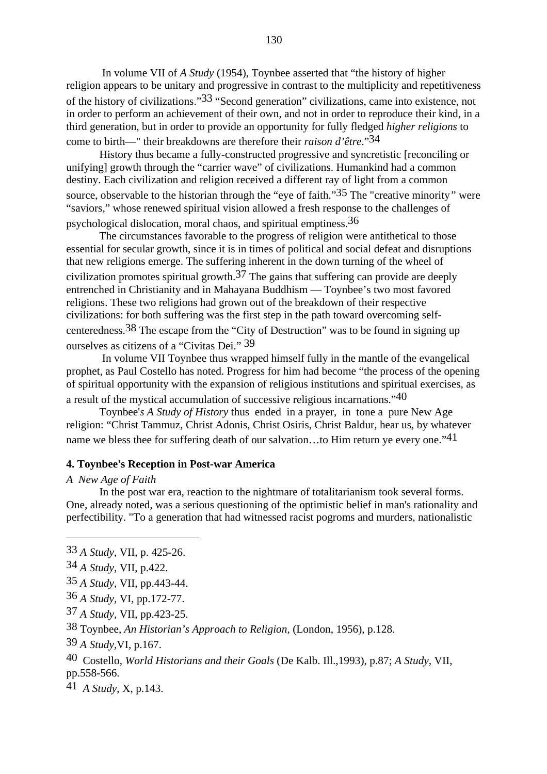In volume VII of *A Study* (1954), Toynbee asserted that "the history of higher religion appears to be unitary and progressive in contrast to the multiplicity and repetitiveness of the history of civilizations."33 "Second generation" civilizations, came into existence, not in order to perform an achievement of their own, and not in order to reproduce their kind, in a third generation, but in order to provide an opportunity for fully fledged *higher religions* to come to birth—" their breakdowns are therefore their *raison d'être*."34

History thus became a fully-constructed progressive and syncretistic [reconciling or unifying] growth through the "carrier wave" of civilizations. Humankind had a common destiny. Each civilization and religion received a different ray of light from a common source, observable to the historian through the "eye of faith."35 The "creative minority*"* were "saviors," whose renewed spiritual vision allowed a fresh response to the challenges of psychological dislocation, moral chaos, and spiritual emptiness.36

The circumstances favorable to the progress of religion were antithetical to those essential for secular growth, since it is in times of political and social defeat and disruptions that new religions emerge. The suffering inherent in the down turning of the wheel of civilization promotes spiritual growth.<sup>37</sup> The gains that suffering can provide are deeply entrenched in Christianity and in Mahayana Buddhism — Toynbee's two most favored religions. These two religions had grown out of the breakdown of their respective civilizations: for both suffering was the first step in the path toward overcoming selfcenteredness.38 The escape from the "City of Destruction" was to be found in signing up ourselves as citizens of a "Civitas Dei." 39

 In volume VII Toynbee thus wrapped himself fully in the mantle of the evangelical prophet, as Paul Costello has noted. Progress for him had become "the process of the opening of spiritual opportunity with the expansion of religious institutions and spiritual exercises, as a result of the mystical accumulation of successive religious incarnations."40

Toynbee'*s A Study of History* thus ended in a prayer, in tone a pure New Age religion: "Christ Tammuz, Christ Adonis, Christ Osiris, Christ Baldur, hear us, by whatever name we bless thee for suffering death of our salvation...to Him return ye every one."<sup>41</sup>

## **4. Toynbee's Reception in Post-war America**

## *A New Age of Faith*

In the post war era, reaction to the nightmare of totalitarianism took several forms. One, already noted, was a serious questioning of the optimistic belief in man's rationality and perfectibility. "To a generation that had witnessed racist pogroms and murders, nationalistic

- 36 *A Study,* VI, pp.172-77.
- 37 *A Study,* VII, pp.423-25.

38 Toynbee, *An Historian's Approach to Religion,* (London, 1956), p.128.

39 *A Study,*VI, p.167.

40 Costello, *World Historians and their Goals* (De Kalb. Ill.,1993), p.87; *A Study,* VII, pp.558-566.

41 *A Study*, X, p.143.

<sup>33</sup> *A Study*, VII, p. 425-26.

<sup>34</sup> *A Study*, VII, p.422.

<sup>35</sup> *A Study,* VII, pp.443-44.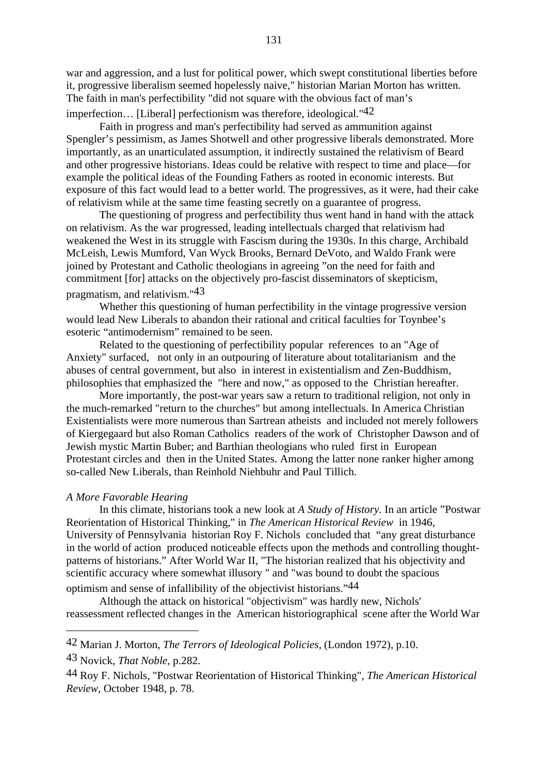war and aggression, and a lust for political power, which swept constitutional liberties before it, progressive liberalism seemed hopelessly naive," historian Marian Morton has written. The faith in man's perfectibility "did not square with the obvious fact of man's imperfection... [Liberal] perfectionism was therefore, ideological."<sup>42</sup>

Faith in progress and man's perfectibility had served as ammunition against Spengler's pessimism, as James Shotwell and other progressive liberals demonstrated. More importantly, as an unarticulated assumption, it indirectly sustained the relativism of Beard and other progressive historians. Ideas could be relative with respect to time and place—for example the political ideas of the Founding Fathers as rooted in economic interests. But exposure of this fact would lead to a better world. The progressives, as it were, had their cake of relativism while at the same time feasting secretly on a guarantee of progress.

The questioning of progress and perfectibility thus went hand in hand with the attack on relativism. As the war progressed, leading intellectuals charged that relativism had weakened the West in its struggle with Fascism during the 1930s. In this charge, Archibald McLeish, Lewis Mumford, Van Wyck Brooks, Bernard DeVoto, and Waldo Frank were joined by Protestant and Catholic theologians in agreeing "on the need for faith and commitment [for] attacks on the objectively pro-fascist disseminators of skepticism, pragmatism, and relativism."43

Whether this questioning of human perfectibility in the vintage progressive version would lead New Liberals to abandon their rational and critical faculties for Toynbee's esoteric "antimodernism" remained to be seen.

Related to the questioning of perfectibility popular references to an "Age of Anxiety" surfaced, not only in an outpouring of literature about totalitarianism and the abuses of central government, but also in interest in existentialism and Zen-Buddhism, philosophies that emphasized the "here and now," as opposed to the Christian hereafter.

More importantly, the post-war years saw a return to traditional religion, not only in the much-remarked "return to the churches" but among intellectuals. In America Christian Existentialists were more numerous than Sartrean atheists and included not merely followers of Kiergegaard but also Roman Catholics readers of the work of Christopher Dawson and of Jewish mystic Martin Buber; and Barthian theologians who ruled first in European Protestant circles and then in the United States. Among the latter none ranker higher among so-called New Liberals, than Reinhold Niehbuhr and Paul Tillich.

## *A More Favorable Hearing*

In this climate, historians took a new look at *A Study of History.* In an article "Postwar Reorientation of Historical Thinking," in *The American Historical Review* in 1946, University of Pennsylvania historian Roy F. Nichols concluded that "any great disturbance in the world of action produced noticeable effects upon the methods and controlling thoughtpatterns of historians." After World War II, "The historian realized that his objectivity and scientific accuracy where somewhat illusory " and "was bound to doubt the spacious optimism and sense of infallibility of the objectivist historians."44

Although the attack on historical "objectivism" was hardly new, Nichols' reassessment reflected changes in the American historiographical scene after the World War

<sup>42</sup> Marian J. Morton, *The Terrors of Ideological Policies,* (London 1972), p.10.

<sup>43</sup> Novick, *That Noble,* p.282.

<sup>44</sup> Roy F. Nichols, "Postwar Reorientation of Historical Thinking", *The American Historical Review*, October 1948, p. 78.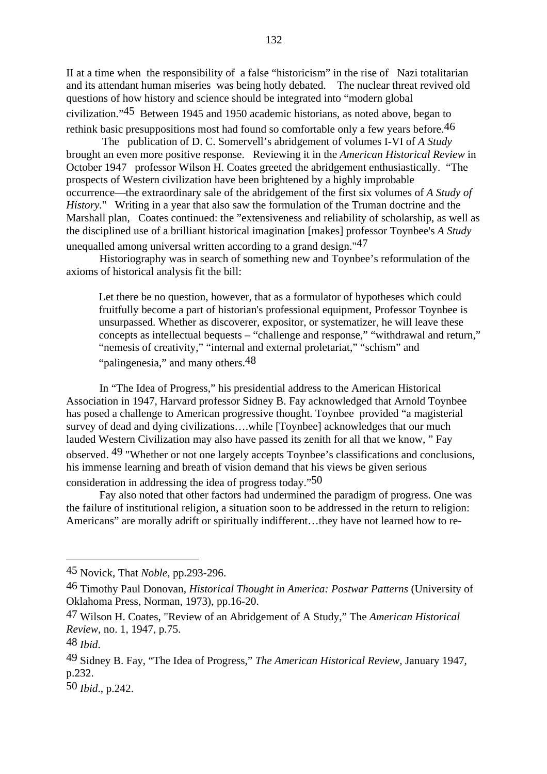II at a time when the responsibility of a false "historicism" in the rise of Nazi totalitarian and its attendant human miseries was being hotly debated. The nuclear threat revived old questions of how history and science should be integrated into "modern global civilization."45 Between 1945 and 1950 academic historians, as noted above, began to rethink basic presuppositions most had found so comfortable only a few years before.46

 The publication of D. C. Somervell's abridgement of volumes I-VI of *A Study* brought an even more positive response. Reviewing it in the *American Historical Review* in October 1947 professor Wilson H. Coates greeted the abridgement enthusiastically. "The prospects of Western civilization have been brightened by a highly improbable occurrence—the extraordinary sale of the abridgement of the first six volumes of *A Study of History.*" Writing in a year that also saw the formulation of the Truman doctrine and the Marshall plan, Coates continued: the "extensiveness and reliability of scholarship, as well as the disciplined use of a brilliant historical imagination [makes] professor Toynbee's *A Study* unequalled among universal written according to a grand design."47

Historiography was in search of something new and Toynbee's reformulation of the axioms of historical analysis fit the bill:

Let there be no question, however, that as a formulator of hypotheses which could fruitfully become a part of historian's professional equipment, Professor Toynbee is unsurpassed. Whether as discoverer, expositor, or systematizer, he will leave these concepts as intellectual bequests – "challenge and response," "withdrawal and return," "nemesis of creativity," "internal and external proletariat," "schism" and "palingenesia," and many others.<sup>48</sup>

In "The Idea of Progress," his presidential address to the American Historical Association in 1947, Harvard professor Sidney B. Fay acknowledged that Arnold Toynbee has posed a challenge to American progressive thought. Toynbee provided "a magisterial survey of dead and dying civilizations….while [Toynbee] acknowledges that our much lauded Western Civilization may also have passed its zenith for all that we know, " Fay observed. 49 "Whether or not one largely accepts Toynbee's classifications and conclusions, his immense learning and breath of vision demand that his views be given serious consideration in addressing the idea of progress today."50

Fay also noted that other factors had undermined the paradigm of progress. One was the failure of institutional religion, a situation soon to be addressed in the return to religion: Americans" are morally adrift or spiritually indifferent…they have not learned how to re-

<sup>45</sup> Novick, That *Noble,* pp.293-296.

<sup>46</sup> Timothy Paul Donovan, *Historical Thought in America: Postwar Patterns* (University of Oklahoma Press, Norman, 1973), pp.16-20.

<sup>47</sup> Wilson H. Coates, "Review of an Abridgement of A Study," The *American Historical Review*, no. 1, 1947, p.75.

<sup>48</sup> *Ibid*.

<sup>49</sup> Sidney B. Fay, "The Idea of Progress," *The American Historical Review*, January 1947, p.232.

<sup>50</sup> *Ibid*., p.242.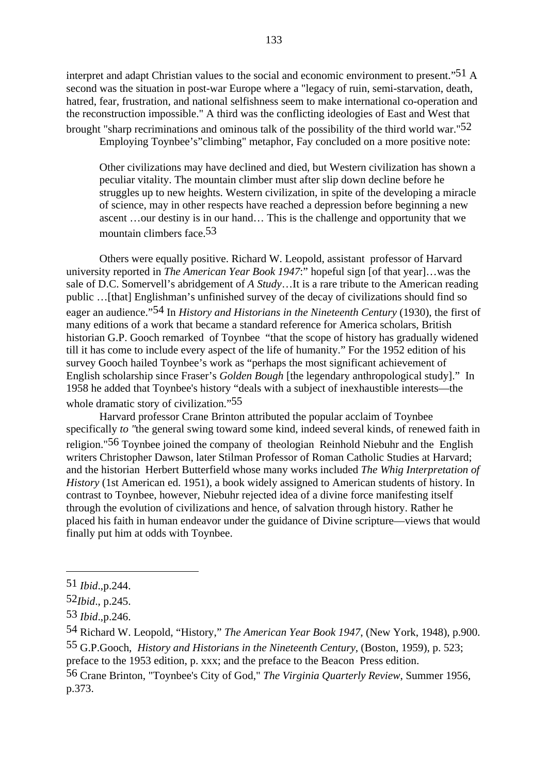interpret and adapt Christian values to the social and economic environment to present."<sup>51</sup> A second was the situation in post-war Europe where a "legacy of ruin, semi-starvation, death, hatred, fear, frustration, and national selfishness seem to make international co-operation and the reconstruction impossible." A third was the conflicting ideologies of East and West that

brought "sharp recriminations and ominous talk of the possibility of the third world war."52 Employing Toynbee's"climbing" metaphor, Fay concluded on a more positive note:

Other civilizations may have declined and died, but Western civilization has shown a peculiar vitality. The mountain climber must after slip down decline before he struggles up to new heights. Western civilization, in spite of the developing a miracle of science, may in other respects have reached a depression before beginning a new ascent …our destiny is in our hand… This is the challenge and opportunity that we mountain climbers face 53

Others were equally positive. Richard W. Leopold, assistant professor of Harvard university reported in *The American Year Book 1947*:" hopeful sign [of that year]…was the sale of D.C. Somervell's abridgement of *A Study*…It is a rare tribute to the American reading public …[that] Englishman's unfinished survey of the decay of civilizations should find so eager an audience."54 In *History and Historians in the Nineteenth Century* (1930), the first of many editions of a work that became a standard reference for America scholars, British historian G.P. Gooch remarked of Toynbee "that the scope of history has gradually widened till it has come to include every aspect of the life of humanity." For the 1952 edition of his survey Gooch hailed Toynbee's work as "perhaps the most significant achievement of English scholarship since Fraser's *Golden Bough* [the legendary anthropological study]." In 1958 he added that Toynbee's history "deals with a subject of inexhaustible interests—the whole dramatic story of civilization."<sup>55</sup>

Harvard professor Crane Brinton attributed the popular acclaim of Toynbee specifically *to "*the general swing toward some kind, indeed several kinds, of renewed faith in religion."56 Toynbee joined the company of theologian Reinhold Niebuhr and the English writers Christopher Dawson, later Stilman Professor of Roman Catholic Studies at Harvard; and the historian Herbert Butterfield whose many works included *The Whig Interpretation of History* (1st American ed. 1951), a book widely assigned to American students of history. In contrast to Toynbee, however, Niebuhr rejected idea of a divine force manifesting itself through the evolution of civilizations and hence, of salvation through history. Rather he placed his faith in human endeavor under the guidance of Divine scripture—views that would finally put him at odds with Toynbee.

preface to the 1953 edition, p. xxx; and the preface to the Beacon Press edition.

56 Crane Brinton, "Toynbee's City of God," *The Virginia Quarterly Review*, Summer 1956, p.373.

<sup>51</sup> *Ibid*.,p.244.

<sup>52</sup>*Ibid*., p.245.

<sup>53</sup> *Ibid*.,p.246.

<sup>54</sup> Richard W. Leopold, "History," *The American Year Book 1947*, (New York, 1948), p.900. 55 G.P.Gooch, *History and Historians in the Nineteenth Century*, (Boston, 1959), p. 523;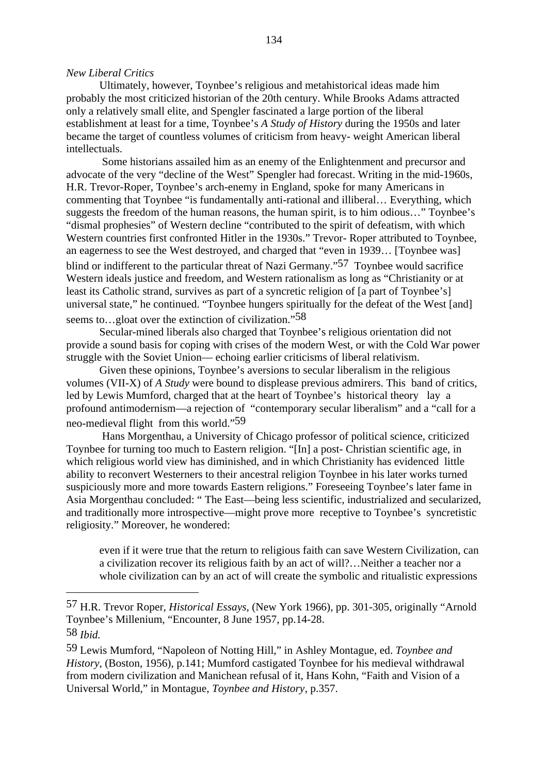#### *New Liberal Critics*

Ultimately, however, Toynbee's religious and metahistorical ideas made him probably the most criticized historian of the 20th century. While Brooks Adams attracted only a relatively small elite, and Spengler fascinated a large portion of the liberal establishment at least for a time, Toynbee's *A Study of History* during the 1950s and later became the target of countless volumes of criticism from heavy- weight American liberal intellectuals.

 Some historians assailed him as an enemy of the Enlightenment and precursor and advocate of the very "decline of the West" Spengler had forecast. Writing in the mid-1960s, H.R. Trevor-Roper, Toynbee's arch-enemy in England, spoke for many Americans in commenting that Toynbee "is fundamentally anti-rational and illiberal… Everything, which suggests the freedom of the human reasons, the human spirit, is to him odious…" Toynbee's "dismal prophesies" of Western decline "contributed to the spirit of defeatism, with which Western countries first confronted Hitler in the 1930s." Trevor- Roper attributed to Toynbee, an eagerness to see the West destroyed, and charged that "even in 1939… [Toynbee was] blind or indifferent to the particular threat of Nazi Germany."57 Toynbee would sacrifice Western ideals justice and freedom, and Western rationalism as long as "Christianity or at least its Catholic strand, survives as part of a syncretic religion of [a part of Toynbee's] universal state," he continued. "Toynbee hungers spiritually for the defeat of the West [and] seems to…gloat over the extinction of civilization."58

Secular-mined liberals also charged that Toynbee's religious orientation did not provide a sound basis for coping with crises of the modern West, or with the Cold War power struggle with the Soviet Union— echoing earlier criticisms of liberal relativism.

Given these opinions, Toynbee's aversions to secular liberalism in the religious volumes (VII-X) of *A Study* were bound to displease previous admirers. This band of critics, led by Lewis Mumford, charged that at the heart of Toynbee's historical theory lay a profound antimodernism—a rejection of "contemporary secular liberalism" and a "call for a neo-medieval flight from this world."59

 Hans Morgenthau, a University of Chicago professor of political science, criticized Toynbee for turning too much to Eastern religion. "[In] a post- Christian scientific age, in which religious world view has diminished, and in which Christianity has evidenced little ability to reconvert Westerners to their ancestral religion Toynbee in his later works turned suspiciously more and more towards Eastern religions." Foreseeing Toynbee's later fame in Asia Morgenthau concluded: " The East—being less scientific, industrialized and secularized, and traditionally more introspective—might prove more receptive to Toynbee's syncretistic religiosity." Moreover, he wondered:

even if it were true that the return to religious faith can save Western Civilization, can a civilization recover its religious faith by an act of will?…Neither a teacher nor a whole civilization can by an act of will create the symbolic and ritualistic expressions

<sup>57</sup> H.R. Trevor Roper, *Historical Essays*, (New York 1966), pp. 301-305, originally "Arnold Toynbee's Millenium, "Encounter*,* 8 June 1957, pp.14-28. 58 *Ibid.*

<sup>59</sup> Lewis Mumford, "Napoleon of Notting Hill," in Ashley Montague, ed. *Toynbee and History*, (Boston, 1956), p.141; Mumford castigated Toynbee for his medieval withdrawal from modern civilization and Manichean refusal of it, Hans Kohn, "Faith and Vision of a Universal World," in Montague, *Toynbee and History*, p.357.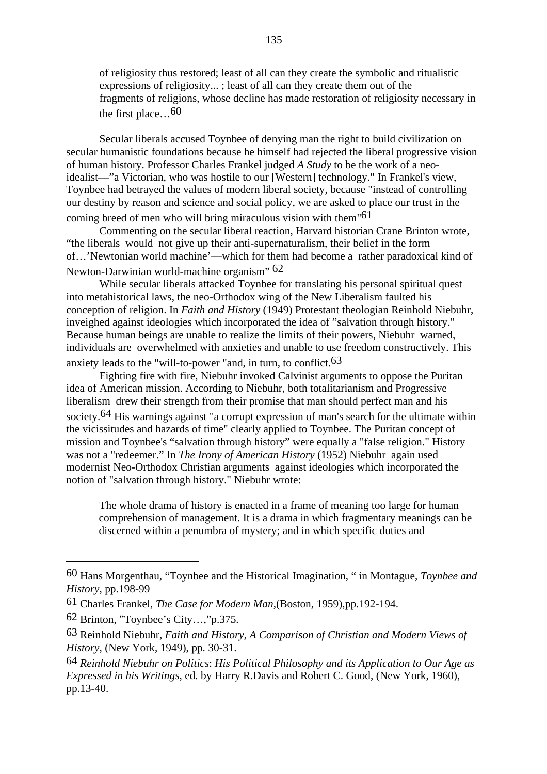of religiosity thus restored; least of all can they create the symbolic and ritualistic expressions of religiosity... ; least of all can they create them out of the fragments of religions, whose decline has made restoration of religiosity necessary in the first place…60

Secular liberals accused Toynbee of denying man the right to build civilization on secular humanistic foundations because he himself had rejected the liberal progressive vision of human history. Professor Charles Frankel judged *A Study* to be the work of a neoidealist—"a Victorian, who was hostile to our [Western] technology." In Frankel's view, Toynbee had betrayed the values of modern liberal society, because "instead of controlling our destiny by reason and science and social policy, we are asked to place our trust in the coming breed of men who will bring miraculous vision with them<sup>"61</sup>

Commenting on the secular liberal reaction, Harvard historian Crane Brinton wrote, "the liberals would not give up their anti-supernaturalism, their belief in the form of…'Newtonian world machine'—which for them had become a rather paradoxical kind of Newton-Darwinian world-machine organism" 62

While secular liberals attacked Toynbee for translating his personal spiritual quest into metahistorical laws, the neo-Orthodox wing of the New Liberalism faulted his conception of religion. In *Faith and History* (1949) Protestant theologian Reinhold Niebuhr, inveighed against ideologies which incorporated the idea of "salvation through history." Because human beings are unable to realize the limits of their powers, Niebuhr warned, individuals are overwhelmed with anxieties and unable to use freedom constructively. This anxiety leads to the "will-to-power "and, in turn, to conflict.<sup>63</sup>

Fighting fire with fire, Niebuhr invoked Calvinist arguments to oppose the Puritan idea of American mission. According to Niebuhr, both totalitarianism and Progressive liberalism drew their strength from their promise that man should perfect man and his society.<sup>64</sup> His warnings against "a corrupt expression of man's search for the ultimate within the vicissitudes and hazards of time" clearly applied to Toynbee. The Puritan concept of mission and Toynbee's "salvation through history" were equally a "false religion." History was not a "redeemer." In *The Irony of American History* (1952) Niebuhr again used modernist Neo-Orthodox Christian arguments against ideologies which incorporated the notion of "salvation through history." Niebuhr wrote:

The whole drama of history is enacted in a frame of meaning too large for human comprehension of management. It is a drama in which fragmentary meanings can be discerned within a penumbra of mystery; and in which specific duties and

<sup>60</sup> Hans Morgenthau, "Toynbee and the Historical Imagination, " in Montague, *Toynbee and History*, pp.198-99

<sup>61</sup> Charles Frankel, *The Case for Modern Man*,(Boston, 1959),pp.192-194.

<sup>62</sup> Brinton, "Toynbee's City…,"p.375.

<sup>63</sup> Reinhold Niebuhr, *Faith and History, A Comparison of Christian and Modern Views of History,* (New York, 1949), pp. 30-31.

<sup>64</sup> *Reinhold Niebuhr on Politics*: *His Political Philosophy and its Application to Our Age as Expressed in his Writings*, ed. by Harry R.Davis and Robert C. Good, (New York, 1960), pp.13-40.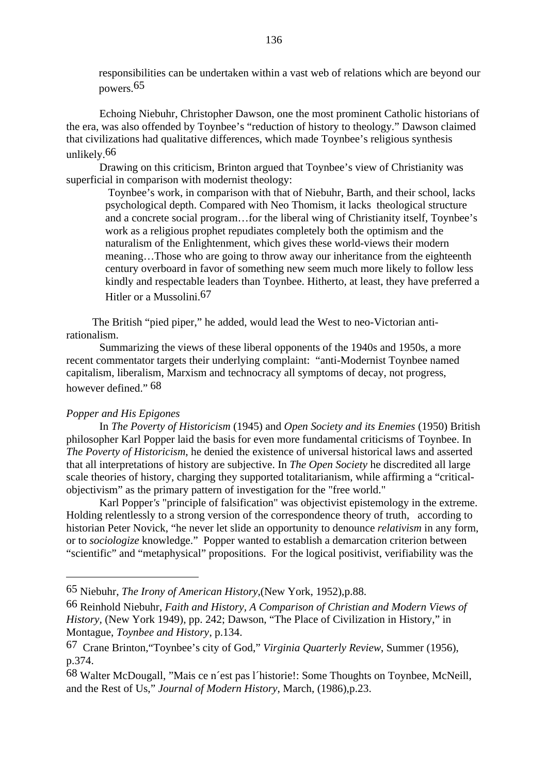responsibilities can be undertaken within a vast web of relations which are beyond our powers.65

Echoing Niebuhr, Christopher Dawson, one the most prominent Catholic historians of the era, was also offended by Toynbee's "reduction of history to theology." Dawson claimed that civilizations had qualitative differences, which made Toynbee's religious synthesis unlikely.66

Drawing on this criticism, Brinton argued that Toynbee's view of Christianity was superficial in comparison with modernist theology:

 Toynbee's work, in comparison with that of Niebuhr, Barth, and their school, lacks psychological depth. Compared with Neo Thomism, it lacks theological structure and a concrete social program…for the liberal wing of Christianity itself, Toynbee's work as a religious prophet repudiates completely both the optimism and the naturalism of the Enlightenment, which gives these world-views their modern meaning…Those who are going to throw away our inheritance from the eighteenth century overboard in favor of something new seem much more likely to follow less kindly and respectable leaders than Toynbee. Hitherto, at least, they have preferred a Hitler or a Mussolini.67

The British "pied piper," he added, would lead the West to neo-Victorian antirationalism.

Summarizing the views of these liberal opponents of the 1940s and 1950s, a more recent commentator targets their underlying complaint: "anti-Modernist Toynbee named capitalism, liberalism, Marxism and technocracy all symptoms of decay, not progress, however defined." 68

#### *Popper and His Epigones*

In *The Poverty of Historicism* (1945) and *Open Society and its Enemies* (1950) British philosopher Karl Popper laid the basis for even more fundamental criticisms of Toynbee. In *The Poverty of Historicism*, he denied the existence of universal historical laws and asserted that all interpretations of history are subjective. In *The Open Society* he discredited all large scale theories of history, charging they supported totalitarianism, while affirming a "criticalobjectivism" as the primary pattern of investigation for the "free world."

Karl Popper*'s* "principle of falsification" was objectivist epistemology in the extreme. Holding relentlessly to a strong version of the correspondence theory of truth, according to historian Peter Novick, "he never let slide an opportunity to denounce *relativism* in any form, or to *sociologize* knowledge." Popper wanted to establish a demarcation criterion between "scientific" and "metaphysical" propositions. For the logical positivist, verifiability was the

<sup>65</sup> Niebuhr, *The Irony of American History*,(New York, 1952),p.88.

<sup>66</sup> Reinhold Niebuhr, *Faith and History, A Comparison of Christian and Modern Views of History,* (New York 1949), pp. 242; Dawson, "The Place of Civilization in History," in Montague, *Toynbee and History*, p.134.

<sup>67</sup> Crane Brinton,"Toynbee's city of God," *Virginia Quarterly Review*, Summer (1956), p.374.

<sup>68</sup> Walter McDougall, "Mais ce n´est pas l´historie!: Some Thoughts on Toynbee, McNeill, and the Rest of Us," *Journal of Modern History*, March, (1986),p.23.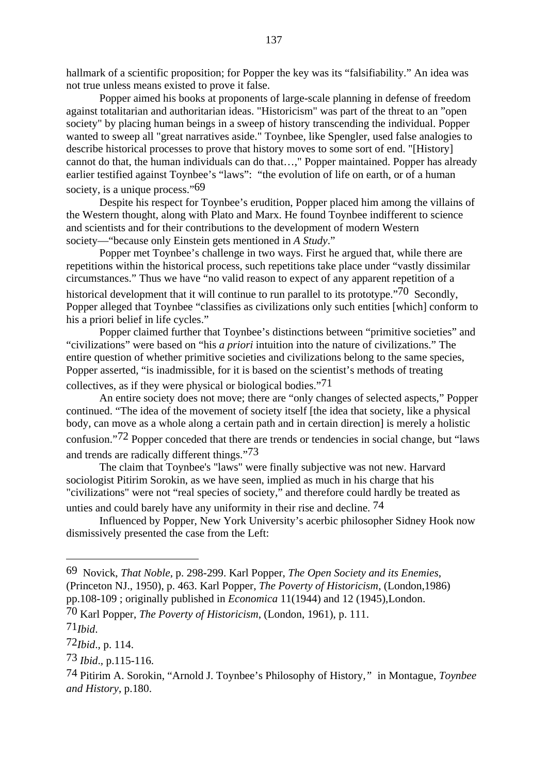hallmark of a scientific proposition; for Popper the key was its "falsifiability." An idea was not true unless means existed to prove it false.

Popper aimed his books at proponents of large-scale planning in defense of freedom against totalitarian and authoritarian ideas. "Historicism" was part of the threat to an "open society" by placing human beings in a sweep of history transcending the individual. Popper wanted to sweep all "great narratives aside." Toynbee, like Spengler, used false analogies to describe historical processes to prove that history moves to some sort of end. "[History] cannot do that, the human individuals can do that…," Popper maintained. Popper has already earlier testified against Toynbee's "laws": "the evolution of life on earth, or of a human society, is a unique process."69

Despite his respect for Toynbee's erudition, Popper placed him among the villains of the Western thought, along with Plato and Marx. He found Toynbee indifferent to science and scientists and for their contributions to the development of modern Western society—"because only Einstein gets mentioned in *A Study*."

Popper met Toynbee's challenge in two ways. First he argued that, while there are repetitions within the historical process, such repetitions take place under "vastly dissimilar circumstances." Thus we have "no valid reason to expect of any apparent repetition of a historical development that it will continue to run parallel to its prototype."<sup>70</sup> Secondly, Popper alleged that Toynbee "classifies as civilizations only such entities [which] conform to his a priori belief in life cycles."

Popper claimed further that Toynbee's distinctions between "primitive societies" and "civilizations" were based on "his *a priori* intuition into the nature of civilizations." The entire question of whether primitive societies and civilizations belong to the same species, Popper asserted, "is inadmissible, for it is based on the scientist's methods of treating collectives, as if they were physical or biological bodies."71

An entire society does not move; there are "only changes of selected aspects," Popper continued. "The idea of the movement of society itself [the idea that society, like a physical body, can move as a whole along a certain path and in certain direction] is merely a holistic confusion."72 Popper conceded that there are trends or tendencies in social change, but "laws and trends are radically different things."73

The claim that Toynbee's "laws" were finally subjective was not new. Harvard sociologist Pitirim Sorokin, as we have seen, implied as much in his charge that his "civilizations" were not "real species of society," and therefore could hardly be treated as unties and could barely have any uniformity in their rise and decline.  $74$ 

Influenced by Popper, New York University's acerbic philosopher Sidney Hook now dismissively presented the case from the Left:

<sup>69</sup> Novick, *That Noble*, p. 298-299. Karl Popper, *The Open Society and its Enemies*, (Princeton NJ., 1950), p. 463. Karl Popper, *The Poverty of Historicism*, (London,1986) pp.108-109 ; originally published in *Economica* 11(1944) and 12 (1945),London.

<sup>70</sup> Karl Popper, *The Poverty of Historicism*, (London, 1961), p. 111.

<sup>71</sup>*Ibid*.

<sup>72</sup>*Ibid*.*,* p. 114.

<sup>73</sup> *Ibid*.*,* p.115-116.

<sup>74</sup> Pitirim A. Sorokin, "Arnold J. Toynbee's Philosophy of History*,"* in Montague, *Toynbee and History*, p.180.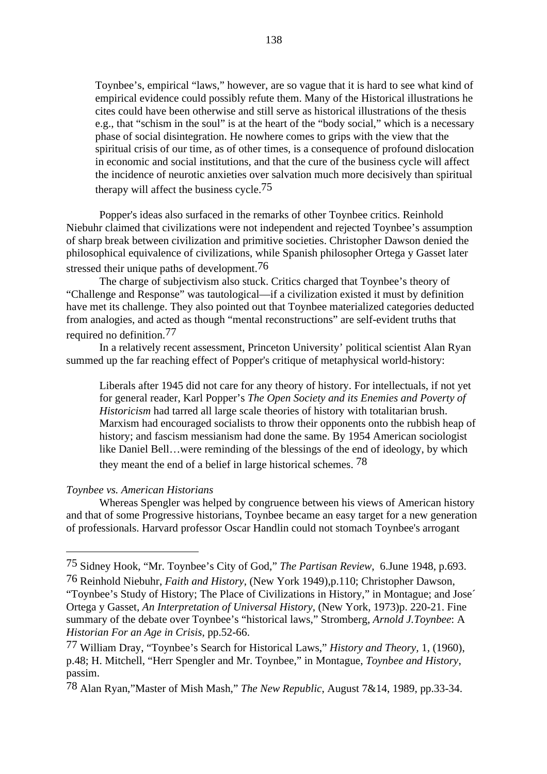Toynbee's, empirical "laws," however, are so vague that it is hard to see what kind of empirical evidence could possibly refute them. Many of the Historical illustrations he cites could have been otherwise and still serve as historical illustrations of the thesis e.g., that "schism in the soul" is at the heart of the "body social," which is a necessary phase of social disintegration. He nowhere comes to grips with the view that the spiritual crisis of our time, as of other times, is a consequence of profound dislocation in economic and social institutions, and that the cure of the business cycle will affect the incidence of neurotic anxieties over salvation much more decisively than spiritual therapy will affect the business cycle.75

Popper's ideas also surfaced in the remarks of other Toynbee critics. Reinhold Niebuhr claimed that civilizations were not independent and rejected Toynbee's assumption of sharp break between civilization and primitive societies. Christopher Dawson denied the philosophical equivalence of civilizations, while Spanish philosopher Ortega y Gasset later stressed their unique paths of development.76

The charge of subjectivism also stuck. Critics charged that Toynbee's theory of "Challenge and Response" was tautological—if a civilization existed it must by definition have met its challenge. They also pointed out that Toynbee materialized categories deducted from analogies, and acted as though "mental reconstructions" are self-evident truths that required no definition.77

In a relatively recent assessment, Princeton University' political scientist Alan Ryan summed up the far reaching effect of Popper's critique of metaphysical world-history:

Liberals after 1945 did not care for any theory of history. For intellectuals, if not yet for general reader, Karl Popper's *The Open Society and its Enemies and Poverty of Historicism* had tarred all large scale theories of history with totalitarian brush. Marxism had encouraged socialists to throw their opponents onto the rubbish heap of history; and fascism messianism had done the same. By 1954 American sociologist like Daniel Bell…were reminding of the blessings of the end of ideology, by which they meant the end of a belief in large historical schemes. 78

# *Toynbee vs. American Historians*

Whereas Spengler was helped by congruence between his views of American history and that of some Progressive historians, Toynbee became an easy target for a new generation of professionals. Harvard professor Oscar Handlin could not stomach Toynbee's arrogant

<sup>75</sup> Sidney Hook, "Mr. Toynbee's City of God," *The Partisan Review*, 6.June 1948, p.693.

<sup>76</sup> Reinhold Niebuhr, *Faith and History*, (New York 1949),p.110; Christopher Dawson, "Toynbee's Study of History; The Place of Civilizations in History," in Montague; and Jose´ Ortega y Gasset*, An Interpretation of Universal History*, (New York, 1973)p. 220-21. Fine summary of the debate over Toynbee's "historical laws," Stromberg, *Arnold J.Toynbee*: A *Historian For an Age in Crisis*, pp.52-66.

<sup>77</sup> William Dray, "Toynbee's Search for Historical Laws," *History and Theory,* 1, (1960), p.48; H. Mitchell, "Herr Spengler and Mr. Toynbee," in Montague, *Toynbee and History*, passim.

<sup>78</sup> Alan Ryan,"Master of Mish Mash," *The New Republic*, August 7&14, 1989, pp.33-34.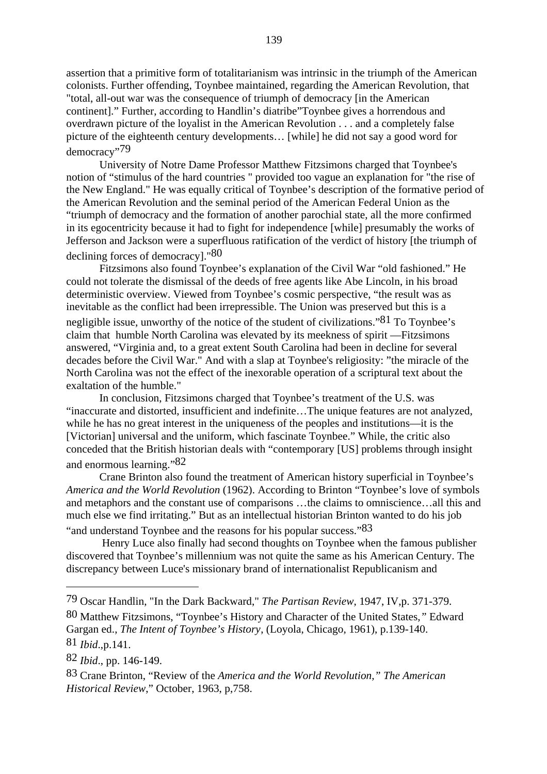assertion that a primitive form of totalitarianism was intrinsic in the triumph of the American colonists. Further offending, Toynbee maintained, regarding the American Revolution, that "total, all-out war was the consequence of triumph of democracy [in the American continent]." Further, according to Handlin's diatribe"Toynbee gives a horrendous and overdrawn picture of the loyalist in the American Revolution . . . and a completely false picture of the eighteenth century developments… [while] he did not say a good word for democracy"79

University of Notre Dame Professor Matthew Fitzsimons charged that Toynbee's notion of "stimulus of the hard countries " provided too vague an explanation for "the rise of the New England." He was equally critical of Toynbee's description of the formative period of the American Revolution and the seminal period of the American Federal Union as the "triumph of democracy and the formation of another parochial state, all the more confirmed in its egocentricity because it had to fight for independence [while] presumably the works of Jefferson and Jackson were a superfluous ratification of the verdict of history [the triumph of declining forces of democracy]."80

Fitzsimons also found Toynbee's explanation of the Civil War "old fashioned." He could not tolerate the dismissal of the deeds of free agents like Abe Lincoln, in his broad deterministic overview. Viewed from Toynbee's cosmic perspective, "the result was as inevitable as the conflict had been irrepressible. The Union was preserved but this is a

negligible issue, unworthy of the notice of the student of civilizations." $81$  To Toynbee's claim that humble North Carolina was elevated by its meekness of spirit —Fitzsimons answered, "Virginia and, to a great extent South Carolina had been in decline for several decades before the Civil War." And with a slap at Toynbee's religiosity: "the miracle of the North Carolina was not the effect of the inexorable operation of a scriptural text about the exaltation of the humble."

In conclusion, Fitzsimons charged that Toynbee's treatment of the U.S. was "inaccurate and distorted, insufficient and indefinite…The unique features are not analyzed, while he has no great interest in the uniqueness of the peoples and institutions—it is the [Victorian] universal and the uniform, which fascinate Toynbee." While, the critic also conceded that the British historian deals with "contemporary [US] problems through insight and enormous learning."82

Crane Brinton also found the treatment of American history superficial in Toynbee's *America and the World Revolution* (1962). According to Brinton "Toynbee's love of symbols and metaphors and the constant use of comparisons …the claims to omniscience…all this and much else we find irritating." But as an intellectual historian Brinton wanted to do his job "and understand Toynbee and the reasons for his popular success."83

 Henry Luce also finally had second thoughts on Toynbee when the famous publisher discovered that Toynbee's millennium was not quite the same as his American Century. The discrepancy between Luce's missionary brand of internationalist Republicanism and

<sup>79</sup> Oscar Handlin, "In the Dark Backward," *The Partisan Review*, 1947, IV,p. 371-379.

<sup>80</sup> Matthew Fitzsimons, "Toynbee's History and Character of the United States*,"* Edward Gargan ed., *The Intent of Toynbee's History*, (Loyola, Chicago, 1961), p.139-140.

<sup>81</sup> *Ibid*.,p.141.

<sup>82</sup> *Ibid*., pp. 146-149.

<sup>83</sup> Crane Brinton, "Review of the *America and the World Revolution," The American Historical Review*," October, 1963, p,758.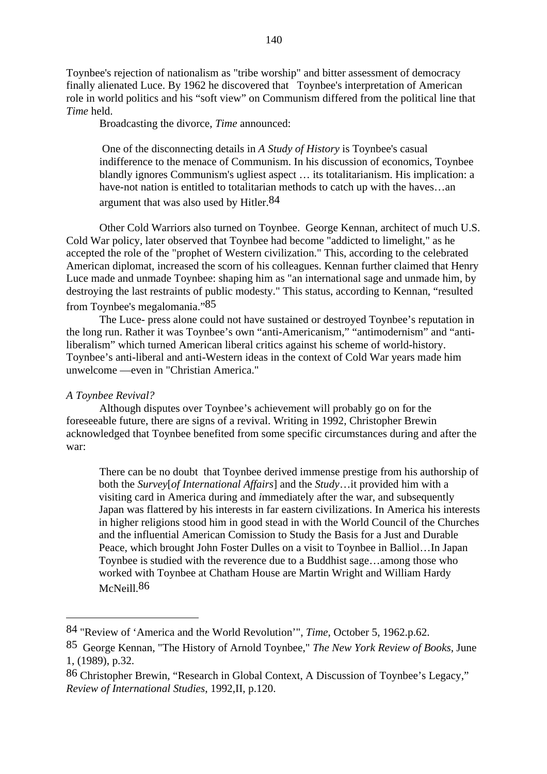Toynbee's rejection of nationalism as "tribe worship" and bitter assessment of democracy finally alienated Luce. By 1962 he discovered that Toynbee's interpretation of American role in world politics and his "soft view" on Communism differed from the political line that *Time* held.

Broadcasting the divorce, *Time* announced:

 One of the disconnecting details in *A Study of History* is Toynbee's casual indifference to the menace of Communism. In his discussion of economics, Toynbee blandly ignores Communism's ugliest aspect … its totalitarianism. His implication: a have-not nation is entitled to totalitarian methods to catch up with the haves...an argument that was also used by Hitler.<sup>84</sup>

Other Cold Warriors also turned on Toynbee. George Kennan, architect of much U.S. Cold War policy, later observed that Toynbee had become "addicted to limelight," as he accepted the role of the "prophet of Western civilization." This, according to the celebrated American diplomat, increased the scorn of his colleagues. Kennan further claimed that Henry Luce made and unmade Toynbee: shaping him as "an international sage and unmade him, by destroying the last restraints of public modesty." This status, according to Kennan, "resulted from Toynbee's megalomania."85

The Luce- press alone could not have sustained or destroyed Toynbee's reputation in the long run. Rather it was Toynbee's own "anti-Americanism," "antimodernism" and "antiliberalism" which turned American liberal critics against his scheme of world-history. Toynbee's anti-liberal and anti-Western ideas in the context of Cold War years made him unwelcome —even in "Christian America."

# *A Toynbee Revival?*

Although disputes over Toynbee's achievement will probably go on for the foreseeable future, there are signs of a revival. Writing in 1992, Christopher Brewin acknowledged that Toynbee benefited from some specific circumstances during and after the war:

There can be no doubt that Toynbee derived immense prestige from his authorship of both the *Survey*[*of International Affairs*] and the *Study*…it provided him with a visiting card in America during and *i*mmediately after the war, and subsequently Japan was flattered by his interests in far eastern civilizations. In America his interests in higher religions stood him in good stead in with the World Council of the Churches and the influential American Comission to Study the Basis for a Just and Durable Peace, which brought John Foster Dulles on a visit to Toynbee in Balliol…In Japan Toynbee is studied with the reverence due to a Buddhist sage…among those who worked with Toynbee at Chatham House are Martin Wright and William Hardy McNeill.<sup>86</sup>

<sup>84 &</sup>quot;Review of 'America and the World Revolution'", *Time*, October 5, 1962.p.62.

<sup>85</sup> George Kennan, "The History of Arnold Toynbee," *The New York Review of Books,* June 1, (1989), p.32.

<sup>86</sup> Christopher Brewin, "Research in Global Context, A Discussion of Toynbee's Legacy," *Review of International Studies*, 1992,II, p.120.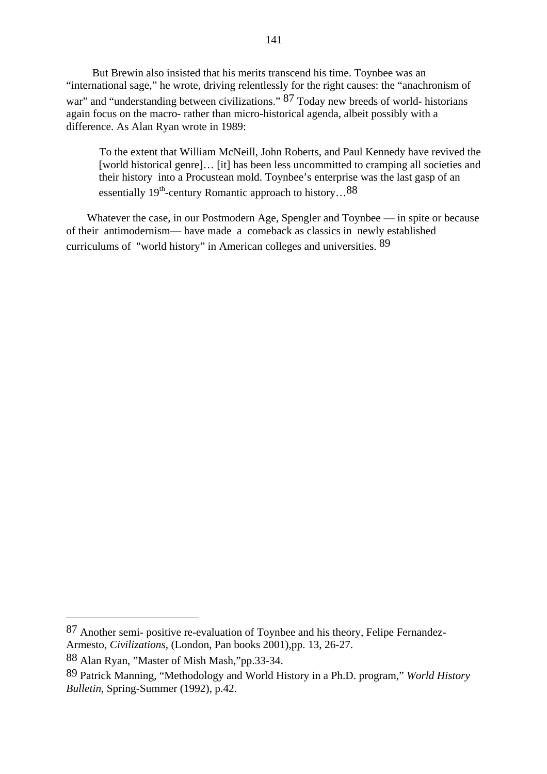But Brewin also insisted that his merits transcend his time. Toynbee was an "international sage," he wrote, driving relentlessly for the right causes: the "anachronism of war" and "understanding between civilizations." 87 Today new breeds of world- historians again focus on the macro- rather than micro-historical agenda, albeit possibly with a difference. As Alan Ryan wrote in 1989:

To the extent that William McNeill, John Roberts, and Paul Kennedy have revived the [world historical genre]… [it] has been less uncommitted to cramping all societies and their history into a Procustean mold. Toynbee's enterprise was the last gasp of an essentially  $19^{th}$ -century Romantic approach to history...<sup>88</sup>

Whatever the case, in our Postmodern Age, Spengler and Toynbee — in spite or because of their antimodernism— have made a comeback as classics in newly established curriculums of "world history" in American colleges and universities. 89

<sup>87</sup> Another semi- positive re-evaluation of Toynbee and his theory, Felipe Fernandez-Armesto, *Civilizations*, (London, Pan books 2001),pp. 13, 26-27.

<sup>88</sup> Alan Ryan, "Master of Mish Mash,"pp.33-34.

<sup>89</sup> Patrick Manning, "Methodology and World History in a Ph.D. program," *World History Bulletin*, Spring-Summer (1992), p.42.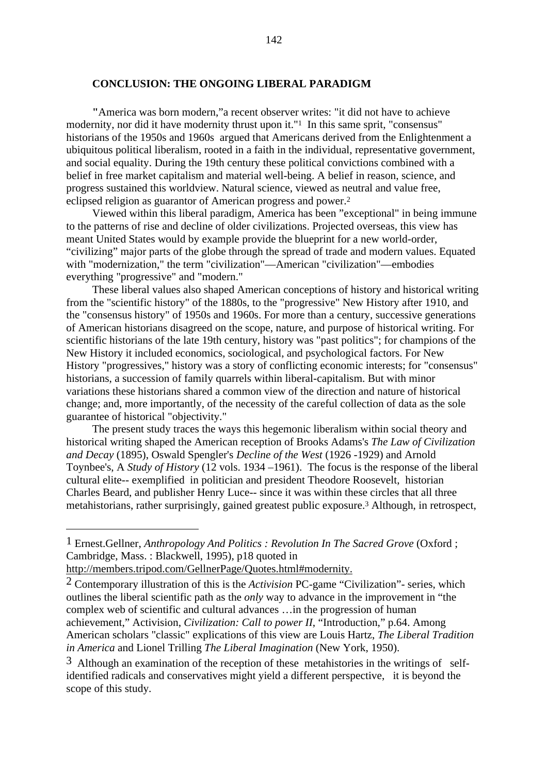# **CONCLUSION: THE ONGOING LIBERAL PARADIGM**

**"**America was born modern,"a recent observer writes: "it did not have to achieve modernity, nor did it have modernity thrust upon it."<sup>1</sup> In this same sprit, "consensus" historians of the 1950s and 1960s argued that Americans derived from the Enlightenment a ubiquitous political liberalism, rooted in a faith in the individual, representative government, and social equality. During the 19th century these political convictions combined with a belief in free market capitalism and material well-being. A belief in reason, science, and progress sustained this worldview. Natural science, viewed as neutral and value free, eclipsed religion as guarantor of American progress and power.2

Viewed within this liberal paradigm, America has been "exceptional" in being immune to the patterns of rise and decline of older civilizations. Projected overseas, this view has meant United States would by example provide the blueprint for a new world-order, "civilizing" major parts of the globe through the spread of trade and modern values. Equated with "modernization," the term "civilization"—American "civilization"—embodies everything "progressive" and "modern."

These liberal values also shaped American conceptions of history and historical writing from the "scientific history" of the 1880s, to the "progressive" New History after 1910, and the "consensus history" of 1950s and 1960s. For more than a century, successive generations of American historians disagreed on the scope, nature, and purpose of historical writing. For scientific historians of the late 19th century, history was "past politics"; for champions of the New History it included economics, sociological, and psychological factors. For New History "progressives," history was a story of conflicting economic interests; for "consensus" historians, a succession of family quarrels within liberal-capitalism. But with minor variations these historians shared a common view of the direction and nature of historical change; and, more importantly, of the necessity of the careful collection of data as the sole guarantee of historical "objectivity."

The present study traces the ways this hegemonic liberalism within social theory and historical writing shaped the American reception of Brooks Adams's *The Law of Civilization and Decay* (1895), Oswald Spengler's *Decline of the West* (1926 -1929) and Arnold Toynbee's, A *Study of History* (12 vols. 1934 –1961). The focus is the response of the liberal cultural elite-- exemplified in politician and president Theodore Roosevelt, historian Charles Beard, and publisher Henry Luce-- since it was within these circles that all three metahistorians, rather surprisingly, gained greatest public exposure.3 Although, in retrospect,

<sup>1</sup> Ernest.Gellner, *Anthropology And Politics : Revolution In The Sacred Grove* (Oxford ; Cambridge, Mass. : Blackwell, 1995), p18 quoted in

http://members.tripod.com/GellnerPage/Quotes.html#modernity.

<sup>2</sup> Contemporary illustration of this is the *Activision* PC-game "Civilization"- series, which outlines the liberal scientific path as the *only* way to advance in the improvement in "the complex web of scientific and cultural advances …in the progression of human achievement," Activision, *Civilization: Call to power II*, "Introduction," p.64. Among American scholars "classic" explications of this view are Louis Hartz, *The Liberal Tradition in America* and Lionel Trilling *The Liberal Imagination* (New York, 1950).

<sup>3</sup> Although an examination of the reception of these metahistories in the writings of selfidentified radicals and conservatives might yield a different perspective, it is beyond the scope of this study.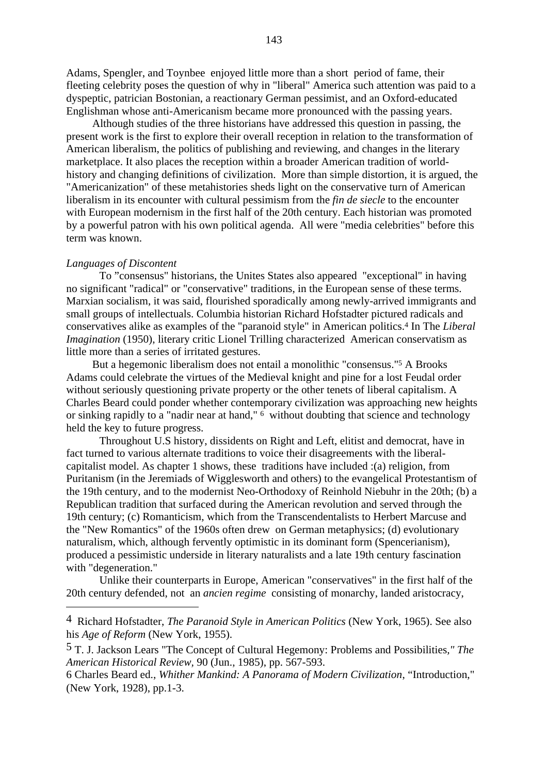Adams, Spengler, and Toynbee enjoyed little more than a short period of fame, their fleeting celebrity poses the question of why in "liberal" America such attention was paid to a dyspeptic, patrician Bostonian, a reactionary German pessimist, and an Oxford-educated Englishman whose anti-Americanism became more pronounced with the passing years.

Although studies of the three historians have addressed this question in passing, the present work is the first to explore their overall reception in relation to the transformation of American liberalism, the politics of publishing and reviewing, and changes in the literary marketplace. It also places the reception within a broader American tradition of worldhistory and changing definitions of civilization. More than simple distortion, it is argued, the "Americanization" of these metahistories sheds light on the conservative turn of American liberalism in its encounter with cultural pessimism from the *fin de siecle* to the encounter with European modernism in the first half of the 20th century. Each historian was promoted by a powerful patron with his own political agenda. All were "media celebrities" before this term was known.

#### *Languages of Discontent*

To "consensus" historians, the Unites States also appeared "exceptional" in having no significant "radical" or "conservative" traditions, in the European sense of these terms. Marxian socialism, it was said, flourished sporadically among newly-arrived immigrants and small groups of intellectuals. Columbia historian Richard Hofstadter pictured radicals and conservatives alike as examples of the "paranoid style" in American politics.4 In The *Liberal Imagination* (1950), literary critic Lionel Trilling characterized American conservatism as little more than a series of irritated gestures.

But a hegemonic liberalism does not entail a monolithic "consensus."5 A Brooks Adams could celebrate the virtues of the Medieval knight and pine for a lost Feudal order without seriously questioning private property or the other tenets of liberal capitalism. A Charles Beard could ponder whether contemporary civilization was approaching new heights or sinking rapidly to a "nadir near at hand," 6 without doubting that science and technology held the key to future progress.

Throughout U.S history, dissidents on Right and Left, elitist and democrat, have in fact turned to various alternate traditions to voice their disagreements with the liberalcapitalist model. As chapter 1 shows, these traditions have included :(a) religion, from Puritanism (in the Jeremiads of Wigglesworth and others) to the evangelical Protestantism of the 19th century, and to the modernist Neo-Orthodoxy of Reinhold Niebuhr in the 20th; (b) a Republican tradition that surfaced during the American revolution and served through the 19th century; (c) Romanticism, which from the Transcendentalists to Herbert Marcuse and the "New Romantics" of the 1960s often drew on German metaphysics; (d) evolutionary naturalism, which, although fervently optimistic in its dominant form (Spencerianism), produced a pessimistic underside in literary naturalists and a late 19th century fascination with "degeneration."

Unlike their counterparts in Europe, American "conservatives" in the first half of the 20th century defended, not an *ancien regime* consisting of monarchy, landed aristocracy,

<sup>4</sup> Richard Hofstadter, *The Paranoid Style in American Politics* (New York, 1965). See also his *Age of Reform* (New York, 1955).

<sup>5</sup> T. J. Jackson Lears "The Concept of Cultural Hegemony: Problems and Possibilities*," The American Historical Review,* 90 (Jun., 1985), pp. 567-593.

<sup>6</sup> Charles Beard ed., *Whither Mankind: A Panorama of Modern Civilization*, "Introduction," (New York, 1928), pp.1-3.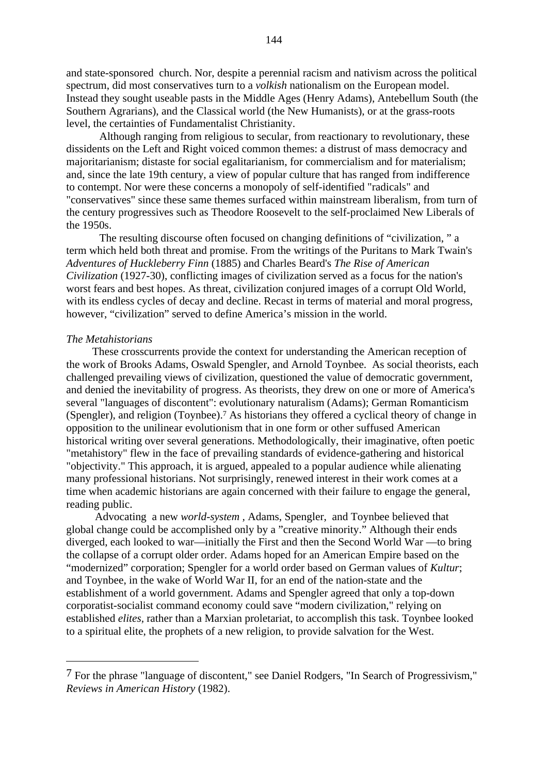and state-sponsored church. Nor, despite a perennial racism and nativism across the political spectrum, did most conservatives turn to a *volkish* nationalism on the European model. Instead they sought useable pasts in the Middle Ages (Henry Adams), Antebellum South (the Southern Agrarians), and the Classical world (the New Humanists), or at the grass-roots level, the certainties of Fundamentalist Christianity.

Although ranging from religious to secular, from reactionary to revolutionary, these dissidents on the Left and Right voiced common themes: a distrust of mass democracy and majoritarianism; distaste for social egalitarianism, for commercialism and for materialism; and, since the late 19th century, a view of popular culture that has ranged from indifference to contempt. Nor were these concerns a monopoly of self-identified "radicals" and "conservatives" since these same themes surfaced within mainstream liberalism, from turn of the century progressives such as Theodore Roosevelt to the self-proclaimed New Liberals of the 1950s.

The resulting discourse often focused on changing definitions of "civilization, " a term which held both threat and promise. From the writings of the Puritans to Mark Twain's *Adventures of Huckleberry Finn* (1885) and Charles Beard's *The Rise of American Civilization* (1927-30), conflicting images of civilization served as a focus for the nation's worst fears and best hopes. As threat, civilization conjured images of a corrupt Old World, with its endless cycles of decay and decline. Recast in terms of material and moral progress, however, "civilization" served to define America's mission in the world.

# *The Metahistorians*

These crosscurrents provide the context for understanding the American reception of the work of Brooks Adams, Oswald Spengler, and Arnold Toynbee. As social theorists, each challenged prevailing views of civilization, questioned the value of democratic government, and denied the inevitability of progress. As theorists, they drew on one or more of America's several "languages of discontent": evolutionary naturalism (Adams); German Romanticism (Spengler), and religion (Toynbee).7 As historians they offered a cyclical theory of change in opposition to the unilinear evolutionism that in one form or other suffused American historical writing over several generations. Methodologically, their imaginative, often poetic "metahistory" flew in the face of prevailing standards of evidence-gathering and historical "objectivity." This approach, it is argued, appealed to a popular audience while alienating many professional historians. Not surprisingly, renewed interest in their work comes at a time when academic historians are again concerned with their failure to engage the general, reading public.

 Advocating a new *world-system ,* Adams, Spengler, and Toynbee believed that global change could be accomplished only by a "creative minority." Although their ends diverged, each looked to war—initially the First and then the Second World War —to bring the collapse of a corrupt older order. Adams hoped for an American Empire based on the "modernized" corporation; Spengler for a world order based on German values of *Kultur*; and Toynbee, in the wake of World War II, for an end of the nation-state and the establishment of a world government. Adams and Spengler agreed that only a top-down corporatist-socialist command economy could save "modern civilization," relying on established *elites,* rather than a Marxian proletariat, to accomplish this task. Toynbee looked to a spiritual elite, the prophets of a new religion, to provide salvation for the West.

<sup>7</sup> For the phrase "language of discontent," see Daniel Rodgers, "In Search of Progressivism," *Reviews in American History* (1982).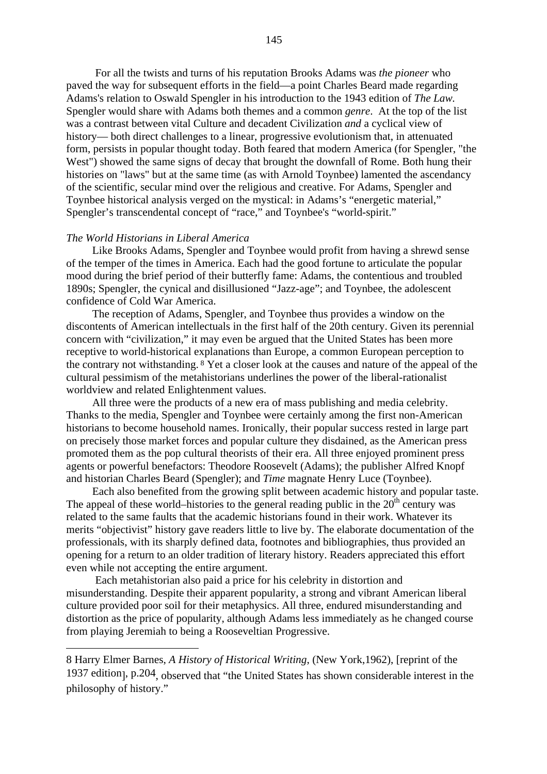For all the twists and turns of his reputation Brooks Adams was *the pioneer* who paved the way for subsequent efforts in the field—a point Charles Beard made regarding Adams's relation to Oswald Spengler in his introduction to the 1943 edition of *The Law.* Spengler would share with Adams both themes and a common *genre*. At the top of the list was a contrast between vital Culture and decadent Civilization *and* a cyclical view of history— both direct challenges to a linear, progressive evolutionism that, in attenuated form, persists in popular thought today. Both feared that modern America (for Spengler, "the West") showed the same signs of decay that brought the downfall of Rome. Both hung their histories on "laws" but at the same time (as with Arnold Toynbee) lamented the ascendancy of the scientific, secular mind over the religious and creative. For Adams, Spengler and Toynbee historical analysis verged on the mystical: in Adams's "energetic material," Spengler's transcendental concept of "race," and Toynbee's "world-spirit."

### *The World Historians in Liberal America*

Like Brooks Adams, Spengler and Toynbee would profit from having a shrewd sense of the temper of the times in America. Each had the good fortune to articulate the popular mood during the brief period of their butterfly fame: Adams, the contentious and troubled 1890s; Spengler, the cynical and disillusioned "Jazz-age"; and Toynbee, the adolescent confidence of Cold War America.

The reception of Adams, Spengler, and Toynbee thus provides a window on the discontents of American intellectuals in the first half of the 20th century. Given its perennial concern with "civilization," it may even be argued that the United States has been more receptive to world-historical explanations than Europe, a common European perception to the contrary not withstanding. 8 Yet a closer look at the causes and nature of the appeal of the cultural pessimism of the metahistorians underlines the power of the liberal-rationalist worldview and related Enlightenment values.

All three were the products of a new era of mass publishing and media celebrity. Thanks to the media, Spengler and Toynbee were certainly among the first non-American historians to become household names. Ironically, their popular success rested in large part on precisely those market forces and popular culture they disdained, as the American press promoted them as the pop cultural theorists of their era. All three enjoyed prominent press agents or powerful benefactors: Theodore Roosevelt (Adams); the publisher Alfred Knopf and historian Charles Beard (Spengler); and *Time* magnate Henry Luce (Toynbee).

Each also benefited from the growing split between academic history and popular taste. The appeal of these world–histories to the general reading public in the  $20<sup>th</sup>$  century was related to the same faults that the academic historians found in their work. Whatever its merits "objectivist" history gave readers little to live by. The elaborate documentation of the professionals, with its sharply defined data, footnotes and bibliographies, thus provided an opening for a return to an older tradition of literary history. Readers appreciated this effort even while not accepting the entire argument.

Each metahistorian also paid a price for his celebrity in distortion and misunderstanding. Despite their apparent popularity, a strong and vibrant American liberal culture provided poor soil for their metaphysics. All three, endured misunderstanding and distortion as the price of popularity, although Adams less immediately as he changed course from playing Jeremiah to being a Rooseveltian Progressive.

<sup>8</sup> Harry Elmer Barnes, *A History of Historical Writing*, (New York,1962), [reprint of the 1937 edition], p.204, observed that "the United States has shown considerable interest in the philosophy of history."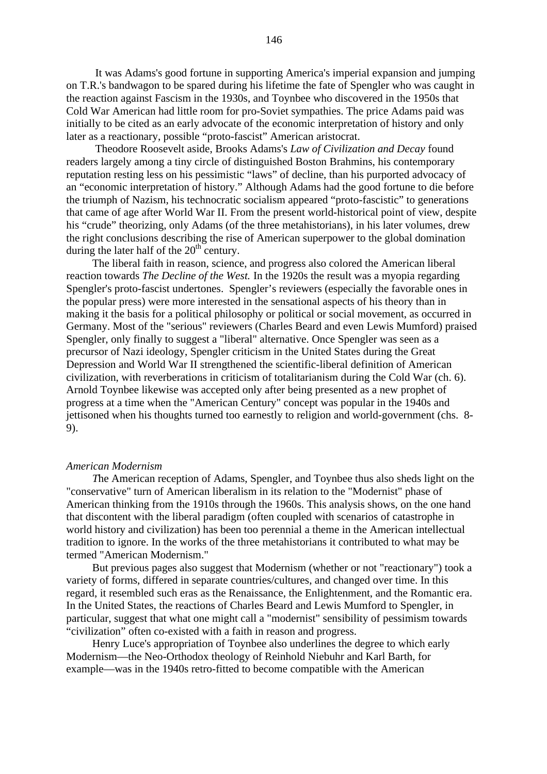It was Adams's good fortune in supporting America's imperial expansion and jumping on T.R.'s bandwagon to be spared during his lifetime the fate of Spengler who was caught in the reaction against Fascism in the 1930s, and Toynbee who discovered in the 1950s that Cold War American had little room for pro-Soviet sympathies. The price Adams paid was initially to be cited as an early advocate of the economic interpretation of history and only later as a reactionary, possible "proto-fascist" American aristocrat.

Theodore Roosevelt aside, Brooks Adams's *Law of Civilization and Decay* found readers largely among a tiny circle of distinguished Boston Brahmins, his contemporary reputation resting less on his pessimistic "laws" of decline, than his purported advocacy of an "economic interpretation of history." Although Adams had the good fortune to die before the triumph of Nazism, his technocratic socialism appeared "proto-fascistic" to generations that came of age after World War II. From the present world-historical point of view, despite his "crude" theorizing, only Adams (of the three metahistorians), in his later volumes, drew the right conclusions describing the rise of American superpower to the global domination during the later half of the  $20<sup>th</sup>$  century.

The liberal faith in reason, science, and progress also colored the American liberal reaction towards *The Decline of the West.* In the 1920s the result was a myopia regarding Spengler's proto-fascist undertones. Spengler's reviewers (especially the favorable ones in the popular press) were more interested in the sensational aspects of his theory than in making it the basis for a political philosophy or political or social movement, as occurred in Germany. Most of the "serious" reviewers (Charles Beard and even Lewis Mumford) praised Spengler, only finally to suggest a "liberal" alternative. Once Spengler was seen as a precursor of Nazi ideology, Spengler criticism in the United States during the Great Depression and World War II strengthened the scientific-liberal definition of American civilization, with reverberations in criticism of totalitarianism during the Cold War (ch. 6). Arnold Toynbee likewise was accepted only after being presented as a new prophet of progress at a time when the "American Century" concept was popular in the 1940s and jettisoned when his thoughts turned too earnestly to religion and world-government (chs. 8- 9).

#### *American Modernism*

*T*he American reception of Adams, Spengler, and Toynbee thus also sheds light on the "conservative" turn of American liberalism in its relation to the "Modernist" phase of American thinking from the 1910s through the 1960s. This analysis shows, on the one hand that discontent with the liberal paradigm (often coupled with scenarios of catastrophe in world history and civilization) has been too perennial a theme in the American intellectual tradition to ignore. In the works of the three metahistorians it contributed to what may be termed "American Modernism."

But previous pages also suggest that Modernism (whether or not "reactionary") took a variety of forms, differed in separate countries/cultures, and changed over time. In this regard, it resembled such eras as the Renaissance, the Enlightenment, and the Romantic era. In the United States, the reactions of Charles Beard and Lewis Mumford to Spengler, in particular, suggest that what one might call a "modernist" sensibility of pessimism towards "civilization" often co-existed with a faith in reason and progress.

Henry Luce's appropriation of Toynbee also underlines the degree to which early Modernism—the Neo-Orthodox theology of Reinhold Niebuhr and Karl Barth, for example—was in the 1940s retro-fitted to become compatible with the American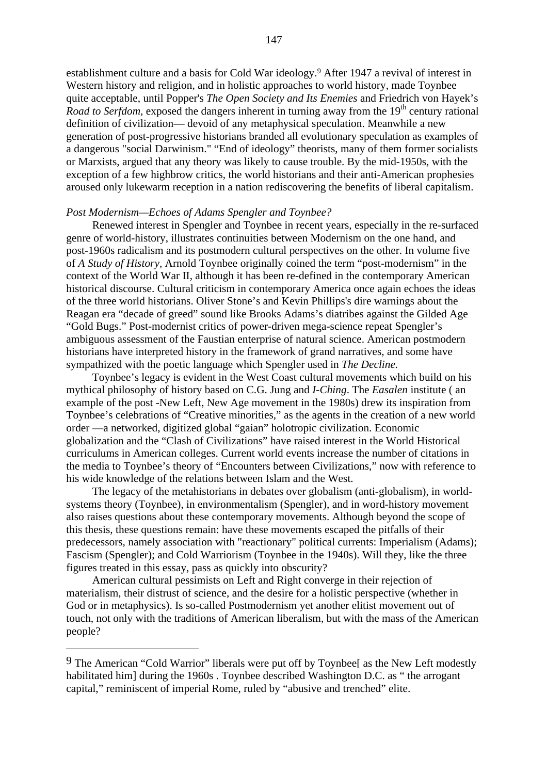establishment culture and a basis for Cold War ideology.9 After 1947 a revival of interest in Western history and religion, and in holistic approaches to world history, made Toynbee quite acceptable, until Popper's *The Open Society and Its Enemies* and Friedrich von Hayek's *Road to Serfdom*, exposed the dangers inherent in turning away from the 19<sup>th</sup> century rational definition of civilization— devoid of any metaphysical speculation. Meanwhile a new generation of post-progressive historians branded all evolutionary speculation as examples of a dangerous "social Darwinism." "End of ideology" theorists, many of them former socialists or Marxists, argued that any theory was likely to cause trouble. By the mid-1950s, with the exception of a few highbrow critics, the world historians and their anti-American prophesies aroused only lukewarm reception in a nation rediscovering the benefits of liberal capitalism.

#### *Post Modernism—Echoes of Adams Spengler and Toynbee?*

Renewed interest in Spengler and Toynbee in recent years, especially in the re-surfaced genre of world-history, illustrates continuities between Modernism on the one hand, and post-1960s radicalism and its postmodern cultural perspectives on the other. In volume five of *A Study of History,* Arnold Toynbee originally coined the term "post-modernism" in the context of the World War II, although it has been re-defined in the contemporary American historical discourse. Cultural criticism in contemporary America once again echoes the ideas of the three world historians. Oliver Stone's and Kevin Phillips's dire warnings about the Reagan era "decade of greed" sound like Brooks Adams's diatribes against the Gilded Age "Gold Bugs." Post-modernist critics of power-driven mega-science repeat Spengler's ambiguous assessment of the Faustian enterprise of natural science. American postmodern historians have interpreted history in the framework of grand narratives, and some have sympathized with the poetic language which Spengler used in *The Decline.*

Toynbee's legacy is evident in the West Coast cultural movements which build on his mythical philosophy of history based on C.G. Jung and *I-Ching*. The *Easalen* institute ( an example of the post -New Left, New Age movement in the 1980s) drew its inspiration from Toynbee's celebrations of "Creative minorities," as the agents in the creation of a new world order —a networked, digitized global "gaian" holotropic civilization. Economic globalization and the "Clash of Civilizations" have raised interest in the World Historical curriculums in American colleges. Current world events increase the number of citations in the media to Toynbee's theory of "Encounters between Civilizations," now with reference to his wide knowledge of the relations between Islam and the West.

The legacy of the metahistorians in debates over globalism (anti-globalism), in worldsystems theory (Toynbee), in environmentalism (Spengler), and in word-history movement also raises questions about these contemporary movements. Although beyond the scope of this thesis, these questions remain: have these movements escaped the pitfalls of their predecessors, namely association with "reactionary" political currents: Imperialism (Adams); Fascism (Spengler); and Cold Warriorism (Toynbee in the 1940s). Will they, like the three figures treated in this essay, pass as quickly into obscurity?

American cultural pessimists on Left and Right converge in their rejection of materialism, their distrust of science, and the desire for a holistic perspective (whether in God or in metaphysics). Is so-called Postmodernism yet another elitist movement out of touch, not only with the traditions of American liberalism, but with the mass of the American people?

<sup>&</sup>lt;sup>9</sup> The American "Cold Warrior" liberals were put off by Toynbee<sup>[</sup> as the New Left modestly habilitated himl during the 1960s. Toynbee described Washington D.C. as " the arrogant capital," reminiscent of imperial Rome, ruled by "abusive and trenched" elite.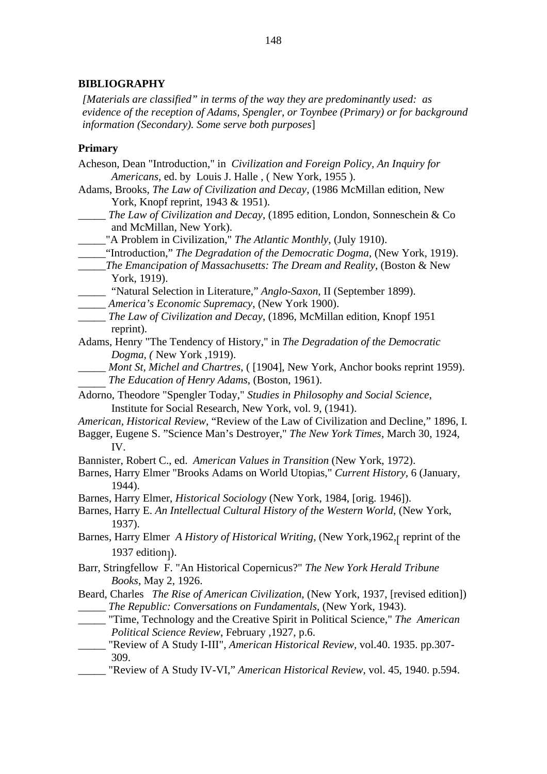# **BIBLIOGRAPHY**

*[Materials are classified" in terms of the way they are predominantly used: as evidence of the reception of Adams, Spengler, or Toynbee (Primary) or for background information (Secondary). Some serve both purposes*]

### **Primary**

- Acheson, Dean "Introduction," in *Civilization and Foreign Policy, An Inquiry for Americans,* ed. by Louis J. Halle , ( New York, 1955 ).
- Adams, Brooks, *The Law of Civilization and Decay*, (1986 McMillan edition, New York, Knopf reprint, 1943 & 1951).
- \_\_\_\_\_ *The Law of Civilization and Decay*, (1895 edition, London, Sonneschein & Co and McMillan, New York).
- \_\_\_\_\_"A Problem in Civilization," *The Atlantic Monthly*, (July 1910).
- \_\_\_\_\_"Introduction," *The Degradation of the Democratic Dogma*, (New York, 1919).
- \_\_\_\_\_*The Emancipation of Massachusetts: The Dream and Reality*, (Boston & New York, 1919).
- \_\_\_\_\_ "Natural Selection in Literature," *Anglo-Saxon*, II (September 1899).
- \_\_\_\_\_ *America's Economic Supremacy*, (New York 1900).
- \_\_\_\_\_ *The Law of Civilization and Decay*, (1896, McMillan edition, Knopf 1951 reprint).
- Adams, Henry "The Tendency of History," in *The Degradation of the Democratic Dogma, (* New York ,1919).
	- \_\_\_\_\_ *Mont St, Michel and Chartres*, ( [1904], New York, Anchor books reprint 1959). \_\_\_\_\_ *The Education of Henry Adams*, (Boston, 1961).
- Adorno, Theodore "Spengler Today," *Studies in Philosophy and Social Science,* Institute for Social Research, New York, vol. 9, (1941).
- *American, Historical Review,* "Review of the Law of Civilization and Decline," 1896, I*.*
- Bagger, Eugene S. "Science Man's Destroyer," *The New York Times*, March 30, 1924, IV.
- Bannister, Robert C., ed. *American Values in Transition* (New York, 1972).
- Barnes, Harry Elmer "Brooks Adams on World Utopias," *Current History,* 6 (January, 1944).
- Barnes, Harry Elmer, *Historical Sociology* (New York, 1984, [orig. 1946]).
- Barnes, Harry E. *An Intellectual Cultural History of the Western World*, (New York, 1937).
- Barnes, Harry Elmer *A History of Historical Writing*, (New York, 1962, preprint of the  $1937$  edition<sub>1</sub>).
- Barr, Stringfellow F. "An Historical Copernicus?" *The New York Herald Tribune Books*, May 2, 1926.

Beard, Charles *The Rise of American Civilization*, (New York, 1937, [revised edition]) \_\_\_\_\_ *The Republic: Conversations on Fundamentals*, (New York, 1943).

- \_\_\_\_\_ "Time, Technology and the Creative Spirit in Political Science," *The American Political Science Review*, February ,1927, p.6.
- \_\_\_\_\_ "Review of A Study I-III", *American Historical Review,* vol.40. 1935. pp.307- 309.
- \_\_\_\_\_ "Review of A Study IV-VI," *American Historical Review*, vol. 45, 1940. p.594.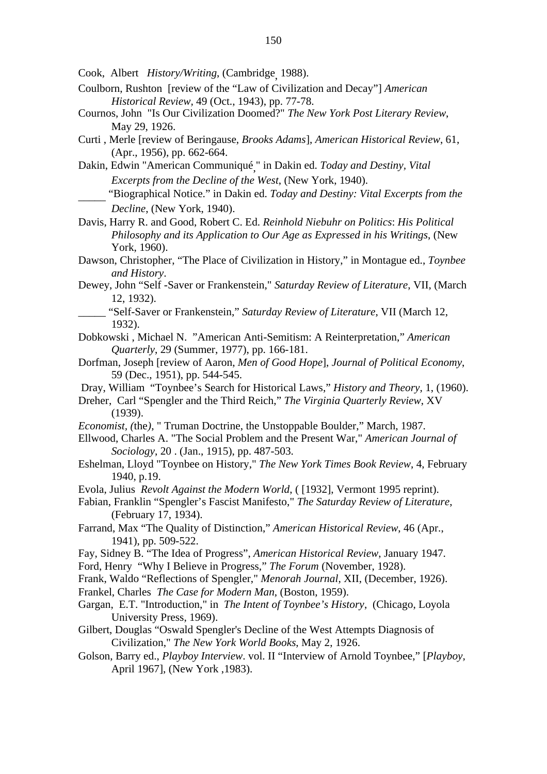Cook, Albert *History/Writing*, (Cambridge, 1988).

- Coulborn, Rushton [review of the "Law of Civilization and Decay"] *American Historical Review,* 49 (Oct., 1943), pp. 77-78.
- Cournos, John "Is Our Civilization Doomed?" *The New York Post Literary Review*, May 29, 1926.
- Curti , Merle [review of Beringause, *Brooks Adams*], *American Historical Review*, 61, (Apr., 1956), pp. 662-664.
- Dakin, Edwin "American Communiqué," in Dakin ed. *Today and Destiny, Vital Excerpts from the Decline of the West*, (New York, 1940).
	- \_\_\_\_\_ "Biographical Notice." in Dakin ed. *Today and Destiny: Vital Excerpts from the Decline*, (New York, 1940).

Davis, Harry R. and Good, Robert C. Ed. *Reinhold Niebuhr on Politics*: *His Political Philosophy and its Application to Our Age as Expressed in his Writings*, (New York, 1960).

- Dawson, Christopher, "The Place of Civilization in History," in Montague ed., *Toynbee and History*.
- Dewey, John "Self -Saver or Frankenstein," *Saturday Review of Literature*, VII, (March 12, 1932).
	- \_\_\_\_\_ "Self-Saver or Frankenstein," *Saturday Review of Literature*, VII (March 12, 1932).
- Dobkowski , Michael N. "American Anti-Semitism: A Reinterpretation," *American Quarterly*, 29 (Summer, 1977), pp. 166-181.
- Dorfman, Joseph [review of Aaron, *Men of Good Hope*], *Journal of Political Economy*, 59 (Dec., 1951), pp. 544-545.
- Dray, William "Toynbee's Search for Historical Laws," *History and Theory,* 1, (1960).
- Dreher, Carl "Spengler and the Third Reich," *The Virginia Quarterly Review*, XV (1939).
- *Economist, (*the*)*, " Truman Doctrine, the Unstoppable Boulder," March, 1987.
- Ellwood, Charles A. "The Social Problem and the Present War," *American Journal of Sociology*, 20 . (Jan., 1915), pp. 487-503.
- Eshelman, Lloyd "Toynbee on History," *The New York Times Book Review*, 4, February 1940, p.19.
- Evola, Julius *Revolt Against the Modern World*, ( [1932], Vermont 1995 reprint).
- Fabian, Franklin "Spengler's Fascist Manifesto," *The Saturday Review of Literature*, (February 17, 1934).
- Farrand, Max "The Quality of Distinction," *American Historical Review*, 46 (Apr., 1941), pp. 509-522.
- Fay, Sidney B. "The Idea of Progress", *American Historical Review*, January 1947. Ford, Henry "Why I Believe in Progress," *The Forum* (November, 1928).
- Frank, Waldo "Reflections of Spengler," *Menorah Journal*, XII, (December, 1926).
- Frankel, Charles *The Case for Modern Man*, (Boston, 1959).
- Gargan, E.T. "Introduction," in *The Intent of Toynbee's History*, (Chicago, Loyola University Press, 1969).
- Gilbert, Douglas "Oswald Spengler's Decline of the West Attempts Diagnosis of Civilization," *The New York World Books*, May 2, 1926.
- Golson, Barry ed., *Playboy Interview*. vol. II "Interview of Arnold Toynbee," [*Playboy,* April 1967], (New York ,1983).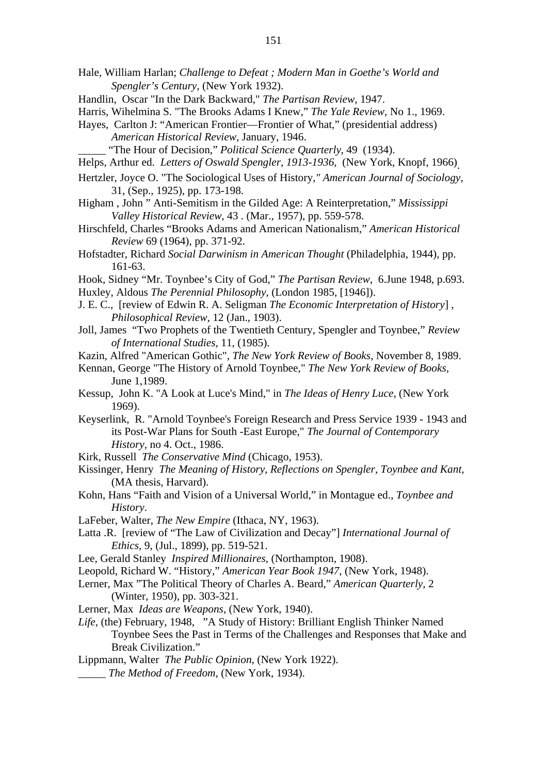- Hale, William Harlan; *Challenge to Defeat ; Modern Man in Goethe's World and Spengler's Century*, (New York 1932).
- Handlin, Oscar "In the Dark Backward," *The Partisan Review*, 1947.

- Hayes, Carlton J: "American Frontier—Frontier of What," (presidential address) *American Historical Review*, January, 1946.
	- "The Hour of Decision," *Political Science Quarterly*, 49 (1934).
- Helps, Arthur ed. *Letters of Oswald Spengler, 1913-1936*, (New York, Knopf, 1966).
- Hertzler, Joyce O. "The Sociological Uses of History*," American Journal of Sociology*, 31, (Sep., 1925), pp. 173-198.
- Higham , John " Anti-Semitism in the Gilded Age: A Reinterpretation," *Mississippi Valley Historical Review*, 43 . (Mar., 1957), pp. 559-578.
- Hirschfeld, Charles "Brooks Adams and American Nationalism," *American Historical Review* 69 (1964), pp. 371-92.
- Hofstadter, Richard *Social Darwinism in American Thought* (Philadelphia, 1944), pp. 161-63.
- Hook, Sidney "Mr. Toynbee's City of God," *The Partisan Review*, 6.June 1948, p.693.
- Huxley, Aldous *The Perennial Philosophy,* (London 1985, [1946]).
- J. E. C., [review of Edwin R. A. Seligman *The Economic Interpretation of History*] , *Philosophical Review,* 12 (Jan., 1903).
- Joll, James "Two Prophets of the Twentieth Century, Spengler and Toynbee," *Review of International Studies*, 11, (1985).
- Kazin, Alfred "American Gothic", *The New York Review of Books,* November 8, 1989.
- Kennan, George "The History of Arnold Toynbee," *The New York Review of Books,* June 1,1989.
- Kessup, John K. "A Look at Luce's Mind," in *The Ideas of Henry Luce*, (New York 1969).
- Keyserlink, R. "Arnold Toynbee's Foreign Research and Press Service 1939 1943 and its Post-War Plans for South -East Europe," *The Journal of Contemporary History,* no 4. Oct., 1986.
- Kirk, Russell *The Conservative Mind* (Chicago, 1953).
- Kissinger, Henry *The Meaning of History, Reflections on Spengler, Toynbee and Kant,* (MA thesis, Harvard).
- Kohn, Hans "Faith and Vision of a Universal World," in Montague ed., *Toynbee and History*.
- LaFeber, Walter, *The New Empire* (Ithaca, NY, 1963).
- Latta .R. [review of "The Law of Civilization and Decay"] *International Journal of Ethics*, 9, (Jul., 1899), pp. 519-521.
- Lee, Gerald Stanley *Inspired Millionaires*, (Northampton, 1908).
- Leopold, Richard W. "History," *American Year Book 1947*, (New York, 1948).
- Lerner, Max "The Political Theory of Charles A. Beard," *American Quarterly,* 2 (Winter, 1950), pp. 303-321.
- Lerner, Max *Ideas are Weapons*, (New York, 1940).
- *Life*, (the) February, 1948, "A Study of History: Brilliant English Thinker Named Toynbee Sees the Past in Terms of the Challenges and Responses that Make and Break Civilization."
- Lippmann, Walter *The Public Opinion*, (New York 1922).
- \_\_\_\_\_ *The Method of Freedom*, (New York, 1934).

Harris, Wihelmina S. "The Brooks Adams I Knew," *The Yale Review*, No 1., 1969.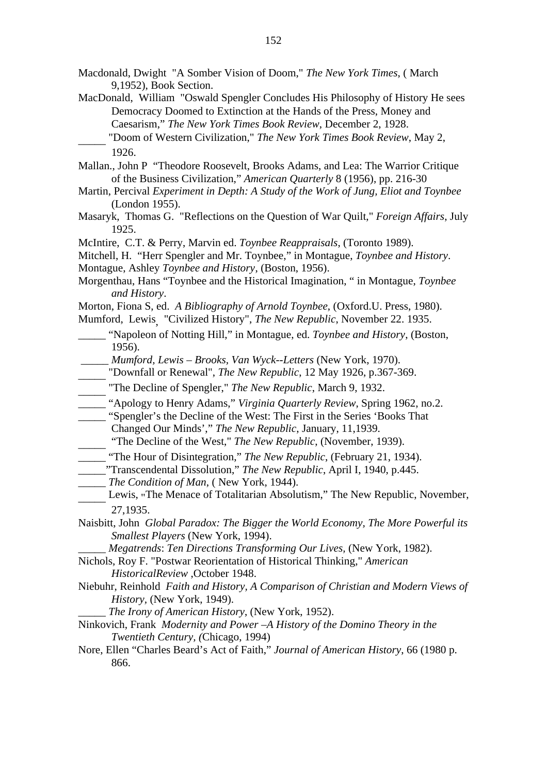- Macdonald, Dwight "A Somber Vision of Doom," *The New York Times*, ( March 9,1952), Book Section.
- MacDonald, William "Oswald Spengler Concludes His Philosophy of History He sees Democracy Doomed to Extinction at the Hands of the Press, Money and Caesarism," *The New York Times Book Review*, December 2, 1928. \_\_\_\_\_ "Doom of Western Civilization," *The New York Times Book Review*, May 2,

- Mallan., John P "Theodore Roosevelt, Brooks Adams, and Lea: The Warrior Critique of the Business Civilization," *American Quarterly* 8 (1956), pp. 216-30
- Martin, Percival *Experiment in Depth: A Study of the Work of Jung, Eliot and Toynbee* (London 1955).
- Masaryk, Thomas G. "Reflections on the Question of War Quilt," *Foreign Affairs*, July 1925.
- McIntire, C.T. & Perry, Marvin ed. *Toynbee Reappraisals*, (Toronto 1989).

Mitchell, H. "Herr Spengler and Mr. Toynbee," in Montague, *Toynbee and History*. Montague, Ashley *Toynbee and History*, (Boston, 1956).

- Morgenthau, Hans "Toynbee and the Historical Imagination, " in Montague, *Toynbee and History*.
- Morton, Fiona S, ed. *A Bibliography of Arnold Toynbee*, (Oxford.U. Press, 1980).
- Mumford, Lewis, "Civilized History", *The New Republic*, November 22. 1935.
- \_\_\_\_\_ "Napoleon of Notting Hill," in Montague, ed. *Toynbee and History*, (Boston, 1956).
- \_\_\_\_\_ *Mumford, Lewis Brooks, Van Wyck--Letters* (New York, 1970).
- \_\_\_\_\_ "Downfall or Renewal", *The New Republic*, 12 May 1926, p.367-369.
- \_\_\_\_\_ "The Decline of Spengler," *The New Republic*, March 9, 1932.
- \_\_\_\_\_ "Apology to Henry Adams," *Virginia Quarterly Review*, Spring 1962, no.2.
- Spengler's the Decline of the West: The First in the Series 'Books That'
- Changed Our Minds'," *The New Republic*, January, 11,1939.
- "The Decline of the West," *The New Republic*, (November, 1939).
- \_\_\_\_\_ "The Hour of Disintegration," *The New Republic*, (February 21, 1934).
- \_\_\_\_\_"Transcendental Dissolution," *The New Republic*, April I, 1940, p.445.
- \_\_\_\_\_ *The Condition of Man*, ( New York, 1944).
- Lewis, "The Menace of Totalitarian Absolutism," The New Republic, November, 27,1935.
- Naisbitt, John *Global Paradox: The Bigger the World Economy, The More Powerful its Smallest Players* (New York, 1994).
	- \_\_\_\_\_ *Megatrends*: *Ten Directions Transforming Our Lives,* (New York, 1982).

Nichols, Roy F. "Postwar Reorientation of Historical Thinking," *American HistoricalReview* ,October 1948.

Niebuhr, Reinhold *Faith and History, A Comparison of Christian and Modern Views of History,* (New York, 1949).

\_\_\_\_\_ *The Irony of American History*, (New York, 1952).

- Ninkovich, Frank *Modernity and Power –A History of the Domino Theory in the Twentieth Century, (*Chicago, 1994)
- Nore, Ellen "Charles Beard's Act of Faith," *Journal of American History*, 66 (1980 p. 866.

<sup>1926.</sup>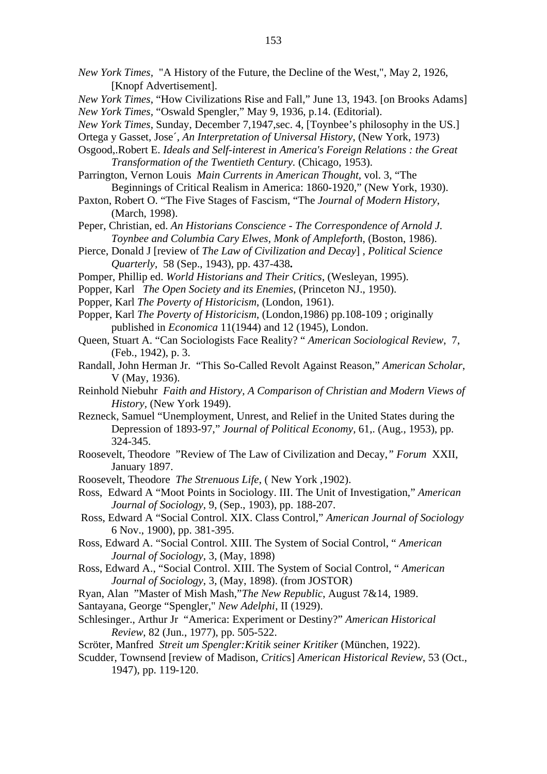- *New York Times,* "A History of the Future, the Decline of the West,", May 2, 1926, [Knopf Advertisement].
- *New York Times*, "How Civilizations Rise and Fall," June 13, 1943. [on Brooks Adams] *New York Times,* "Oswald Spengler," May 9, 1936, p.14. (Editorial).
- *New York Times*, Sunday, December 7,1947,sec. 4, [Toynbee's philosophy in the US.]
- Ortega y Gasset, Jose´*, An Interpretation of Universal History*, (New York, 1973)
- Osgood,.Robert E. *Ideals and Self-interest in America's Foreign Relations : the Great Transformation of the Twentieth Century.* (Chicago, 1953).
- Parrington, Vernon Louis *Main Currents in American Thought*, vol. 3, "The Beginnings of Critical Realism in America: 1860-1920," (New York, 1930).
- Paxton, Robert O. "The Five Stages of Fascism, "The *Journal of Modern History*, (March, 1998).
- Peper, Christian, ed. *An Historians Conscience The Correspondence of Arnold J. Toynbee and Columbia Cary Elwes, Monk of Ampleforth*, (Boston, 1986).
- Pierce, Donald J [review of *The Law of Civilization and Decay*] , *Political Science Quarterly*, 58 (Sep., 1943), pp. 437-438**.**
- Pomper, Phillip ed. *World Historians and Their Critics*, (Wesleyan, 1995).
- Popper, Karl *The Open Society and its Enemies*, (Princeton NJ., 1950).
- Popper, Karl *The Poverty of Historicism*, (London, 1961).
- Popper, Karl *The Poverty of Historicism*, (London,1986) pp.108-109 ; originally published in *Economica* 11(1944) and 12 (1945), London.
- Queen, Stuart A. "Can Sociologists Face Reality? " *American Sociological Review*, 7, (Feb., 1942), p. 3.
- Randall, John Herman Jr. "This So-Called Revolt Against Reason," *American Scholar*, V (May, 1936).
- Reinhold Niebuhr *Faith and History, A Comparison of Christian and Modern Views of History,* (New York 1949).
- Rezneck, Samuel "Unemployment, Unrest, and Relief in the United States during the Depression of 1893-97," *Journal of Political Economy,* 61,. (Aug., 1953), pp. 324-345.
- Roosevelt, Theodore "Review of The Law of Civilization and Decay,*" Forum* XXII, January 1897.
- Roosevelt, Theodore *The Strenuous Life*, ( New York ,1902).

Ross, Edward A "Moot Points in Sociology. III. The Unit of Investigation," *American Journal of Sociology*, 9, (Sep., 1903), pp. 188-207.

- Ross, Edward A "Social Control. XIX. Class Control," *American Journal of Sociology* 6 Nov., 1900), pp. 381-395.
- Ross, Edward A. "Social Control. XIII. The System of Social Control, " *American Journal of Sociology*, 3, (May, 1898)
- Ross, Edward A., "Social Control. XIII. The System of Social Control, " *American Journal of Sociology*, 3, (May, 1898). (from JOSTOR)
- Ryan, Alan "Master of Mish Mash,"*The New Republic*, August 7&14, 1989.
- Santayana, George "Spengler," *New Adelphi*, II (1929).
- Schlesinger., Arthur Jr "America: Experiment or Destiny?" *American Historical Review*, 82 (Jun., 1977), pp. 505-522.
- Scröter*,* Manfred *Streit um Spengler:Kritik seiner Kritiker* (München, 1922).
- Scudder, Townsend [review of Madison, *Critic*s] *American Historical Review*, 53 (Oct., 1947), pp. 119-120.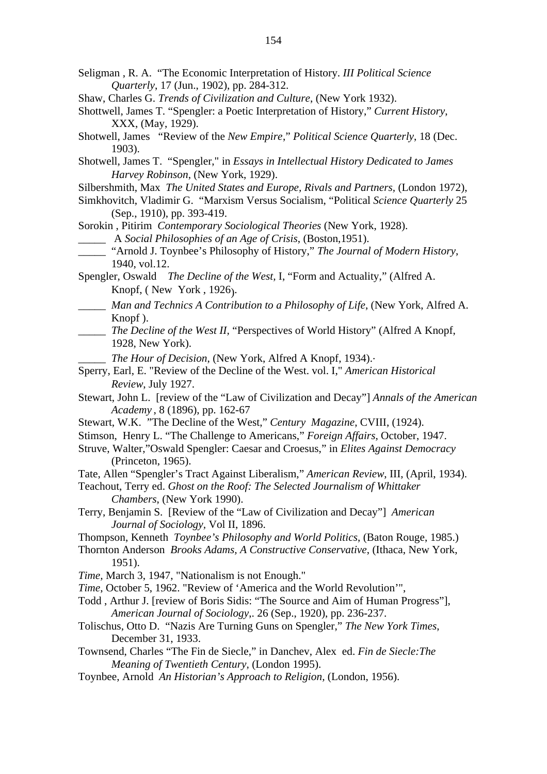- Seligman , R. A. "The Economic Interpretation of History. *III Political Science Quarterly*, 17 (Jun., 1902), pp. 284-312.
- Shaw, Charles G. *Trends of Civilization and Culture*, (New York 1932).
- Shottwell, James T. "Spengler: a Poetic Interpretation of History," *Current History*, XXX, (May, 1929).
- Shotwell, James "Review of the *New Empire*," *Political Science Quarterly*, 18 (Dec. 1903).
- Shotwell, James T. "Spengler," in *Essays in Intellectual History Dedicated to James Harvey Robinson*, (New York, 1929).
- Silbershmith, Max *The United States and Europe, Rivals and Partners,* (London 1972),
- Simkhovitch, Vladimir G. "Marxism Versus Socialism, "Political *Science Quarterly* 25 (Sep., 1910), pp. 393-419.

Sorokin , Pitirim *Contemporary Sociological Theories* (New York, 1928). \_\_\_\_\_ A *Social Philosophies of an Age of Crisis*, (Boston,1951).

- \_\_\_\_\_ "Arnold J. Toynbee's Philosophy of History," *The Journal of Modern History*, 1940, vol.12.
- Spengler, Oswald *The Decline of the West,* I, "Form and Actuality," (Alfred A. Knopf, ( New York , 1926).
- \_\_\_\_\_ *Man and Technics A Contribution to a Philosophy of Life*, (New York, Alfred A. Knopf ).
- \_\_\_\_\_ *The Decline of the West II,* "Perspectives of World History" (Alfred A Knopf, 1928, New York).

The Hour of Decision, (New York, Alfred A Knopf, 1934).

- Sperry, Earl, E. "Review of the Decline of the West. vol. I," *American Historical Review*, July 1927.
- Stewart, John L. [review of the "Law of Civilization and Decay"] *Annals of the American Academy* , 8 (1896), pp. 162-67
- Stewart, W.K. "The Decline of the West," *Century Magazine*, CVIII, (1924).
- Stimson, Henry L. "The Challenge to Americans," *Foreign Affairs*, October, 1947.
- Struve, Walter,"Oswald Spengler: Caesar and Croesus," in *Elites Against Democracy* (Princeton, 1965).
- Tate, Allen "Spengler's Tract Against Liberalism," *American Review*, III, (April, 1934).
- Teachout, Terry ed. *Ghost on the Roof: The Selected Journalism of Whittaker Chambers*, (New York 1990).
- Terry, Benjamin S. [Review of the "Law of Civilization and Decay"] *American Journal of Sociology,* Vol II, 1896.
- Thompson, Kenneth *Toynbee's Philosophy and World Politics*, (Baton Rouge, 1985.)
- Thornton Anderson *Brooks Adams, A Constructive Conservative*, (Ithaca, New York, 1951).
- *Time,* March 3, 1947, "Nationalism is not Enough."
- *Time*, October 5, 1962. "Review of 'America and the World Revolution'",
- Todd , Arthur J. [review of Boris Sidis: "The Source and Aim of Human Progress"], *American Journal of Sociology*,. 26 (Sep., 1920), pp. 236-237.
- Tolischus, Otto D. "Nazis Are Turning Guns on Spengler," *The New York Times*, December 31, 1933.
- Townsend, Charles "The Fin de Siecle," in Danchev, Alex ed. *Fin de Siecle:The Meaning of Twentieth Century,* (London 1995).
- Toynbee, Arnold *An Historian's Approach to Religion,* (London, 1956).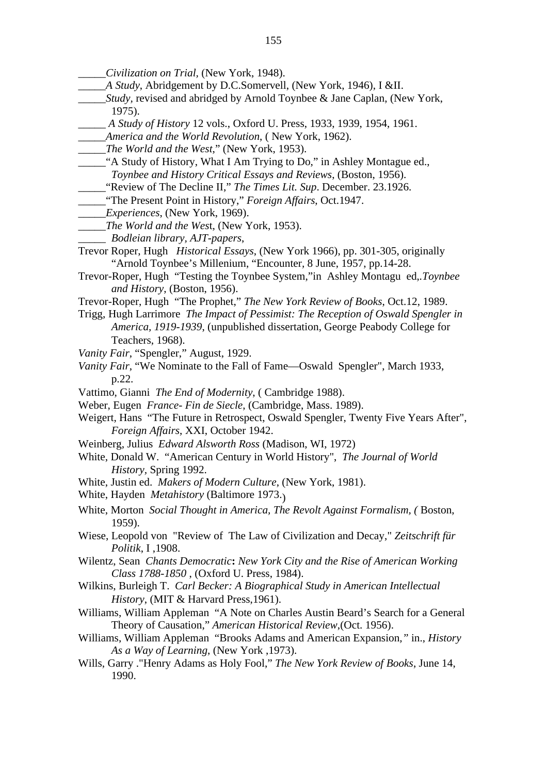- \_\_\_\_\_*Civilization on Trial,* (New York, 1948).
- \_\_\_\_\_*A Study*, Abridgement by D.C.Somervell, (New York, 1946), I &II.
- \_\_\_\_\_*Study,* revised and abridged by Arnold Toynbee & Jane Caplan, (New York, 1975).
- \_\_\_\_\_ *A Study of History* 12 vols., Oxford U. Press, 1933, 1939, 1954, 1961.
- \_\_\_\_\_*America and the World Revolution*, ( New York, 1962).
- \_\_\_\_\_*The World and the West*," (New York, 1953).
- \_\_\_\_\_"A Study of History, What I Am Trying to Do," in Ashley Montague ed., *Toynbee and History Critical Essays and Reviews*, (Boston, 1956).
	- \_\_\_\_\_"Review of The Decline II," *The Times Lit. Sup*. December. 23.1926.
- \_\_\_\_\_"The Present Point in History," *Foreign Affairs*, Oct.1947.
- \_\_\_\_\_*Experiences*, (New York, 1969).
- \_\_\_\_\_*The World and the Wes*t, (New York, 1953).
- \_\_\_\_\_ *Bodleian library, AJT-papers*,
- Trevor Roper, Hugh *Historical Essays*, (New York 1966), pp. 301-305, originally "Arnold Toynbee's Millenium, "Encounter*,* 8 June, 1957, pp.14-28.
- Trevor-Roper, Hugh "Testing the Toynbee System,"in Ashley Montagu ed,*.Toynbee and History*, (Boston, 1956).
- Trevor-Roper, Hugh "The Prophet," *The New York Review of Books*, Oct.12, 1989.
- Trigg, Hugh Larrimore *The Impact of Pessimist: The Reception of Oswald Spengler in America, 1919-1939*, (unpublished dissertation, George Peabody College for Teachers, 1968).
- *Vanity Fair*, "Spengler," August, 1929.
- *Vanity Fair*, "We Nominate to the Fall of Fame—Oswald Spengler", March 1933, p.22.
- Vattimo, Gianni *The End of Modernity*, ( Cambridge 1988).
- Weber, Eugen *France- Fin de Siecle*, (Cambridge, Mass. 1989).
- Weigert, Hans "The Future in Retrospect, Oswald Spengler, Twenty Five Years After", *Foreign Affairs*, XXI, October 1942.
- Weinberg, Julius *Edward Alsworth Ross* (Madison, WI, 1972)
- White, Donald W. "American Century in World History", *The Journal of World History,* Spring 1992.
- White, Justin ed. *Makers of Modern Culture*, (New York, 1981).
- White, Hayden *Metahistory* (Baltimore 1973.)
- White, Morton *Social Thought in America, The Revolt Against Formalism, (* Boston, 1959).
- Wiese, Leopold von "Review of The Law of Civilization and Decay," *Zeitschrift für Politik*, I ,1908.
- Wilentz, Sean *Chants Democratic***:** *New York City and the Rise of American Working Class 1788-1850* , (Oxford U. Press, 1984).
- Wilkins, Burleigh T. *Carl Becker: A Biographical Study in American Intellectual History*, (MIT & Harvard Press,1961).
- Williams, William Appleman "A Note on Charles Austin Beard's Search for a General Theory of Causation," *American Historical Review*,(Oct. 1956).
- Williams, William Appleman "Brooks Adams and American Expansion*,"* in., *History As a Way of Learning*, (New York ,1973).
- Wills, Garry ."Henry Adams as Holy Fool," *The New York Review of Books*, June 14, 1990.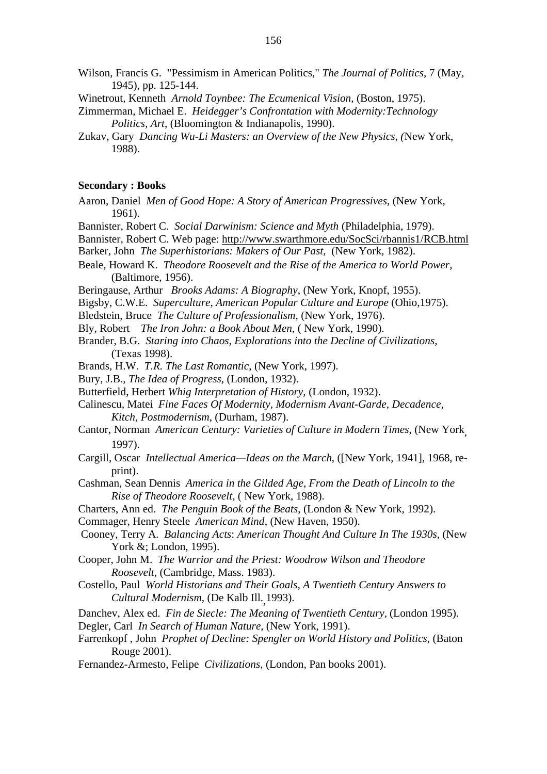- Wilson, Francis G. "Pessimism in American Politics," *The Journal of Politics*, 7 (May, 1945), pp. 125-144.
- Winetrout*,* Kenneth *Arnold Toynbee: The Ecumenical Vision*, (Boston, 1975).
- Zimmerman, Michael E. *Heidegger's Confrontation with Modernity:Technology Politics, Art*, (Bloomington & Indianapolis, 1990).
- Zukav, Gary *Dancing Wu-Li Masters: an Overview of the New Physics, (*New York, 1988).

# **Secondary : Books**

- Aaron, Daniel *Men of Good Hope: A Story of American Progressives*, (New York, 1961).
- Bannister*,* Robert C. *Social Darwinism: Science and Myth* (Philadelphia, 1979).
- Bannister, Robert C. Web page: http://www.swarthmore.edu/SocSci/rbannis1/RCB.html
- Barker, John *The Superhistorians: Makers of Our Past*, (New York, 1982).
- Beale, Howard K. *Theodore Roosevelt and the Rise of the America to World Power,* (Baltimore, 1956).
- Beringause, Arthur *Brooks Adams: A Biography*, (New York, Knopf, 1955).
- Bigsby, C.W.E. *Superculture*, *American Popular Culture and Europe* (Ohio,1975).
- Bledstein, Bruce *The Culture of Professionalism,* (New York, 1976).
- Bly, Robert *The Iron John: a Book About Men*, ( New York, 1990).
- Brander, B.G. *Staring into Chaos*, *Explorations into the Decline of Civilizations,* (Texas 1998).
- Brands, H.W. *T.R. The Last Romantic*, (New York, 1997).
- Bury, J.B.*, The Idea of Progress,* (London, 1932).
- Butterfield, Herbert *Whig Interpretation of History,* (London, 1932).
- Calinescu*,* Matei *Fine Faces Of Modernity, Modernism Avant-Garde, Decadence, Kitch, Postmodernism*, (Durham, 1987).
- Cantor, Norman *American Century: Varieties of Culture in Modern Times*, (New York, 1997).
- Cargill, Oscar *Intellectual America—Ideas on the March*, ([New York, 1941], 1968, reprint).
- Cashman, Sean Dennis *America in the Gilded Age, From the Death of Lincoln to the Rise of Theodore Roosevelt,* ( New York, 1988).
- Charters, Ann ed. *The Penguin Book of the Beats*, (London & New York, 1992).
- Commager, Henry Steele *American Mind*, (New Haven, 1950).
- Cooney, Terry A. *Balancing Acts*: *American Thought And Culture In The 1930s*, (New York &; London, 1995).
- Cooper, John M. *The Warrior and the Priest: Woodrow Wilson and Theodore Roosevelt*, (Cambridge, Mass. 1983).
- Costello, Paul *World Historians and Their Goals, A Twentieth Century Answers to Cultural Modernism*, (De Kalb Ill.,1993).
- Danchev, Alex ed. *Fin de Siecle: The Meaning of Twentieth Century*, (London 1995).
- Degler, Carl *In Search of Human Nature*, (New York, 1991).
- Farrenkopf , John *Prophet of Decline: Spengler on World History and Politics*, (Baton Rouge 2001).
- Fernandez-Armesto, Felipe *Civilizations*, (London, Pan books 2001).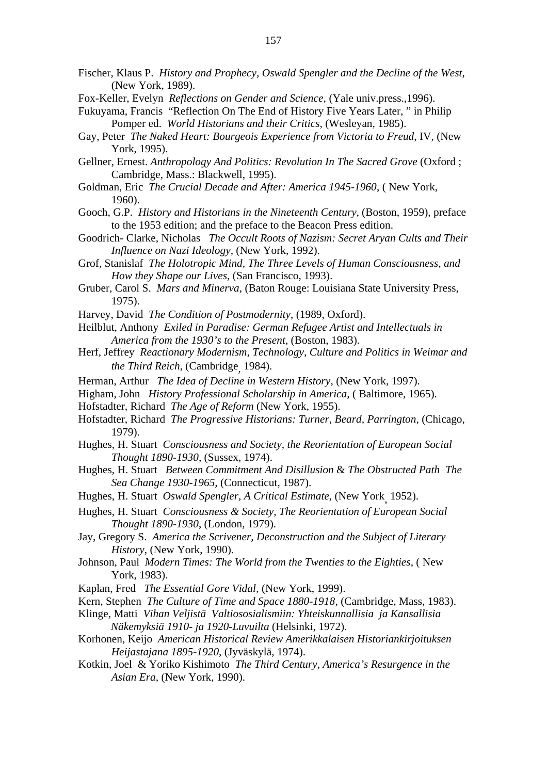- Fischer, Klaus P. *History and Prophecy, Oswald Spengler and the Decline of the West*, (New York, 1989).
- Fox-Keller, Evelyn *Reflections on Gender and Science,* (Yale univ.press.,1996).
- Fukuyama, Francis "Reflection On The End of History Five Years Later, " in Philip Pomper ed. *World Historians and their Critics*, (Wesleyan, 1985).
- Gay, Peter *The Naked Heart: Bourgeois Experience from Victoria to Freud*, IV, (New York, 1995).
- Gellner, Ernest. *Anthropology And Politics: Revolution In The Sacred Grove* (Oxford ; Cambridge, Mass.: Blackwell, 1995).
- Goldman, Eric *The Crucial Decade and After: America 1945-1960*, ( New York, 1960).
- Gooch, G.P. *History and Historians in the Nineteenth Century*, (Boston, 1959), preface to the 1953 edition; and the preface to the Beacon Press edition.
- Goodrich- Clarke, Nicholas *The Occult Roots of Nazism: Secret Aryan Cults and Their Influence on Nazi Ideology,* (New York, 1992).
- Grof, Stanislaf *The Holotropic Mind, The Three Levels of Human Consciousness, and How they Shape our Lives*, (San Francisco, 1993).
- Gruber, Carol S. *Mars and Minerva*, (Baton Rouge: Louisiana State University Press, 1975).
- Harvey, David *The Condition of Postmodernity*, (1989, Oxford).
- Heilblut, Anthony *Exiled in Paradise: German Refugee Artist and Intellectuals in America from the 1930's to the Present*, (Boston, 1983).
- Herf, Jeffrey *Reactionary Modernism, Technology, Culture and Politics in Weimar and the Third Reich*, (Cambridge, 1984).
- Herman, Arthur *The Idea of Decline in Western History*, (New York, 1997).
- Higham, John *History Professional Scholarship in America,* ( Baltimore, 1965).
- Hofstadter, Richard *The Age of Reform* (New York, 1955).
- Hofstadter, Richard *The Progressive Historians: Turner, Beard, Parrington*, (Chicago, 1979).
- Hughes, H. Stuart *Consciousness and Society, the Reorientation of European Social Thought 1890-1930,* (Sussex, 1974).
- Hughes, H. Stuart *Between Commitment And Disillusion* & *The Obstructed Path The Sea Change 1930-1965,* (Connecticut, 1987).
- Hughes, H. Stuart *Oswald Spengler, A Critical Estimate*, (New York, 1952).
- Hughes, H. Stuart *Consciousness & Society, The Reorientation of European Social Thought 1890-1930*, (London, 1979).
- Jay, Gregory S. *America the Scrivener, Deconstruction and the Subject of Literary History*, (New York, 1990).
- Johnson, Paul *Modern Times: The World from the Twenties to the Eighties*, ( New York, 1983).
- Kaplan, Fred *The Essential Gore Vidal*, (New York, 1999).
- Kern, Stephen *The Culture of Time and Space 1880-1918*, (Cambridge, Mass, 1983).
- Klinge, Matti *Vihan Veljistä Valtiososialismiin: Yhteiskunnallisia ja Kansallisia Näkemyksiä 1910- ja 1920-Luvuilta* (Helsinki, 1972).
- Korhonen, Keijo *American Historical Review Amerikkalaisen Historiankirjoituksen Heijastajana 1895-1920*, (Jyväskylä, 1974).
- Kotkin, Joel & Yoriko Kishimoto *The Third Century, America's Resurgence in the Asian Era*, (New York, 1990).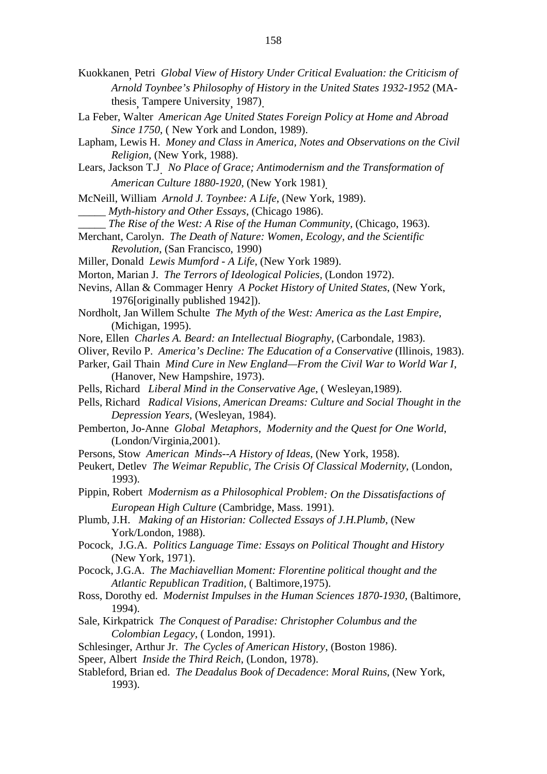- Kuokkanen, Petri *Global View of History Under Critical Evaluation: the Criticism of Arnold Toynbee's Philosophy of History in the United States 1932-1952* (MAthesis, Tampere University, 1987).
- La Feber, Walter *American Age United States Foreign Policy at Home and Abroad Since 1750*, ( New York and London, 1989).
- Lapham, Lewis H. *Money and Class in America, Notes and Observations on the Civil Religion,* (New York, 1988).
- Lears, Jackson T.J. *No Place of Grace; Antimodernism and the Transformation of American Culture 1880-1920*, (New York 1981).
- McNeill, William *Arnold J. Toynbee: A Life*, (New York, 1989).
- \_\_\_\_\_ *Myth-history and Other Essays*, (Chicago 1986).
- \_\_\_\_\_ *The Rise of the West: A Rise of the Human Community,* (Chicago, 1963).
- Merchant, Carolyn. *The Death of Nature: Women, Ecology, and the Scientific Revolution*, (San Francisco, 1990)
- Miller, Donald *Lewis Mumford A Life*, (New York 1989).
- Morton, Marian J. *The Terrors of Ideological Policies,* (London 1972).
- Nevins, Allan & Commager Henry *A Pocket History of United States*, (New York, 1976[originally published 1942]).
- Nordholt, Jan Willem Schulte *The Myth of the West: America as the Last Empire*, (Michigan, 1995).
- Nore, Ellen *Charles A. Beard: an Intellectual Biography*, (Carbondale, 1983).
- Oliver, Revilo P. *America's Decline: The Education of a Conservative* (Illinois, 1983).
- Parker, Gail Thain *Mind Cure in New England—From the Civil War to World War I*, (Hanover, New Hampshire, 1973).
- Pells, Richard *Liberal Mind in the Conservative Age*, ( Wesleyan,1989).
- Pells, Richard *Radical Visions, American Dreams: Culture and Social Thought in the Depression Years*, (Wesleyan, 1984).
- Pemberton*,* Jo-Anne *Global Metaphors, Modernity and the Quest for One World*, (London/Virginia,2001).
- Persons, Stow *American Minds--A History of Ideas*, (New York, 1958).
- Peukert, Detlev *The Weimar Republic, The Crisis Of Classical Modernity*, (London, 1993).
- Pippin, Robert *Modernism as a Philosophical Problem: On the Dissatisfactions of European High Culture* (Cambridge, Mass. 1991).
- Plumb, J.H. *Making of an Historian: Collected Essays of J.H.Plumb*, (New York/London, 1988).
- Pocock, J.G.A. *Politics Language Time: Essays on Political Thought and History* (New York, 1971).
- Pocock, J.G.A. *The Machiavellian Moment: Florentine political thought and the Atlantic Republican Tradition,* ( Baltimore,1975).
- Ross, Dorothy ed. *Modernist Impulses in the Human Sciences 1870-1930,* (Baltimore, 1994).
- Sale, Kirkpatrick *The Conquest of Paradise: Christopher Columbus and the Colombian Legacy*, ( London, 1991).
- Schlesinger, Arthur Jr. *The Cycles of American History*, (Boston 1986).
- Speer*,* Albert *Inside the Third Reich*, (London, 1978).
- Stableford, Brian ed. *The Deadalus Book of Decadence*: *Moral Ruins*, (New York, 1993).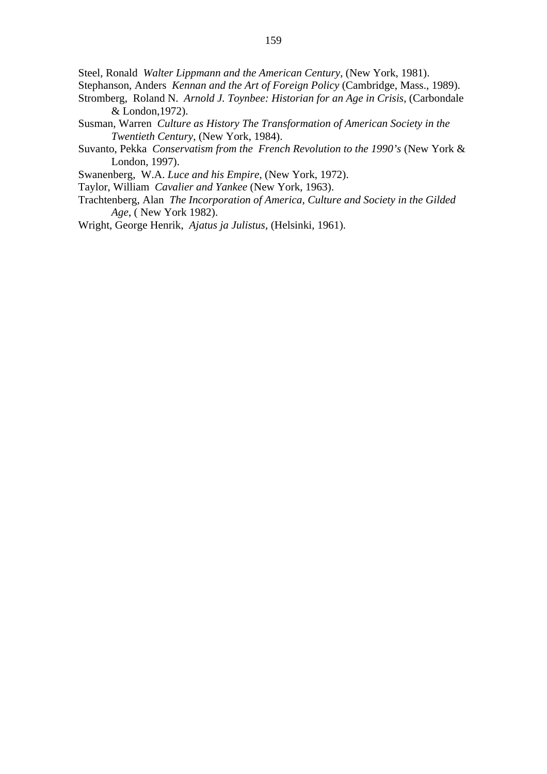Steel, Ronald *Walter Lippmann and the American Century*, (New York, 1981).

- Stephanson, Anders *Kennan and the Art of Foreign Policy* (Cambridge, Mass., 1989).
- Stromberg, Roland N. *Arnold J. Toynbee: Historian for an Age in Crisis*, (Carbondale & London,1972).
- Susman, Warren *Culture as History The Transformation of American Society in the Twentieth Century*, (New York, 1984).
- Suvanto, Pekka *Conservatism from the French Revolution to the 1990's* (New York & London, 1997).
- Swanenberg, W.A. *Luce and his Empire*, (New York, 1972).
- Taylor, William *Cavalier and Yankee* (New York, 1963).
- Trachtenberg, Alan *The Incorporation of America, Culture and Society in the Gilded Age*, ( New York 1982).

Wright, George Henrik, *Ajatus ja Julistus*, (Helsinki, 1961).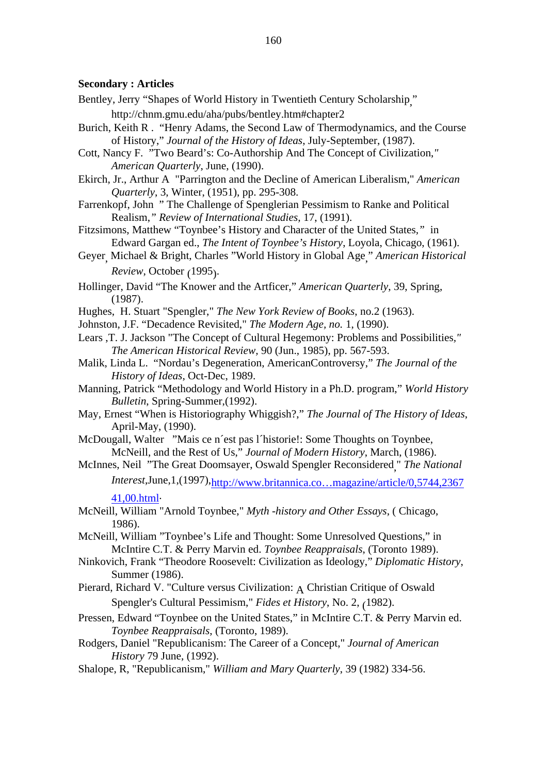### **Secondary : Articles**

- Bentley, Jerry "Shapes of World History in Twentieth Century Scholarship, "
	- http://chnm.gmu.edu/aha/pubs/bentley.htm#chapter2
- Burich, Keith R . "Henry Adams, the Second Law of Thermodynamics, and the Course of History," *Journal of the History of Ideas*, July-September, (1987).
- Cott, Nancy F. "Two Beard's: Co-Authorship And The Concept of Civilization,*" American Quarterly*, June, (1990).
- Ekirch, Jr., Arthur A "Parrington and the Decline of American Liberalism," *American Quarterly*, 3, Winter, (1951), pp. 295-308.
- Farrenkopf, John " The Challenge of Spenglerian Pessimism to Ranke and Political Realism,*" Review of International Studies,* 17, (1991).
- Fitzsimons, Matthew "Toynbee's History and Character of the United States*,"* in Edward Gargan ed., *The Intent of Toynbee's History*, Loyola, Chicago, (1961).
- Geyer, Michael & Bright, Charles "World History in Global Age," *American Historical Review*, October (1995).
- Hollinger, David "The Knower and the Artficer," *American Quarterly*, 39, Spring, (1987).
- Hughes, H. Stuart "Spengler," *The New York Review of Books*, no.2 (1963).
- Johnston, J.F. "Decadence Revisited," *The Modern Age, no.* 1, (1990).
- Lears ,T. J. Jackson "The Concept of Cultural Hegemony: Problems and Possibilities*," The American Historical Review,* 90 (Jun., 1985), pp. 567-593.
- Malik, Linda L. "Nordau's Degeneration, AmericanControversy," *The Journal of the History of Ideas*, Oct-Dec, 1989.
- Manning, Patrick "Methodology and World History in a Ph.D. program," *World History Bulletin*, Spring-Summer,(1992).
- May, Ernest "When is Historiography Whiggish?," *The Journal of The History of Ideas*, April-May, (1990).
- McDougall, Walter "Mais ce n´est pas l´historie!: Some Thoughts on Toynbee, McNeill, and the Rest of Us," *Journal of Modern History*, March, (1986).
- McInnes, Neil "The Great Doomsayer, Oswald Spengler Reconsidered," *The National Interest*,June,1,(1997),http://www.britannica.co…magazine/article/0,5744,2367

#### 41,00.html.

- McNeill, William "Arnold Toynbee," *Myth -history and Other Essays*, ( Chicago, 1986).
- McNeill, William "Toynbee's Life and Thought: Some Unresolved Questions," in McIntire C.T. & Perry Marvin ed. *Toynbee Reappraisals*, (Toronto 1989).
- Ninkovich, Frank "Theodore Roosevelt: Civilization as Ideology," *Diplomatic History*, Summer (1986).
- Pierard, Richard V. "Culture versus Civilization: A Christian Critique of Oswald Spengler's Cultural Pessimism," *Fides et History*, No. 2, (1982).
- Pressen, Edward "Toynbee on the United States," in McIntire C.T. & Perry Marvin ed. *Toynbee Reappraisals*, (Toronto, 1989).
- Rodgers, Daniel "Republicanism: The Career of a Concept," *Journal of American History* 79 June, (1992).
- Shalope, R, "Republicanism," *William and Mary Quarterly*, 39 (1982) 334-56.